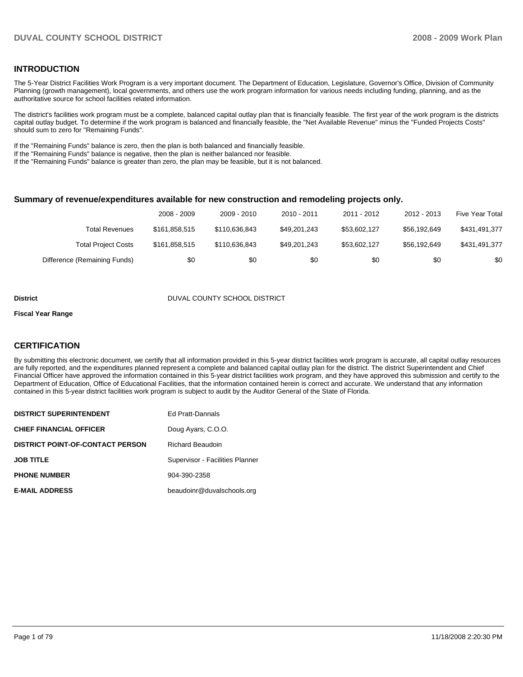### **INTRODUCTION**

The 5-Year District Facilities Work Program is a very important document. The Department of Education, Legislature, Governor's Office, Division of Community Planning (growth management), local governments, and others use the work program information for various needs including funding, planning, and as the authoritative source for school facilities related information.

The district's facilities work program must be a complete, balanced capital outlay plan that is financially feasible. The first year of the work program is the districts capital outlay budget. To determine if the work program is balanced and financially feasible, the "Net Available Revenue" minus the "Funded Projects Costs" should sum to zero for "Remaining Funds".

If the "Remaining Funds" balance is zero, then the plan is both balanced and financially feasible.

If the "Remaining Funds" balance is negative, then the plan is neither balanced nor feasible.

If the "Remaining Funds" balance is greater than zero, the plan may be feasible, but it is not balanced.

#### **Summary of revenue/expenditures available for new construction and remodeling projects only.**

|                              | 2008 - 2009   | 2009 - 2010   | 2010 - 2011  | 2011 - 2012  | 2012 - 2013  | <b>Five Year Total</b> |
|------------------------------|---------------|---------------|--------------|--------------|--------------|------------------------|
| Total Revenues               | \$161.858.515 | \$110.636.843 | \$49,201,243 | \$53,602,127 | \$56.192.649 | \$431,491,377          |
| <b>Total Project Costs</b>   | \$161.858.515 | \$110.636.843 | \$49,201,243 | \$53,602,127 | \$56.192.649 | \$431,491,377          |
| Difference (Remaining Funds) | \$0           | \$0           | \$0          | \$0          | \$0          | \$0                    |

#### **District COUNTY SCHOOL DISTRICT**

#### **Fiscal Year Range**

#### **CERTIFICATION**

By submitting this electronic document, we certify that all information provided in this 5-year district facilities work program is accurate, all capital outlay resources are fully reported, and the expenditures planned represent a complete and balanced capital outlay plan for the district. The district Superintendent and Chief Financial Officer have approved the information contained in this 5-year district facilities work program, and they have approved this submission and certify to the Department of Education, Office of Educational Facilities, that the information contained herein is correct and accurate. We understand that any information contained in this 5-year district facilities work program is subject to audit by the Auditor General of the State of Florida.

| <b>DISTRICT SUPERINTENDENT</b>          | Ed Pratt-Dannals                |
|-----------------------------------------|---------------------------------|
| <b>CHIEF FINANCIAL OFFICER</b>          | Doug Ayars, C.O.O.              |
| <b>DISTRICT POINT-OF-CONTACT PERSON</b> | <b>Richard Beaudoin</b>         |
| <b>JOB TITLE</b>                        | Supervisor - Facilities Planner |
| <b>PHONE NUMBER</b>                     | 904-390-2358                    |
| <b>E-MAIL ADDRESS</b>                   | beaudoinr@duvalschools.org      |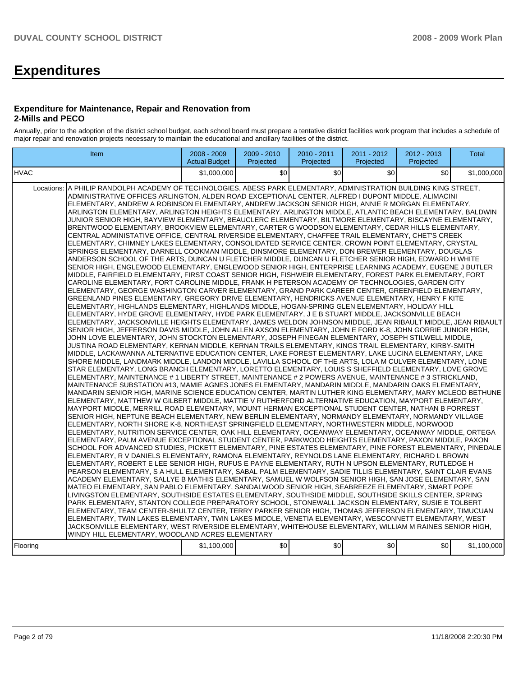# **Expenditures**

#### **Expenditure for Maintenance, Repair and Renovation from 2-Mills and PECO**

Annually, prior to the adoption of the district school budget, each school board must prepare a tentative district facilities work program that includes a schedule of major repair and renovation projects necessary to maintain the educational and ancillary facilities of the district.

| Item                                                                                                                                                                                                                                                                                                                                                                                                                                                                                                                                                                                                                                                                                                                                                                                                                                                                                                                                                                                                                                                                                                                                                                                                                                                                                                                                                                                                                                                                                                                                                                                                                                                                                                                                                                                                                                                                                                                                                                                                                                                                                                                                                                                                                                                                                                                                                                                                                                                                                                                                                                                                                                                                                                                                                                                                                                                                                                                                                                                                                                                                                                                                                                                                                                                                                                                                                                                                                                                                                                                                                                                                                                                                                                                                                                                                                                                                                                                                                                                                                                                                                                                                                                                                                                                                                                                                                                                                                                                                                                                                                                                                                                                                                                                                                                                                                                          | $2008 - 2009$<br><b>Actual Budget</b> | 2009 - 2010<br>Projected | 2010 - 2011<br>Projected | 2011 - 2012<br>Projected | 2012 - 2013<br>Projected | <b>Total</b> |
|-----------------------------------------------------------------------------------------------------------------------------------------------------------------------------------------------------------------------------------------------------------------------------------------------------------------------------------------------------------------------------------------------------------------------------------------------------------------------------------------------------------------------------------------------------------------------------------------------------------------------------------------------------------------------------------------------------------------------------------------------------------------------------------------------------------------------------------------------------------------------------------------------------------------------------------------------------------------------------------------------------------------------------------------------------------------------------------------------------------------------------------------------------------------------------------------------------------------------------------------------------------------------------------------------------------------------------------------------------------------------------------------------------------------------------------------------------------------------------------------------------------------------------------------------------------------------------------------------------------------------------------------------------------------------------------------------------------------------------------------------------------------------------------------------------------------------------------------------------------------------------------------------------------------------------------------------------------------------------------------------------------------------------------------------------------------------------------------------------------------------------------------------------------------------------------------------------------------------------------------------------------------------------------------------------------------------------------------------------------------------------------------------------------------------------------------------------------------------------------------------------------------------------------------------------------------------------------------------------------------------------------------------------------------------------------------------------------------------------------------------------------------------------------------------------------------------------------------------------------------------------------------------------------------------------------------------------------------------------------------------------------------------------------------------------------------------------------------------------------------------------------------------------------------------------------------------------------------------------------------------------------------------------------------------------------------------------------------------------------------------------------------------------------------------------------------------------------------------------------------------------------------------------------------------------------------------------------------------------------------------------------------------------------------------------------------------------------------------------------------------------------------------------------------------------------------------------------------------------------------------------------------------------------------------------------------------------------------------------------------------------------------------------------------------------------------------------------------------------------------------------------------------------------------------------------------------------------------------------------------------------------------------------------------------------------------------------------------------------------------------------------------------------------------------------------------------------------------------------------------------------------------------------------------------------------------------------------------------------------------------------------------------------------------------------------------------------------------------------------------------------------------------------------------------------------------------------------------------|---------------------------------------|--------------------------|--------------------------|--------------------------|--------------------------|--------------|
| <b>HVAC</b>                                                                                                                                                                                                                                                                                                                                                                                                                                                                                                                                                                                                                                                                                                                                                                                                                                                                                                                                                                                                                                                                                                                                                                                                                                                                                                                                                                                                                                                                                                                                                                                                                                                                                                                                                                                                                                                                                                                                                                                                                                                                                                                                                                                                                                                                                                                                                                                                                                                                                                                                                                                                                                                                                                                                                                                                                                                                                                                                                                                                                                                                                                                                                                                                                                                                                                                                                                                                                                                                                                                                                                                                                                                                                                                                                                                                                                                                                                                                                                                                                                                                                                                                                                                                                                                                                                                                                                                                                                                                                                                                                                                                                                                                                                                                                                                                                                   | \$1,000,000                           | \$0                      | \$0                      | \$0                      | \$0                      | \$1,000,000  |
| A PHILIP RANDOLPH ACADEMY OF TECHNOLOGIES, ABESS PARK ELEMENTARY, ADMINISTRATION BUILDING KING STREET,<br>Locations:<br>ADMINISTRATIVE OFFICES ARLINGTON, ALDEN ROAD EXCEPTIONAL CENTER, ALFRED I DUPONT MIDDLE, ALIMACINI<br>ELEMENTARY, ANDREW A ROBINSON ELEMENTARY, ANDREW JACKSON SENIOR HIGH, ANNIE R MORGAN ELEMENTARY,<br>ARLINGTON ELEMENTARY, ARLINGTON HEIGHTS ELEMENTARY, ARLINGTON MIDDLE, ATLANTIC BEACH ELEMENTARY, BALDWIN<br>JUNIOR SENIOR HIGH, BAYVIEW ELEMENTARY, BEAUCLERC ELEMENTARY, BILTMORE ELEMENTARY, BISCAYNE ELEMENTARY,<br>BRENTWOOD ELEMENTARY, BROOKVIEW ELEMENTARY, CARTER G WOODSON ELEMENTARY, CEDAR HILLS ELEMENTARY,<br>CENTRAL ADMINISTATIVE OFFICE, CENTRAL RIVERSIDE ELEMENTARY, CHAFFEE TRAIL ELEMENTARY, CHET'S CREEK<br>ELEMENTARY, CHIMNEY LAKES ELEMENTARY, CONSOLIDATED SERVICE CENTER, CROWN POINT ELEMENTARY, CRYSTAL<br>SPRINGS ELEMENTARY, DARNELL COOKMAN MIDDLE, DINSMORE ELEMENTARY, DON BREWER ELEMENTARY, DOUGLAS<br>ANDERSON SCHOOL OF THE ARTS, DUNCAN U FLETCHER MIDDLE, DUNCAN U FLETCHER SENIOR HIGH, EDWARD H WHITE<br>SENIOR HIGH, ENGLEWOOD ELEMENTARY, ENGLEWOOD SENIOR HIGH, ENTERPRISE LEARNING ACADEMY, EUGENE J BUTLER<br>MIDDLE, FAIRFIELD ELEMENTARY, FIRST COAST SENIOR HIGH, FISHWEIR ELEMENTARY, FOREST PARK ELEMENTARY, FORT<br>CAROLINE ELEMENTARY. FORT CAROLINE MIDDLE. FRANK H PETERSON ACADEMY OF TECHNOLOGIES. GARDEN CITY<br>ELEMENTARY, GEORGE WASHINGTON CARVER ELEMENTARY, GRAND PARK CAREER CENTER, GREENFIELD ELEMENTARY,<br>GREENLAND PINES ELEMENTARY, GREGORY DRIVE ELEMENTARY, HENDRICKS AVENUE ELEMENTARY, HENRY F KITE<br>ELEMENTARY, HIGHLANDS ELEMENTARY, HIGHLANDS MIDDLE, HOGAN-SPRING GLEN ELEMENTARY, HOLIDAY HILL<br>ELEMENTARY, HYDE GROVE ELEMENTARY, HYDE PARK ELEMENTARY, J E B STUART MIDDLE, JACKSONVILLE BEACH<br>ELEMENTARY, JACKSONVILLE HEIGHTS ELEMENTARY, JAMES WELDON JOHNSON MIDDLE, JEAN RIBAULT MIDDLE, JEAN RIBAULT<br>SENIOR HIGH, JEFFERSON DAVIS MIDDLE, JOHN ALLEN AXSON ELEMENTARY, JOHN E FORD K-8, JOHN GORRIE JUNIOR HIGH,<br>JOHN LOVE ELEMENTARY. JOHN STOCKTON ELEMENTARY. JOSEPH FINEGAN ELEMENTARY. JOSEPH STILWELL MIDDLE.<br>JUSTINA ROAD ELEMENTARY, KERNAN MIDDLE, KERNAN TRAILS ELEMENTARY, KINGS TRAIL ELEMENTARY, KIRBY-SMITH<br>MIDDLE, LACKAWANNA ALTERNATIVE EDUCATION CENTER, LAKE FOREST ELEMENTARY, LAKE LUCINA ELEMENTARY, LAKE<br>SHORE MIDDLE, LANDMARK MIDDLE, LANDON MIDDLE, LAVILLA SCHOOL OF THE ARTS, LOLA M CULVER ELEMENTARY, LONE<br>STAR ELEMENTARY, LONG BRANCH ELEMENTARY, LORETTO ELEMENTARY, LOUIS S SHEFFIELD ELEMENTARY, LOVE GROVE<br>ELEMENTARY, MAINTENANCE # 1 LIBERTY STREET, MAINTENANCE # 2 POWERS AVENUE, MAINTENANCE # 3 STRICKLAND,<br>MAINTENANCE SUBSTATION #13, MAMIE AGNES JONES ELEMENTARY, MANDARIN MIDDLE, MANDARIN OAKS ELEMENTARY,<br>MANDARIN SENIOR HIGH, MARINE SCIENCE EDUCATION CENTER, MARTIN LUTHER KING ELEMENTARY, MARY MCLEOD BETHUNE<br>ELEMENTARY, MATTHEW W GILBERT MIDDLE, MATTIE V RUTHERFORD ALTERNATIVE EDUCATION, MAYPORT ELEMENTARY,<br>MAYPORT MIDDLE, MERRILL ROAD ELEMENTARY, MOUNT HERMAN EXCEPTIONAL STUDENT CENTER, NATHAN B FORREST<br>SENIOR HIGH, NEPTUNE BEACH ELEMENTARY, NEW BERLIN ELEMENTARY, NORMANDY ELEMENTARY, NORMANDY VILLAGE<br>ELEMENTARY, NORTH SHORE K-8, NORTHEAST SPRINGFIELD ELEMENTARY, NORTHWESTERN MIDDLE, NORWOOD<br>ELEMENTARY, NUTRITION SERVICE CENTER, OAK HILL ELEMENTARY, OCEANWAY ELEMENTARY, OCEANWAY MIDDLE, ORTEGA<br>ELEMENTARY, PALM AVENUE EXCEPTIONAL STUDENT CENTER, PARKWOOD HEIGHTS ELEMENTARY, PAXON MIDDLE, PAXON<br>SCHOOL FOR ADVANCED STUDIES, PICKETT ELEMENTARY, PINE ESTATES ELEMENTARY, PINE FOREST ELEMENTARY, PINEDALE<br>ELEMENTARY, R V DANIELS ELEMENTARY, RAMONA ELEMENTARY, REYNOLDS LANE ELEMENTARY, RICHARD L BROWN<br>ELEMENTARY, ROBERT E LEE SENIOR HIGH, RUFUS E PAYNE ELEMENTARY, RUTH N UPSON ELEMENTARY, RUTLEDGE H<br>PEARSON ELEMENTARY, S A HULL ELEMENTARY, SABAL PALM ELEMENTARY, SADIE TILLIS ELEMENTARY, SAINT CLAIR EVANS<br>ACADEMY ELEMENTARY, SALLYE B MATHIS ELEMENTARY, SAMUEL W WOLFSON SENIOR HIGH, SAN JOSE ELEMENTARY, SAN<br>MATEO ELEMENTARY, SAN PABLO ELEMENTARY, SANDALWOOD SENIOR HIGH, SEABREEZE ELEMENTARY, SMART POPE<br>LIVINGSTON ELEMENTARY, SOUTHSIDE ESTATES ELEMENTARY, SOUTHSIDE MIDDLE, SOUTHSIDE SKILLS CENTER, SPRING<br>PARK ELEMENTARY, STANTON COLLEGE PREPARATORY SCHOOL, STONEWALL JACKSON ELEMENTARY, SUSIE E TOLBERT<br>ELEMENTARY, TEAM CENTER-SHULTZ CENTER, TERRY PARKER SENIOR HIGH, THOMAS JEFFERSON ELEMENTARY, TIMUCUAN<br>ELEMENTARY, TWIN LAKES ELEMENTARY, TWIN LAKES MIDDLE, VENETIA ELEMENTARY, WESCONNETT ELEMENTARY, WEST<br>JACKSONVILLE ELEMENTARY, WEST RIVERSIDE ELEMENTARY, WHITEHOUSE ELEMENTARY, WILLIAM M RAINES SENIOR HIGH,<br>WINDY HILL ELEMENTARY, WOODLAND ACRES ELEMENTARY<br>Flooring | \$1,100,000                           | \$0                      | \$0                      | \$0                      | \$0                      | \$1,100,000  |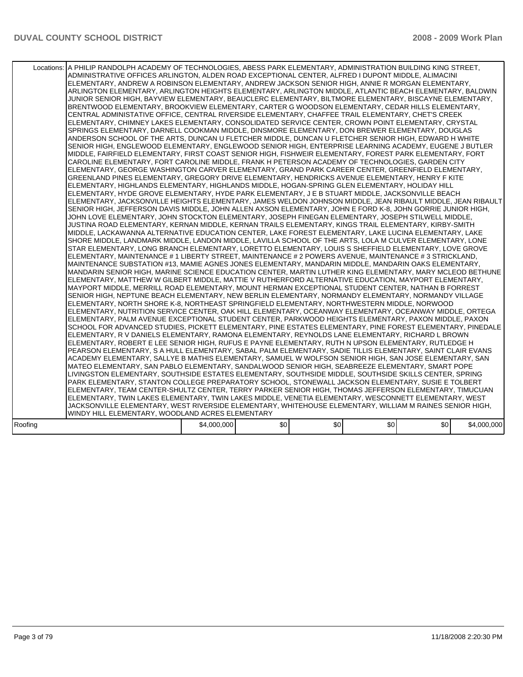|         | Locations: A PHILIP RANDOLPH ACADEMY OF TECHNOLOGIES, ABESS PARK ELEMENTARY, ADMINISTRATION BUILDING KING STREET,<br>ADMINISTRATIVE OFFICES ARLINGTON, ALDEN ROAD EXCEPTIONAL CENTER, ALFRED I DUPONT MIDDLE, ALIMACINI<br>ELEMENTARY, ANDREW A ROBINSON ELEMENTARY, ANDREW JACKSON SENIOR HIGH, ANNIE R MORGAN ELEMENTARY,<br>ARLINGTON ELEMENTARY, ARLINGTON HEIGHTS ELEMENTARY, ARLINGTON MIDDLE, ATLANTIC BEACH ELEMENTARY, BALDWIN<br>JUNIOR SENIOR HIGH, BAYVIEW ELEMENTARY, BEAUCLERC ELEMENTARY, BILTMORE ELEMENTARY, BISCAYNE ELEMENTARY,<br>BRENTWOOD ELEMENTARY, BROOKVIEW ELEMENTARY, CARTER G WOODSON ELEMENTARY, CEDAR HILLS ELEMENTARY,<br>CENTRAL ADMINISTATIVE OFFICE, CENTRAL RIVERSIDE ELEMENTARY, CHAFFEE TRAIL ELEMENTARY, CHET'S CREEK<br>ELEMENTARY, CHIMNEY LAKES ELEMENTARY, CONSOLIDATED SERVICE CENTER, CROWN POINT ELEMENTARY, CRYSTAL<br>SPRINGS ELEMENTARY, DARNELL COOKMAN MIDDLE, DINSMORE ELEMENTARY, DON BREWER ELEMENTARY, DOUGLAS<br>ANDERSON SCHOOL OF THE ARTS, DUNCAN U FLETCHER MIDDLE, DUNCAN U FLETCHER SENIOR HIGH, EDWARD H WHITE<br>SENIOR HIGH, ENGLEWOOD ELEMENTARY, ENGLEWOOD SENIOR HIGH, ENTERPRISE LEARNING ACADEMY, EUGENE J BUTLER<br>MIDDLE, FAIRFIELD ELEMENTARY, FIRST COAST SENIOR HIGH, FISHWEIR ELEMENTARY, FOREST PARK ELEMENTARY, FORT<br>CAROLINE ELEMENTARY, FORT CAROLINE MIDDLE, FRANK H PETERSON ACADEMY OF TECHNOLOGIES, GARDEN CITY<br>ELEMENTARY, GEORGE WASHINGTON CARVER ELEMENTARY, GRAND PARK CAREER CENTER, GREENFIELD ELEMENTARY,<br>GREENLAND PINES ELEMENTARY, GREGORY DRIVE ELEMENTARY, HENDRICKS AVENUE ELEMENTARY, HENRY F KITE<br>ELEMENTARY, HIGHLANDS ELEMENTARY, HIGHLANDS MIDDLE, HOGAN-SPRING GLEN ELEMENTARY, HOLIDAY HILL<br>ELEMENTARY, HYDE GROVE ELEMENTARY, HYDE PARK ELEMENTARY, J E B STUART MIDDLE, JACKSONVILLE BEACH<br>ELEMENTARY, JACKSONVILLE HEIGHTS ELEMENTARY, JAMES WELDON JOHNSON MIDDLE, JEAN RIBAULT MIDDLE, JEAN RIBAULT<br>SENIOR HIGH, JEFFERSON DAVIS MIDDLE, JOHN ALLEN AXSON ELEMENTARY, JOHN E FORD K-8, JOHN GORRIE JUNIOR HIGH,<br>JOHN LOVE ELEMENTARY, JOHN STOCKTON ELEMENTARY, JOSEPH FINEGAN ELEMENTARY, JOSEPH STILWELL MIDDLE,<br>JUSTINA ROAD ELEMENTARY, KERNAN MIDDLE, KERNAN TRAILS ELEMENTARY, KINGS TRAIL ELEMENTARY, KIRBY-SMITH<br>MIDDLE, LACKAWANNA ALTERNATIVE EDUCATION CENTER, LAKE FOREST ELEMENTARY, LAKE LUCINA ELEMENTARY, LAKE<br>SHORE MIDDLE, LANDMARK MIDDLE, LANDON MIDDLE, LAVILLA SCHOOL OF THE ARTS, LOLA M CULVER ELEMENTARY, LONE<br>STAR ELEMENTARY, LONG BRANCH ELEMENTARY, LORETTO ELEMENTARY, LOUIS S SHEFFIELD ELEMENTARY, LOVE GROVE<br>ELEMENTARY, MAINTENANCE # 1 LIBERTY STREET, MAINTENANCE # 2 POWERS AVENUE, MAINTENANCE # 3 STRICKLAND,<br>MAINTENANCE SUBSTATION #13, MAMIE AGNES JONES ELEMENTARY, MANDARIN MIDDLE, MANDARIN OAKS ELEMENTARY,<br>MANDARIN SENIOR HIGH, MARINE SCIENCE EDUCATION CENTER, MARTIN LUTHER KING ELEMENTARY, MARY MCLEOD BETHUNE<br>ELEMENTARY, MATTHEW W GILBERT MIDDLE, MATTIE V RUTHERFORD ALTERNATIVE EDUCATION, MAYPORT ELEMENTARY,<br>MAYPORT MIDDLE. MERRILL ROAD ELEMENTARY. MOUNT HERMAN EXCEPTIONAL STUDENT CENTER. NATHAN B FORREST<br>SENIOR HIGH, NEPTUNE BEACH ELEMENTARY, NEW BERLIN ELEMENTARY, NORMANDY ELEMENTARY, NORMANDY VILLAGE<br>ELEMENTARY, NORTH SHORE K-8, NORTHEAST SPRINGFIELD ELEMENTARY, NORTHWESTERN MIDDLE, NORWOOD<br>ELEMENTARY, NUTRITION SERVICE CENTER, OAK HILL ELEMENTARY, OCEANWAY ELEMENTARY, OCEANWAY MIDDLE, ORTEGA<br>ELEMENTARY, PALM AVENUE EXCEPTIONAL STUDENT CENTER, PARKWOOD HEIGHTS ELEMENTARY, PAXON MIDDLE, PAXON<br>SCHOOL FOR ADVANCED STUDIES, PICKETT ELEMENTARY, PINE ESTATES ELEMENTARY, PINE FOREST ELEMENTARY, PINEDALE<br>ELEMENTARY, R V DANIELS ELEMENTARY, RAMONA ELEMENTARY, REYNOLDS LANE ELEMENTARY, RICHARD L BROWN<br>ELEMENTARY, ROBERT E LEE SENIOR HIGH, RUFUS E PAYNE ELEMENTARY, RUTH N UPSON ELEMENTARY, RUTLEDGE H <br>PEARSON ELEMENTARY, S A HULL ELEMENTARY, SABAL PALM ELEMENTARY, SADIE TILLIS ELEMENTARY, SAINT CLAIR EVANS<br>ACADEMY ELEMENTARY, SALLYE B MATHIS ELEMENTARY, SAMUEL W WOLFSON SENIOR HIGH, SAN JOSE ELEMENTARY, SAN<br>MATEO ELEMENTARY, SAN PABLO ELEMENTARY, SANDALWOOD SENIOR HIGH, SEABREEZE ELEMENTARY, SMART POPE<br>LIVINGSTON ELEMENTARY, SOUTHSIDE ESTATES ELEMENTARY, SOUTHSIDE MIDDLE, SOUTHSIDE SKILLS CENTER, SPRING<br>PARK ELEMENTARY, STANTON COLLEGE PREPARATORY SCHOOL, STONEWALL JACKSON ELEMENTARY, SUSIE E TOLBERT<br>ELEMENTARY, TEAM CENTER-SHULTZ CENTER, TERRY PARKER SENIOR HIGH, THOMAS JEFFERSON ELEMENTARY, TIMUCUAN<br>ELEMENTARY, TWIN LAKES ELEMENTARY, TWIN LAKES MIDDLE, VENETIA ELEMENTARY, WESCONNETT ELEMENTARY, WEST<br>JACKSONVILLE ELEMENTARY, WEST RIVERSIDE ELEMENTARY, WHITEHOUSE ELEMENTARY, WILLIAM M RAINES SENIOR HIGH,<br>WINDY HILL ELEMENTARY, WOODLAND ACRES ELEMENTARY |             |     |     |     |     |             |
|---------|---------------------------------------------------------------------------------------------------------------------------------------------------------------------------------------------------------------------------------------------------------------------------------------------------------------------------------------------------------------------------------------------------------------------------------------------------------------------------------------------------------------------------------------------------------------------------------------------------------------------------------------------------------------------------------------------------------------------------------------------------------------------------------------------------------------------------------------------------------------------------------------------------------------------------------------------------------------------------------------------------------------------------------------------------------------------------------------------------------------------------------------------------------------------------------------------------------------------------------------------------------------------------------------------------------------------------------------------------------------------------------------------------------------------------------------------------------------------------------------------------------------------------------------------------------------------------------------------------------------------------------------------------------------------------------------------------------------------------------------------------------------------------------------------------------------------------------------------------------------------------------------------------------------------------------------------------------------------------------------------------------------------------------------------------------------------------------------------------------------------------------------------------------------------------------------------------------------------------------------------------------------------------------------------------------------------------------------------------------------------------------------------------------------------------------------------------------------------------------------------------------------------------------------------------------------------------------------------------------------------------------------------------------------------------------------------------------------------------------------------------------------------------------------------------------------------------------------------------------------------------------------------------------------------------------------------------------------------------------------------------------------------------------------------------------------------------------------------------------------------------------------------------------------------------------------------------------------------------------------------------------------------------------------------------------------------------------------------------------------------------------------------------------------------------------------------------------------------------------------------------------------------------------------------------------------------------------------------------------------------------------------------------------------------------------------------------------------------------------------------------------------------------------------------------------------------------------------------------------------------------------------------------------------------------------------------------------------------------------------------------------------------------------------------------------------------------------------------------------------------------------------------------------------------------------------------------------------------------------------------------------------------------------------------------------------------------------------------------------------------------------------------------------------------------------------------------------------------------------------------------------------------------------------------------------------------------------------------------------------------------------------------------------------------------------------------------------------------------------------------------------------------------------------------------------------------------------|-------------|-----|-----|-----|-----|-------------|
| Roofing |                                                                                                                                                                                                                                                                                                                                                                                                                                                                                                                                                                                                                                                                                                                                                                                                                                                                                                                                                                                                                                                                                                                                                                                                                                                                                                                                                                                                                                                                                                                                                                                                                                                                                                                                                                                                                                                                                                                                                                                                                                                                                                                                                                                                                                                                                                                                                                                                                                                                                                                                                                                                                                                                                                                                                                                                                                                                                                                                                                                                                                                                                                                                                                                                                                                                                                                                                                                                                                                                                                                                                                                                                                                                                                                                                                                                                                                                                                                                                                                                                                                                                                                                                                                                                                                                                                                                                                                                                                                                                                                                                                                                                                                                                                                                                                                                                                 | \$4,000,000 | \$0 | \$0 | \$0 | \$0 | \$4,000,000 |
|         |                                                                                                                                                                                                                                                                                                                                                                                                                                                                                                                                                                                                                                                                                                                                                                                                                                                                                                                                                                                                                                                                                                                                                                                                                                                                                                                                                                                                                                                                                                                                                                                                                                                                                                                                                                                                                                                                                                                                                                                                                                                                                                                                                                                                                                                                                                                                                                                                                                                                                                                                                                                                                                                                                                                                                                                                                                                                                                                                                                                                                                                                                                                                                                                                                                                                                                                                                                                                                                                                                                                                                                                                                                                                                                                                                                                                                                                                                                                                                                                                                                                                                                                                                                                                                                                                                                                                                                                                                                                                                                                                                                                                                                                                                                                                                                                                                                 |             |     |     |     |     |             |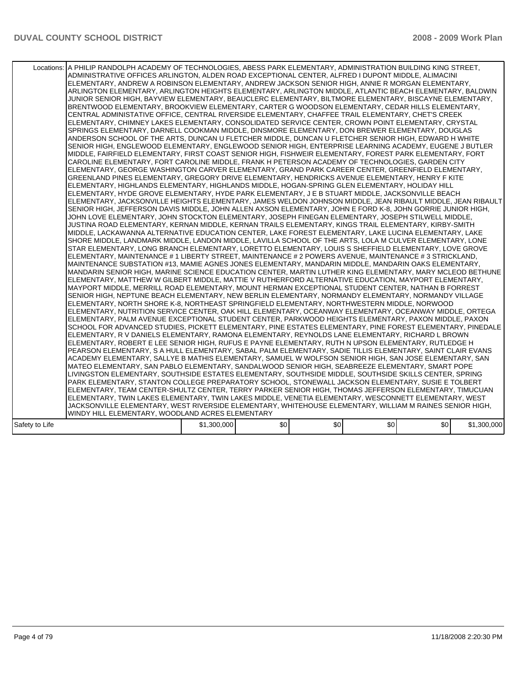|                | Locations: A PHILIP RANDOLPH ACADEMY OF TECHNOLOGIES, ABESS PARK ELEMENTARY, ADMINISTRATION BUILDING KING STREET,<br>ADMINISTRATIVE OFFICES ARLINGTON, ALDEN ROAD EXCEPTIONAL CENTER, ALFRED I DUPONT MIDDLE, ALIMACINI<br>ELEMENTARY, ANDREW A ROBINSON ELEMENTARY, ANDREW JACKSON SENIOR HIGH, ANNIE R MORGAN ELEMENTARY,<br>ARLINGTON ELEMENTARY, ARLINGTON HEIGHTS ELEMENTARY, ARLINGTON MIDDLE, ATLANTIC BEACH ELEMENTARY, BALDWIN<br>JUNIOR SENIOR HIGH, BAYVIEW ELEMENTARY, BEAUCLERC ELEMENTARY, BILTMORE ELEMENTARY, BISCAYNE ELEMENTARY,<br>BRENTWOOD ELEMENTARY, BROOKVIEW ELEMENTARY, CARTER G WOODSON ELEMENTARY, CEDAR HILLS ELEMENTARY,<br>CENTRAL ADMINISTATIVE OFFICE, CENTRAL RIVERSIDE ELEMENTARY, CHAFFEE TRAIL ELEMENTARY, CHET'S CREEK<br>ELEMENTARY, CHIMNEY LAKES ELEMENTARY, CONSOLIDATED SERVICE CENTER, CROWN POINT ELEMENTARY, CRYSTAL<br>SPRINGS ELEMENTARY, DARNELL COOKMAN MIDDLE, DINSMORE ELEMENTARY, DON BREWER ELEMENTARY, DOUGLAS<br>ANDERSON SCHOOL OF THE ARTS, DUNCAN U FLETCHER MIDDLE, DUNCAN U FLETCHER SENIOR HIGH, EDWARD H WHITE<br>SENIOR HIGH, ENGLEWOOD ELEMENTARY, ENGLEWOOD SENIOR HIGH, ENTERPRISE LEARNING ACADEMY, EUGENE J BUTLER<br>MIDDLE, FAIRFIELD ELEMENTARY, FIRST COAST SENIOR HIGH, FISHWEIR ELEMENTARY, FOREST PARK ELEMENTARY, FORT<br>CAROLINE ELEMENTARY, FORT CAROLINE MIDDLE, FRANK H PETERSON ACADEMY OF TECHNOLOGIES, GARDEN CITY<br>ELEMENTARY, GEORGE WASHINGTON CARVER ELEMENTARY, GRAND PARK CAREER CENTER, GREENFIELD ELEMENTARY,<br>GREENLAND PINES ELEMENTARY, GREGORY DRIVE ELEMENTARY, HENDRICKS AVENUE ELEMENTARY, HENRY F KITE<br>ELEMENTARY, HIGHLANDS ELEMENTARY, HIGHLANDS MIDDLE, HOGAN-SPRING GLEN ELEMENTARY, HOLIDAY HILL<br>ELEMENTARY, HYDE GROVE ELEMENTARY, HYDE PARK ELEMENTARY, J E B STUART MIDDLE, JACKSONVILLE BEACH<br>ELEMENTARY, JACKSONVILLE HEIGHTS ELEMENTARY, JAMES WELDON JOHNSON MIDDLE, JEAN RIBAULT MIDDLE, JEAN RIBAULT<br>SENIOR HIGH, JEFFERSON DAVIS MIDDLE, JOHN ALLEN AXSON ELEMENTARY, JOHN E FORD K-8, JOHN GORRIE JUNIOR HIGH,<br>JOHN LOVE ELEMENTARY, JOHN STOCKTON ELEMENTARY, JOSEPH FINEGAN ELEMENTARY, JOSEPH STILWELL MIDDLE,<br>JUSTINA ROAD ELEMENTARY, KERNAN MIDDLE, KERNAN TRAILS ELEMENTARY, KINGS TRAIL ELEMENTARY, KIRBY-SMITH<br>MIDDLE, LACKAWANNA ALTERNATIVE EDUCATION CENTER, LAKE FOREST ELEMENTARY, LAKE LUCINA ELEMENTARY, LAKE<br>SHORE MIDDLE, LANDMARK MIDDLE, LANDON MIDDLE, LAVILLA SCHOOL OF THE ARTS, LOLA M CULVER ELEMENTARY, LONE<br>STAR ELEMENTARY, LONG BRANCH ELEMENTARY, LORETTO ELEMENTARY, LOUIS S SHEFFIELD ELEMENTARY, LOVE GROVE<br>ELEMENTARY, MAINTENANCE # 1 LIBERTY STREET, MAINTENANCE # 2 POWERS AVENUE, MAINTENANCE # 3 STRICKLAND,<br>MAINTENANCE SUBSTATION #13, MAMIE AGNES JONES ELEMENTARY, MANDARIN MIDDLE, MANDARIN OAKS ELEMENTARY,<br>MANDARIN SENIOR HIGH, MARINE SCIENCE EDUCATION CENTER, MARTIN LUTHER KING ELEMENTARY, MARY MCLEOD BETHUNE<br>ELEMENTARY, MATTHEW W GILBERT MIDDLE, MATTIE V RUTHERFORD ALTERNATIVE EDUCATION, MAYPORT ELEMENTARY,<br>MAYPORT MIDDLE, MERRILL ROAD ELEMENTARY, MOUNT HERMAN EXCEPTIONAL STUDENT CENTER, NATHAN B FORREST<br>SENIOR HIGH, NEPTUNE BEACH ELEMENTARY, NEW BERLIN ELEMENTARY, NORMANDY ELEMENTARY, NORMANDY VILLAGE<br>ELEMENTARY, NORTH SHORE K-8, NORTHEAST SPRINGFIELD ELEMENTARY, NORTHWESTERN MIDDLE, NORWOOD<br>ELEMENTARY, NUTRITION SERVICE CENTER, OAK HILL ELEMENTARY, OCEANWAY ELEMENTARY, OCEANWAY MIDDLE, ORTEGA<br>ELEMENTARY, PALM AVENUE EXCEPTIONAL STUDENT CENTER, PARKWOOD HEIGHTS ELEMENTARY, PAXON MIDDLE, PAXON<br>SCHOOL FOR ADVANCED STUDIES, PICKETT ELEMENTARY, PINE ESTATES ELEMENTARY, PINE FOREST ELEMENTARY, PINEDALE<br>ELEMENTARY, R V DANIELS ELEMENTARY, RAMONA ELEMENTARY, REYNOLDS LANE ELEMENTARY, RICHARD L BROWN<br>ELEMENTARY, ROBERT E LEE SENIOR HIGH, RUFUS E PAYNE ELEMENTARY, RUTH N UPSON ELEMENTARY, RUTLEDGE H<br>PEARSON ELEMENTARY, S A HULL ELEMENTARY, SABAL PALM ELEMENTARY, SADIE TILLIS ELEMENTARY, SAINT CLAIR EVANS<br>ACADEMY ELEMENTARY, SALLYE B MATHIS ELEMENTARY, SAMUEL W WOLFSON SENIOR HIGH, SAN JOSE ELEMENTARY, SAN<br>MATEO ELEMENTARY, SAN PABLO ELEMENTARY, SANDALWOOD SENIOR HIGH, SEABREEZE ELEMENTARY, SMART POPE<br>LIVINGSTON ELEMENTARY, SOUTHSIDE ESTATES ELEMENTARY, SOUTHSIDE MIDDLE, SOUTHSIDE SKILLS CENTER, SPRING<br>PARK ELEMENTARY, STANTON COLLEGE PREPARATORY SCHOOL, STONEWALL JACKSON ELEMENTARY, SUSIE E TOLBERT<br>ELEMENTARY, TEAM CENTER-SHULTZ CENTER, TERRY PARKER SENIOR HIGH, THOMAS JEFFERSON ELEMENTARY, TIMUCUAN<br>ELEMENTARY, TWIN LAKES ELEMENTARY, TWIN LAKES MIDDLE, VENETIA ELEMENTARY, WESCONNETT ELEMENTARY, WEST<br>JACKSONVILLE ELEMENTARY, WEST RIVERSIDE ELEMENTARY, WHITEHOUSE ELEMENTARY, WILLIAM M RAINES SENIOR HIGH,<br>WINDY HILL ELEMENTARY, WOODLAND ACRES ELEMENTARY |             |     |     |     |     |             |
|----------------|--------------------------------------------------------------------------------------------------------------------------------------------------------------------------------------------------------------------------------------------------------------------------------------------------------------------------------------------------------------------------------------------------------------------------------------------------------------------------------------------------------------------------------------------------------------------------------------------------------------------------------------------------------------------------------------------------------------------------------------------------------------------------------------------------------------------------------------------------------------------------------------------------------------------------------------------------------------------------------------------------------------------------------------------------------------------------------------------------------------------------------------------------------------------------------------------------------------------------------------------------------------------------------------------------------------------------------------------------------------------------------------------------------------------------------------------------------------------------------------------------------------------------------------------------------------------------------------------------------------------------------------------------------------------------------------------------------------------------------------------------------------------------------------------------------------------------------------------------------------------------------------------------------------------------------------------------------------------------------------------------------------------------------------------------------------------------------------------------------------------------------------------------------------------------------------------------------------------------------------------------------------------------------------------------------------------------------------------------------------------------------------------------------------------------------------------------------------------------------------------------------------------------------------------------------------------------------------------------------------------------------------------------------------------------------------------------------------------------------------------------------------------------------------------------------------------------------------------------------------------------------------------------------------------------------------------------------------------------------------------------------------------------------------------------------------------------------------------------------------------------------------------------------------------------------------------------------------------------------------------------------------------------------------------------------------------------------------------------------------------------------------------------------------------------------------------------------------------------------------------------------------------------------------------------------------------------------------------------------------------------------------------------------------------------------------------------------------------------------------------------------------------------------------------------------------------------------------------------------------------------------------------------------------------------------------------------------------------------------------------------------------------------------------------------------------------------------------------------------------------------------------------------------------------------------------------------------------------------------------------------------------------------------------------------------------------------------------------------------------------------------------------------------------------------------------------------------------------------------------------------------------------------------------------------------------------------------------------------------------------------------------------------------------------------------------------------------------------------------------------------------------------------------------------------------------------------------|-------------|-----|-----|-----|-----|-------------|
| Safety to Life |                                                                                                                                                                                                                                                                                                                                                                                                                                                                                                                                                                                                                                                                                                                                                                                                                                                                                                                                                                                                                                                                                                                                                                                                                                                                                                                                                                                                                                                                                                                                                                                                                                                                                                                                                                                                                                                                                                                                                                                                                                                                                                                                                                                                                                                                                                                                                                                                                                                                                                                                                                                                                                                                                                                                                                                                                                                                                                                                                                                                                                                                                                                                                                                                                                                                                                                                                                                                                                                                                                                                                                                                                                                                                                                                                                                                                                                                                                                                                                                                                                                                                                                                                                                                                                                                                                                                                                                                                                                                                                                                                                                                                                                                                                                                                                                                                                | \$1,300,000 | \$0 | \$0 | \$0 | \$0 | \$1,300,000 |
|                |                                                                                                                                                                                                                                                                                                                                                                                                                                                                                                                                                                                                                                                                                                                                                                                                                                                                                                                                                                                                                                                                                                                                                                                                                                                                                                                                                                                                                                                                                                                                                                                                                                                                                                                                                                                                                                                                                                                                                                                                                                                                                                                                                                                                                                                                                                                                                                                                                                                                                                                                                                                                                                                                                                                                                                                                                                                                                                                                                                                                                                                                                                                                                                                                                                                                                                                                                                                                                                                                                                                                                                                                                                                                                                                                                                                                                                                                                                                                                                                                                                                                                                                                                                                                                                                                                                                                                                                                                                                                                                                                                                                                                                                                                                                                                                                                                                |             |     |     |     |     |             |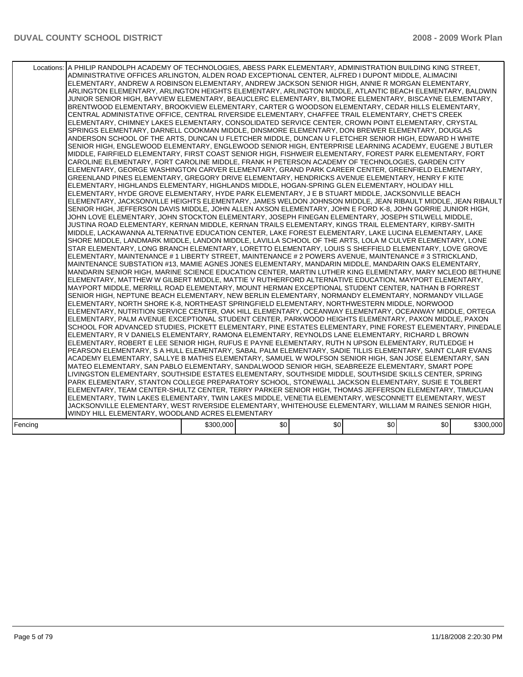|         | Locations: A PHILIP RANDOLPH ACADEMY OF TECHNOLOGIES, ABESS PARK ELEMENTARY, ADMINISTRATION BUILDING KING STREET,<br>ADMINISTRATIVE OFFICES ARLINGTON, ALDEN ROAD EXCEPTIONAL CENTER, ALFRED I DUPONT MIDDLE, ALIMACINI<br>ELEMENTARY, ANDREW A ROBINSON ELEMENTARY, ANDREW JACKSON SENIOR HIGH, ANNIE R MORGAN ELEMENTARY,<br>ARLINGTON ELEMENTARY, ARLINGTON HEIGHTS ELEMENTARY, ARLINGTON MIDDLE, ATLANTIC BEACH ELEMENTARY, BALDWIN<br>JUNIOR SENIOR HIGH, BAYVIEW ELEMENTARY, BEAUCLERC ELEMENTARY, BILTMORE ELEMENTARY, BISCAYNE ELEMENTARY,<br>BRENTWOOD ELEMENTARY, BROOKVIEW ELEMENTARY, CARTER G WOODSON ELEMENTARY, CEDAR HILLS ELEMENTARY,<br>CENTRAL ADMINISTATIVE OFFICE. CENTRAL RIVERSIDE ELEMENTARY. CHAFFEE TRAIL ELEMENTARY. CHET'S CREEK<br>ELEMENTARY, CHIMNEY LAKES ELEMENTARY, CONSOLIDATED SERVICE CENTER, CROWN POINT ELEMENTARY, CRYSTAL<br>SPRINGS ELEMENTARY, DARNELL COOKMAN MIDDLE, DINSMORE ELEMENTARY, DON BREWER ELEMENTARY, DOUGLAS<br>ANDERSON SCHOOL OF THE ARTS, DUNCAN U FLETCHER MIDDLE, DUNCAN U FLETCHER SENIOR HIGH, EDWARD H WHITE<br>SENIOR HIGH, ENGLEWOOD ELEMENTARY, ENGLEWOOD SENIOR HIGH, ENTERPRISE LEARNING ACADEMY, EUGENE J BUTLER<br>MIDDLE, FAIRFIELD ELEMENTARY, FIRST COAST SENIOR HIGH, FISHWEIR ELEMENTARY, FOREST PARK ELEMENTARY, FORT<br>CAROLINE ELEMENTARY, FORT CAROLINE MIDDLE, FRANK H PETERSON ACADEMY OF TECHNOLOGIES, GARDEN CITY<br>ELEMENTARY, GEORGE WASHINGTON CARVER ELEMENTARY, GRAND PARK CAREER CENTER, GREENFIELD ELEMENTARY,<br>GREENLAND PINES ELEMENTARY, GREGORY DRIVE ELEMENTARY, HENDRICKS AVENUE ELEMENTARY, HENRY F KITE<br>IELEMENTARY. HIGHLANDS ELEMENTARY. HIGHLANDS MIDDLE. HOGAN-SPRING GLEN ELEMENTARY. HOLIDAY HILL<br>ELEMENTARY, HYDE GROVE ELEMENTARY, HYDE PARK ELEMENTARY, J E B STUART MIDDLE, JACKSONVILLE BEACH<br>ELEMENTARY, JACKSONVILLE HEIGHTS ELEMENTARY, JAMES WELDON JOHNSON MIDDLE, JEAN RIBAULT MIDDLE, JEAN RIBAULT<br>SENIOR HIGH, JEFFERSON DAVIS MIDDLE, JOHN ALLEN AXSON ELEMENTARY, JOHN E FORD K-8, JOHN GORRIE JUNIOR HIGH,<br>JOHN LOVE ELEMENTARY, JOHN STOCKTON ELEMENTARY, JOSEPH FINEGAN ELEMENTARY, JOSEPH STILWELL MIDDLE,<br>JUSTINA ROAD ELEMENTARY, KERNAN MIDDLE, KERNAN TRAILS ELEMENTARY, KINGS TRAIL ELEMENTARY, KIRBY-SMITH<br>MIDDLE, LACKAWANNA ALTERNATIVE EDUCATION CENTER, LAKE FOREST ELEMENTARY, LAKE LUCINA ELEMENTARY, LAKE<br>SHORE MIDDLE, LANDMARK MIDDLE, LANDON MIDDLE, LAVILLA SCHOOL OF THE ARTS, LOLA M CULVER ELEMENTARY, LONE<br>STAR ELEMENTARY, LONG BRANCH ELEMENTARY, LORETTO ELEMENTARY, LOUIS S SHEFFIELD ELEMENTARY, LOVE GROVE<br>ELEMENTARY, MAINTENANCE # 1 LIBERTY STREET, MAINTENANCE # 2 POWERS AVENUE, MAINTENANCE # 3 STRICKLAND,<br>MAINTENANCE SUBSTATION #13, MAMIE AGNES JONES ELEMENTARY, MANDARIN MIDDLE, MANDARIN OAKS ELEMENTARY,<br>MANDARIN SENIOR HIGH, MARINE SCIENCE EDUCATION CENTER, MARTIN LUTHER KING ELEMENTARY, MARY MCLEOD BETHUNE<br>ELEMENTARY, MATTHEW W GILBERT MIDDLE, MATTIE V RUTHERFORD ALTERNATIVE EDUCATION, MAYPORT ELEMENTARY,<br>MAYPORT MIDDLE, MERRILL ROAD ELEMENTARY, MOUNT HERMAN EXCEPTIONAL STUDENT CENTER, NATHAN B FORREST<br>SENIOR HIGH, NEPTUNE BEACH ELEMENTARY, NEW BERLIN ELEMENTARY, NORMANDY ELEMENTARY, NORMANDY VILLAGE<br>ELEMENTARY, NORTH SHORE K-8, NORTHEAST SPRINGFIELD ELEMENTARY, NORTHWESTERN MIDDLE, NORWOOD<br>ELEMENTARY, NUTRITION SERVICE CENTER, OAK HILL ELEMENTARY, OCEANWAY ELEMENTARY, OCEANWAY MIDDLE, ORTEGA<br>ELEMENTARY, PALM AVENUE EXCEPTIONAL STUDENT CENTER, PARKWOOD HEIGHTS ELEMENTARY, PAXON MIDDLE, PAXON<br>SCHOOL FOR ADVANCED STUDIES, PICKETT ELEMENTARY, PINE ESTATES ELEMENTARY, PINE FOREST ELEMENTARY, PINEDALE<br>ELEMENTARY, R V DANIELS ELEMENTARY, RAMONA ELEMENTARY, REYNOLDS LANE ELEMENTARY, RICHARD L BROWN<br>ELEMENTARY, ROBERT E LEE SENIOR HIGH, RUFUS E PAYNE ELEMENTARY, RUTH N UPSON ELEMENTARY, RUTLEDGE H<br>PEARSON ELEMENTARY, S A HULL ELEMENTARY, SABAL PALM ELEMENTARY, SADIE TILLIS ELEMENTARY, SAINT CLAIR EVANS<br>ACADEMY ELEMENTARY, SALLYE B MATHIS ELEMENTARY, SAMUEL W WOLFSON SENIOR HIGH, SAN JOSE ELEMENTARY, SAN<br>MATEO ELEMENTARY, SAN PABLO ELEMENTARY, SANDALWOOD SENIOR HIGH, SEABREEZE ELEMENTARY, SMART POPE<br>LIVINGSTON ELEMENTARY, SOUTHSIDE ESTATES ELEMENTARY, SOUTHSIDE MIDDLE, SOUTHSIDE SKILLS CENTER, SPRING<br>PARK ELEMENTARY, STANTON COLLEGE PREPARATORY SCHOOL, STONEWALL JACKSON ELEMENTARY, SUSIE E TOLBERT<br>ELEMENTARY, TEAM CENTER-SHULTZ CENTER, TERRY PARKER SENIOR HIGH, THOMAS JEFFERSON ELEMENTARY, TIMUCUAN<br>ELEMENTARY, TWIN LAKES ELEMENTARY, TWIN LAKES MIDDLE, VENETIA ELEMENTARY, WESCONNETT ELEMENTARY, WEST<br>JACKSONVILLE ELEMENTARY, WEST RIVERSIDE ELEMENTARY, WHITEHOUSE ELEMENTARY, WILLIAM M RAINES SENIOR HIGH,<br>WINDY HILL ELEMENTARY, WOODLAND ACRES ELEMENTARY |           |     |     |     |     |           |
|---------|---------------------------------------------------------------------------------------------------------------------------------------------------------------------------------------------------------------------------------------------------------------------------------------------------------------------------------------------------------------------------------------------------------------------------------------------------------------------------------------------------------------------------------------------------------------------------------------------------------------------------------------------------------------------------------------------------------------------------------------------------------------------------------------------------------------------------------------------------------------------------------------------------------------------------------------------------------------------------------------------------------------------------------------------------------------------------------------------------------------------------------------------------------------------------------------------------------------------------------------------------------------------------------------------------------------------------------------------------------------------------------------------------------------------------------------------------------------------------------------------------------------------------------------------------------------------------------------------------------------------------------------------------------------------------------------------------------------------------------------------------------------------------------------------------------------------------------------------------------------------------------------------------------------------------------------------------------------------------------------------------------------------------------------------------------------------------------------------------------------------------------------------------------------------------------------------------------------------------------------------------------------------------------------------------------------------------------------------------------------------------------------------------------------------------------------------------------------------------------------------------------------------------------------------------------------------------------------------------------------------------------------------------------------------------------------------------------------------------------------------------------------------------------------------------------------------------------------------------------------------------------------------------------------------------------------------------------------------------------------------------------------------------------------------------------------------------------------------------------------------------------------------------------------------------------------------------------------------------------------------------------------------------------------------------------------------------------------------------------------------------------------------------------------------------------------------------------------------------------------------------------------------------------------------------------------------------------------------------------------------------------------------------------------------------------------------------------------------------------------------------------------------------------------------------------------------------------------------------------------------------------------------------------------------------------------------------------------------------------------------------------------------------------------------------------------------------------------------------------------------------------------------------------------------------------------------------------------------------------------------------------------------------------------------------------------------------------------------------------------------------------------------------------------------------------------------------------------------------------------------------------------------------------------------------------------------------------------------------------------------------------------------------------------------------------------------------------------------------------------------------------------------------------------------------------------------------------|-----------|-----|-----|-----|-----|-----------|
|         |                                                                                                                                                                                                                                                                                                                                                                                                                                                                                                                                                                                                                                                                                                                                                                                                                                                                                                                                                                                                                                                                                                                                                                                                                                                                                                                                                                                                                                                                                                                                                                                                                                                                                                                                                                                                                                                                                                                                                                                                                                                                                                                                                                                                                                                                                                                                                                                                                                                                                                                                                                                                                                                                                                                                                                                                                                                                                                                                                                                                                                                                                                                                                                                                                                                                                                                                                                                                                                                                                                                                                                                                                                                                                                                                                                                                                                                                                                                                                                                                                                                                                                                                                                                                                                                                                                                                                                                                                                                                                                                                                                                                                                                                                                                                                                                                                                 |           |     |     |     |     |           |
| Fencing |                                                                                                                                                                                                                                                                                                                                                                                                                                                                                                                                                                                                                                                                                                                                                                                                                                                                                                                                                                                                                                                                                                                                                                                                                                                                                                                                                                                                                                                                                                                                                                                                                                                                                                                                                                                                                                                                                                                                                                                                                                                                                                                                                                                                                                                                                                                                                                                                                                                                                                                                                                                                                                                                                                                                                                                                                                                                                                                                                                                                                                                                                                                                                                                                                                                                                                                                                                                                                                                                                                                                                                                                                                                                                                                                                                                                                                                                                                                                                                                                                                                                                                                                                                                                                                                                                                                                                                                                                                                                                                                                                                                                                                                                                                                                                                                                                                 | \$300,000 | \$0 | \$0 | \$0 | \$0 | \$300,000 |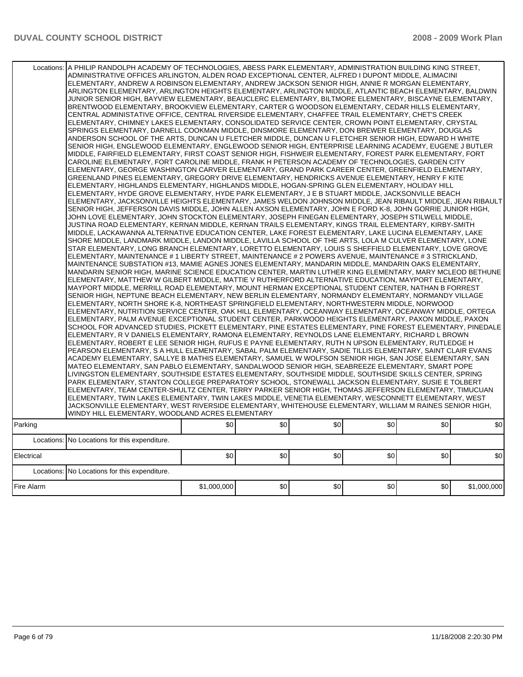| Locations: | A PHILIP RANDOLPH ACADEMY OF TECHNOLOGIES, ABESS PARK ELEMENTARY, ADMINISTRATION BUILDING KING STREET,<br>ADMINISTRATIVE OFFICES ARLINGTON, ALDEN ROAD EXCEPTIONAL CENTER, ALFRED I DUPONT MIDDLE, ALIMACINI<br>ELEMENTARY, ANDREW A ROBINSON ELEMENTARY, ANDREW JACKSON SENIOR HIGH, ANNIE R MORGAN ELEMENTARY.<br>ARLINGTON ELEMENTARY, ARLINGTON HEIGHTS ELEMENTARY, ARLINGTON MIDDLE, ATLANTIC BEACH ELEMENTARY, BALDWIN<br>JUNIOR SENIOR HIGH, BAYVIEW ELEMENTARY, BEAUCLERC ELEMENTARY, BILTMORE ELEMENTARY, BISCAYNE ELEMENTARY,<br>BRENTWOOD ELEMENTARY, BROOKVIEW ELEMENTARY, CARTER G WOODSON ELEMENTARY, CEDAR HILLS ELEMENTARY,<br>CENTRAL ADMINISTATIVE OFFICE, CENTRAL RIVERSIDE ELEMENTARY, CHAFFEE TRAIL ELEMENTARY, CHET'S CREEK<br>ELEMENTARY, CHIMNEY LAKES ELEMENTARY, CONSOLIDATED SERVICE CENTER, CROWN POINT ELEMENTARY, CRYSTAL<br>SPRINGS ELEMENTARY, DARNELL COOKMAN MIDDLE, DINSMORE ELEMENTARY, DON BREWER ELEMENTARY, DOUGLAS<br>ANDERSON SCHOOL OF THE ARTS, DUNCAN U FLETCHER MIDDLE, DUNCAN U FLETCHER SENIOR HIGH, EDWARD H WHITE<br>SENIOR HIGH, ENGLEWOOD ELEMENTARY, ENGLEWOOD SENIOR HIGH, ENTERPRISE LEARNING ACADEMY, EUGENE J BUTLER<br>MIDDLE, FAIRFIELD ELEMENTARY, FIRST COAST SENIOR HIGH, FISHWEIR ELEMENTARY, FOREST PARK ELEMENTARY, FORT<br>CAROLINE ELEMENTARY, FORT CAROLINE MIDDLE, FRANK H PETERSON ACADEMY OF TECHNOLOGIES, GARDEN CITY<br>ELEMENTARY, GEORGE WASHINGTON CARVER ELEMENTARY, GRAND PARK CAREER CENTER, GREENFIELD ELEMENTARY,<br>GREENLAND PINES ELEMENTARY, GREGORY DRIVE ELEMENTARY, HENDRICKS AVENUE ELEMENTARY, HENRY F KITE<br>ELEMENTARY, HIGHLANDS ELEMENTARY, HIGHLANDS MIDDLE, HOGAN-SPRING GLEN ELEMENTARY, HOLIDAY HILL<br>ELEMENTARY, HYDE GROVE ELEMENTARY, HYDE PARK ELEMENTARY, J E B STUART MIDDLE, JACKSONVILLE BEACH<br>ELEMENTARY, JACKSONVILLE HEIGHTS ELEMENTARY, JAMES WELDON JOHNSON MIDDLE, JEAN RIBAULT MIDDLE, JEAN RIBAULT<br>SENIOR HIGH, JEFFERSON DAVIS MIDDLE, JOHN ALLEN AXSON ELEMENTARY, JOHN E FORD K-8, JOHN GORRIE JUNIOR HIGH,<br>JOHN LOVE ELEMENTARY, JOHN STOCKTON ELEMENTARY, JOSEPH FINEGAN ELEMENTARY, JOSEPH STILWELL MIDDLE,<br>JUSTINA ROAD ELEMENTARY, KERNAN MIDDLE, KERNAN TRAILS ELEMENTARY, KINGS TRAIL ELEMENTARY, KIRBY-SMITH<br>MIDDLE, LACKAWANNA ALTERNATIVE EDUCATION CENTER, LAKE FOREST ELEMENTARY, LAKE LUCINA ELEMENTARY, LAKE<br>SHORE MIDDLE, LANDMARK MIDDLE, LANDON MIDDLE, LAVILLA SCHOOL OF THE ARTS, LOLA M CULVER ELEMENTARY, LONE<br>STAR ELEMENTARY, LONG BRANCH ELEMENTARY, LORETTO ELEMENTARY, LOUIS S SHEFFIELD ELEMENTARY, LOVE GROVE<br>ELEMENTARY, MAINTENANCE # 1 LIBERTY STREET, MAINTENANCE # 2 POWERS AVENUE, MAINTENANCE # 3 STRICKLAND,<br>MAINTENANCE SUBSTATION #13, MAMIE AGNES JONES ELEMENTARY, MANDARIN MIDDLE, MANDARIN OAKS ELEMENTARY,<br>MANDARIN SENIOR HIGH, MARINE SCIENCE EDUCATION CENTER, MARTIN LUTHER KING ELEMENTARY, MARY MCLEOD BETHUNE<br>ELEMENTARY, MATTHEW W GILBERT MIDDLE, MATTIE V RUTHERFORD ALTERNATIVE EDUCATION, MAYPORT ELEMENTARY,<br>MAYPORT MIDDLE. MERRILL ROAD ELEMENTARY. MOUNT HERMAN EXCEPTIONAL STUDENT CENTER. NATHAN B FORREST<br>SENIOR HIGH, NEPTUNE BEACH ELEMENTARY, NEW BERLIN ELEMENTARY, NORMANDY ELEMENTARY, NORMANDY VILLAGE<br>ELEMENTARY. NORTH SHORE K-8. NORTHEAST SPRINGFIELD ELEMENTARY. NORTHWESTERN MIDDLE. NORWOOD<br>ELEMENTARY, NUTRITION SERVICE CENTER, OAK HILL ELEMENTARY, OCEANWAY ELEMENTARY, OCEANWAY MIDDLE, ORTEGA<br>ELEMENTARY, PALM AVENUE EXCEPTIONAL STUDENT CENTER, PARKWOOD HEIGHTS ELEMENTARY, PAXON MIDDLE, PAXON<br>SCHOOL FOR ADVANCED STUDIES, PICKETT ELEMENTARY, PINE ESTATES ELEMENTARY, PINE FOREST ELEMENTARY, PINEDALE<br>ELEMENTARY, R V DANIELS ELEMENTARY, RAMONA ELEMENTARY, REYNOLDS LANE ELEMENTARY, RICHARD L BROWN<br>ELEMENTARY, ROBERT E LEE SENIOR HIGH, RUFUS E PAYNE ELEMENTARY, RUTH N UPSON ELEMENTARY, RUTLEDGE H<br>PEARSON ELEMENTARY, S A HULL ELEMENTARY, SABAL PALM ELEMENTARY, SADIE TILLIS ELEMENTARY, SAINT CLAIR EVANS<br>ACADEMY ELEMENTARY, SALLYE B MATHIS ELEMENTARY, SAMUEL W WOLFSON SENIOR HIGH, SAN JOSE ELEMENTARY, SAN<br>MATEO ELEMENTARY, SAN PABLO ELEMENTARY, SANDALWOOD SENIOR HIGH, SEABREEZE ELEMENTARY, SMART POPE<br>LIVINGSTON ELEMENTARY, SOUTHSIDE ESTATES ELEMENTARY, SOUTHSIDE MIDDLE, SOUTHSIDE SKILLS CENTER, SPRING<br>PARK ELEMENTARY, STANTON COLLEGE PREPARATORY SCHOOL, STONEWALL JACKSON ELEMENTARY, SUSIE E TOLBERT<br>ELEMENTARY, TEAM CENTER-SHULTZ CENTER, TERRY PARKER SENIOR HIGH, THOMAS JEFFERSON ELEMENTARY, TIMUCUAN<br>ELEMENTARY, TWIN LAKES ELEMENTARY, TWIN LAKES MIDDLE, VENETIA ELEMENTARY, WESCONNETT ELEMENTARY, WEST<br>JACKSONVILLE ELEMENTARY, WEST RIVERSIDE ELEMENTARY, WHITEHOUSE ELEMENTARY, WILLIAM M RAINES SENIOR HIGH,<br>WINDY HILL ELEMENTARY, WOODLAND ACRES ELEMENTARY |             |     |     |     |     |             |
|------------|---------------------------------------------------------------------------------------------------------------------------------------------------------------------------------------------------------------------------------------------------------------------------------------------------------------------------------------------------------------------------------------------------------------------------------------------------------------------------------------------------------------------------------------------------------------------------------------------------------------------------------------------------------------------------------------------------------------------------------------------------------------------------------------------------------------------------------------------------------------------------------------------------------------------------------------------------------------------------------------------------------------------------------------------------------------------------------------------------------------------------------------------------------------------------------------------------------------------------------------------------------------------------------------------------------------------------------------------------------------------------------------------------------------------------------------------------------------------------------------------------------------------------------------------------------------------------------------------------------------------------------------------------------------------------------------------------------------------------------------------------------------------------------------------------------------------------------------------------------------------------------------------------------------------------------------------------------------------------------------------------------------------------------------------------------------------------------------------------------------------------------------------------------------------------------------------------------------------------------------------------------------------------------------------------------------------------------------------------------------------------------------------------------------------------------------------------------------------------------------------------------------------------------------------------------------------------------------------------------------------------------------------------------------------------------------------------------------------------------------------------------------------------------------------------------------------------------------------------------------------------------------------------------------------------------------------------------------------------------------------------------------------------------------------------------------------------------------------------------------------------------------------------------------------------------------------------------------------------------------------------------------------------------------------------------------------------------------------------------------------------------------------------------------------------------------------------------------------------------------------------------------------------------------------------------------------------------------------------------------------------------------------------------------------------------------------------------------------------------------------------------------------------------------------------------------------------------------------------------------------------------------------------------------------------------------------------------------------------------------------------------------------------------------------------------------------------------------------------------------------------------------------------------------------------------------------------------------------------------------------------------------------------------------------------------------------------------------------------------------------------------------------------------------------------------------------------------------------------------------------------------------------------------------------------------------------------------------------------------------------------------------------------------------------------------------------------------------------------------------------------------------------------------------------------------------------|-------------|-----|-----|-----|-----|-------------|
| Parking    |                                                                                                                                                                                                                                                                                                                                                                                                                                                                                                                                                                                                                                                                                                                                                                                                                                                                                                                                                                                                                                                                                                                                                                                                                                                                                                                                                                                                                                                                                                                                                                                                                                                                                                                                                                                                                                                                                                                                                                                                                                                                                                                                                                                                                                                                                                                                                                                                                                                                                                                                                                                                                                                                                                                                                                                                                                                                                                                                                                                                                                                                                                                                                                                                                                                                                                                                                                                                                                                                                                                                                                                                                                                                                                                                                                                                                                                                                                                                                                                                                                                                                                                                                                                                                                                                                                                                                                                                                                                                                                                                                                                                                                                                                                                                                                                                                     | \$0         | \$0 | \$0 | \$0 | \$0 | \$0         |
|            | Locations: No Locations for this expenditure.                                                                                                                                                                                                                                                                                                                                                                                                                                                                                                                                                                                                                                                                                                                                                                                                                                                                                                                                                                                                                                                                                                                                                                                                                                                                                                                                                                                                                                                                                                                                                                                                                                                                                                                                                                                                                                                                                                                                                                                                                                                                                                                                                                                                                                                                                                                                                                                                                                                                                                                                                                                                                                                                                                                                                                                                                                                                                                                                                                                                                                                                                                                                                                                                                                                                                                                                                                                                                                                                                                                                                                                                                                                                                                                                                                                                                                                                                                                                                                                                                                                                                                                                                                                                                                                                                                                                                                                                                                                                                                                                                                                                                                                                                                                                                                       |             |     |     |     |     |             |
| Electrical |                                                                                                                                                                                                                                                                                                                                                                                                                                                                                                                                                                                                                                                                                                                                                                                                                                                                                                                                                                                                                                                                                                                                                                                                                                                                                                                                                                                                                                                                                                                                                                                                                                                                                                                                                                                                                                                                                                                                                                                                                                                                                                                                                                                                                                                                                                                                                                                                                                                                                                                                                                                                                                                                                                                                                                                                                                                                                                                                                                                                                                                                                                                                                                                                                                                                                                                                                                                                                                                                                                                                                                                                                                                                                                                                                                                                                                                                                                                                                                                                                                                                                                                                                                                                                                                                                                                                                                                                                                                                                                                                                                                                                                                                                                                                                                                                                     | \$0         | \$0 | \$0 | \$0 | \$0 | \$0         |
|            | Locations: No Locations for this expenditure.                                                                                                                                                                                                                                                                                                                                                                                                                                                                                                                                                                                                                                                                                                                                                                                                                                                                                                                                                                                                                                                                                                                                                                                                                                                                                                                                                                                                                                                                                                                                                                                                                                                                                                                                                                                                                                                                                                                                                                                                                                                                                                                                                                                                                                                                                                                                                                                                                                                                                                                                                                                                                                                                                                                                                                                                                                                                                                                                                                                                                                                                                                                                                                                                                                                                                                                                                                                                                                                                                                                                                                                                                                                                                                                                                                                                                                                                                                                                                                                                                                                                                                                                                                                                                                                                                                                                                                                                                                                                                                                                                                                                                                                                                                                                                                       |             |     |     |     |     |             |
| Fire Alarm |                                                                                                                                                                                                                                                                                                                                                                                                                                                                                                                                                                                                                                                                                                                                                                                                                                                                                                                                                                                                                                                                                                                                                                                                                                                                                                                                                                                                                                                                                                                                                                                                                                                                                                                                                                                                                                                                                                                                                                                                                                                                                                                                                                                                                                                                                                                                                                                                                                                                                                                                                                                                                                                                                                                                                                                                                                                                                                                                                                                                                                                                                                                                                                                                                                                                                                                                                                                                                                                                                                                                                                                                                                                                                                                                                                                                                                                                                                                                                                                                                                                                                                                                                                                                                                                                                                                                                                                                                                                                                                                                                                                                                                                                                                                                                                                                                     | \$1,000,000 | \$0 | \$0 | \$0 | \$0 | \$1,000,000 |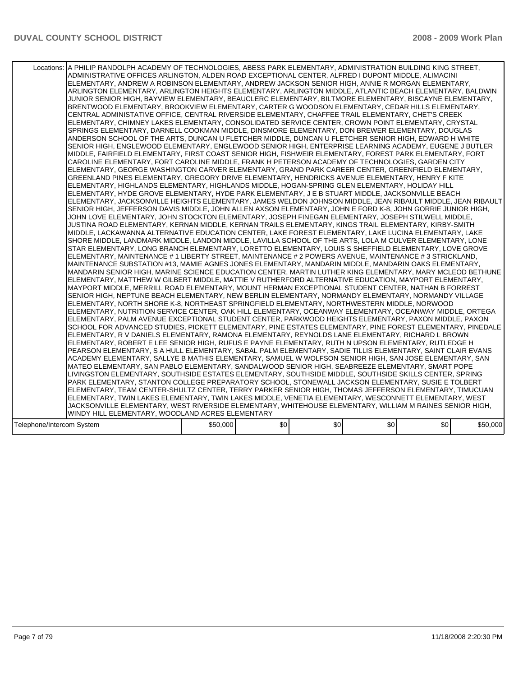|                           | Locations: A PHILIP RANDOLPH ACADEMY OF TECHNOLOGIES, ABESS PARK ELEMENTARY, ADMINISTRATION BUILDING KING STREET,<br>ADMINISTRATIVE OFFICES ARLINGTON, ALDEN ROAD EXCEPTIONAL CENTER, ALFRED I DUPONT MIDDLE, ALIMACINI<br>ELEMENTARY, ANDREW A ROBINSON ELEMENTARY, ANDREW JACKSON SENIOR HIGH, ANNIE R MORGAN ELEMENTARY,<br>ARLINGTON ELEMENTARY, ARLINGTON HEIGHTS ELEMENTARY, ARLINGTON MIDDLE, ATLANTIC BEACH ELEMENTARY, BALDWIN<br>JUNIOR SENIOR HIGH, BAYVIEW ELEMENTARY, BEAUCLERC ELEMENTARY, BILTMORE ELEMENTARY, BISCAYNE ELEMENTARY,<br>BRENTWOOD ELEMENTARY, BROOKVIEW ELEMENTARY, CARTER G WOODSON ELEMENTARY, CEDAR HILLS ELEMENTARY,<br>CENTRAL ADMINISTATIVE OFFICE, CENTRAL RIVERSIDE ELEMENTARY, CHAFFEE TRAIL ELEMENTARY, CHET'S CREEK<br>ELEMENTARY, CHIMNEY LAKES ELEMENTARY, CONSOLIDATED SERVICE CENTER, CROWN POINT ELEMENTARY, CRYSTAL<br>SPRINGS ELEMENTARY, DARNELL COOKMAN MIDDLE, DINSMORE ELEMENTARY, DON BREWER ELEMENTARY, DOUGLAS<br>ANDERSON SCHOOL OF THE ARTS, DUNCAN U FLETCHER MIDDLE, DUNCAN U FLETCHER SENIOR HIGH, EDWARD H WHITE<br>SENIOR HIGH, ENGLEWOOD ELEMENTARY, ENGLEWOOD SENIOR HIGH, ENTERPRISE LEARNING ACADEMY, EUGENE J BUTLER<br>MIDDLE, FAIRFIELD ELEMENTARY, FIRST COAST SENIOR HIGH, FISHWEIR ELEMENTARY, FOREST PARK ELEMENTARY, FORT<br>CAROLINE ELEMENTARY, FORT CAROLINE MIDDLE, FRANK H PETERSON ACADEMY OF TECHNOLOGIES, GARDEN CITY<br>ELEMENTARY, GEORGE WASHINGTON CARVER ELEMENTARY, GRAND PARK CAREER CENTER, GREENFIELD ELEMENTARY,<br>GREENLAND PINES ELEMENTARY, GREGORY DRIVE ELEMENTARY, HENDRICKS AVENUE ELEMENTARY, HENRY F KITE<br>IELEMENTARY. HIGHLANDS ELEMENTARY. HIGHLANDS MIDDLE. HOGAN-SPRING GLEN ELEMENTARY. HOLIDAY HILL<br>ELEMENTARY, HYDE GROVE ELEMENTARY, HYDE PARK ELEMENTARY, J E B STUART MIDDLE, JACKSONVILLE BEACH<br>ELEMENTARY, JACKSONVILLE HEIGHTS ELEMENTARY, JAMES WELDON JOHNSON MIDDLE, JEAN RIBAULT MIDDLE, JEAN RIBAULT<br>SENIOR HIGH, JEFFERSON DAVIS MIDDLE, JOHN ALLEN AXSON ELEMENTARY, JOHN E FORD K-8, JOHN GORRIE JUNIOR HIGH,<br>JOHN LOVE ELEMENTARY, JOHN STOCKTON ELEMENTARY, JOSEPH FINEGAN ELEMENTARY, JOSEPH STILWELL MIDDLE,<br>JUSTINA ROAD ELEMENTARY, KERNAN MIDDLE, KERNAN TRAILS ELEMENTARY, KINGS TRAIL ELEMENTARY, KIRBY-SMITH<br>MIDDLE, LACKAWANNA ALTERNATIVE EDUCATION CENTER, LAKE FOREST ELEMENTARY, LAKE LUCINA ELEMENTARY, LAKE<br>SHORE MIDDLE, LANDMARK MIDDLE, LANDON MIDDLE, LAVILLA SCHOOL OF THE ARTS, LOLA M CULVER ELEMENTARY, LONE<br>STAR ELEMENTARY, LONG BRANCH ELEMENTARY, LORETTO ELEMENTARY, LOUIS S SHEFFIELD ELEMENTARY, LOVE GROVE<br>ELEMENTARY, MAINTENANCE # 1 LIBERTY STREET, MAINTENANCE # 2 POWERS AVENUE, MAINTENANCE # 3 STRICKLAND,<br>MAINTENANCE SUBSTATION #13, MAMIE AGNES JONES ELEMENTARY, MANDARIN MIDDLE, MANDARIN OAKS ELEMENTARY,<br>MANDARIN SENIOR HIGH, MARINE SCIENCE EDUCATION CENTER, MARTIN LUTHER KING ELEMENTARY, MARY MCLEOD BETHUNE<br>ELEMENTARY, MATTHEW W GILBERT MIDDLE, MATTIE V RUTHERFORD ALTERNATIVE EDUCATION, MAYPORT ELEMENTARY,<br>MAYPORT MIDDLE, MERRILL ROAD ELEMENTARY, MOUNT HERMAN EXCEPTIONAL STUDENT CENTER, NATHAN B FORREST<br>SENIOR HIGH, NEPTUNE BEACH ELEMENTARY, NEW BERLIN ELEMENTARY, NORMANDY ELEMENTARY, NORMANDY VILLAGE<br>ELEMENTARY, NORTH SHORE K-8, NORTHEAST SPRINGFIELD ELEMENTARY, NORTHWESTERN MIDDLE, NORWOOD<br>ELEMENTARY, NUTRITION SERVICE CENTER, OAK HILL ELEMENTARY, OCEANWAY ELEMENTARY, OCEANWAY MIDDLE, ORTEGA<br>ELEMENTARY, PALM AVENUE EXCEPTIONAL STUDENT CENTER, PARKWOOD HEIGHTS ELEMENTARY, PAXON MIDDLE, PAXON<br>SCHOOL FOR ADVANCED STUDIES, PICKETT ELEMENTARY, PINE ESTATES ELEMENTARY, PINE FOREST ELEMENTARY, PINEDALE<br>ELEMENTARY, R V DANIELS ELEMENTARY, RAMONA ELEMENTARY, REYNOLDS LANE ELEMENTARY, RICHARD L BROWN<br>ELEMENTARY, ROBERT E LEE SENIOR HIGH, RUFUS E PAYNE ELEMENTARY, RUTH N UPSON ELEMENTARY, RUTLEDGE H<br>PEARSON ELEMENTARY, S A HULL ELEMENTARY, SABAL PALM ELEMENTARY, SADIE TILLIS ELEMENTARY, SAINT CLAIR EVANS<br>ACADEMY ELEMENTARY, SALLYE B MATHIS ELEMENTARY, SAMUEL W WOLFSON SENIOR HIGH, SAN JOSE ELEMENTARY, SAN<br>MATEO ELEMENTARY, SAN PABLO ELEMENTARY, SANDALWOOD SENIOR HIGH, SEABREEZE ELEMENTARY, SMART POPE<br>LIVINGSTON ELEMENTARY, SOUTHSIDE ESTATES ELEMENTARY, SOUTHSIDE MIDDLE, SOUTHSIDE SKILLS CENTER, SPRING<br>PARK ELEMENTARY, STANTON COLLEGE PREPARATORY SCHOOL, STONEWALL JACKSON ELEMENTARY, SUSIE E TOLBERT<br>ELEMENTARY, TEAM CENTER-SHULTZ CENTER, TERRY PARKER SENIOR HIGH, THOMAS JEFFERSON ELEMENTARY, TIMUCUAN<br>ELEMENTARY, TWIN LAKES ELEMENTARY, TWIN LAKES MIDDLE, VENETIA ELEMENTARY, WESCONNETT ELEMENTARY, WEST<br>JACKSONVILLE ELEMENTARY, WEST RIVERSIDE ELEMENTARY, WHITEHOUSE ELEMENTARY, WILLIAM M RAINES SENIOR HIGH, |          |                  |     |     |     |          |
|---------------------------|-----------------------------------------------------------------------------------------------------------------------------------------------------------------------------------------------------------------------------------------------------------------------------------------------------------------------------------------------------------------------------------------------------------------------------------------------------------------------------------------------------------------------------------------------------------------------------------------------------------------------------------------------------------------------------------------------------------------------------------------------------------------------------------------------------------------------------------------------------------------------------------------------------------------------------------------------------------------------------------------------------------------------------------------------------------------------------------------------------------------------------------------------------------------------------------------------------------------------------------------------------------------------------------------------------------------------------------------------------------------------------------------------------------------------------------------------------------------------------------------------------------------------------------------------------------------------------------------------------------------------------------------------------------------------------------------------------------------------------------------------------------------------------------------------------------------------------------------------------------------------------------------------------------------------------------------------------------------------------------------------------------------------------------------------------------------------------------------------------------------------------------------------------------------------------------------------------------------------------------------------------------------------------------------------------------------------------------------------------------------------------------------------------------------------------------------------------------------------------------------------------------------------------------------------------------------------------------------------------------------------------------------------------------------------------------------------------------------------------------------------------------------------------------------------------------------------------------------------------------------------------------------------------------------------------------------------------------------------------------------------------------------------------------------------------------------------------------------------------------------------------------------------------------------------------------------------------------------------------------------------------------------------------------------------------------------------------------------------------------------------------------------------------------------------------------------------------------------------------------------------------------------------------------------------------------------------------------------------------------------------------------------------------------------------------------------------------------------------------------------------------------------------------------------------------------------------------------------------------------------------------------------------------------------------------------------------------------------------------------------------------------------------------------------------------------------------------------------------------------------------------------------------------------------------------------------------------------------------------------------------------------------------------------------------------------------------------------------------------------------------------------------------------------------------------------------------------------------------------------------------------------------------------------------------------------------------------------------------------------------------------------------------------------------------------------------------------------------------------------------------------------------------------|----------|------------------|-----|-----|-----|----------|
|                           | WINDY HILL ELEMENTARY, WOODLAND ACRES ELEMENTARY                                                                                                                                                                                                                                                                                                                                                                                                                                                                                                                                                                                                                                                                                                                                                                                                                                                                                                                                                                                                                                                                                                                                                                                                                                                                                                                                                                                                                                                                                                                                                                                                                                                                                                                                                                                                                                                                                                                                                                                                                                                                                                                                                                                                                                                                                                                                                                                                                                                                                                                                                                                                                                                                                                                                                                                                                                                                                                                                                                                                                                                                                                                                                                                                                                                                                                                                                                                                                                                                                                                                                                                                                                                                                                                                                                                                                                                                                                                                                                                                                                                                                                                                                                                                                                                                                                                                                                                                                                                                                                                                                                                                                                                                                                                            |          |                  |     |     |     |          |
|                           |                                                                                                                                                                                                                                                                                                                                                                                                                                                                                                                                                                                                                                                                                                                                                                                                                                                                                                                                                                                                                                                                                                                                                                                                                                                                                                                                                                                                                                                                                                                                                                                                                                                                                                                                                                                                                                                                                                                                                                                                                                                                                                                                                                                                                                                                                                                                                                                                                                                                                                                                                                                                                                                                                                                                                                                                                                                                                                                                                                                                                                                                                                                                                                                                                                                                                                                                                                                                                                                                                                                                                                                                                                                                                                                                                                                                                                                                                                                                                                                                                                                                                                                                                                                                                                                                                                                                                                                                                                                                                                                                                                                                                                                                                                                                                                             |          |                  |     |     |     |          |
| Telephone/Intercom System |                                                                                                                                                                                                                                                                                                                                                                                                                                                                                                                                                                                                                                                                                                                                                                                                                                                                                                                                                                                                                                                                                                                                                                                                                                                                                                                                                                                                                                                                                                                                                                                                                                                                                                                                                                                                                                                                                                                                                                                                                                                                                                                                                                                                                                                                                                                                                                                                                                                                                                                                                                                                                                                                                                                                                                                                                                                                                                                                                                                                                                                                                                                                                                                                                                                                                                                                                                                                                                                                                                                                                                                                                                                                                                                                                                                                                                                                                                                                                                                                                                                                                                                                                                                                                                                                                                                                                                                                                                                                                                                                                                                                                                                                                                                                                                             | \$50,000 | \$0 <sub>1</sub> | \$0 | \$0 | \$0 | \$50,000 |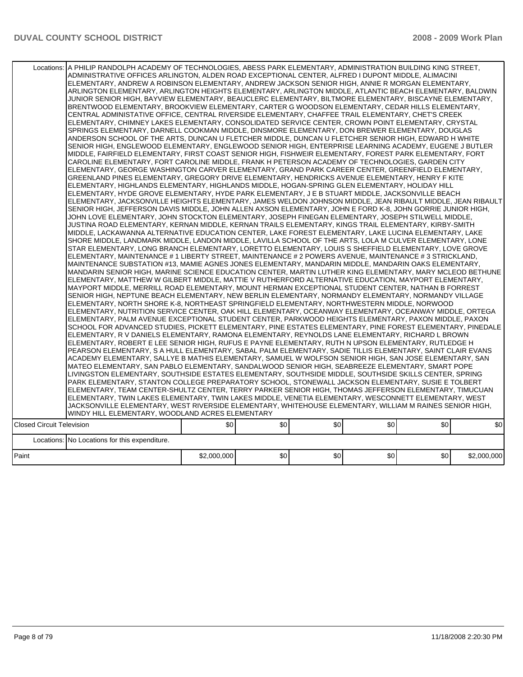|                                  | Locations: A PHILIP RANDOLPH ACADEMY OF TECHNOLOGIES, ABESS PARK ELEMENTARY, ADMINISTRATION BUILDING KING STREET,<br>ADMINISTRATIVE OFFICES ARLINGTON, ALDEN ROAD EXCEPTIONAL CENTER, ALFRED I DUPONT MIDDLE, ALIMACINI<br>ELEMENTARY, ANDREW A ROBINSON ELEMENTARY, ANDREW JACKSON SENIOR HIGH, ANNIE R MORGAN ELEMENTARY,<br>ARLINGTON ELEMENTARY, ARLINGTON HEIGHTS ELEMENTARY, ARLINGTON MIDDLE, ATLANTIC BEACH ELEMENTARY, BALDWIN<br>JUNIOR SENIOR HIGH, BAYVIEW ELEMENTARY, BEAUCLERC ELEMENTARY, BILTMORE ELEMENTARY, BISCAYNE ELEMENTARY,<br>BRENTWOOD ELEMENTARY, BROOKVIEW ELEMENTARY, CARTER G WOODSON ELEMENTARY, CEDAR HILLS ELEMENTARY,<br>CENTRAL ADMINISTATIVE OFFICE, CENTRAL RIVERSIDE ELEMENTARY, CHAFFEE TRAIL ELEMENTARY, CHET'S CREEK<br>ELEMENTARY, CHIMNEY LAKES ELEMENTARY, CONSOLIDATED SERVICE CENTER, CROWN POINT ELEMENTARY, CRYSTAL<br>SPRINGS ELEMENTARY, DARNELL COOKMAN MIDDLE, DINSMORE ELEMENTARY, DON BREWER ELEMENTARY, DOUGLAS<br>ANDERSON SCHOOL OF THE ARTS, DUNCAN U FLETCHER MIDDLE, DUNCAN U FLETCHER SENIOR HIGH, EDWARD H WHITE<br>SENIOR HIGH, ENGLEWOOD ELEMENTARY, ENGLEWOOD SENIOR HIGH, ENTERPRISE LEARNING ACADEMY, EUGENE J BUTLER<br>MIDDLE, FAIRFIELD ELEMENTARY, FIRST COAST SENIOR HIGH, FISHWEIR ELEMENTARY, FOREST PARK ELEMENTARY, FORT<br>CAROLINE ELEMENTARY, FORT CAROLINE MIDDLE, FRANK H PETERSON ACADEMY OF TECHNOLOGIES, GARDEN CITY<br>ELEMENTARY, GEORGE WASHINGTON CARVER ELEMENTARY, GRAND PARK CAREER CENTER, GREENFIELD ELEMENTARY,<br>GREENLAND PINES ELEMENTARY, GREGORY DRIVE ELEMENTARY, HENDRICKS AVENUE ELEMENTARY, HENRY F KITE<br>ELEMENTARY, HIGHLANDS ELEMENTARY, HIGHLANDS MIDDLE, HOGAN-SPRING GLEN ELEMENTARY, HOLIDAY HILL<br>ELEMENTARY, HYDE GROVE ELEMENTARY, HYDE PARK ELEMENTARY, J E B STUART MIDDLE, JACKSONVILLE BEACH<br>ELEMENTARY, JACKSONVILLE HEIGHTS ELEMENTARY, JAMES WELDON JOHNSON MIDDLE, JEAN RIBAULT MIDDLE, JEAN RIBAULT<br>SENIOR HIGH, JEFFERSON DAVIS MIDDLE, JOHN ALLEN AXSON ELEMENTARY, JOHN E FORD K-8, JOHN GORRIE JUNIOR HIGH,<br>JOHN LOVE ELEMENTARY, JOHN STOCKTON ELEMENTARY, JOSEPH FINEGAN ELEMENTARY, JOSEPH STILWELL MIDDLE,<br>JUSTINA ROAD ELEMENTARY, KERNAN MIDDLE, KERNAN TRAILS ELEMENTARY, KINGS TRAIL ELEMENTARY, KIRBY-SMITH<br>MIDDLE, LACKAWANNA ALTERNATIVE EDUCATION CENTER, LAKE FOREST ELEMENTARY, LAKE LUCINA ELEMENTARY, LAKE<br>SHORE MIDDLE, LANDMARK MIDDLE, LANDON MIDDLE, LAVILLA SCHOOL OF THE ARTS, LOLA M CULVER ELEMENTARY, LONE<br>STAR ELEMENTARY. LONG BRANCH ELEMENTARY. LORETTO ELEMENTARY. LOUIS S SHEFFIELD ELEMENTARY. LOVE GROVE<br>ELEMENTARY, MAINTENANCE # 1 LIBERTY STREET, MAINTENANCE # 2 POWERS AVENUE, MAINTENANCE # 3 STRICKLAND,<br>MAINTENANCE SUBSTATION #13, MAMIE AGNES JONES ELEMENTARY, MANDARIN MIDDLE, MANDARIN OAKS ELEMENTARY,<br>MANDARIN SENIOR HIGH, MARINE SCIENCE EDUCATION CENTER, MARTIN LUTHER KING ELEMENTARY, MARY MCLEOD BETHUNE<br>ELEMENTARY, MATTHEW W GILBERT MIDDLE, MATTIE V RUTHERFORD ALTERNATIVE EDUCATION, MAYPORT ELEMENTARY,<br>MAYPORT MIDDLE, MERRILL ROAD ELEMENTARY, MOUNT HERMAN EXCEPTIONAL STUDENT CENTER, NATHAN B FORREST<br>SENIOR HIGH, NEPTUNE BEACH ELEMENTARY, NEW BERLIN ELEMENTARY, NORMANDY ELEMENTARY, NORMANDY VILLAGE<br>ELEMENTARY, NORTH SHORE K-8, NORTHEAST SPRINGFIELD ELEMENTARY, NORTHWESTERN MIDDLE, NORWOOD<br>ELEMENTARY, NUTRITION SERVICE CENTER, OAK HILL ELEMENTARY, OCEANWAY ELEMENTARY, OCEANWAY MIDDLE, ORTEGA<br>ELEMENTARY, PALM AVENUE EXCEPTIONAL STUDENT CENTER, PARKWOOD HEIGHTS ELEMENTARY, PAXON MIDDLE, PAXON<br>SCHOOL FOR ADVANCED STUDIES, PICKETT ELEMENTARY, PINE ESTATES ELEMENTARY, PINE FOREST ELEMENTARY, PINEDALE<br>ELEMENTARY, R V DANIELS ELEMENTARY, RAMONA ELEMENTARY, REYNOLDS LANE ELEMENTARY, RICHARD L BROWN<br>ELEMENTARY, ROBERT E LEE SENIOR HIGH, RUFUS E PAYNE ELEMENTARY, RUTH N UPSON ELEMENTARY, RUTLEDGE H<br>PEARSON ELEMENTARY, S A HULL ELEMENTARY, SABAL PALM ELEMENTARY, SADIE TILLIS ELEMENTARY, SAINT CLAIR EVANS<br>ACADEMY ELEMENTARY, SALLYE B MATHIS ELEMENTARY, SAMUEL W WOLFSON SENIOR HIGH, SAN JOSE ELEMENTARY, SAN<br>MATEO ELEMENTARY, SAN PABLO ELEMENTARY, SANDALWOOD SENIOR HIGH, SEABREEZE ELEMENTARY, SMART POPE<br>LIVINGSTON ELEMENTARY, SOUTHSIDE ESTATES ELEMENTARY, SOUTHSIDE MIDDLE, SOUTHSIDE SKILLS CENTER, SPRING<br>PARK ELEMENTARY, STANTON COLLEGE PREPARATORY SCHOOL, STONEWALL JACKSON ELEMENTARY, SUSIE E TOLBERT<br>ELEMENTARY. TEAM CENTER-SHULTZ CENTER. TERRY PARKER SENIOR HIGH. THOMAS JEFFERSON ELEMENTARY. TIMUCUAN<br>ELEMENTARY, TWIN LAKES ELEMENTARY, TWIN LAKES MIDDLE, VENETIA ELEMENTARY, WESCONNETT ELEMENTARY, WEST<br>JACKSONVILLE ELEMENTARY, WEST RIVERSIDE ELEMENTARY, WHITEHOUSE ELEMENTARY, WILLIAM M RAINES SENIOR HIGH, |             |     |     |     |     |             |
|----------------------------------|----------------------------------------------------------------------------------------------------------------------------------------------------------------------------------------------------------------------------------------------------------------------------------------------------------------------------------------------------------------------------------------------------------------------------------------------------------------------------------------------------------------------------------------------------------------------------------------------------------------------------------------------------------------------------------------------------------------------------------------------------------------------------------------------------------------------------------------------------------------------------------------------------------------------------------------------------------------------------------------------------------------------------------------------------------------------------------------------------------------------------------------------------------------------------------------------------------------------------------------------------------------------------------------------------------------------------------------------------------------------------------------------------------------------------------------------------------------------------------------------------------------------------------------------------------------------------------------------------------------------------------------------------------------------------------------------------------------------------------------------------------------------------------------------------------------------------------------------------------------------------------------------------------------------------------------------------------------------------------------------------------------------------------------------------------------------------------------------------------------------------------------------------------------------------------------------------------------------------------------------------------------------------------------------------------------------------------------------------------------------------------------------------------------------------------------------------------------------------------------------------------------------------------------------------------------------------------------------------------------------------------------------------------------------------------------------------------------------------------------------------------------------------------------------------------------------------------------------------------------------------------------------------------------------------------------------------------------------------------------------------------------------------------------------------------------------------------------------------------------------------------------------------------------------------------------------------------------------------------------------------------------------------------------------------------------------------------------------------------------------------------------------------------------------------------------------------------------------------------------------------------------------------------------------------------------------------------------------------------------------------------------------------------------------------------------------------------------------------------------------------------------------------------------------------------------------------------------------------------------------------------------------------------------------------------------------------------------------------------------------------------------------------------------------------------------------------------------------------------------------------------------------------------------------------------------------------------------------------------------------------------------------------------------------------------------------------------------------------------------------------------------------------------------------------------------------------------------------------------------------------------------------------------------------------------------------------------------------------------------------------------------------------------------------------------------------------------------------------------------------------------------------------|-------------|-----|-----|-----|-----|-------------|
|                                  | WINDY HILL ELEMENTARY, WOODLAND ACRES ELEMENTARY                                                                                                                                                                                                                                                                                                                                                                                                                                                                                                                                                                                                                                                                                                                                                                                                                                                                                                                                                                                                                                                                                                                                                                                                                                                                                                                                                                                                                                                                                                                                                                                                                                                                                                                                                                                                                                                                                                                                                                                                                                                                                                                                                                                                                                                                                                                                                                                                                                                                                                                                                                                                                                                                                                                                                                                                                                                                                                                                                                                                                                                                                                                                                                                                                                                                                                                                                                                                                                                                                                                                                                                                                                                                                                                                                                                                                                                                                                                                                                                                                                                                                                                                                                                                                                                                                                                                                                                                                                                                                                                                                                                                                                                                                                                           |             |     |     |     |     |             |
| <b>Closed Circuit Television</b> |                                                                                                                                                                                                                                                                                                                                                                                                                                                                                                                                                                                                                                                                                                                                                                                                                                                                                                                                                                                                                                                                                                                                                                                                                                                                                                                                                                                                                                                                                                                                                                                                                                                                                                                                                                                                                                                                                                                                                                                                                                                                                                                                                                                                                                                                                                                                                                                                                                                                                                                                                                                                                                                                                                                                                                                                                                                                                                                                                                                                                                                                                                                                                                                                                                                                                                                                                                                                                                                                                                                                                                                                                                                                                                                                                                                                                                                                                                                                                                                                                                                                                                                                                                                                                                                                                                                                                                                                                                                                                                                                                                                                                                                                                                                                                                            | \$0         | \$0 | \$0 | \$0 | \$0 | \$0         |
|                                  |                                                                                                                                                                                                                                                                                                                                                                                                                                                                                                                                                                                                                                                                                                                                                                                                                                                                                                                                                                                                                                                                                                                                                                                                                                                                                                                                                                                                                                                                                                                                                                                                                                                                                                                                                                                                                                                                                                                                                                                                                                                                                                                                                                                                                                                                                                                                                                                                                                                                                                                                                                                                                                                                                                                                                                                                                                                                                                                                                                                                                                                                                                                                                                                                                                                                                                                                                                                                                                                                                                                                                                                                                                                                                                                                                                                                                                                                                                                                                                                                                                                                                                                                                                                                                                                                                                                                                                                                                                                                                                                                                                                                                                                                                                                                                                            |             |     |     |     |     |             |
|                                  | Locations: No Locations for this expenditure.                                                                                                                                                                                                                                                                                                                                                                                                                                                                                                                                                                                                                                                                                                                                                                                                                                                                                                                                                                                                                                                                                                                                                                                                                                                                                                                                                                                                                                                                                                                                                                                                                                                                                                                                                                                                                                                                                                                                                                                                                                                                                                                                                                                                                                                                                                                                                                                                                                                                                                                                                                                                                                                                                                                                                                                                                                                                                                                                                                                                                                                                                                                                                                                                                                                                                                                                                                                                                                                                                                                                                                                                                                                                                                                                                                                                                                                                                                                                                                                                                                                                                                                                                                                                                                                                                                                                                                                                                                                                                                                                                                                                                                                                                                                              |             |     |     |     |     |             |
| Paint                            |                                                                                                                                                                                                                                                                                                                                                                                                                                                                                                                                                                                                                                                                                                                                                                                                                                                                                                                                                                                                                                                                                                                                                                                                                                                                                                                                                                                                                                                                                                                                                                                                                                                                                                                                                                                                                                                                                                                                                                                                                                                                                                                                                                                                                                                                                                                                                                                                                                                                                                                                                                                                                                                                                                                                                                                                                                                                                                                                                                                                                                                                                                                                                                                                                                                                                                                                                                                                                                                                                                                                                                                                                                                                                                                                                                                                                                                                                                                                                                                                                                                                                                                                                                                                                                                                                                                                                                                                                                                                                                                                                                                                                                                                                                                                                                            | \$2,000,000 | \$0 | \$0 | \$0 | \$0 | \$2,000,000 |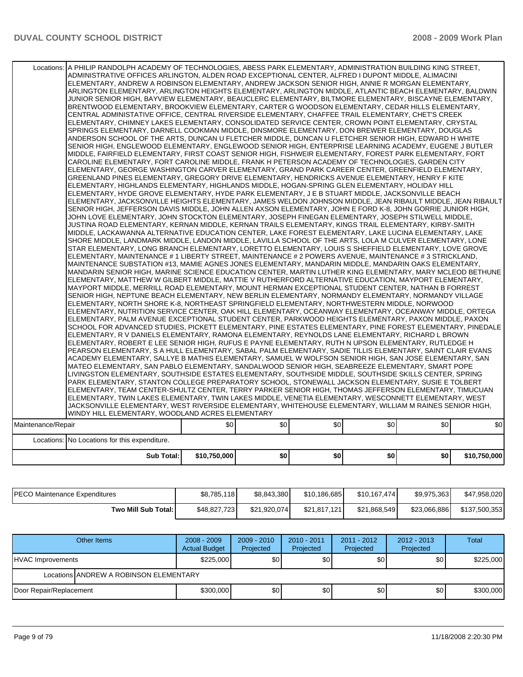|                    | Locations:   A PHILIP RANDOLPH ACADEMY OF TECHNOLOGIES, ABESS PARK ELEMENTARY, ADMINISTRATION BUILDING KING STREET,                                                                                               |              |     |     |                  |     |              |
|--------------------|-------------------------------------------------------------------------------------------------------------------------------------------------------------------------------------------------------------------|--------------|-----|-----|------------------|-----|--------------|
|                    | ADMINISTRATIVE OFFICES ARLINGTON, ALDEN ROAD EXCEPTIONAL CENTER, ALFRED I DUPONT MIDDLE, ALIMACINI                                                                                                                |              |     |     |                  |     |              |
|                    | ELEMENTARY, ANDREW A ROBINSON ELEMENTARY, ANDREW JACKSON SENIOR HIGH, ANNIE R MORGAN ELEMENTARY,                                                                                                                  |              |     |     |                  |     |              |
|                    | ARLINGTON ELEMENTARY, ARLINGTON HEIGHTS ELEMENTARY, ARLINGTON MIDDLE, ATLANTIC BEACH ELEMENTARY, BALDWIN                                                                                                          |              |     |     |                  |     |              |
|                    | JUNIOR SENIOR HIGH, BAYVIEW ELEMENTARY, BEAUCLERC ELEMENTARY, BILTMORE ELEMENTARY, BISCAYNE ELEMENTARY,                                                                                                           |              |     |     |                  |     |              |
|                    | BRENTWOOD ELEMENTARY, BROOKVIEW ELEMENTARY, CARTER G WOODSON ELEMENTARY, CEDAR HILLS ELEMENTARY,                                                                                                                  |              |     |     |                  |     |              |
|                    | CENTRAL ADMINISTATIVE OFFICE. CENTRAL RIVERSIDE ELEMENTARY. CHAFFEE TRAIL ELEMENTARY. CHET'S CREEK                                                                                                                |              |     |     |                  |     |              |
|                    | ELEMENTARY, CHIMNEY LAKES ELEMENTARY, CONSOLIDATED SERVICE CENTER, CROWN POINT ELEMENTARY, CRYSTAL                                                                                                                |              |     |     |                  |     |              |
|                    | SPRINGS ELEMENTARY, DARNELL COOKMAN MIDDLE, DINSMORE ELEMENTARY, DON BREWER ELEMENTARY, DOUGLAS                                                                                                                   |              |     |     |                  |     |              |
|                    | ANDERSON SCHOOL OF THE ARTS, DUNCAN U FLETCHER MIDDLE, DUNCAN U FLETCHER SENIOR HIGH, EDWARD H WHITE                                                                                                              |              |     |     |                  |     |              |
|                    | SENIOR HIGH, ENGLEWOOD ELEMENTARY, ENGLEWOOD SENIOR HIGH, ENTERPRISE LEARNING ACADEMY, EUGENE J BUTLER                                                                                                            |              |     |     |                  |     |              |
|                    | MIDDLE. FAIRFIELD ELEMENTARY. FIRST COAST SENIOR HIGH. FISHWEIR ELEMENTARY. FOREST PARK ELEMENTARY. FORT                                                                                                          |              |     |     |                  |     |              |
|                    | CAROLINE ELEMENTARY, FORT CAROLINE MIDDLE, FRANK H PETERSON ACADEMY OF TECHNOLOGIES, GARDEN CITY                                                                                                                  |              |     |     |                  |     |              |
|                    | ELEMENTARY, GEORGE WASHINGTON CARVER ELEMENTARY, GRAND PARK CAREER CENTER, GREENFIELD ELEMENTARY,                                                                                                                 |              |     |     |                  |     |              |
|                    | GREENLAND PINES ELEMENTARY, GREGORY DRIVE ELEMENTARY, HENDRICKS AVENUE ELEMENTARY, HENRY F KITE                                                                                                                   |              |     |     |                  |     |              |
|                    | ELEMENTARY, HIGHLANDS ELEMENTARY, HIGHLANDS MIDDLE, HOGAN-SPRING GLEN ELEMENTARY, HOLIDAY HILL                                                                                                                    |              |     |     |                  |     |              |
|                    | ELEMENTARY, HYDE GROVE ELEMENTARY, HYDE PARK ELEMENTARY, J E B STUART MIDDLE, JACKSONVILLE BEACH                                                                                                                  |              |     |     |                  |     |              |
|                    | ELEMENTARY. JACKSONVILLE HEIGHTS ELEMENTARY. JAMES WELDON JOHNSON MIDDLE. JEAN RIBAULT MIDDLE. JEAN RIBAULT                                                                                                       |              |     |     |                  |     |              |
|                    | SENIOR HIGH, JEFFERSON DAVIS MIDDLE, JOHN ALLEN AXSON ELEMENTARY, JOHN E FORD K-8, JOHN GORRIE JUNIOR HIGH,<br>JOHN LOVE ELEMENTARY, JOHN STOCKTON ELEMENTARY, JOSEPH FINEGAN ELEMENTARY, JOSEPH STILWELL MIDDLE, |              |     |     |                  |     |              |
|                    | JUSTINA ROAD ELEMENTARY, KERNAN MIDDLE, KERNAN TRAILS ELEMENTARY, KINGS TRAIL ELEMENTARY, KIRBY-SMITH                                                                                                             |              |     |     |                  |     |              |
|                    | MIDDLE, LACKAWANNA ALTERNATIVE EDUCATION CENTER, LAKE FOREST ELEMENTARY, LAKE LUCINA ELEMENTARY, LAKE                                                                                                             |              |     |     |                  |     |              |
|                    | SHORE MIDDLE, LANDMARK MIDDLE, LANDON MIDDLE, LAVILLA SCHOOL OF THE ARTS, LOLA M CULVER ELEMENTARY, LONE                                                                                                          |              |     |     |                  |     |              |
|                    | STAR ELEMENTARY, LONG BRANCH ELEMENTARY, LORETTO ELEMENTARY, LOUIS S SHEFFIELD ELEMENTARY, LOVE GROVE                                                                                                             |              |     |     |                  |     |              |
|                    | ELEMENTARY, MAINTENANCE # 1 LIBERTY STREET, MAINTENANCE # 2 POWERS AVENUE, MAINTENANCE # 3 STRICKLAND,                                                                                                            |              |     |     |                  |     |              |
|                    | MAINTENANCE SUBSTATION #13, MAMIE AGNES JONES ELEMENTARY, MANDARIN MIDDLE, MANDARIN OAKS ELEMENTARY,                                                                                                              |              |     |     |                  |     |              |
|                    | MANDARIN SENIOR HIGH, MARINE SCIENCE EDUCATION CENTER, MARTIN LUTHER KING ELEMENTARY, MARY MCLEOD BETHUNE                                                                                                         |              |     |     |                  |     |              |
|                    | ELEMENTARY, MATTHEW W GILBERT MIDDLE, MATTIE V RUTHERFORD ALTERNATIVE EDUCATION, MAYPORT ELEMENTARY,                                                                                                              |              |     |     |                  |     |              |
|                    | MAYPORT MIDDLE, MERRILL ROAD ELEMENTARY, MOUNT HERMAN EXCEPTIONAL STUDENT CENTER, NATHAN B FORREST                                                                                                                |              |     |     |                  |     |              |
|                    | SENIOR HIGH, NEPTUNE BEACH ELEMENTARY, NEW BERLIN ELEMENTARY, NORMANDY ELEMENTARY, NORMANDY VILLAGE                                                                                                               |              |     |     |                  |     |              |
|                    | ELEMENTARY, NORTH SHORE K-8, NORTHEAST SPRINGFIELD ELEMENTARY, NORTHWESTERN MIDDLE, NORWOOD                                                                                                                       |              |     |     |                  |     |              |
|                    | ELEMENTARY, NUTRITION SERVICE CENTER, OAK HILL ELEMENTARY, OCEANWAY ELEMENTARY, OCEANWAY MIDDLE, ORTEGA                                                                                                           |              |     |     |                  |     |              |
|                    | ELEMENTARY, PALM AVENUE EXCEPTIONAL STUDENT CENTER, PARKWOOD HEIGHTS ELEMENTARY, PAXON MIDDLE, PAXON                                                                                                              |              |     |     |                  |     |              |
|                    | SCHOOL FOR ADVANCED STUDIES, PICKETT ELEMENTARY, PINE ESTATES ELEMENTARY, PINE FOREST ELEMENTARY, PINEDALE                                                                                                        |              |     |     |                  |     |              |
|                    | ELEMENTARY, R V DANIELS ELEMENTARY, RAMONA ELEMENTARY, REYNOLDS LANE ELEMENTARY, RICHARD L BROWN                                                                                                                  |              |     |     |                  |     |              |
|                    | ELEMENTARY, ROBERT E LEE SENIOR HIGH, RUFUS E PAYNE ELEMENTARY, RUTH N UPSON ELEMENTARY, RUTLEDGE H                                                                                                               |              |     |     |                  |     |              |
|                    | PEARSON ELEMENTARY, S A HULL ELEMENTARY, SABAL PALM ELEMENTARY, SADIE TILLIS ELEMENTARY, SAINT CLAIR EVANS                                                                                                        |              |     |     |                  |     |              |
|                    | ACADEMY ELEMENTARY, SALLYE B MATHIS ELEMENTARY, SAMUEL W WOLFSON SENIOR HIGH, SAN JOSE ELEMENTARY, SAN                                                                                                            |              |     |     |                  |     |              |
|                    | MATEO ELEMENTARY, SAN PABLO ELEMENTARY, SANDALWOOD SENIOR HIGH, SEABREEZE ELEMENTARY, SMART POPE                                                                                                                  |              |     |     |                  |     |              |
|                    | LIVINGSTON ELEMENTARY, SOUTHSIDE ESTATES ELEMENTARY, SOUTHSIDE MIDDLE, SOUTHSIDE SKILLS CENTER, SPRING                                                                                                            |              |     |     |                  |     |              |
|                    | PARK ELEMENTARY, STANTON COLLEGE PREPARATORY SCHOOL, STONEWALL JACKSON ELEMENTARY, SUSIE E TOLBERT                                                                                                                |              |     |     |                  |     |              |
|                    | ELEMENTARY, TEAM CENTER-SHULTZ CENTER, TERRY PARKER SENIOR HIGH, THOMAS JEFFERSON ELEMENTARY, TIMUCUAN                                                                                                            |              |     |     |                  |     |              |
|                    | ELEMENTARY, TWIN LAKES ELEMENTARY, TWIN LAKES MIDDLE, VENETIA ELEMENTARY, WESCONNETT ELEMENTARY, WEST                                                                                                             |              |     |     |                  |     |              |
|                    | JACKSONVILLE ELEMENTARY, WEST RIVERSIDE ELEMENTARY, WHITEHOUSE ELEMENTARY, WILLIAM M RAINES SENIOR HIGH,                                                                                                          |              |     |     |                  |     |              |
|                    | WINDY HILL ELEMENTARY, WOODLAND ACRES ELEMENTARY                                                                                                                                                                  |              |     |     |                  |     |              |
|                    |                                                                                                                                                                                                                   |              |     |     |                  |     |              |
| Maintenance/Repair |                                                                                                                                                                                                                   | \$0          | \$0 | \$0 | \$0 <sub>1</sub> | \$0 | \$0          |
|                    | Locations: No Locations for this expenditure.                                                                                                                                                                     |              |     |     |                  |     |              |
|                    | <b>Sub Total:</b>                                                                                                                                                                                                 | \$10,750,000 | \$0 | \$0 | \$0              | \$0 | \$10,750,000 |
|                    |                                                                                                                                                                                                                   |              |     |     |                  |     |              |

| PECO Maintenance Expenditures | \$8,785,118  | \$8,843,380  | \$10,186,685 | \$10,167,474 | \$9,975,363  | \$47,958,020  |
|-------------------------------|--------------|--------------|--------------|--------------|--------------|---------------|
| Two Mill Sub Total:           | \$48,827,723 | \$21.920.074 | \$21.817.121 | \$21,868,549 | \$23,066,886 | \$137,500,353 |

|                          | Other Items                            | $2008 - 2009$<br><b>Actual Budget</b> | $2009 - 2010$<br>Projected | $2010 - 2011$<br>Projected | $2011 - 2012$<br>Projected | $2012 - 2013$<br>Projected | <b>Total</b> |  |  |
|--------------------------|----------------------------------------|---------------------------------------|----------------------------|----------------------------|----------------------------|----------------------------|--------------|--|--|
| <b>HVAC Improvements</b> |                                        | \$225,000                             | \$0 <sub>1</sub>           | 30                         | \$0                        | \$0                        | \$225,000    |  |  |
|                          | Locations ANDREW A ROBINSON ELEMENTARY |                                       |                            |                            |                            |                            |              |  |  |
| Door Repair/Replacement  |                                        | \$300,000                             | \$0                        | 30                         | \$0                        | \$0                        | \$300,000    |  |  |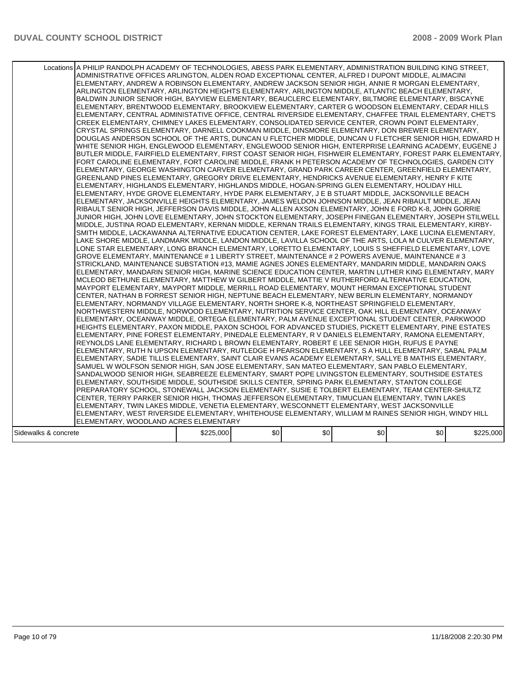|                      | Locations A PHILIP RANDOLPH ACADEMY OF TECHNOLOGIES, ABESS PARK ELEMENTARY, ADMINISTRATION BUILDING KING STREET,<br>ADMINISTRATIVE OFFICES ARLINGTON, ALDEN ROAD EXCEPTIONAL CENTER, ALFRED I DUPONT MIDDLE, ALIMACINI<br>ELEMENTARY, ANDREW A ROBINSON ELEMENTARY, ANDREW JACKSON SENIOR HIGH, ANNIE R MORGAN ELEMENTARY,<br>ARLINGTON ELEMENTARY, ARLINGTON HEIGHTS ELEMENTARY, ARLINGTON MIDDLE, ATLANTIC BEACH ELEMENTARY,<br>BALDWIN JUNIOR SENIOR HIGH, BAYVIEW ELEMENTARY, BEAUCLERC ELEMENTARY, BILTMORE ELEMENTARY, BISCAYNE<br>ELEMENTARY, BRENTWOOD ELEMENTARY, BROOKVIEW ELEMENTARY, CARTER G WOODSON ELEMENTARY, CEDAR HILLS<br>ELEMENTARY, CENTRAL ADMINISTATIVE OFFICE, CENTRAL RIVERSIDE ELEMENTARY, CHAFFEE TRAIL ELEMENTARY, CHET'S<br>CREEK ELEMENTARY, CHIMNEY LAKES ELEMENTARY, CONSOLIDATED SERVICE CENTER, CROWN POINT ELEMENTARY,<br>CRYSTAL SPRINGS ELEMENTARY, DARNELL COOKMAN MIDDLE, DINSMORE ELEMENTARY, DON BREWER ELEMENTARY,<br>DOUGLAS ANDERSON SCHOOL OF THE ARTS, DUNCAN U FLETCHER MIDDLE, DUNCAN U FLETCHER SENIOR HIGH, EDWARD H<br>WHITE SENIOR HIGH, ENGLEWOOD ELEMENTARY, ENGLEWOOD SENIOR HIGH, ENTERPRISE LEARNING ACADEMY, EUGENE J<br>BUTLER MIDDLE, FAIRFIELD ELEMENTARY, FIRST COAST SENIOR HIGH, FISHWEIR ELEMENTARY, FOREST PARK ELEMENTARY,<br>FORT CAROLINE ELEMENTARY, FORT CAROLINE MIDDLE, FRANK H PETERSON ACADEMY OF TECHNOLOGIES, GARDEN CITY<br>ELEMENTARY, GEORGE WASHINGTON CARVER ELEMENTARY, GRAND PARK CAREER CENTER, GREENFIELD ELEMENTARY,<br>GREENLAND PINES ELEMENTARY, GREGORY DRIVE ELEMENTARY, HENDRICKS AVENUE ELEMENTARY, HENRY F KITE<br>IELEMENTARY. HIGHLANDS ELEMENTARY. HIGHLANDS MIDDLE. HOGAN-SPRING GLEN ELEMENTARY. HOLIDAY HILL<br>ELEMENTARY, HYDE GROVE ELEMENTARY, HYDE PARK ELEMENTARY, J E B STUART MIDDLE, JACKSONVILLE BEACH<br>ELEMENTARY, JACKSONVILLE HEIGHTS ELEMENTARY, JAMES WELDON JOHNSON MIDDLE, JEAN RIBAULT MIDDLE, JEAN<br>RIBAULT SENIOR HIGH, JEFFERSON DAVIS MIDDLE, JOHN ALLEN AXSON ELEMENTARY, JOHN E FORD K-8, JOHN GORRIE<br>JUNIOR HIGH, JOHN LOVE ELEMENTARY, JOHN STOCKTON ELEMENTARY, JOSEPH FINEGAN ELEMENTARY, JOSEPH STILWELL<br>MIDDLE, JUSTINA ROAD ELEMENTARY, KERNAN MIDDLE, KERNAN TRAILS ELEMENTARY, KINGS TRAIL ELEMENTARY, KIRBY-<br>SMITH MIDDLE, LACKAWANNA ALTERNATIVE EDUCATION CENTER, LAKE FOREST ELEMENTARY, LAKE LUCINA ELEMENTARY.<br>LAKE SHORE MIDDLE, LANDMARK MIDDLE, LANDON MIDDLE, LAVILLA SCHOOL OF THE ARTS, LOLA M CULVER ELEMENTARY,<br>LONE STAR ELEMENTARY, LONG BRANCH ELEMENTARY, LORETTO ELEMENTARY, LOUIS S SHEFFIELD ELEMENTARY, LOVE<br>GROVE ELEMENTARY, MAINTENANCE # 1 LIBERTY STREET, MAINTENANCE # 2 POWERS AVENUE, MAINTENANCE # 3<br>STRICKLAND, MAINTENANCE SUBSTATION #13, MAMIE AGNES JONES ELEMENTARY, MANDARIN MIDDLE, MANDARIN OAKS<br>IELEMENTARY. MANDARIN SENIOR HIGH. MARINE SCIENCE EDUCATION CENTER. MARTIN LUTHER KING ELEMENTARY. MARY<br>MCLEOD BETHUNE ELEMENTARY, MATTHEW W GILBERT MIDDLE, MATTIE V RUTHERFORD ALTERNATIVE EDUCATION,<br>MAYPORT ELEMENTARY, MAYPORT MIDDLE, MERRILL ROAD ELEMENTARY, MOUNT HERMAN EXCEPTIONAL STUDENT<br>CENTER, NATHAN B FORREST SENIOR HIGH, NEPTUNE BEACH ELEMENTARY, NEW BERLIN ELEMENTARY, NORMANDY<br>ELEMENTARY, NORMANDY VILLAGE ELEMENTARY, NORTH SHORE K-8, NORTHEAST SPRINGFIELD ELEMENTARY,<br>NORTHWESTERN MIDDLE, NORWOOD ELEMENTARY, NUTRITION SERVICE CENTER, OAK HILL ELEMENTARY, OCEANWAY<br>ELEMENTARY. OCEANWAY MIDDLE. ORTEGA ELEMENTARY. PALM AVENUE EXCEPTIONAL STUDENT CENTER. PARKWOOD<br>HEIGHTS ELEMENTARY, PAXON MIDDLE, PAXON SCHOOL FOR ADVANCED STUDIES, PICKETT ELEMENTARY, PINE ESTATES<br>ELEMENTARY, PINE FOREST ELEMENTARY, PINEDALE ELEMENTARY, R V DANIELS ELEMENTARY, RAMONA ELEMENTARY,<br>REYNOLDS LANE ELEMENTARY, RICHARD L BROWN ELEMENTARY, ROBERT E LEE SENIOR HIGH, RUFUS E PAYNE<br>ELEMENTARY, RUTH N UPSON ELEMENTARY, RUTLEDGE H PEARSON ELEMENTARY, S A HULL ELEMENTARY, SABAL PALM <br>ELEMENTARY, SADIE TILLIS ELEMENTARY, SAINT CLAIR EVANS ACADEMY ELEMENTARY, SALLYE B MATHIS ELEMENTARY,<br>SAMUEL W WOLFSON SENIOR HIGH, SAN JOSE ELEMENTARY, SAN MATEO ELEMENTARY, SAN PABLO ELEMENTARY,<br>SANDALWOOD SENIOR HIGH, SEABREEZE ELEMENTARY, SMART POPE LIVINGSTON ELEMENTARY, SOUTHSIDE ESTATES<br>ELEMENTARY, SOUTHSIDE MIDDLE, SOUTHSIDE SKILLS CENTER, SPRING PARK ELEMENTARY, STANTON COLLEGE<br>PREPARATORY SCHOOL, STONEWALL JACKSON ELEMENTARY, SUSIE E TOLBERT ELEMENTARY, TEAM CENTER-SHULTZ<br>ICENTER, TERRY PARKER SENIOR HIGH, THOMAS JEFFERSON ELEMENTARY, TIMUCUAN ELEMENTARY, TWIN LAKES<br>ELEMENTARY, TWIN LAKES MIDDLE, VENETIA ELEMENTARY, WESCONNETT ELEMENTARY, WEST JACKSONVILLE<br>ELEMENTARY, WEST RIVERSIDE ELEMENTARY, WHITEHOUSE ELEMENTARY, WILLIAM M RAINES SENIOR HIGH, WINDY HILL<br>ELEMENTARY, WOODLAND ACRES ELEMENTARY |           |     |     |     |     |           |
|----------------------|---------------------------------------------------------------------------------------------------------------------------------------------------------------------------------------------------------------------------------------------------------------------------------------------------------------------------------------------------------------------------------------------------------------------------------------------------------------------------------------------------------------------------------------------------------------------------------------------------------------------------------------------------------------------------------------------------------------------------------------------------------------------------------------------------------------------------------------------------------------------------------------------------------------------------------------------------------------------------------------------------------------------------------------------------------------------------------------------------------------------------------------------------------------------------------------------------------------------------------------------------------------------------------------------------------------------------------------------------------------------------------------------------------------------------------------------------------------------------------------------------------------------------------------------------------------------------------------------------------------------------------------------------------------------------------------------------------------------------------------------------------------------------------------------------------------------------------------------------------------------------------------------------------------------------------------------------------------------------------------------------------------------------------------------------------------------------------------------------------------------------------------------------------------------------------------------------------------------------------------------------------------------------------------------------------------------------------------------------------------------------------------------------------------------------------------------------------------------------------------------------------------------------------------------------------------------------------------------------------------------------------------------------------------------------------------------------------------------------------------------------------------------------------------------------------------------------------------------------------------------------------------------------------------------------------------------------------------------------------------------------------------------------------------------------------------------------------------------------------------------------------------------------------------------------------------------------------------------------------------------------------------------------------------------------------------------------------------------------------------------------------------------------------------------------------------------------------------------------------------------------------------------------------------------------------------------------------------------------------------------------------------------------------------------------------------------------------------------------------------------------------------------------------------------------------------------------------------------------------------------------------------------------------------------------------------------------------------------------------------------------------------------------------------------------------------------------------------------------------------------------------------------------------------------------------------------------------------------------------------------------------------------------------------------------------------------------------------------------------------------------------------------------------------------------------------------------------------------------------------------------------------------------------------------------------------------------------------------------------------------------------------------------------------------------------------------------------------------------------------------------------------------------------------------------------------------------------------|-----------|-----|-----|-----|-----|-----------|
| Sidewalks & concrete |                                                                                                                                                                                                                                                                                                                                                                                                                                                                                                                                                                                                                                                                                                                                                                                                                                                                                                                                                                                                                                                                                                                                                                                                                                                                                                                                                                                                                                                                                                                                                                                                                                                                                                                                                                                                                                                                                                                                                                                                                                                                                                                                                                                                                                                                                                                                                                                                                                                                                                                                                                                                                                                                                                                                                                                                                                                                                                                                                                                                                                                                                                                                                                                                                                                                                                                                                                                                                                                                                                                                                                                                                                                                                                                                                                                                                                                                                                                                                                                                                                                                                                                                                                                                                                                                                                                                                                                                                                                                                                                                                                                                                                                                                                                                                                                                                                       | \$225,000 | \$0 | \$0 | \$0 | \$0 | \$225,000 |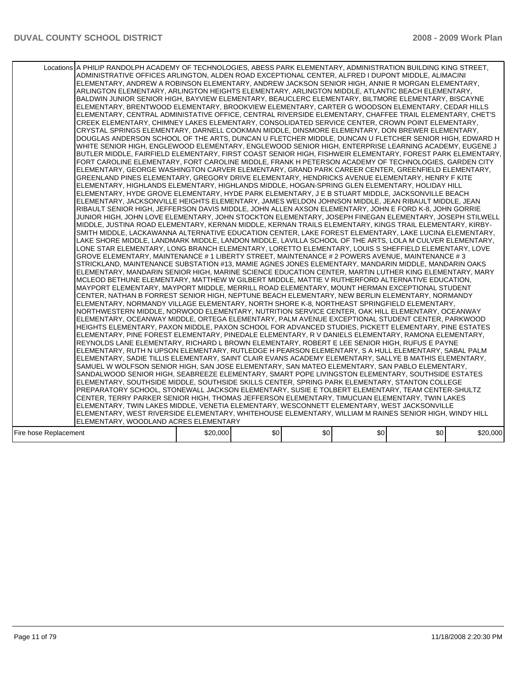| Locations A PHILIP RANDOLPH ACADEMY OF TECHNOLOGIES, ABESS PARK ELEMENTARY, ADMINISTRATION BUILDING KING STREET,<br>ADMINISTRATIVE OFFICES ARLINGTON, ALDEN ROAD EXCEPTIONAL CENTER, ALFRED I DUPONT MIDDLE, ALIMACINI<br>ELEMENTARY, ANDREW A ROBINSON ELEMENTARY, ANDREW JACKSON SENIOR HIGH, ANNIE R MORGAN ELEMENTARY,<br>ARLINGTON ELEMENTARY, ARLINGTON HEIGHTS ELEMENTARY, ARLINGTON MIDDLE, ATLANTIC BEACH ELEMENTARY,<br>BALDWIN JUNIOR SENIOR HIGH, BAYVIEW ELEMENTARY, BEAUCLERC ELEMENTARY, BILTMORE ELEMENTARY, BISCAYNE<br>ELEMENTARY, BRENTWOOD ELEMENTARY, BROOKVIEW ELEMENTARY, CARTER G WOODSON ELEMENTARY, CEDAR HILLS<br>ELEMENTARY, CENTRAL ADMINISTATIVE OFFICE, CENTRAL RIVERSIDE ELEMENTARY, CHAFFEE TRAIL ELEMENTARY, CHET'S<br>CREEK ELEMENTARY, CHIMNEY LAKES ELEMENTARY, CONSOLIDATED SERVICE CENTER, CROWN POINT ELEMENTARY,<br>CRYSTAL SPRINGS ELEMENTARY, DARNELL COOKMAN MIDDLE, DINSMORE ELEMENTARY, DON BREWER ELEMENTARY,<br>DOUGLAS ANDERSON SCHOOL OF THE ARTS, DUNCAN U FLETCHER MIDDLE, DUNCAN U FLETCHER SENIOR HIGH, EDWARD H<br>WHITE SENIOR HIGH, ENGLEWOOD ELEMENTARY, ENGLEWOOD SENIOR HIGH, ENTERPRISE LEARNING ACADEMY, EUGENE J<br>BUTLER MIDDLE, FAIRFIELD ELEMENTARY, FIRST COAST SENIOR HIGH, FISHWEIR ELEMENTARY, FOREST PARK ELEMENTARY,<br>FORT CAROLINE ELEMENTARY, FORT CAROLINE MIDDLE, FRANK H PETERSON ACADEMY OF TECHNOLOGIES, GARDEN CITY<br>ELEMENTARY, GEORGE WASHINGTON CARVER ELEMENTARY, GRAND PARK CAREER CENTER, GREENFIELD ELEMENTARY,<br>GREENLAND PINES ELEMENTARY, GREGORY DRIVE ELEMENTARY, HENDRICKS AVENUE ELEMENTARY, HENRY F KITE<br>ELEMENTARY, HIGHLANDS ELEMENTARY, HIGHLANDS MIDDLE, HOGAN-SPRING GLEN ELEMENTARY, HOLIDAY HILL<br>ELEMENTARY, HYDE GROVE ELEMENTARY, HYDE PARK ELEMENTARY, J E B STUART MIDDLE, JACKSONVILLE BEACH<br>ELEMENTARY, JACKSONVILLE HEIGHTS ELEMENTARY, JAMES WELDON JOHNSON MIDDLE, JEAN RIBAULT MIDDLE, JEAN<br>RIBAULT SENIOR HIGH, JEFFERSON DAVIS MIDDLE, JOHN ALLEN AXSON ELEMENTARY, JOHN E FORD K-8, JOHN GORRIE<br>JUNIOR HIGH, JOHN LOVE ELEMENTARY, JOHN STOCKTON ELEMENTARY, JOSEPH FINEGAN ELEMENTARY, JOSEPH STILWELL<br>MIDDLE, JUSTINA ROAD ELEMENTARY, KERNAN MIDDLE, KERNAN TRAILS ELEMENTARY, KINGS TRAIL ELEMENTARY, KIRBY-<br>SMITH MIDDLE, LACKAWANNA ALTERNATIVE EDUCATION CENTER, LAKE FOREST ELEMENTARY, LAKE LUCINA ELEMENTARY,<br>LAKE SHORE MIDDLE, LANDMARK MIDDLE, LANDON MIDDLE, LAVILLA SCHOOL OF THE ARTS, LOLA M CULVER ELEMENTARY,<br>LONE STAR ELEMENTARY, LONG BRANCH ELEMENTARY, LORETTO ELEMENTARY, LOUIS S SHEFFIELD ELEMENTARY, LOVE<br>GROVE ELEMENTARY, MAINTENANCE # 1 LIBERTY STREET, MAINTENANCE # 2 POWERS AVENUE, MAINTENANCE # 3<br>STRICKLAND, MAINTENANCE SUBSTATION #13, MAMIE AGNES JONES ELEMENTARY, MANDARIN MIDDLE, MANDARIN OAKS<br>IELEMENTARY, MANDARIN SENIOR HIGH, MARINE SCIENCE EDUCATION CENTER, MARTIN LUTHER KING ELEMENTARY, MARY<br>MCLEOD BETHUNE ELEMENTARY, MATTHEW W GILBERT MIDDLE, MATTIE V RUTHERFORD ALTERNATIVE EDUCATION,<br>MAYPORT ELEMENTARY, MAYPORT MIDDLE, MERRILL ROAD ELEMENTARY, MOUNT HERMAN EXCEPTIONAL STUDENT<br>CENTER, NATHAN B FORREST SENIOR HIGH, NEPTUNE BEACH ELEMENTARY, NEW BERLIN ELEMENTARY, NORMANDY<br>ELEMENTARY, NORMANDY VILLAGE ELEMENTARY, NORTH SHORE K-8, NORTHEAST SPRINGFIELD ELEMENTARY,<br>NORTHWESTERN MIDDLE, NORWOOD ELEMENTARY, NUTRITION SERVICE CENTER, OAK HILL ELEMENTARY, OCEANWAY<br>ELEMENTARY, OCEANWAY MIDDLE, ORTEGA ELEMENTARY, PALM AVENUE EXCEPTIONAL STUDENT CENTER, PARKWOOD<br>HEIGHTS ELEMENTARY, PAXON MIDDLE, PAXON SCHOOL FOR ADVANCED STUDIES, PICKETT ELEMENTARY, PINE ESTATES<br>ELEMENTARY, PINE FOREST ELEMENTARY, PINEDALE ELEMENTARY, R V DANIELS ELEMENTARY, RAMONA ELEMENTARY,<br>REYNOLDS LANE ELEMENTARY, RICHARD L BROWN ELEMENTARY, ROBERT E LEE SENIOR HIGH, RUFUS E PAYNE<br>ELEMENTARY, RUTH N UPSON ELEMENTARY, RUTLEDGE H PEARSON ELEMENTARY, S A HULL ELEMENTARY, SABAL PALM<br>ELEMENTARY, SADIE TILLIS ELEMENTARY, SAINT CLAIR EVANS ACADEMY ELEMENTARY, SALLYE B MATHIS ELEMENTARY,<br>SAMUEL W WOLFSON SENIOR HIGH, SAN JOSE ELEMENTARY, SAN MATEO ELEMENTARY, SAN PABLO ELEMENTARY,<br>SANDALWOOD SENIOR HIGH, SEABREEZE ELEMENTARY, SMART POPE LIVINGSTON ELEMENTARY, SOUTHSIDE ESTATES<br>ELEMENTARY, SOUTHSIDE MIDDLE, SOUTHSIDE SKILLS CENTER, SPRING PARK ELEMENTARY, STANTON COLLEGE<br>PREPARATORY SCHOOL, STONEWALL JACKSON ELEMENTARY, SUSIE E TOLBERT ELEMENTARY, TEAM CENTER-SHULTZ<br>ICENTER, TERRY PARKER SENIOR HIGH, THOMAS JEFFERSON ELEMENTARY, TIMUCUAN ELEMENTARY, TWIN LAKES<br>ELEMENTARY, TWIN LAKES MIDDLE, VENETIA ELEMENTARY, WESCONNETT ELEMENTARY, WEST JACKSONVILLE<br>ELEMENTARY, WEST RIVERSIDE ELEMENTARY, WHITEHOUSE ELEMENTARY, WILLIAM M RAINES SENIOR HIGH, WINDY HILL<br>ELEMENTARY, WOODLAND ACRES ELEMENTARY |          |     |     |     |     |          |
|-------------------------------------------------------------------------------------------------------------------------------------------------------------------------------------------------------------------------------------------------------------------------------------------------------------------------------------------------------------------------------------------------------------------------------------------------------------------------------------------------------------------------------------------------------------------------------------------------------------------------------------------------------------------------------------------------------------------------------------------------------------------------------------------------------------------------------------------------------------------------------------------------------------------------------------------------------------------------------------------------------------------------------------------------------------------------------------------------------------------------------------------------------------------------------------------------------------------------------------------------------------------------------------------------------------------------------------------------------------------------------------------------------------------------------------------------------------------------------------------------------------------------------------------------------------------------------------------------------------------------------------------------------------------------------------------------------------------------------------------------------------------------------------------------------------------------------------------------------------------------------------------------------------------------------------------------------------------------------------------------------------------------------------------------------------------------------------------------------------------------------------------------------------------------------------------------------------------------------------------------------------------------------------------------------------------------------------------------------------------------------------------------------------------------------------------------------------------------------------------------------------------------------------------------------------------------------------------------------------------------------------------------------------------------------------------------------------------------------------------------------------------------------------------------------------------------------------------------------------------------------------------------------------------------------------------------------------------------------------------------------------------------------------------------------------------------------------------------------------------------------------------------------------------------------------------------------------------------------------------------------------------------------------------------------------------------------------------------------------------------------------------------------------------------------------------------------------------------------------------------------------------------------------------------------------------------------------------------------------------------------------------------------------------------------------------------------------------------------------------------------------------------------------------------------------------------------------------------------------------------------------------------------------------------------------------------------------------------------------------------------------------------------------------------------------------------------------------------------------------------------------------------------------------------------------------------------------------------------------------------------------------------------------------------------------------------------------------------------------------------------------------------------------------------------------------------------------------------------------------------------------------------------------------------------------------------------------------------------------------------------------------------------------------------------------------------------------------------------------------------------------------------------------------------------------------------------------|----------|-----|-----|-----|-----|----------|
| Fire hose Replacement                                                                                                                                                                                                                                                                                                                                                                                                                                                                                                                                                                                                                                                                                                                                                                                                                                                                                                                                                                                                                                                                                                                                                                                                                                                                                                                                                                                                                                                                                                                                                                                                                                                                                                                                                                                                                                                                                                                                                                                                                                                                                                                                                                                                                                                                                                                                                                                                                                                                                                                                                                                                                                                                                                                                                                                                                                                                                                                                                                                                                                                                                                                                                                                                                                                                                                                                                                                                                                                                                                                                                                                                                                                                                                                                                                                                                                                                                                                                                                                                                                                                                                                                                                                                                                                                                                                                                                                                                                                                                                                                                                                                                                                                                                                                                                                                               | \$20,000 | \$0 | \$0 | \$0 | \$0 | \$20,000 |
|                                                                                                                                                                                                                                                                                                                                                                                                                                                                                                                                                                                                                                                                                                                                                                                                                                                                                                                                                                                                                                                                                                                                                                                                                                                                                                                                                                                                                                                                                                                                                                                                                                                                                                                                                                                                                                                                                                                                                                                                                                                                                                                                                                                                                                                                                                                                                                                                                                                                                                                                                                                                                                                                                                                                                                                                                                                                                                                                                                                                                                                                                                                                                                                                                                                                                                                                                                                                                                                                                                                                                                                                                                                                                                                                                                                                                                                                                                                                                                                                                                                                                                                                                                                                                                                                                                                                                                                                                                                                                                                                                                                                                                                                                                                                                                                                                                     |          |     |     |     |     |          |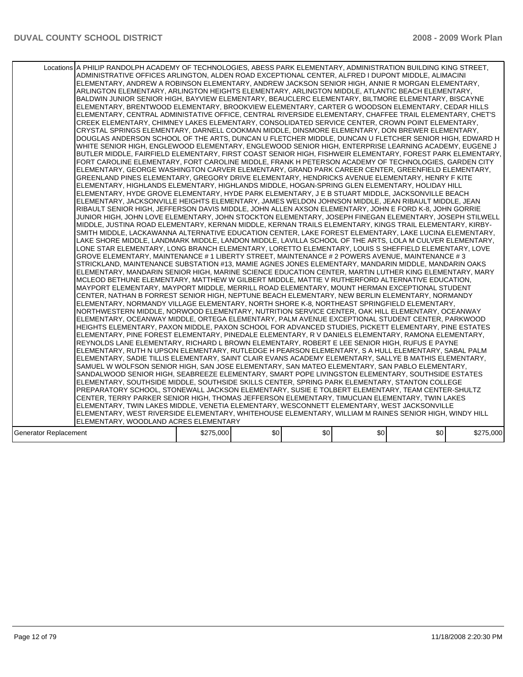|                       | Locations A PHILIP RANDOLPH ACADEMY OF TECHNOLOGIES, ABESS PARK ELEMENTARY, ADMINISTRATION BUILDING KING STREET,<br>ADMINISTRATIVE OFFICES ARLINGTON, ALDEN ROAD EXCEPTIONAL CENTER, ALFRED I DUPONT MIDDLE, ALIMACINI<br>ELEMENTARY, ANDREW A ROBINSON ELEMENTARY, ANDREW JACKSON SENIOR HIGH, ANNIE R MORGAN ELEMENTARY,<br>ARLINGTON ELEMENTARY, ARLINGTON HEIGHTS ELEMENTARY, ARLINGTON MIDDLE, ATLANTIC BEACH ELEMENTARY,<br>BALDWIN JUNIOR SENIOR HIGH, BAYVIEW ELEMENTARY, BEAUCLERC ELEMENTARY, BILTMORE ELEMENTARY, BISCAYNE<br>ELEMENTARY, BRENTWOOD ELEMENTARY, BROOKVIEW ELEMENTARY, CARTER G WOODSON ELEMENTARY, CEDAR HILLS<br>ELEMENTARY, CENTRAL ADMINISTATIVE OFFICE, CENTRAL RIVERSIDE ELEMENTARY, CHAFFEE TRAIL ELEMENTARY, CHET'S<br>CREEK ELEMENTARY, CHIMNEY LAKES ELEMENTARY, CONSOLIDATED SERVICE CENTER, CROWN POINT ELEMENTARY,<br>CRYSTAL SPRINGS ELEMENTARY, DARNELL COOKMAN MIDDLE, DINSMORE ELEMENTARY, DON BREWER ELEMENTARY,                                                                                                                                                                                                                                                                                                                                                                                                                                                                                                                                                                                                                                                                                                                                                                                                                                                                                                                                                                                                                                                                                                                                                                                                                                                                                                                                                                                                                                                                                                                                                                                                                                                                                                                                                                                                                                                                                                                                                                                                                                                                                                                                                                                                                                                                                                                                                                                                                                                                                                                                                                                                                                                                                                                                                                                               |           |     |     |     |                                                                                                        |           |
|-----------------------|------------------------------------------------------------------------------------------------------------------------------------------------------------------------------------------------------------------------------------------------------------------------------------------------------------------------------------------------------------------------------------------------------------------------------------------------------------------------------------------------------------------------------------------------------------------------------------------------------------------------------------------------------------------------------------------------------------------------------------------------------------------------------------------------------------------------------------------------------------------------------------------------------------------------------------------------------------------------------------------------------------------------------------------------------------------------------------------------------------------------------------------------------------------------------------------------------------------------------------------------------------------------------------------------------------------------------------------------------------------------------------------------------------------------------------------------------------------------------------------------------------------------------------------------------------------------------------------------------------------------------------------------------------------------------------------------------------------------------------------------------------------------------------------------------------------------------------------------------------------------------------------------------------------------------------------------------------------------------------------------------------------------------------------------------------------------------------------------------------------------------------------------------------------------------------------------------------------------------------------------------------------------------------------------------------------------------------------------------------------------------------------------------------------------------------------------------------------------------------------------------------------------------------------------------------------------------------------------------------------------------------------------------------------------------------------------------------------------------------------------------------------------------------------------------------------------------------------------------------------------------------------------------------------------------------------------------------------------------------------------------------------------------------------------------------------------------------------------------------------------------------------------------------------------------------------------------------------------------------------------------------------------------------------------------------------------------------------------------------------------------------------------------------------------------------------------------------------------------------------------------------------------------------------------------------------------------------------------------------------------------------------------------------------------------------------------------------------------------------------------------------|-----------|-----|-----|-----|--------------------------------------------------------------------------------------------------------|-----------|
|                       | WHITE SENIOR HIGH, ENGLEWOOD ELEMENTARY, ENGLEWOOD SENIOR HIGH, ENTERPRISE LEARNING ACADEMY, EUGENE J<br>BUTLER MIDDLE, FAIRFIELD ELEMENTARY, FIRST COAST SENIOR HIGH, FISHWEIR ELEMENTARY, FOREST PARK ELEMENTARY,<br>FORT CAROLINE ELEMENTARY, FORT CAROLINE MIDDLE, FRANK H PETERSON ACADEMY OF TECHNOLOGIES, GARDEN CITY<br>ELEMENTARY, GEORGE WASHINGTON CARVER ELEMENTARY, GRAND PARK CAREER CENTER, GREENFIELD ELEMENTARY,<br>GREENLAND PINES ELEMENTARY, GREGORY DRIVE ELEMENTARY, HENDRICKS AVENUE ELEMENTARY, HENRY F KITE<br>IELEMENTARY. HIGHLANDS ELEMENTARY. HIGHLANDS MIDDLE. HOGAN-SPRING GLEN ELEMENTARY. HOLIDAY HILL<br>ELEMENTARY, HYDE GROVE ELEMENTARY, HYDE PARK ELEMENTARY, J E B STUART MIDDLE, JACKSONVILLE BEACH<br>ELEMENTARY, JACKSONVILLE HEIGHTS ELEMENTARY, JAMES WELDON JOHNSON MIDDLE, JEAN RIBAULT MIDDLE, JEAN<br>RIBAULT SENIOR HIGH, JEFFERSON DAVIS MIDDLE, JOHN ALLEN AXSON ELEMENTARY, JOHN E FORD K-8, JOHN GORRIE<br>JUNIOR HIGH, JOHN LOVE ELEMENTARY, JOHN STOCKTON ELEMENTARY, JOSEPH FINEGAN ELEMENTARY, JOSEPH STILWELL<br>MIDDLE, JUSTINA ROAD ELEMENTARY, KERNAN MIDDLE, KERNAN TRAILS ELEMENTARY, KINGS TRAIL ELEMENTARY, KIRBY-<br>SMITH MIDDLE, LACKAWANNA ALTERNATIVE EDUCATION CENTER, LAKE FOREST ELEMENTARY, LAKE LUCINA ELEMENTARY.<br>LAKE SHORE MIDDLE, LANDMARK MIDDLE, LANDON MIDDLE, LAVILLA SCHOOL OF THE ARTS, LOLA M CULVER ELEMENTARY,<br>LONE STAR ELEMENTARY, LONG BRANCH ELEMENTARY, LORETTO ELEMENTARY, LOUIS S SHEFFIELD ELEMENTARY, LOVE<br>GROVE ELEMENTARY, MAINTENANCE # 1 LIBERTY STREET, MAINTENANCE # 2 POWERS AVENUE, MAINTENANCE # 3<br>STRICKLAND, MAINTENANCE SUBSTATION #13, MAMIE AGNES JONES ELEMENTARY, MANDARIN MIDDLE, MANDARIN OAKS<br>IELEMENTARY. MANDARIN SENIOR HIGH. MARINE SCIENCE EDUCATION CENTER. MARTIN LUTHER KING ELEMENTARY. MARY<br>MCLEOD BETHUNE ELEMENTARY, MATTHEW W GILBERT MIDDLE, MATTIE V RUTHERFORD ALTERNATIVE EDUCATION,<br>MAYPORT ELEMENTARY, MAYPORT MIDDLE, MERRILL ROAD ELEMENTARY, MOUNT HERMAN EXCEPTIONAL STUDENT<br>CENTER, NATHAN B FORREST SENIOR HIGH, NEPTUNE BEACH ELEMENTARY, NEW BERLIN ELEMENTARY, NORMANDY<br>ELEMENTARY, NORMANDY VILLAGE ELEMENTARY, NORTH SHORE K-8, NORTHEAST SPRINGFIELD ELEMENTARY,<br>NORTHWESTERN MIDDLE, NORWOOD ELEMENTARY, NUTRITION SERVICE CENTER, OAK HILL ELEMENTARY, OCEANWAY<br>ELEMENTARY. OCEANWAY MIDDLE. ORTEGA ELEMENTARY. PALM AVENUE EXCEPTIONAL STUDENT CENTER. PARKWOOD<br>HEIGHTS ELEMENTARY, PAXON MIDDLE, PAXON SCHOOL FOR ADVANCED STUDIES, PICKETT ELEMENTARY, PINE ESTATES<br>ELEMENTARY, PINE FOREST ELEMENTARY, PINEDALE ELEMENTARY, R V DANIELS ELEMENTARY, RAMONA ELEMENTARY,<br>REYNOLDS LANE ELEMENTARY, RICHARD L BROWN ELEMENTARY, ROBERT E LEE SENIOR HIGH, RUFUS E PAYNE<br>ELEMENTARY, RUTH N UPSON ELEMENTARY, RUTLEDGE H PEARSON ELEMENTARY, S A HULL ELEMENTARY, SABAL PALM <br>ELEMENTARY, SADIE TILLIS ELEMENTARY, SAINT CLAIR EVANS ACADEMY ELEMENTARY, SALLYE B MATHIS ELEMENTARY,<br>SAMUEL W WOLFSON SENIOR HIGH, SAN JOSE ELEMENTARY, SAN MATEO ELEMENTARY, SAN PABLO ELEMENTARY,<br>SANDALWOOD SENIOR HIGH, SEABREEZE ELEMENTARY, SMART POPE LIVINGSTON ELEMENTARY, SOUTHSIDE ESTATES<br>ELEMENTARY, SOUTHSIDE MIDDLE, SOUTHSIDE SKILLS CENTER, SPRING PARK ELEMENTARY, STANTON COLLEGE<br>PREPARATORY SCHOOL, STONEWALL JACKSON ELEMENTARY, SUSIE E TOLBERT ELEMENTARY, TEAM CENTER-SHULTZ<br>CENTER, TERRY PARKER SENIOR HIGH, THOMAS JEFFERSON ELEMENTARY, TIMUCUAN ELEMENTARY, TWIN LAKES<br>ELEMENTARY, TWIN LAKES MIDDLE, VENETIA ELEMENTARY, WESCONNETT ELEMENTARY, WEST JACKSONVILLE<br>ELEMENTARY, WEST RIVERSIDE ELEMENTARY, WHITEHOUSE ELEMENTARY, WILLIAM M RAINES SENIOR HIGH, WINDY HILL<br>ELEMENTARY, WOODLAND ACRES ELEMENTARY |           |     |     |     | DOUGLAS ANDERSON SCHOOL OF THE ARTS, DUNCAN U FLETCHER MIDDLE, DUNCAN U FLETCHER SENIOR HIGH, EDWARD H |           |
| Generator Replacement |                                                                                                                                                                                                                                                                                                                                                                                                                                                                                                                                                                                                                                                                                                                                                                                                                                                                                                                                                                                                                                                                                                                                                                                                                                                                                                                                                                                                                                                                                                                                                                                                                                                                                                                                                                                                                                                                                                                                                                                                                                                                                                                                                                                                                                                                                                                                                                                                                                                                                                                                                                                                                                                                                                                                                                                                                                                                                                                                                                                                                                                                                                                                                                                                                                                                                                                                                                                                                                                                                                                                                                                                                                                                                                                                                            | \$275,000 | \$0 | \$0 | \$0 | \$0                                                                                                    | \$275,000 |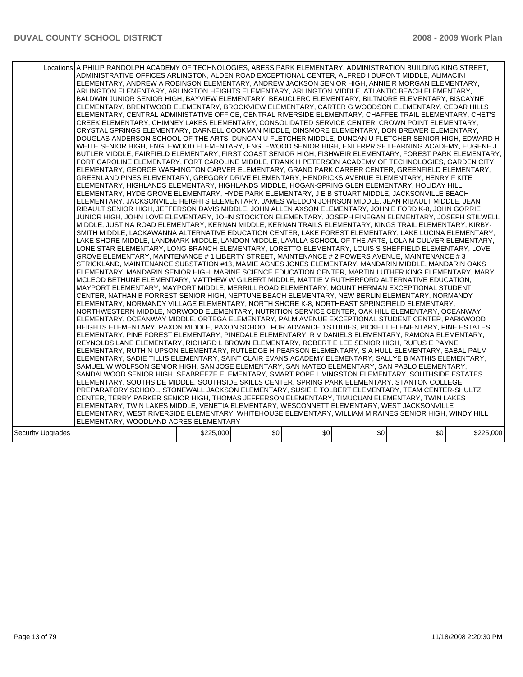|                   | Locations A PHILIP RANDOLPH ACADEMY OF TECHNOLOGIES, ABESS PARK ELEMENTARY, ADMINISTRATION BUILDING KING STREET,<br>ADMINISTRATIVE OFFICES ARLINGTON, ALDEN ROAD EXCEPTIONAL CENTER, ALFRED I DUPONT MIDDLE, ALIMACINI<br>ELEMENTARY, ANDREW A ROBINSON ELEMENTARY, ANDREW JACKSON SENIOR HIGH, ANNIE R MORGAN ELEMENTARY,<br>ARLINGTON ELEMENTARY, ARLINGTON HEIGHTS ELEMENTARY, ARLINGTON MIDDLE, ATLANTIC BEACH ELEMENTARY,<br>BALDWIN JUNIOR SENIOR HIGH, BAYVIEW ELEMENTARY, BEAUCLERC ELEMENTARY, BILTMORE ELEMENTARY, BISCAYNE<br>ELEMENTARY, BRENTWOOD ELEMENTARY, BROOKVIEW ELEMENTARY, CARTER G WOODSON ELEMENTARY, CEDAR HILLS<br>ELEMENTARY, CENTRAL ADMINISTATIVE OFFICE, CENTRAL RIVERSIDE ELEMENTARY, CHAFFEE TRAIL ELEMENTARY, CHET'S<br>CREEK ELEMENTARY, CHIMNEY LAKES ELEMENTARY, CONSOLIDATED SERVICE CENTER, CROWN POINT ELEMENTARY,<br>CRYSTAL SPRINGS ELEMENTARY, DARNELL COOKMAN MIDDLE, DINSMORE ELEMENTARY, DON BREWER ELEMENTARY,<br>DOUGLAS ANDERSON SCHOOL OF THE ARTS, DUNCAN U FLETCHER MIDDLE, DUNCAN U FLETCHER SENIOR HIGH, EDWARD H<br>WHITE SENIOR HIGH, ENGLEWOOD ELEMENTARY, ENGLEWOOD SENIOR HIGH, ENTERPRISE LEARNING ACADEMY, EUGENE J<br>BUTLER MIDDLE, FAIRFIELD ELEMENTARY, FIRST COAST SENIOR HIGH, FISHWEIR ELEMENTARY, FOREST PARK ELEMENTARY,<br>FORT CAROLINE ELEMENTARY, FORT CAROLINE MIDDLE, FRANK H PETERSON ACADEMY OF TECHNOLOGIES, GARDEN CITY<br>ELEMENTARY, GEORGE WASHINGTON CARVER ELEMENTARY, GRAND PARK CAREER CENTER, GREENFIELD ELEMENTARY,<br>GREENLAND PINES ELEMENTARY, GREGORY DRIVE ELEMENTARY, HENDRICKS AVENUE ELEMENTARY, HENRY F KITE<br>IELEMENTARY. HIGHLANDS ELEMENTARY. HIGHLANDS MIDDLE. HOGAN-SPRING GLEN ELEMENTARY. HOLIDAY HILL<br>ELEMENTARY, HYDE GROVE ELEMENTARY, HYDE PARK ELEMENTARY, J E B STUART MIDDLE, JACKSONVILLE BEACH<br>ELEMENTARY, JACKSONVILLE HEIGHTS ELEMENTARY, JAMES WELDON JOHNSON MIDDLE, JEAN RIBAULT MIDDLE, JEAN<br>RIBAULT SENIOR HIGH, JEFFERSON DAVIS MIDDLE, JOHN ALLEN AXSON ELEMENTARY, JOHN E FORD K-8, JOHN GORRIE<br>JUNIOR HIGH, JOHN LOVE ELEMENTARY, JOHN STOCKTON ELEMENTARY, JOSEPH FINEGAN ELEMENTARY, JOSEPH STILWELL<br>MIDDLE, JUSTINA ROAD ELEMENTARY, KERNAN MIDDLE, KERNAN TRAILS ELEMENTARY, KINGS TRAIL ELEMENTARY, KIRBY-<br>SMITH MIDDLE, LACKAWANNA ALTERNATIVE EDUCATION CENTER, LAKE FOREST ELEMENTARY, LAKE LUCINA ELEMENTARY.<br>LAKE SHORE MIDDLE, LANDMARK MIDDLE, LANDON MIDDLE, LAVILLA SCHOOL OF THE ARTS, LOLA M CULVER ELEMENTARY,<br>LONE STAR ELEMENTARY, LONG BRANCH ELEMENTARY, LORETTO ELEMENTARY, LOUIS S SHEFFIELD ELEMENTARY, LOVE<br>GROVE ELEMENTARY, MAINTENANCE # 1 LIBERTY STREET, MAINTENANCE # 2 POWERS AVENUE, MAINTENANCE # 3<br>STRICKLAND, MAINTENANCE SUBSTATION #13, MAMIE AGNES JONES ELEMENTARY, MANDARIN MIDDLE, MANDARIN OAKS<br>IELEMENTARY. MANDARIN SENIOR HIGH. MARINE SCIENCE EDUCATION CENTER. MARTIN LUTHER KING ELEMENTARY. MARY<br>MCLEOD BETHUNE ELEMENTARY, MATTHEW W GILBERT MIDDLE, MATTIE V RUTHERFORD ALTERNATIVE EDUCATION,<br>MAYPORT ELEMENTARY, MAYPORT MIDDLE, MERRILL ROAD ELEMENTARY, MOUNT HERMAN EXCEPTIONAL STUDENT<br>CENTER, NATHAN B FORREST SENIOR HIGH, NEPTUNE BEACH ELEMENTARY, NEW BERLIN ELEMENTARY, NORMANDY<br>ELEMENTARY, NORMANDY VILLAGE ELEMENTARY, NORTH SHORE K-8, NORTHEAST SPRINGFIELD ELEMENTARY,<br>NORTHWESTERN MIDDLE, NORWOOD ELEMENTARY, NUTRITION SERVICE CENTER, OAK HILL ELEMENTARY, OCEANWAY<br>ELEMENTARY. OCEANWAY MIDDLE. ORTEGA ELEMENTARY. PALM AVENUE EXCEPTIONAL STUDENT CENTER. PARKWOOD<br>HEIGHTS ELEMENTARY, PAXON MIDDLE, PAXON SCHOOL FOR ADVANCED STUDIES, PICKETT ELEMENTARY, PINE ESTATES<br>ELEMENTARY, PINE FOREST ELEMENTARY, PINEDALE ELEMENTARY, R V DANIELS ELEMENTARY, RAMONA ELEMENTARY,<br>REYNOLDS LANE ELEMENTARY, RICHARD L BROWN ELEMENTARY, ROBERT E LEE SENIOR HIGH, RUFUS E PAYNE<br>ELEMENTARY, RUTH N UPSON ELEMENTARY, RUTLEDGE H PEARSON ELEMENTARY, S A HULL ELEMENTARY, SABAL PALM <br>ELEMENTARY, SADIE TILLIS ELEMENTARY, SAINT CLAIR EVANS ACADEMY ELEMENTARY, SALLYE B MATHIS ELEMENTARY,<br>SAMUEL W WOLFSON SENIOR HIGH, SAN JOSE ELEMENTARY, SAN MATEO ELEMENTARY, SAN PABLO ELEMENTARY,<br>SANDALWOOD SENIOR HIGH, SEABREEZE ELEMENTARY, SMART POPE LIVINGSTON ELEMENTARY, SOUTHSIDE ESTATES<br>ELEMENTARY, SOUTHSIDE MIDDLE, SOUTHSIDE SKILLS CENTER, SPRING PARK ELEMENTARY, STANTON COLLEGE<br>PREPARATORY SCHOOL, STONEWALL JACKSON ELEMENTARY, SUSIE E TOLBERT ELEMENTARY, TEAM CENTER-SHULTZ<br>CENTER, TERRY PARKER SENIOR HIGH, THOMAS JEFFERSON ELEMENTARY, TIMUCUAN ELEMENTARY, TWIN LAKES<br>ELEMENTARY, TWIN LAKES MIDDLE, VENETIA ELEMENTARY, WESCONNETT ELEMENTARY, WEST JACKSONVILLE<br>ELEMENTARY, WEST RIVERSIDE ELEMENTARY, WHITEHOUSE ELEMENTARY, WILLIAM M RAINES SENIOR HIGH, WINDY HILL<br>ELEMENTARY, WOODLAND ACRES ELEMENTARY |           |     |     |     |     |           |
|-------------------|--------------------------------------------------------------------------------------------------------------------------------------------------------------------------------------------------------------------------------------------------------------------------------------------------------------------------------------------------------------------------------------------------------------------------------------------------------------------------------------------------------------------------------------------------------------------------------------------------------------------------------------------------------------------------------------------------------------------------------------------------------------------------------------------------------------------------------------------------------------------------------------------------------------------------------------------------------------------------------------------------------------------------------------------------------------------------------------------------------------------------------------------------------------------------------------------------------------------------------------------------------------------------------------------------------------------------------------------------------------------------------------------------------------------------------------------------------------------------------------------------------------------------------------------------------------------------------------------------------------------------------------------------------------------------------------------------------------------------------------------------------------------------------------------------------------------------------------------------------------------------------------------------------------------------------------------------------------------------------------------------------------------------------------------------------------------------------------------------------------------------------------------------------------------------------------------------------------------------------------------------------------------------------------------------------------------------------------------------------------------------------------------------------------------------------------------------------------------------------------------------------------------------------------------------------------------------------------------------------------------------------------------------------------------------------------------------------------------------------------------------------------------------------------------------------------------------------------------------------------------------------------------------------------------------------------------------------------------------------------------------------------------------------------------------------------------------------------------------------------------------------------------------------------------------------------------------------------------------------------------------------------------------------------------------------------------------------------------------------------------------------------------------------------------------------------------------------------------------------------------------------------------------------------------------------------------------------------------------------------------------------------------------------------------------------------------------------------------------------------------------------------------------------------------------------------------------------------------------------------------------------------------------------------------------------------------------------------------------------------------------------------------------------------------------------------------------------------------------------------------------------------------------------------------------------------------------------------------------------------------------------------------------------------------------------------------------------------------------------------------------------------------------------------------------------------------------------------------------------------------------------------------------------------------------------------------------------------------------------------------------------------------------------------------------------------------------------------------------------------------------------------------------------------------------------------------------------------|-----------|-----|-----|-----|-----|-----------|
| Security Upgrades |                                                                                                                                                                                                                                                                                                                                                                                                                                                                                                                                                                                                                                                                                                                                                                                                                                                                                                                                                                                                                                                                                                                                                                                                                                                                                                                                                                                                                                                                                                                                                                                                                                                                                                                                                                                                                                                                                                                                                                                                                                                                                                                                                                                                                                                                                                                                                                                                                                                                                                                                                                                                                                                                                                                                                                                                                                                                                                                                                                                                                                                                                                                                                                                                                                                                                                                                                                                                                                                                                                                                                                                                                                                                                                                                                                                                                                                                                                                                                                                                                                                                                                                                                                                                                                                                                                                                                                                                                                                                                                                                                                                                                                                                                                                                                                                                                                      | \$225,000 | \$0 | \$0 | \$0 | \$0 | \$225,000 |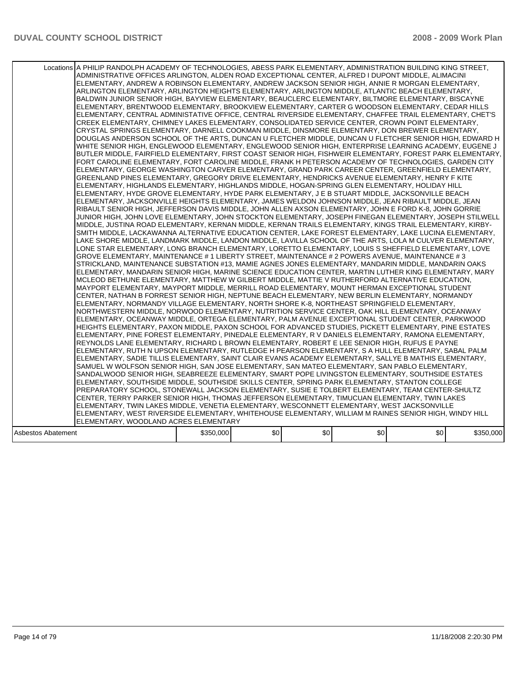|                    | Locations A PHILIP RANDOLPH ACADEMY OF TECHNOLOGIES, ABESS PARK ELEMENTARY, ADMINISTRATION BUILDING KING STREET,<br>ADMINISTRATIVE OFFICES ARLINGTON, ALDEN ROAD EXCEPTIONAL CENTER, ALFRED I DUPONT MIDDLE, ALIMACINI<br>ELEMENTARY, ANDREW A ROBINSON ELEMENTARY, ANDREW JACKSON SENIOR HIGH, ANNIE R MORGAN ELEMENTARY,<br>ARLINGTON ELEMENTARY, ARLINGTON HEIGHTS ELEMENTARY, ARLINGTON MIDDLE, ATLANTIC BEACH ELEMENTARY,<br>BALDWIN JUNIOR SENIOR HIGH, BAYVIEW ELEMENTARY, BEAUCLERC ELEMENTARY, BILTMORE ELEMENTARY, BISCAYNE<br>ELEMENTARY, BRENTWOOD ELEMENTARY, BROOKVIEW ELEMENTARY, CARTER G WOODSON ELEMENTARY, CEDAR HILLS<br>ELEMENTARY, CENTRAL ADMINISTATIVE OFFICE, CENTRAL RIVERSIDE ELEMENTARY, CHAFFEE TRAIL ELEMENTARY, CHET'S<br>CREEK ELEMENTARY, CHIMNEY LAKES ELEMENTARY, CONSOLIDATED SERVICE CENTER, CROWN POINT ELEMENTARY,<br>CRYSTAL SPRINGS ELEMENTARY, DARNELL COOKMAN MIDDLE, DINSMORE ELEMENTARY, DON BREWER ELEMENTARY,<br>DOUGLAS ANDERSON SCHOOL OF THE ARTS, DUNCAN U FLETCHER MIDDLE, DUNCAN U FLETCHER SENIOR HIGH, EDWARD H<br>WHITE SENIOR HIGH, ENGLEWOOD ELEMENTARY, ENGLEWOOD SENIOR HIGH, ENTERPRISE LEARNING ACADEMY, EUGENE J<br>BUTLER MIDDLE, FAIRFIELD ELEMENTARY, FIRST COAST SENIOR HIGH, FISHWEIR ELEMENTARY, FOREST PARK ELEMENTARY,<br>FORT CAROLINE ELEMENTARY, FORT CAROLINE MIDDLE, FRANK H PETERSON ACADEMY OF TECHNOLOGIES, GARDEN CITY<br>ELEMENTARY, GEORGE WASHINGTON CARVER ELEMENTARY, GRAND PARK CAREER CENTER, GREENFIELD ELEMENTARY,<br>GREENLAND PINES ELEMENTARY, GREGORY DRIVE ELEMENTARY, HENDRICKS AVENUE ELEMENTARY, HENRY F KITE<br>IELEMENTARY. HIGHLANDS ELEMENTARY. HIGHLANDS MIDDLE. HOGAN-SPRING GLEN ELEMENTARY. HOLIDAY HILL<br>ELEMENTARY, HYDE GROVE ELEMENTARY, HYDE PARK ELEMENTARY, J E B STUART MIDDLE, JACKSONVILLE BEACH<br>ELEMENTARY, JACKSONVILLE HEIGHTS ELEMENTARY, JAMES WELDON JOHNSON MIDDLE, JEAN RIBAULT MIDDLE, JEAN<br>RIBAULT SENIOR HIGH, JEFFERSON DAVIS MIDDLE, JOHN ALLEN AXSON ELEMENTARY, JOHN E FORD K-8, JOHN GORRIE<br>JUNIOR HIGH, JOHN LOVE ELEMENTARY, JOHN STOCKTON ELEMENTARY, JOSEPH FINEGAN ELEMENTARY, JOSEPH STILWELL<br>MIDDLE, JUSTINA ROAD ELEMENTARY, KERNAN MIDDLE, KERNAN TRAILS ELEMENTARY, KINGS TRAIL ELEMENTARY, KIRBY-<br>SMITH MIDDLE, LACKAWANNA ALTERNATIVE EDUCATION CENTER, LAKE FOREST ELEMENTARY, LAKE LUCINA ELEMENTARY.<br>LAKE SHORE MIDDLE, LANDMARK MIDDLE, LANDON MIDDLE, LAVILLA SCHOOL OF THE ARTS, LOLA M CULVER ELEMENTARY,<br>LONE STAR ELEMENTARY, LONG BRANCH ELEMENTARY, LORETTO ELEMENTARY, LOUIS S SHEFFIELD ELEMENTARY, LOVE<br>GROVE ELEMENTARY, MAINTENANCE # 1 LIBERTY STREET, MAINTENANCE # 2 POWERS AVENUE, MAINTENANCE # 3<br>STRICKLAND, MAINTENANCE SUBSTATION #13, MAMIE AGNES JONES ELEMENTARY, MANDARIN MIDDLE, MANDARIN OAKS<br>IELEMENTARY. MANDARIN SENIOR HIGH. MARINE SCIENCE EDUCATION CENTER. MARTIN LUTHER KING ELEMENTARY. MARY<br>MCLEOD BETHUNE ELEMENTARY, MATTHEW W GILBERT MIDDLE, MATTIE V RUTHERFORD ALTERNATIVE EDUCATION,<br>MAYPORT ELEMENTARY, MAYPORT MIDDLE, MERRILL ROAD ELEMENTARY, MOUNT HERMAN EXCEPTIONAL STUDENT<br>CENTER, NATHAN B FORREST SENIOR HIGH, NEPTUNE BEACH ELEMENTARY, NEW BERLIN ELEMENTARY, NORMANDY<br>ELEMENTARY, NORMANDY VILLAGE ELEMENTARY, NORTH SHORE K-8, NORTHEAST SPRINGFIELD ELEMENTARY,<br>NORTHWESTERN MIDDLE, NORWOOD ELEMENTARY, NUTRITION SERVICE CENTER, OAK HILL ELEMENTARY, OCEANWAY<br>ELEMENTARY. OCEANWAY MIDDLE. ORTEGA ELEMENTARY. PALM AVENUE EXCEPTIONAL STUDENT CENTER. PARKWOOD<br>HEIGHTS ELEMENTARY, PAXON MIDDLE, PAXON SCHOOL FOR ADVANCED STUDIES, PICKETT ELEMENTARY, PINE ESTATES<br>ELEMENTARY, PINE FOREST ELEMENTARY, PINEDALE ELEMENTARY, R V DANIELS ELEMENTARY, RAMONA ELEMENTARY,<br>REYNOLDS LANE ELEMENTARY, RICHARD L BROWN ELEMENTARY, ROBERT E LEE SENIOR HIGH, RUFUS E PAYNE<br>ELEMENTARY, RUTH N UPSON ELEMENTARY, RUTLEDGE H PEARSON ELEMENTARY, S A HULL ELEMENTARY, SABAL PALM <br>ELEMENTARY, SADIE TILLIS ELEMENTARY, SAINT CLAIR EVANS ACADEMY ELEMENTARY, SALLYE B MATHIS ELEMENTARY,<br>SAMUEL W WOLFSON SENIOR HIGH, SAN JOSE ELEMENTARY, SAN MATEO ELEMENTARY, SAN PABLO ELEMENTARY,<br>SANDALWOOD SENIOR HIGH, SEABREEZE ELEMENTARY, SMART POPE LIVINGSTON ELEMENTARY, SOUTHSIDE ESTATES<br>ELEMENTARY, SOUTHSIDE MIDDLE, SOUTHSIDE SKILLS CENTER, SPRING PARK ELEMENTARY, STANTON COLLEGE<br>PREPARATORY SCHOOL, STONEWALL JACKSON ELEMENTARY, SUSIE E TOLBERT ELEMENTARY, TEAM CENTER-SHULTZ<br>ICENTER, TERRY PARKER SENIOR HIGH, THOMAS JEFFERSON ELEMENTARY, TIMUCUAN ELEMENTARY, TWIN LAKES<br>ELEMENTARY, TWIN LAKES MIDDLE, VENETIA ELEMENTARY, WESCONNETT ELEMENTARY, WEST JACKSONVILLE<br>ELEMENTARY, WEST RIVERSIDE ELEMENTARY, WHITEHOUSE ELEMENTARY, WILLIAM M RAINES SENIOR HIGH, WINDY HILL<br>ELEMENTARY, WOODLAND ACRES ELEMENTARY |           |     |     |     |     |           |
|--------------------|---------------------------------------------------------------------------------------------------------------------------------------------------------------------------------------------------------------------------------------------------------------------------------------------------------------------------------------------------------------------------------------------------------------------------------------------------------------------------------------------------------------------------------------------------------------------------------------------------------------------------------------------------------------------------------------------------------------------------------------------------------------------------------------------------------------------------------------------------------------------------------------------------------------------------------------------------------------------------------------------------------------------------------------------------------------------------------------------------------------------------------------------------------------------------------------------------------------------------------------------------------------------------------------------------------------------------------------------------------------------------------------------------------------------------------------------------------------------------------------------------------------------------------------------------------------------------------------------------------------------------------------------------------------------------------------------------------------------------------------------------------------------------------------------------------------------------------------------------------------------------------------------------------------------------------------------------------------------------------------------------------------------------------------------------------------------------------------------------------------------------------------------------------------------------------------------------------------------------------------------------------------------------------------------------------------------------------------------------------------------------------------------------------------------------------------------------------------------------------------------------------------------------------------------------------------------------------------------------------------------------------------------------------------------------------------------------------------------------------------------------------------------------------------------------------------------------------------------------------------------------------------------------------------------------------------------------------------------------------------------------------------------------------------------------------------------------------------------------------------------------------------------------------------------------------------------------------------------------------------------------------------------------------------------------------------------------------------------------------------------------------------------------------------------------------------------------------------------------------------------------------------------------------------------------------------------------------------------------------------------------------------------------------------------------------------------------------------------------------------------------------------------------------------------------------------------------------------------------------------------------------------------------------------------------------------------------------------------------------------------------------------------------------------------------------------------------------------------------------------------------------------------------------------------------------------------------------------------------------------------------------------------------------------------------------------------------------------------------------------------------------------------------------------------------------------------------------------------------------------------------------------------------------------------------------------------------------------------------------------------------------------------------------------------------------------------------------------------------------------------------------------------------------------------------------------------------------------|-----------|-----|-----|-----|-----|-----------|
| Asbestos Abatement |                                                                                                                                                                                                                                                                                                                                                                                                                                                                                                                                                                                                                                                                                                                                                                                                                                                                                                                                                                                                                                                                                                                                                                                                                                                                                                                                                                                                                                                                                                                                                                                                                                                                                                                                                                                                                                                                                                                                                                                                                                                                                                                                                                                                                                                                                                                                                                                                                                                                                                                                                                                                                                                                                                                                                                                                                                                                                                                                                                                                                                                                                                                                                                                                                                                                                                                                                                                                                                                                                                                                                                                                                                                                                                                                                                                                                                                                                                                                                                                                                                                                                                                                                                                                                                                                                                                                                                                                                                                                                                                                                                                                                                                                                                                                                                                                                                       | \$350,000 | \$0 | \$0 | \$0 | \$0 | \$350,000 |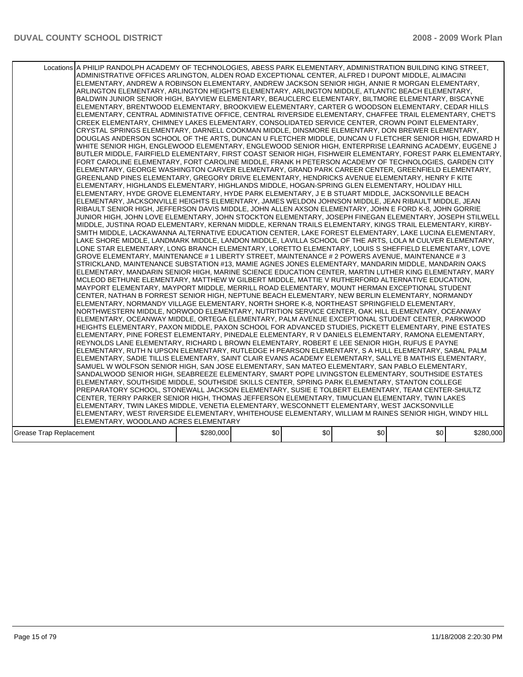|                         | Locations A PHILIP RANDOLPH ACADEMY OF TECHNOLOGIES, ABESS PARK ELEMENTARY, ADMINISTRATION BUILDING KING STREET,<br>ADMINISTRATIVE OFFICES ARLINGTON, ALDEN ROAD EXCEPTIONAL CENTER, ALFRED I DUPONT MIDDLE, ALIMACINI<br>ELEMENTARY, ANDREW A ROBINSON ELEMENTARY, ANDREW JACKSON SENIOR HIGH, ANNIE R MORGAN ELEMENTARY,<br>ARLINGTON ELEMENTARY, ARLINGTON HEIGHTS ELEMENTARY, ARLINGTON MIDDLE, ATLANTIC BEACH ELEMENTARY,<br>BALDWIN JUNIOR SENIOR HIGH, BAYVIEW ELEMENTARY, BEAUCLERC ELEMENTARY, BILTMORE ELEMENTARY, BISCAYNE<br>ELEMENTARY, BRENTWOOD ELEMENTARY, BROOKVIEW ELEMENTARY, CARTER G WOODSON ELEMENTARY, CEDAR HILLS<br>IELEMENTARY, CENTRAL ADMINISTATIVE OFFICE, CENTRAL RIVERSIDE ELEMENTARY, CHAFFEE TRAIL ELEMENTARY, CHET'S<br>CREEK ELEMENTARY, CHIMNEY LAKES ELEMENTARY, CONSOLIDATED SERVICE CENTER, CROWN POINT ELEMENTARY,<br>CRYSTAL SPRINGS ELEMENTARY, DARNELL COOKMAN MIDDLE, DINSMORE ELEMENTARY, DON BREWER ELEMENTARY,<br>DOUGLAS ANDERSON SCHOOL OF THE ARTS, DUNCAN U FLETCHER MIDDLE, DUNCAN U FLETCHER SENIOR HIGH, EDWARD H<br>WHITE SENIOR HIGH, ENGLEWOOD ELEMENTARY, ENGLEWOOD SENIOR HIGH, ENTERPRISE LEARNING ACADEMY, EUGENE J<br>IBUTLER MIDDLE. FAIRFIELD ELEMENTARY. FIRST COAST SENIOR HIGH. FISHWEIR ELEMENTARY. FOREST PARK ELEMENTARY. .<br>FORT CAROLINE ELEMENTARY, FORT CAROLINE MIDDLE, FRANK H PETERSON ACADEMY OF TECHNOLOGIES, GARDEN CITY<br>ELEMENTARY, GEORGE WASHINGTON CARVER ELEMENTARY, GRAND PARK CAREER CENTER, GREENFIELD ELEMENTARY,<br>GREENLAND PINES ELEMENTARY, GREGORY DRIVE ELEMENTARY, HENDRICKS AVENUE ELEMENTARY, HENRY F KITE<br>IELEMENTARY. HIGHLANDS ELEMENTARY. HIGHLANDS MIDDLE. HOGAN-SPRING GLEN ELEMENTARY. HOLIDAY HILL<br>ELEMENTARY, HYDE GROVE ELEMENTARY, HYDE PARK ELEMENTARY, J E B STUART MIDDLE, JACKSONVILLE BEACH<br>ELEMENTARY, JACKSONVILLE HEIGHTS ELEMENTARY, JAMES WELDON JOHNSON MIDDLE, JEAN RIBAULT MIDDLE, JEAN<br>RIBAULT SENIOR HIGH, JEFFERSON DAVIS MIDDLE, JOHN ALLEN AXSON ELEMENTARY, JOHN E FORD K-8, JOHN GORRIE<br>JUNIOR HIGH, JOHN LOVE ELEMENTARY, JOHN STOCKTON ELEMENTARY, JOSEPH FINEGAN ELEMENTARY, JOSEPH STILWELL<br>MIDDLE, JUSTINA ROAD ELEMENTARY, KERNAN MIDDLE, KERNAN TRAILS ELEMENTARY, KINGS TRAIL ELEMENTARY, KIRBY-<br>SMITH MIDDLE, LACKAWANNA ALTERNATIVE EDUCATION CENTER, LAKE FOREST ELEMENTARY, LAKE LUCINA ELEMENTARY,<br>LAKE SHORE MIDDLE, LANDMARK MIDDLE, LANDON MIDDLE, LAVILLA SCHOOL OF THE ARTS, LOLA M CULVER ELEMENTARY,<br>LONE STAR ELEMENTARY, LONG BRANCH ELEMENTARY, LORETTO ELEMENTARY, LOUIS S SHEFFIELD ELEMENTARY, LOVE<br>GROVE ELEMENTARY, MAINTENANCE # 1 LIBERTY STREET, MAINTENANCE # 2 POWERS AVENUE, MAINTENANCE # 3<br>STRICKLAND, MAINTENANCE SUBSTATION #13, MAMIE AGNES JONES ELEMENTARY, MANDARIN MIDDLE, MANDARIN OAKS<br>IELEMENTARY, MANDARIN SENIOR HIGH, MARINE SCIENCE EDUCATION CENTER, MARTIN LUTHER KING ELEMENTARY, MARY<br>MCLEOD BETHUNE ELEMENTARY, MATTHEW W GILBERT MIDDLE, MATTIE V RUTHERFORD ALTERNATIVE EDUCATION,<br>MAYPORT ELEMENTARY, MAYPORT MIDDLE, MERRILL ROAD ELEMENTARY, MOUNT HERMAN EXCEPTIONAL STUDENT<br>CENTER, NATHAN B FORREST SENIOR HIGH, NEPTUNE BEACH ELEMENTARY, NEW BERLIN ELEMENTARY, NORMANDY<br>ELEMENTARY, NORMANDY VILLAGE ELEMENTARY, NORTH SHORE K-8, NORTHEAST SPRINGFIELD ELEMENTARY,<br>NORTHWESTERN MIDDLE, NORWOOD ELEMENTARY, NUTRITION SERVICE CENTER, OAK HILL ELEMENTARY, OCEANWAY<br>ELEMENTARY, OCEANWAY MIDDLE, ORTEGA ELEMENTARY, PALM AVENUE EXCEPTIONAL STUDENT CENTER, PARKWOOD<br>HEIGHTS ELEMENTARY, PAXON MIDDLE, PAXON SCHOOL FOR ADVANCED STUDIES, PICKETT ELEMENTARY, PINE ESTATES<br>ELEMENTARY, PINE FOREST ELEMENTARY, PINEDALE ELEMENTARY, R V DANIELS ELEMENTARY, RAMONA ELEMENTARY,<br>REYNOLDS LANE ELEMENTARY, RICHARD L BROWN ELEMENTARY, ROBERT E LEE SENIOR HIGH, RUFUS E PAYNE<br>ELEMENTARY, RUTH N UPSON ELEMENTARY, RUTLEDGE H PEARSON ELEMENTARY, S A HULL ELEMENTARY, SABAL PALM<br>ELEMENTARY, SADIE TILLIS ELEMENTARY, SAINT CLAIR EVANS ACADEMY ELEMENTARY, SALLYE B MATHIS ELEMENTARY,<br>SAMUEL W WOLFSON SENIOR HIGH, SAN JOSE ELEMENTARY, SAN MATEO ELEMENTARY, SAN PABLO ELEMENTARY,<br>SANDALWOOD SENIOR HIGH, SEABREEZE ELEMENTARY, SMART POPE LIVINGSTON ELEMENTARY, SOUTHSIDE ESTATES<br>ELEMENTARY, SOUTHSIDE MIDDLE, SOUTHSIDE SKILLS CENTER, SPRING PARK ELEMENTARY, STANTON COLLEGE<br>PREPARATORY SCHOOL, STONEWALL JACKSON ELEMENTARY, SUSIE E TOLBERT ELEMENTARY, TEAM CENTER-SHULTZ<br>ICENTER, TERRY PARKER SENIOR HIGH, THOMAS JEFFERSON ELEMENTARY, TIMUCUAN ELEMENTARY, TWIN LAKES<br>ELEMENTARY, TWIN LAKES MIDDLE, VENETIA ELEMENTARY, WESCONNETT ELEMENTARY, WEST JACKSONVILLE<br>ELEMENTARY, WEST RIVERSIDE ELEMENTARY, WHITEHOUSE ELEMENTARY, WILLIAM M RAINES SENIOR HIGH, WINDY HILL<br>ELEMENTARY, WOODLAND ACRES ELEMENTARY |           |     |     |     |     |           |
|-------------------------|------------------------------------------------------------------------------------------------------------------------------------------------------------------------------------------------------------------------------------------------------------------------------------------------------------------------------------------------------------------------------------------------------------------------------------------------------------------------------------------------------------------------------------------------------------------------------------------------------------------------------------------------------------------------------------------------------------------------------------------------------------------------------------------------------------------------------------------------------------------------------------------------------------------------------------------------------------------------------------------------------------------------------------------------------------------------------------------------------------------------------------------------------------------------------------------------------------------------------------------------------------------------------------------------------------------------------------------------------------------------------------------------------------------------------------------------------------------------------------------------------------------------------------------------------------------------------------------------------------------------------------------------------------------------------------------------------------------------------------------------------------------------------------------------------------------------------------------------------------------------------------------------------------------------------------------------------------------------------------------------------------------------------------------------------------------------------------------------------------------------------------------------------------------------------------------------------------------------------------------------------------------------------------------------------------------------------------------------------------------------------------------------------------------------------------------------------------------------------------------------------------------------------------------------------------------------------------------------------------------------------------------------------------------------------------------------------------------------------------------------------------------------------------------------------------------------------------------------------------------------------------------------------------------------------------------------------------------------------------------------------------------------------------------------------------------------------------------------------------------------------------------------------------------------------------------------------------------------------------------------------------------------------------------------------------------------------------------------------------------------------------------------------------------------------------------------------------------------------------------------------------------------------------------------------------------------------------------------------------------------------------------------------------------------------------------------------------------------------------------------------------------------------------------------------------------------------------------------------------------------------------------------------------------------------------------------------------------------------------------------------------------------------------------------------------------------------------------------------------------------------------------------------------------------------------------------------------------------------------------------------------------------------------------------------------------------------------------------------------------------------------------------------------------------------------------------------------------------------------------------------------------------------------------------------------------------------------------------------------------------------------------------------------------------------------------------------------------------------------------------------------------------------------------------------------------------------------------|-----------|-----|-----|-----|-----|-----------|
| Grease Trap Replacement |                                                                                                                                                                                                                                                                                                                                                                                                                                                                                                                                                                                                                                                                                                                                                                                                                                                                                                                                                                                                                                                                                                                                                                                                                                                                                                                                                                                                                                                                                                                                                                                                                                                                                                                                                                                                                                                                                                                                                                                                                                                                                                                                                                                                                                                                                                                                                                                                                                                                                                                                                                                                                                                                                                                                                                                                                                                                                                                                                                                                                                                                                                                                                                                                                                                                                                                                                                                                                                                                                                                                                                                                                                                                                                                                                                                                                                                                                                                                                                                                                                                                                                                                                                                                                                                                                                                                                                                                                                                                                                                                                                                                                                                                                                                                                                                                                                          | \$280,000 | \$0 | \$0 | \$0 | \$0 | \$280,000 |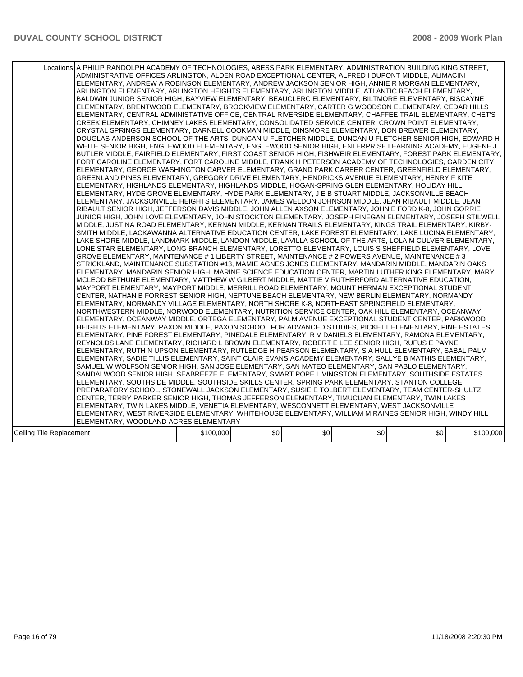|                          | Locations A PHILIP RANDOLPH ACADEMY OF TECHNOLOGIES, ABESS PARK ELEMENTARY, ADMINISTRATION BUILDING KING STREET,<br>ADMINISTRATIVE OFFICES ARLINGTON, ALDEN ROAD EXCEPTIONAL CENTER, ALFRED I DUPONT MIDDLE, ALIMACINI                                                                                                                                                                                                                                                                                                                                                                                                                                                                                                                                                                                                                                                                                                                                                                                                                                                                                                                                                                                                                                                                                                                                                                                                                                                                                                                                                                                                                                                                                                                                                                                                                                                                                                                                                                                                                                                                                                                                                                                                                                                                                                                                                                                                                                                                                                                                                                                                                                                                                                                                                                                                                                                                                                                                                                                                                                                                                                                                                                                                                                                                                                                                                                                                                                                                                                                                                                                                                                                                                                                                                                                                                                                                                                                                                                                                                                                                                                                                                                                                                                                                                                                                                                                                                                                                                                                                                                                   |           |     |     |     |     |           |
|--------------------------|----------------------------------------------------------------------------------------------------------------------------------------------------------------------------------------------------------------------------------------------------------------------------------------------------------------------------------------------------------------------------------------------------------------------------------------------------------------------------------------------------------------------------------------------------------------------------------------------------------------------------------------------------------------------------------------------------------------------------------------------------------------------------------------------------------------------------------------------------------------------------------------------------------------------------------------------------------------------------------------------------------------------------------------------------------------------------------------------------------------------------------------------------------------------------------------------------------------------------------------------------------------------------------------------------------------------------------------------------------------------------------------------------------------------------------------------------------------------------------------------------------------------------------------------------------------------------------------------------------------------------------------------------------------------------------------------------------------------------------------------------------------------------------------------------------------------------------------------------------------------------------------------------------------------------------------------------------------------------------------------------------------------------------------------------------------------------------------------------------------------------------------------------------------------------------------------------------------------------------------------------------------------------------------------------------------------------------------------------------------------------------------------------------------------------------------------------------------------------------------------------------------------------------------------------------------------------------------------------------------------------------------------------------------------------------------------------------------------------------------------------------------------------------------------------------------------------------------------------------------------------------------------------------------------------------------------------------------------------------------------------------------------------------------------------------------------------------------------------------------------------------------------------------------------------------------------------------------------------------------------------------------------------------------------------------------------------------------------------------------------------------------------------------------------------------------------------------------------------------------------------------------------------------------------------------------------------------------------------------------------------------------------------------------------------------------------------------------------------------------------------------------------------------------------------------------------------------------------------------------------------------------------------------------------------------------------------------------------------------------------------------------------------------------------------------------------------------------------------------------------------------------------------------------------------------------------------------------------------------------------------------------------------------------------------------------------------------------------------------------------------------------------------------------------------------------------------------------------------------------------------------------------------------------------------------------------------------------------------------|-----------|-----|-----|-----|-----|-----------|
|                          | ELEMENTARY, ANDREW A ROBINSON ELEMENTARY, ANDREW JACKSON SENIOR HIGH, ANNIE R MORGAN ELEMENTARY,<br>ARLINGTON ELEMENTARY, ARLINGTON HEIGHTS ELEMENTARY, ARLINGTON MIDDLE, ATLANTIC BEACH ELEMENTARY,<br>BALDWIN JUNIOR SENIOR HIGH, BAYVIEW ELEMENTARY, BEAUCLERC ELEMENTARY, BILTMORE ELEMENTARY, BISCAYNE<br>ELEMENTARY, BRENTWOOD ELEMENTARY, BROOKVIEW ELEMENTARY, CARTER G WOODSON ELEMENTARY, CEDAR HILLS<br>ELEMENTARY, CENTRAL ADMINISTATIVE OFFICE, CENTRAL RIVERSIDE ELEMENTARY, CHAFFEE TRAIL ELEMENTARY, CHET'S<br>CREEK ELEMENTARY, CHIMNEY LAKES ELEMENTARY, CONSOLIDATED SERVICE CENTER, CROWN POINT ELEMENTARY,<br>CRYSTAL SPRINGS ELEMENTARY, DARNELL COOKMAN MIDDLE, DINSMORE ELEMENTARY, DON BREWER ELEMENTARY,<br>DOUGLAS ANDERSON SCHOOL OF THE ARTS, DUNCAN U FLETCHER MIDDLE, DUNCAN U FLETCHER SENIOR HIGH, EDWARD H<br>WHITE SENIOR HIGH, ENGLEWOOD ELEMENTARY, ENGLEWOOD SENIOR HIGH, ENTERPRISE LEARNING ACADEMY, EUGENE J<br>BUTLER MIDDLE, FAIRFIELD ELEMENTARY, FIRST COAST SENIOR HIGH, FISHWEIR ELEMENTARY, FOREST PARK ELEMENTARY,<br>FORT CAROLINE ELEMENTARY, FORT CAROLINE MIDDLE, FRANK H PETERSON ACADEMY OF TECHNOLOGIES, GARDEN CITY<br>ELEMENTARY, GEORGE WASHINGTON CARVER ELEMENTARY, GRAND PARK CAREER CENTER, GREENFIELD ELEMENTARY,<br>GREENLAND PINES ELEMENTARY, GREGORY DRIVE ELEMENTARY, HENDRICKS AVENUE ELEMENTARY, HENRY F KITE<br>ELEMENTARY, HIGHLANDS ELEMENTARY, HIGHLANDS MIDDLE, HOGAN-SPRING GLEN ELEMENTARY, HOLIDAY HILL<br>ELEMENTARY, HYDE GROVE ELEMENTARY, HYDE PARK ELEMENTARY, J E B STUART MIDDLE, JACKSONVILLE BEACH<br>ELEMENTARY, JACKSONVILLE HEIGHTS ELEMENTARY, JAMES WELDON JOHNSON MIDDLE, JEAN RIBAULT MIDDLE, JEAN<br>RIBAULT SENIOR HIGH, JEFFERSON DAVIS MIDDLE, JOHN ALLEN AXSON ELEMENTARY, JOHN E FORD K-8, JOHN GORRIE<br>JUNIOR HIGH, JOHN LOVE ELEMENTARY, JOHN STOCKTON ELEMENTARY, JOSEPH FINEGAN ELEMENTARY, JOSEPH STILWELL<br>MIDDLE, JUSTINA ROAD ELEMENTARY, KERNAN MIDDLE, KERNAN TRAILS ELEMENTARY, KINGS TRAIL ELEMENTARY, KIRBY-<br>SMITH MIDDLE, LACKAWANNA ALTERNATIVE EDUCATION CENTER, LAKE FOREST ELEMENTARY, LAKE LUCINA ELEMENTARY,<br>LAKE SHORE MIDDLE, LANDMARK MIDDLE, LANDON MIDDLE, LAVILLA SCHOOL OF THE ARTS, LOLA M CULVER ELEMENTARY,<br>LONE STAR ELEMENTARY, LONG BRANCH ELEMENTARY, LORETTO ELEMENTARY, LOUIS S SHEFFIELD ELEMENTARY, LOVE<br>GROVE ELEMENTARY, MAINTENANCE # 1 LIBERTY STREET, MAINTENANCE # 2 POWERS AVENUE, MAINTENANCE # 3<br>STRICKLAND, MAINTENANCE SUBSTATION #13, MAMIE AGNES JONES ELEMENTARY, MANDARIN MIDDLE, MANDARIN OAKS<br>IELEMENTARY, MANDARIN SENIOR HIGH, MARINE SCIENCE EDUCATION CENTER, MARTIN LUTHER KING ELEMENTARY, MARY<br>MCLEOD BETHUNE ELEMENTARY, MATTHEW W GILBERT MIDDLE, MATTIE V RUTHERFORD ALTERNATIVE EDUCATION,<br>MAYPORT ELEMENTARY, MAYPORT MIDDLE, MERRILL ROAD ELEMENTARY, MOUNT HERMAN EXCEPTIONAL STUDENT<br>CENTER, NATHAN B FORREST SENIOR HIGH, NEPTUNE BEACH ELEMENTARY, NEW BERLIN ELEMENTARY, NORMANDY<br>ELEMENTARY, NORMANDY VILLAGE ELEMENTARY, NORTH SHORE K-8, NORTHEAST SPRINGFIELD ELEMENTARY,<br>NORTHWESTERN MIDDLE, NORWOOD ELEMENTARY, NUTRITION SERVICE CENTER, OAK HILL ELEMENTARY, OCEANWAY<br>ELEMENTARY, OCEANWAY MIDDLE, ORTEGA ELEMENTARY, PALM AVENUE EXCEPTIONAL STUDENT CENTER, PARKWOOD<br>HEIGHTS ELEMENTARY, PAXON MIDDLE, PAXON SCHOOL FOR ADVANCED STUDIES, PICKETT ELEMENTARY, PINE ESTATES<br>ELEMENTARY, PINE FOREST ELEMENTARY, PINEDALE ELEMENTARY, R V DANIELS ELEMENTARY, RAMONA ELEMENTARY,<br>REYNOLDS LANE ELEMENTARY, RICHARD L BROWN ELEMENTARY, ROBERT E LEE SENIOR HIGH, RUFUS E PAYNE<br>ELEMENTARY, RUTH N UPSON ELEMENTARY, RUTLEDGE H PEARSON ELEMENTARY, S A HULL ELEMENTARY, SABAL PALM<br>ELEMENTARY, SADIE TILLIS ELEMENTARY, SAINT CLAIR EVANS ACADEMY ELEMENTARY, SALLYE B MATHIS ELEMENTARY,<br>SAMUEL W WOLFSON SENIOR HIGH, SAN JOSE ELEMENTARY, SAN MATEO ELEMENTARY, SAN PABLO ELEMENTARY,<br>SANDALWOOD SENIOR HIGH, SEABREEZE ELEMENTARY, SMART POPE LIVINGSTON ELEMENTARY, SOUTHSIDE ESTATES<br>ELEMENTARY, SOUTHSIDE MIDDLE, SOUTHSIDE SKILLS CENTER, SPRING PARK ELEMENTARY, STANTON COLLEGE<br>PREPARATORY SCHOOL, STONEWALL JACKSON ELEMENTARY, SUSIE E TOLBERT ELEMENTARY, TEAM CENTER-SHULTZ<br>CENTER, TERRY PARKER SENIOR HIGH, THOMAS JEFFERSON ELEMENTARY, TIMUCUAN ELEMENTARY, TWIN LAKES<br>ELEMENTARY, TWIN LAKES MIDDLE, VENETIA ELEMENTARY, WESCONNETT ELEMENTARY, WEST JACKSONVILLE<br>ELEMENTARY, WEST RIVERSIDE ELEMENTARY, WHITEHOUSE ELEMENTARY, WILLIAM M RAINES SENIOR HIGH, WINDY HILL<br>ELEMENTARY, WOODLAND ACRES ELEMENTARY |           |     |     |     |     |           |
| Ceiling Tile Replacement |                                                                                                                                                                                                                                                                                                                                                                                                                                                                                                                                                                                                                                                                                                                                                                                                                                                                                                                                                                                                                                                                                                                                                                                                                                                                                                                                                                                                                                                                                                                                                                                                                                                                                                                                                                                                                                                                                                                                                                                                                                                                                                                                                                                                                                                                                                                                                                                                                                                                                                                                                                                                                                                                                                                                                                                                                                                                                                                                                                                                                                                                                                                                                                                                                                                                                                                                                                                                                                                                                                                                                                                                                                                                                                                                                                                                                                                                                                                                                                                                                                                                                                                                                                                                                                                                                                                                                                                                                                                                                                                                                                                                          | \$100,000 | \$0 | \$0 | \$0 | \$0 | \$100,000 |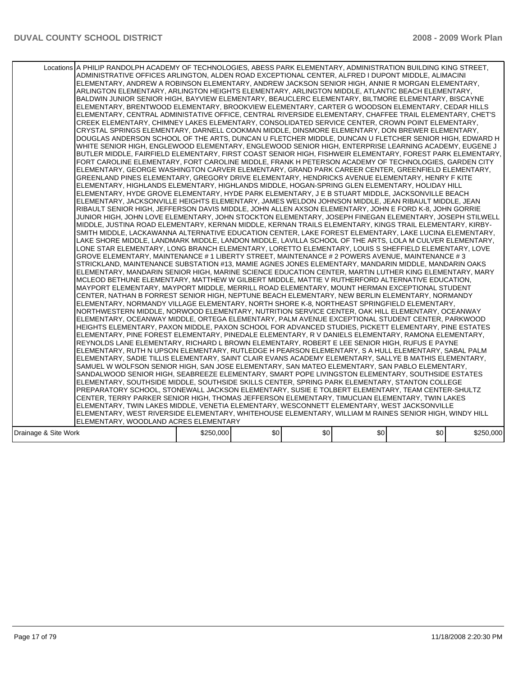|                      | Locations A PHILIP RANDOLPH ACADEMY OF TECHNOLOGIES, ABESS PARK ELEMENTARY, ADMINISTRATION BUILDING KING STREET,<br>ADMINISTRATIVE OFFICES ARLINGTON, ALDEN ROAD EXCEPTIONAL CENTER, ALFRED I DUPONT MIDDLE, ALIMACINI<br>ELEMENTARY, ANDREW A ROBINSON ELEMENTARY, ANDREW JACKSON SENIOR HIGH, ANNIE R MORGAN ELEMENTARY,<br>ARLINGTON ELEMENTARY, ARLINGTON HEIGHTS ELEMENTARY, ARLINGTON MIDDLE, ATLANTIC BEACH ELEMENTARY,<br>BALDWIN JUNIOR SENIOR HIGH, BAYVIEW ELEMENTARY, BEAUCLERC ELEMENTARY, BILTMORE ELEMENTARY, BISCAYNE<br>ELEMENTARY, BRENTWOOD ELEMENTARY, BROOKVIEW ELEMENTARY, CARTER G WOODSON ELEMENTARY, CEDAR HILLS<br>ELEMENTARY, CENTRAL ADMINISTATIVE OFFICE, CENTRAL RIVERSIDE ELEMENTARY, CHAFFEE TRAIL ELEMENTARY, CHET'S<br>CREEK ELEMENTARY, CHIMNEY LAKES ELEMENTARY, CONSOLIDATED SERVICE CENTER, CROWN POINT ELEMENTARY,<br>CRYSTAL SPRINGS ELEMENTARY, DARNELL COOKMAN MIDDLE, DINSMORE ELEMENTARY, DON BREWER ELEMENTARY,<br>DOUGLAS ANDERSON SCHOOL OF THE ARTS, DUNCAN U FLETCHER MIDDLE, DUNCAN U FLETCHER SENIOR HIGH, EDWARD H<br>WHITE SENIOR HIGH, ENGLEWOOD ELEMENTARY, ENGLEWOOD SENIOR HIGH, ENTERPRISE LEARNING ACADEMY, EUGENE J<br>BUTLER MIDDLE, FAIRFIELD ELEMENTARY, FIRST COAST SENIOR HIGH, FISHWEIR ELEMENTARY, FOREST PARK ELEMENTARY,<br>FORT CAROLINE ELEMENTARY, FORT CAROLINE MIDDLE, FRANK H PETERSON ACADEMY OF TECHNOLOGIES, GARDEN CITY<br>ELEMENTARY, GEORGE WASHINGTON CARVER ELEMENTARY, GRAND PARK CAREER CENTER, GREENFIELD ELEMENTARY,<br>GREENLAND PINES ELEMENTARY, GREGORY DRIVE ELEMENTARY, HENDRICKS AVENUE ELEMENTARY, HENRY F KITE<br>IELEMENTARY. HIGHLANDS ELEMENTARY. HIGHLANDS MIDDLE. HOGAN-SPRING GLEN ELEMENTARY. HOLIDAY HILL<br>ELEMENTARY, HYDE GROVE ELEMENTARY, HYDE PARK ELEMENTARY, J E B STUART MIDDLE, JACKSONVILLE BEACH<br>ELEMENTARY, JACKSONVILLE HEIGHTS ELEMENTARY, JAMES WELDON JOHNSON MIDDLE, JEAN RIBAULT MIDDLE, JEAN<br>RIBAULT SENIOR HIGH, JEFFERSON DAVIS MIDDLE, JOHN ALLEN AXSON ELEMENTARY, JOHN E FORD K-8, JOHN GORRIE<br>JUNIOR HIGH, JOHN LOVE ELEMENTARY, JOHN STOCKTON ELEMENTARY, JOSEPH FINEGAN ELEMENTARY, JOSEPH STILWELL<br>MIDDLE, JUSTINA ROAD ELEMENTARY, KERNAN MIDDLE, KERNAN TRAILS ELEMENTARY, KINGS TRAIL ELEMENTARY, KIRBY-<br>SMITH MIDDLE, LACKAWANNA ALTERNATIVE EDUCATION CENTER, LAKE FOREST ELEMENTARY, LAKE LUCINA ELEMENTARY.<br>LAKE SHORE MIDDLE, LANDMARK MIDDLE, LANDON MIDDLE, LAVILLA SCHOOL OF THE ARTS, LOLA M CULVER ELEMENTARY,<br>LONE STAR ELEMENTARY, LONG BRANCH ELEMENTARY, LORETTO ELEMENTARY, LOUIS S SHEFFIELD ELEMENTARY, LOVE<br>GROVE ELEMENTARY, MAINTENANCE # 1 LIBERTY STREET, MAINTENANCE # 2 POWERS AVENUE, MAINTENANCE # 3<br>STRICKLAND, MAINTENANCE SUBSTATION #13, MAMIE AGNES JONES ELEMENTARY, MANDARIN MIDDLE, MANDARIN OAKS<br>IELEMENTARY. MANDARIN SENIOR HIGH. MARINE SCIENCE EDUCATION CENTER. MARTIN LUTHER KING ELEMENTARY. MARY<br>MCLEOD BETHUNE ELEMENTARY, MATTHEW W GILBERT MIDDLE, MATTIE V RUTHERFORD ALTERNATIVE EDUCATION,<br>MAYPORT ELEMENTARY, MAYPORT MIDDLE, MERRILL ROAD ELEMENTARY, MOUNT HERMAN EXCEPTIONAL STUDENT<br>CENTER, NATHAN B FORREST SENIOR HIGH, NEPTUNE BEACH ELEMENTARY, NEW BERLIN ELEMENTARY, NORMANDY<br>ELEMENTARY, NORMANDY VILLAGE ELEMENTARY, NORTH SHORE K-8, NORTHEAST SPRINGFIELD ELEMENTARY,<br>NORTHWESTERN MIDDLE, NORWOOD ELEMENTARY, NUTRITION SERVICE CENTER, OAK HILL ELEMENTARY, OCEANWAY<br>ELEMENTARY. OCEANWAY MIDDLE. ORTEGA ELEMENTARY. PALM AVENUE EXCEPTIONAL STUDENT CENTER. PARKWOOD<br>HEIGHTS ELEMENTARY, PAXON MIDDLE, PAXON SCHOOL FOR ADVANCED STUDIES, PICKETT ELEMENTARY, PINE ESTATES<br>ELEMENTARY, PINE FOREST ELEMENTARY, PINEDALE ELEMENTARY, R V DANIELS ELEMENTARY, RAMONA ELEMENTARY,<br>REYNOLDS LANE ELEMENTARY, RICHARD L BROWN ELEMENTARY, ROBERT E LEE SENIOR HIGH, RUFUS E PAYNE<br>ELEMENTARY, RUTH N UPSON ELEMENTARY, RUTLEDGE H PEARSON ELEMENTARY, S A HULL ELEMENTARY, SABAL PALM <br>ELEMENTARY, SADIE TILLIS ELEMENTARY, SAINT CLAIR EVANS ACADEMY ELEMENTARY, SALLYE B MATHIS ELEMENTARY,<br>SAMUEL W WOLFSON SENIOR HIGH, SAN JOSE ELEMENTARY, SAN MATEO ELEMENTARY, SAN PABLO ELEMENTARY,<br>SANDALWOOD SENIOR HIGH, SEABREEZE ELEMENTARY, SMART POPE LIVINGSTON ELEMENTARY, SOUTHSIDE ESTATES<br>ELEMENTARY, SOUTHSIDE MIDDLE, SOUTHSIDE SKILLS CENTER, SPRING PARK ELEMENTARY, STANTON COLLEGE<br>PREPARATORY SCHOOL, STONEWALL JACKSON ELEMENTARY, SUSIE E TOLBERT ELEMENTARY, TEAM CENTER-SHULTZ<br>ICENTER, TERRY PARKER SENIOR HIGH, THOMAS JEFFERSON ELEMENTARY, TIMUCUAN ELEMENTARY, TWIN LAKES<br>ELEMENTARY, TWIN LAKES MIDDLE, VENETIA ELEMENTARY, WESCONNETT ELEMENTARY, WEST JACKSONVILLE<br>ELEMENTARY, WEST RIVERSIDE ELEMENTARY, WHITEHOUSE ELEMENTARY, WILLIAM M RAINES SENIOR HIGH, WINDY HILL<br>ELEMENTARY, WOODLAND ACRES ELEMENTARY |           |     |     |     |     |           |
|----------------------|---------------------------------------------------------------------------------------------------------------------------------------------------------------------------------------------------------------------------------------------------------------------------------------------------------------------------------------------------------------------------------------------------------------------------------------------------------------------------------------------------------------------------------------------------------------------------------------------------------------------------------------------------------------------------------------------------------------------------------------------------------------------------------------------------------------------------------------------------------------------------------------------------------------------------------------------------------------------------------------------------------------------------------------------------------------------------------------------------------------------------------------------------------------------------------------------------------------------------------------------------------------------------------------------------------------------------------------------------------------------------------------------------------------------------------------------------------------------------------------------------------------------------------------------------------------------------------------------------------------------------------------------------------------------------------------------------------------------------------------------------------------------------------------------------------------------------------------------------------------------------------------------------------------------------------------------------------------------------------------------------------------------------------------------------------------------------------------------------------------------------------------------------------------------------------------------------------------------------------------------------------------------------------------------------------------------------------------------------------------------------------------------------------------------------------------------------------------------------------------------------------------------------------------------------------------------------------------------------------------------------------------------------------------------------------------------------------------------------------------------------------------------------------------------------------------------------------------------------------------------------------------------------------------------------------------------------------------------------------------------------------------------------------------------------------------------------------------------------------------------------------------------------------------------------------------------------------------------------------------------------------------------------------------------------------------------------------------------------------------------------------------------------------------------------------------------------------------------------------------------------------------------------------------------------------------------------------------------------------------------------------------------------------------------------------------------------------------------------------------------------------------------------------------------------------------------------------------------------------------------------------------------------------------------------------------------------------------------------------------------------------------------------------------------------------------------------------------------------------------------------------------------------------------------------------------------------------------------------------------------------------------------------------------------------------------------------------------------------------------------------------------------------------------------------------------------------------------------------------------------------------------------------------------------------------------------------------------------------------------------------------------------------------------------------------------------------------------------------------------------------------------------------------------------------------------------------------------|-----------|-----|-----|-----|-----|-----------|
| Drainage & Site Work |                                                                                                                                                                                                                                                                                                                                                                                                                                                                                                                                                                                                                                                                                                                                                                                                                                                                                                                                                                                                                                                                                                                                                                                                                                                                                                                                                                                                                                                                                                                                                                                                                                                                                                                                                                                                                                                                                                                                                                                                                                                                                                                                                                                                                                                                                                                                                                                                                                                                                                                                                                                                                                                                                                                                                                                                                                                                                                                                                                                                                                                                                                                                                                                                                                                                                                                                                                                                                                                                                                                                                                                                                                                                                                                                                                                                                                                                                                                                                                                                                                                                                                                                                                                                                                                                                                                                                                                                                                                                                                                                                                                                                                                                                                                                                                                                                                       | \$250,000 | \$0 | \$0 | \$0 | \$0 | \$250,000 |
|                      |                                                                                                                                                                                                                                                                                                                                                                                                                                                                                                                                                                                                                                                                                                                                                                                                                                                                                                                                                                                                                                                                                                                                                                                                                                                                                                                                                                                                                                                                                                                                                                                                                                                                                                                                                                                                                                                                                                                                                                                                                                                                                                                                                                                                                                                                                                                                                                                                                                                                                                                                                                                                                                                                                                                                                                                                                                                                                                                                                                                                                                                                                                                                                                                                                                                                                                                                                                                                                                                                                                                                                                                                                                                                                                                                                                                                                                                                                                                                                                                                                                                                                                                                                                                                                                                                                                                                                                                                                                                                                                                                                                                                                                                                                                                                                                                                                                       |           |     |     |     |     |           |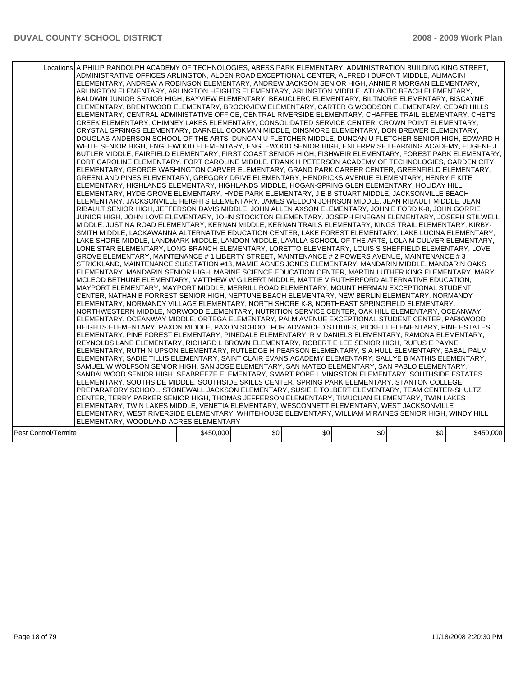|                      | Locations A PHILIP RANDOLPH ACADEMY OF TECHNOLOGIES, ABESS PARK ELEMENTARY, ADMINISTRATION BUILDING KING STREET,<br>ADMINISTRATIVE OFFICES ARLINGTON, ALDEN ROAD EXCEPTIONAL CENTER, ALFRED I DUPONT MIDDLE, ALIMACINI<br>ELEMENTARY, ANDREW A ROBINSON ELEMENTARY, ANDREW JACKSON SENIOR HIGH, ANNIE R MORGAN ELEMENTARY,<br>ARLINGTON ELEMENTARY, ARLINGTON HEIGHTS ELEMENTARY, ARLINGTON MIDDLE, ATLANTIC BEACH ELEMENTARY,<br>BALDWIN JUNIOR SENIOR HIGH, BAYVIEW ELEMENTARY, BEAUCLERC ELEMENTARY, BILTMORE ELEMENTARY, BISCAYNE<br>ELEMENTARY, BRENTWOOD ELEMENTARY, BROOKVIEW ELEMENTARY, CARTER G WOODSON ELEMENTARY, CEDAR HILLS<br>ELEMENTARY, CENTRAL ADMINISTATIVE OFFICE, CENTRAL RIVERSIDE ELEMENTARY, CHAFFEE TRAIL ELEMENTARY, CHET'S<br>CREEK ELEMENTARY, CHIMNEY LAKES ELEMENTARY, CONSOLIDATED SERVICE CENTER, CROWN POINT ELEMENTARY,<br>CRYSTAL SPRINGS ELEMENTARY, DARNELL COOKMAN MIDDLE, DINSMORE ELEMENTARY, DON BREWER ELEMENTARY,<br>DOUGLAS ANDERSON SCHOOL OF THE ARTS, DUNCAN U FLETCHER MIDDLE, DUNCAN U FLETCHER SENIOR HIGH, EDWARD H<br>WHITE SENIOR HIGH, ENGLEWOOD ELEMENTARY, ENGLEWOOD SENIOR HIGH, ENTERPRISE LEARNING ACADEMY, EUGENE J<br>BUTLER MIDDLE, FAIRFIELD ELEMENTARY, FIRST COAST SENIOR HIGH, FISHWEIR ELEMENTARY, FOREST PARK ELEMENTARY,<br>FORT CAROLINE ELEMENTARY, FORT CAROLINE MIDDLE, FRANK H PETERSON ACADEMY OF TECHNOLOGIES, GARDEN CITY<br>ELEMENTARY, GEORGE WASHINGTON CARVER ELEMENTARY, GRAND PARK CAREER CENTER, GREENFIELD ELEMENTARY,<br>GREENLAND PINES ELEMENTARY, GREGORY DRIVE ELEMENTARY, HENDRICKS AVENUE ELEMENTARY, HENRY F KITE<br>ELEMENTARY, HIGHLANDS ELEMENTARY, HIGHLANDS MIDDLE, HOGAN-SPRING GLEN ELEMENTARY, HOLIDAY HILL<br>ELEMENTARY, HYDE GROVE ELEMENTARY, HYDE PARK ELEMENTARY, J E B STUART MIDDLE, JACKSONVILLE BEACH<br>ELEMENTARY, JACKSONVILLE HEIGHTS ELEMENTARY, JAMES WELDON JOHNSON MIDDLE, JEAN RIBAULT MIDDLE, JEAN<br>RIBAULT SENIOR HIGH, JEFFERSON DAVIS MIDDLE, JOHN ALLEN AXSON ELEMENTARY, JOHN E FORD K-8, JOHN GORRIE<br>JUNIOR HIGH, JOHN LOVE ELEMENTARY, JOHN STOCKTON ELEMENTARY, JOSEPH FINEGAN ELEMENTARY, JOSEPH STILWELL<br>MIDDLE, JUSTINA ROAD ELEMENTARY, KERNAN MIDDLE, KERNAN TRAILS ELEMENTARY, KINGS TRAIL ELEMENTARY, KIRBY-<br>SMITH MIDDLE, LACKAWANNA ALTERNATIVE EDUCATION CENTER, LAKE FOREST ELEMENTARY, LAKE LUCINA ELEMENTARY,<br>LAKE SHORE MIDDLE, LANDMARK MIDDLE, LANDON MIDDLE, LAVILLA SCHOOL OF THE ARTS, LOLA M CULVER ELEMENTARY,<br>LONE STAR ELEMENTARY, LONG BRANCH ELEMENTARY, LORETTO ELEMENTARY, LOUIS S SHEFFIELD ELEMENTARY, LOVE<br>GROVE ELEMENTARY, MAINTENANCE # 1 LIBERTY STREET, MAINTENANCE # 2 POWERS AVENUE, MAINTENANCE # 3<br>STRICKLAND, MAINTENANCE SUBSTATION #13, MAMIE AGNES JONES ELEMENTARY, MANDARIN MIDDLE, MANDARIN OAKS<br>IELEMENTARY. MANDARIN SENIOR HIGH. MARINE SCIENCE EDUCATION CENTER. MARTIN LUTHER KING ELEMENTARY. MARY<br>MCLEOD BETHUNE ELEMENTARY, MATTHEW W GILBERT MIDDLE, MATTIE V RUTHERFORD ALTERNATIVE EDUCATION,<br>MAYPORT ELEMENTARY, MAYPORT MIDDLE, MERRILL ROAD ELEMENTARY, MOUNT HERMAN EXCEPTIONAL STUDENT<br>CENTER, NATHAN B FORREST SENIOR HIGH, NEPTUNE BEACH ELEMENTARY, NEW BERLIN ELEMENTARY, NORMANDY<br>ELEMENTARY, NORMANDY VILLAGE ELEMENTARY, NORTH SHORE K-8, NORTHEAST SPRINGFIELD ELEMENTARY,<br>NORTHWESTERN MIDDLE, NORWOOD ELEMENTARY, NUTRITION SERVICE CENTER, OAK HILL ELEMENTARY, OCEANWAY<br>ELEMENTARY, OCEANWAY MIDDLE, ORTEGA ELEMENTARY, PALM AVENUE EXCEPTIONAL STUDENT CENTER, PARKWOOD<br>HEIGHTS ELEMENTARY, PAXON MIDDLE, PAXON SCHOOL FOR ADVANCED STUDIES, PICKETT ELEMENTARY, PINE ESTATES<br>ELEMENTARY, PINE FOREST ELEMENTARY, PINEDALE ELEMENTARY, R V DANIELS ELEMENTARY, RAMONA ELEMENTARY,<br>REYNOLDS LANE ELEMENTARY, RICHARD L BROWN ELEMENTARY, ROBERT E LEE SENIOR HIGH, RUFUS E PAYNE<br>ELEMENTARY, RUTH N UPSON ELEMENTARY, RUTLEDGE H PEARSON ELEMENTARY, S A HULL ELEMENTARY, SABAL PALM<br>ELEMENTARY, SADIE TILLIS ELEMENTARY, SAINT CLAIR EVANS ACADEMY ELEMENTARY, SALLYE B MATHIS ELEMENTARY,<br>SAMUEL W WOLFSON SENIOR HIGH, SAN JOSE ELEMENTARY, SAN MATEO ELEMENTARY, SAN PABLO ELEMENTARY,<br>SANDALWOOD SENIOR HIGH, SEABREEZE ELEMENTARY, SMART POPE LIVINGSTON ELEMENTARY, SOUTHSIDE ESTATES<br>ELEMENTARY, SOUTHSIDE MIDDLE, SOUTHSIDE SKILLS CENTER, SPRING PARK ELEMENTARY, STANTON COLLEGE<br>PREPARATORY SCHOOL, STONEWALL JACKSON ELEMENTARY, SUSIE E TOLBERT ELEMENTARY, TEAM CENTER-SHULTZ<br>CENTER, TERRY PARKER SENIOR HIGH, THOMAS JEFFERSON ELEMENTARY, TIMUCUAN ELEMENTARY, TWIN LAKES<br>ELEMENTARY, TWIN LAKES MIDDLE, VENETIA ELEMENTARY, WESCONNETT ELEMENTARY, WEST JACKSONVILLE<br>ELEMENTARY, WEST RIVERSIDE ELEMENTARY, WHITEHOUSE ELEMENTARY, WILLIAM M RAINES SENIOR HIGH, WINDY HILL<br>ELEMENTARY, WOODLAND ACRES ELEMENTARY |           |     |     |     |     |           |
|----------------------|------------------------------------------------------------------------------------------------------------------------------------------------------------------------------------------------------------------------------------------------------------------------------------------------------------------------------------------------------------------------------------------------------------------------------------------------------------------------------------------------------------------------------------------------------------------------------------------------------------------------------------------------------------------------------------------------------------------------------------------------------------------------------------------------------------------------------------------------------------------------------------------------------------------------------------------------------------------------------------------------------------------------------------------------------------------------------------------------------------------------------------------------------------------------------------------------------------------------------------------------------------------------------------------------------------------------------------------------------------------------------------------------------------------------------------------------------------------------------------------------------------------------------------------------------------------------------------------------------------------------------------------------------------------------------------------------------------------------------------------------------------------------------------------------------------------------------------------------------------------------------------------------------------------------------------------------------------------------------------------------------------------------------------------------------------------------------------------------------------------------------------------------------------------------------------------------------------------------------------------------------------------------------------------------------------------------------------------------------------------------------------------------------------------------------------------------------------------------------------------------------------------------------------------------------------------------------------------------------------------------------------------------------------------------------------------------------------------------------------------------------------------------------------------------------------------------------------------------------------------------------------------------------------------------------------------------------------------------------------------------------------------------------------------------------------------------------------------------------------------------------------------------------------------------------------------------------------------------------------------------------------------------------------------------------------------------------------------------------------------------------------------------------------------------------------------------------------------------------------------------------------------------------------------------------------------------------------------------------------------------------------------------------------------------------------------------------------------------------------------------------------------------------------------------------------------------------------------------------------------------------------------------------------------------------------------------------------------------------------------------------------------------------------------------------------------------------------------------------------------------------------------------------------------------------------------------------------------------------------------------------------------------------------------------------------------------------------------------------------------------------------------------------------------------------------------------------------------------------------------------------------------------------------------------------------------------------------------------------------------------------------------------------------------------------------------------------------------------------------------------------------------------------------------------------------------------------------|-----------|-----|-----|-----|-----|-----------|
| Pest Control/Termite |                                                                                                                                                                                                                                                                                                                                                                                                                                                                                                                                                                                                                                                                                                                                                                                                                                                                                                                                                                                                                                                                                                                                                                                                                                                                                                                                                                                                                                                                                                                                                                                                                                                                                                                                                                                                                                                                                                                                                                                                                                                                                                                                                                                                                                                                                                                                                                                                                                                                                                                                                                                                                                                                                                                                                                                                                                                                                                                                                                                                                                                                                                                                                                                                                                                                                                                                                                                                                                                                                                                                                                                                                                                                                                                                                                                                                                                                                                                                                                                                                                                                                                                                                                                                                                                                                                                                                                                                                                                                                                                                                                                                                                                                                                                                                                                                                                    | \$450,000 | \$0 | \$0 | \$0 | \$0 | \$450,000 |
|                      |                                                                                                                                                                                                                                                                                                                                                                                                                                                                                                                                                                                                                                                                                                                                                                                                                                                                                                                                                                                                                                                                                                                                                                                                                                                                                                                                                                                                                                                                                                                                                                                                                                                                                                                                                                                                                                                                                                                                                                                                                                                                                                                                                                                                                                                                                                                                                                                                                                                                                                                                                                                                                                                                                                                                                                                                                                                                                                                                                                                                                                                                                                                                                                                                                                                                                                                                                                                                                                                                                                                                                                                                                                                                                                                                                                                                                                                                                                                                                                                                                                                                                                                                                                                                                                                                                                                                                                                                                                                                                                                                                                                                                                                                                                                                                                                                                                    |           |     |     |     |     |           |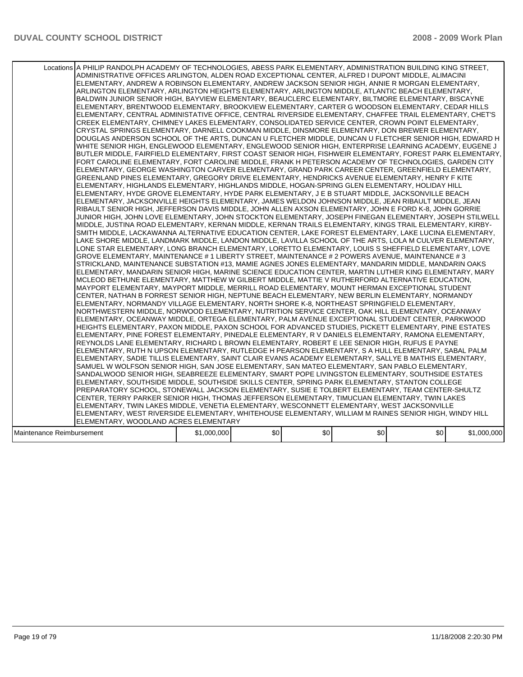| Locations A PHILIP RANDOLPH ACADEMY OF TECHNOLOGIES, ABESS PARK ELEMENTARY, ADMINISTRATION BUILDING KING STREET,<br>ADMINISTRATIVE OFFICES ARLINGTON, ALDEN ROAD EXCEPTIONAL CENTER, ALFRED I DUPONT MIDDLE, ALIMACINI<br>ELEMENTARY, ANDREW A ROBINSON ELEMENTARY, ANDREW JACKSON SENIOR HIGH, ANNIE R MORGAN ELEMENTARY,<br>ARLINGTON ELEMENTARY, ARLINGTON HEIGHTS ELEMENTARY, ARLINGTON MIDDLE, ATLANTIC BEACH ELEMENTARY,<br>BALDWIN JUNIOR SENIOR HIGH, BAYVIEW ELEMENTARY, BEAUCLERC ELEMENTARY, BILTMORE ELEMENTARY, BISCAYNE<br>ELEMENTARY, BRENTWOOD ELEMENTARY, BROOKVIEW ELEMENTARY, CARTER G WOODSON ELEMENTARY, CEDAR HILLS<br>IELEMENTARY, CENTRAL ADMINISTATIVE OFFICE, CENTRAL RIVERSIDE ELEMENTARY, CHAFFEE TRAIL ELEMENTARY, CHET'S<br>CREEK ELEMENTARY, CHIMNEY LAKES ELEMENTARY, CONSOLIDATED SERVICE CENTER, CROWN POINT ELEMENTARY,<br>CRYSTAL SPRINGS ELEMENTARY, DARNELL COOKMAN MIDDLE, DINSMORE ELEMENTARY, DON BREWER ELEMENTARY,<br>DOUGLAS ANDERSON SCHOOL OF THE ARTS, DUNCAN U FLETCHER MIDDLE, DUNCAN U FLETCHER SENIOR HIGH, EDWARD H<br>WHITE SENIOR HIGH, ENGLEWOOD ELEMENTARY, ENGLEWOOD SENIOR HIGH, ENTERPRISE LEARNING ACADEMY, EUGENE J<br>BUTLER MIDDLE, FAIRFIELD ELEMENTARY, FIRST COAST SENIOR HIGH, FISHWEIR ELEMENTARY, FOREST PARK ELEMENTARY,<br>FORT CAROLINE ELEMENTARY, FORT CAROLINE MIDDLE, FRANK H PETERSON ACADEMY OF TECHNOLOGIES, GARDEN CITY<br>ELEMENTARY, GEORGE WASHINGTON CARVER ELEMENTARY, GRAND PARK CAREER CENTER, GREENFIELD ELEMENTARY,<br>GREENLAND PINES ELEMENTARY, GREGORY DRIVE ELEMENTARY, HENDRICKS AVENUE ELEMENTARY, HENRY F KITE<br>ELEMENTARY, HIGHLANDS ELEMENTARY, HIGHLANDS MIDDLE, HOGAN-SPRING GLEN ELEMENTARY, HOLIDAY HILL<br>ELEMENTARY, HYDE GROVE ELEMENTARY, HYDE PARK ELEMENTARY, J E B STUART MIDDLE, JACKSONVILLE BEACH<br>ELEMENTARY, JACKSONVILLE HEIGHTS ELEMENTARY, JAMES WELDON JOHNSON MIDDLE, JEAN RIBAULT MIDDLE, JEAN<br>RIBAULT SENIOR HIGH, JEFFERSON DAVIS MIDDLE, JOHN ALLEN AXSON ELEMENTARY, JOHN E FORD K-8, JOHN GORRIE<br>JUNIOR HIGH, JOHN LOVE ELEMENTARY, JOHN STOCKTON ELEMENTARY, JOSEPH FINEGAN ELEMENTARY, JOSEPH STILWELL<br>MIDDLE, JUSTINA ROAD ELEMENTARY, KERNAN MIDDLE, KERNAN TRAILS ELEMENTARY, KINGS TRAIL ELEMENTARY, KIRBY-<br>SMITH MIDDLE, LACKAWANNA ALTERNATIVE EDUCATION CENTER, LAKE FOREST ELEMENTARY, LAKE LUCINA ELEMENTARY,<br>LAKE SHORE MIDDLE, LANDMARK MIDDLE, LANDON MIDDLE, LAVILLA SCHOOL OF THE ARTS, LOLA M CULVER ELEMENTARY,<br>LONE STAR ELEMENTARY, LONG BRANCH ELEMENTARY, LORETTO ELEMENTARY, LOUIS S SHEFFIELD ELEMENTARY, LOVE<br>GROVE ELEMENTARY, MAINTENANCE # 1 LIBERTY STREET, MAINTENANCE # 2 POWERS AVENUE, MAINTENANCE # 3<br>STRICKLAND, MAINTENANCE SUBSTATION #13, MAMIE AGNES JONES ELEMENTARY, MANDARIN MIDDLE, MANDARIN OAKS<br>ELEMENTARY, MANDARIN SENIOR HIGH, MARINE SCIENCE EDUCATION CENTER, MARTIN LUTHER KING ELEMENTARY, MARY<br>MCLEOD BETHUNE ELEMENTARY, MATTHEW W GILBERT MIDDLE, MATTIE V RUTHERFORD ALTERNATIVE EDUCATION,<br>MAYPORT ELEMENTARY, MAYPORT MIDDLE, MERRILL ROAD ELEMENTARY, MOUNT HERMAN EXCEPTIONAL STUDENT<br>CENTER, NATHAN B FORREST SENIOR HIGH, NEPTUNE BEACH ELEMENTARY, NEW BERLIN ELEMENTARY, NORMANDY<br>IELEMENTARY. NORMANDY VILLAGE ELEMENTARY. NORTH SHORE K-8. NORTHEAST SPRINGFIELD ELEMENTARY.<br>NORTHWESTERN MIDDLE, NORWOOD ELEMENTARY, NUTRITION SERVICE CENTER, OAK HILL ELEMENTARY, OCEANWAY<br>ELEMENTARY, OCEANWAY MIDDLE, ORTEGA ELEMENTARY, PALM AVENUE EXCEPTIONAL STUDENT CENTER, PARKWOOD<br>HEIGHTS ELEMENTARY, PAXON MIDDLE, PAXON SCHOOL FOR ADVANCED STUDIES, PICKETT ELEMENTARY, PINE ESTATES<br>ELEMENTARY, PINE FOREST ELEMENTARY, PINEDALE ELEMENTARY, R V DANIELS ELEMENTARY, RAMONA ELEMENTARY,<br>REYNOLDS LANE ELEMENTARY, RICHARD L BROWN ELEMENTARY, ROBERT E LEE SENIOR HIGH, RUFUS E PAYNE<br>IELEMENTARY, RUTH N UPSON ELEMENTARY, RUTLEDGE H PEARSON ELEMENTARY, S A HULL ELEMENTARY, SABAL PALM<br>ELEMENTARY, SADIE TILLIS ELEMENTARY, SAINT CLAIR EVANS ACADEMY ELEMENTARY, SALLYE B MATHIS ELEMENTARY,<br>SAMUEL W WOLFSON SENIOR HIGH, SAN JOSE ELEMENTARY, SAN MATEO ELEMENTARY, SAN PABLO ELEMENTARY,<br>SANDALWOOD SENIOR HIGH, SEABREEZE ELEMENTARY, SMART POPE LIVINGSTON ELEMENTARY, SOUTHSIDE ESTATES<br>ELEMENTARY, SOUTHSIDE MIDDLE, SOUTHSIDE SKILLS CENTER, SPRING PARK ELEMENTARY, STANTON COLLEGE<br>PREPARATORY SCHOOL, STONEWALL JACKSON ELEMENTARY, SUSIE E TOLBERT ELEMENTARY, TEAM CENTER-SHULTZ<br>CENTER, TERRY PARKER SENIOR HIGH, THOMAS JEFFERSON ELEMENTARY, TIMUCUAN ELEMENTARY, TWIN LAKES<br>ELEMENTARY, TWIN LAKES MIDDLE, VENETIA ELEMENTARY, WESCONNETT ELEMENTARY, WEST JACKSONVILLE<br>ELEMENTARY, WEST RIVERSIDE ELEMENTARY, WHITEHOUSE ELEMENTARY, WILLIAM M RAINES SENIOR HIGH, WINDY HILL<br>ELEMENTARY, WOODLAND ACRES ELEMENTARY |             |     |     |     |     |             |
|--------------------------------------------------------------------------------------------------------------------------------------------------------------------------------------------------------------------------------------------------------------------------------------------------------------------------------------------------------------------------------------------------------------------------------------------------------------------------------------------------------------------------------------------------------------------------------------------------------------------------------------------------------------------------------------------------------------------------------------------------------------------------------------------------------------------------------------------------------------------------------------------------------------------------------------------------------------------------------------------------------------------------------------------------------------------------------------------------------------------------------------------------------------------------------------------------------------------------------------------------------------------------------------------------------------------------------------------------------------------------------------------------------------------------------------------------------------------------------------------------------------------------------------------------------------------------------------------------------------------------------------------------------------------------------------------------------------------------------------------------------------------------------------------------------------------------------------------------------------------------------------------------------------------------------------------------------------------------------------------------------------------------------------------------------------------------------------------------------------------------------------------------------------------------------------------------------------------------------------------------------------------------------------------------------------------------------------------------------------------------------------------------------------------------------------------------------------------------------------------------------------------------------------------------------------------------------------------------------------------------------------------------------------------------------------------------------------------------------------------------------------------------------------------------------------------------------------------------------------------------------------------------------------------------------------------------------------------------------------------------------------------------------------------------------------------------------------------------------------------------------------------------------------------------------------------------------------------------------------------------------------------------------------------------------------------------------------------------------------------------------------------------------------------------------------------------------------------------------------------------------------------------------------------------------------------------------------------------------------------------------------------------------------------------------------------------------------------------------------------------------------------------------------------------------------------------------------------------------------------------------------------------------------------------------------------------------------------------------------------------------------------------------------------------------------------------------------------------------------------------------------------------------------------------------------------------------------------------------------------------------------------------------------------------------------------------------------------------------------------------------------------------------------------------------------------------------------------------------------------------------------------------------------------------------------------------------------------------------------------------------------------------------------------------------------------------------------------------------------------------------------------------------------------------------------------------------------|-------------|-----|-----|-----|-----|-------------|
| Maintenance Reimbursement                                                                                                                                                                                                                                                                                                                                                                                                                                                                                                                                                                                                                                                                                                                                                                                                                                                                                                                                                                                                                                                                                                                                                                                                                                                                                                                                                                                                                                                                                                                                                                                                                                                                                                                                                                                                                                                                                                                                                                                                                                                                                                                                                                                                                                                                                                                                                                                                                                                                                                                                                                                                                                                                                                                                                                                                                                                                                                                                                                                                                                                                                                                                                                                                                                                                                                                                                                                                                                                                                                                                                                                                                                                                                                                                                                                                                                                                                                                                                                                                                                                                                                                                                                                                                                                                                                                                                                                                                                                                                                                                                                                                                                                                                                                                                                                                            | \$1,000,000 | \$0 | \$0 | \$0 | \$0 | \$1,000,000 |
|                                                                                                                                                                                                                                                                                                                                                                                                                                                                                                                                                                                                                                                                                                                                                                                                                                                                                                                                                                                                                                                                                                                                                                                                                                                                                                                                                                                                                                                                                                                                                                                                                                                                                                                                                                                                                                                                                                                                                                                                                                                                                                                                                                                                                                                                                                                                                                                                                                                                                                                                                                                                                                                                                                                                                                                                                                                                                                                                                                                                                                                                                                                                                                                                                                                                                                                                                                                                                                                                                                                                                                                                                                                                                                                                                                                                                                                                                                                                                                                                                                                                                                                                                                                                                                                                                                                                                                                                                                                                                                                                                                                                                                                                                                                                                                                                                                      |             |     |     |     |     |             |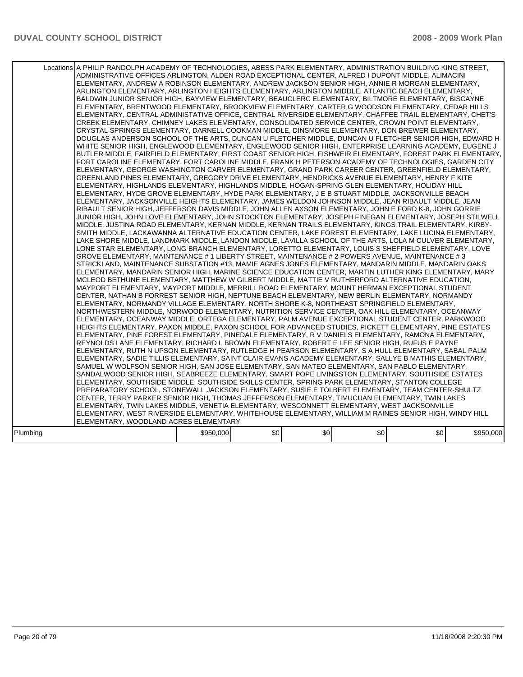|          | Locations A PHILIP RANDOLPH ACADEMY OF TECHNOLOGIES, ABESS PARK ELEMENTARY, ADMINISTRATION BUILDING KING STREET,<br>ADMINISTRATIVE OFFICES ARLINGTON, ALDEN ROAD EXCEPTIONAL CENTER, ALFRED I DUPONT MIDDLE, ALIMACINI<br>ELEMENTARY, ANDREW A ROBINSON ELEMENTARY, ANDREW JACKSON SENIOR HIGH, ANNIE R MORGAN ELEMENTARY,<br>ARLINGTON ELEMENTARY, ARLINGTON HEIGHTS ELEMENTARY, ARLINGTON MIDDLE, ATLANTIC BEACH ELEMENTARY,<br>BALDWIN JUNIOR SENIOR HIGH, BAYVIEW ELEMENTARY, BEAUCLERC ELEMENTARY, BILTMORE ELEMENTARY, BISCAYNE<br>ELEMENTARY, BRENTWOOD ELEMENTARY, BROOKVIEW ELEMENTARY, CARTER G WOODSON ELEMENTARY, CEDAR HILLS<br>IELEMENTARY, CENTRAL ADMINISTATIVE OFFICE, CENTRAL RIVERSIDE ELEMENTARY, CHAFFEE TRAIL ELEMENTARY, CHET'S<br>CREEK ELEMENTARY, CHIMNEY LAKES ELEMENTARY, CONSOLIDATED SERVICE CENTER, CROWN POINT ELEMENTARY,<br>CRYSTAL SPRINGS ELEMENTARY, DARNELL COOKMAN MIDDLE, DINSMORE ELEMENTARY, DON BREWER ELEMENTARY,<br>DOUGLAS ANDERSON SCHOOL OF THE ARTS, DUNCAN U FLETCHER MIDDLE, DUNCAN U FLETCHER SENIOR HIGH, EDWARD H<br>WHITE SENIOR HIGH, ENGLEWOOD ELEMENTARY, ENGLEWOOD SENIOR HIGH, ENTERPRISE LEARNING ACADEMY, EUGENE J<br>BUTLER MIDDLE, FAIRFIELD ELEMENTARY, FIRST COAST SENIOR HIGH, FISHWEIR ELEMENTARY, FOREST PARK ELEMENTARY,<br>FORT CAROLINE ELEMENTARY, FORT CAROLINE MIDDLE, FRANK H PETERSON ACADEMY OF TECHNOLOGIES, GARDEN CITY<br>ELEMENTARY, GEORGE WASHINGTON CARVER ELEMENTARY, GRAND PARK CAREER CENTER, GREENFIELD ELEMENTARY,<br>GREENLAND PINES ELEMENTARY, GREGORY DRIVE ELEMENTARY, HENDRICKS AVENUE ELEMENTARY, HENRY F KITE<br>IELEMENTARY. HIGHLANDS ELEMENTARY. HIGHLANDS MIDDLE. HOGAN-SPRING GLEN ELEMENTARY. HOLIDAY HILL<br>ELEMENTARY, HYDE GROVE ELEMENTARY, HYDE PARK ELEMENTARY, J E B STUART MIDDLE, JACKSONVILLE BEACH<br>ELEMENTARY, JACKSONVILLE HEIGHTS ELEMENTARY, JAMES WELDON JOHNSON MIDDLE, JEAN RIBAULT MIDDLE, JEAN<br>RIBAULT SENIOR HIGH, JEFFERSON DAVIS MIDDLE, JOHN ALLEN AXSON ELEMENTARY, JOHN E FORD K-8, JOHN GORRIE<br>JUNIOR HIGH, JOHN LOVE ELEMENTARY, JOHN STOCKTON ELEMENTARY, JOSEPH FINEGAN ELEMENTARY, JOSEPH STILWELL<br>MIDDLE, JUSTINA ROAD ELEMENTARY, KERNAN MIDDLE, KERNAN TRAILS ELEMENTARY, KINGS TRAIL ELEMENTARY, KIRBY-<br>SMITH MIDDLE, LACKAWANNA ALTERNATIVE EDUCATION CENTER, LAKE FOREST ELEMENTARY, LAKE LUCINA ELEMENTARY,<br>LAKE SHORE MIDDLE, LANDMARK MIDDLE, LANDON MIDDLE, LAVILLA SCHOOL OF THE ARTS, LOLA M CULVER ELEMENTARY,<br>LONE STAR ELEMENTARY. LONG BRANCH ELEMENTARY. LORETTO ELEMENTARY. LOUIS S SHEFFIELD ELEMENTARY. LOVE<br>GROVE ELEMENTARY, MAINTENANCE # 1 LIBERTY STREET, MAINTENANCE # 2 POWERS AVENUE, MAINTENANCE # 3<br>STRICKLAND, MAINTENANCE SUBSTATION #13, MAMIE AGNES JONES ELEMENTARY, MANDARIN MIDDLE, MANDARIN OAKS<br>ELEMENTARY, MANDARIN SENIOR HIGH, MARINE SCIENCE EDUCATION CENTER, MARTIN LUTHER KING ELEMENTARY, MARY<br>MCLEOD BETHUNE ELEMENTARY, MATTHEW W GILBERT MIDDLE, MATTIE V RUTHERFORD ALTERNATIVE EDUCATION,<br>MAYPORT ELEMENTARY, MAYPORT MIDDLE, MERRILL ROAD ELEMENTARY, MOUNT HERMAN EXCEPTIONAL STUDENT<br>CENTER, NATHAN B FORREST SENIOR HIGH, NEPTUNE BEACH ELEMENTARY, NEW BERLIN ELEMENTARY, NORMANDY<br>ELEMENTARY, NORMANDY VILLAGE ELEMENTARY, NORTH SHORE K-8, NORTHEAST SPRINGFIELD ELEMENTARY,<br>NORTHWESTERN MIDDLE, NORWOOD ELEMENTARY, NUTRITION SERVICE CENTER, OAK HILL ELEMENTARY, OCEANWAY<br>ELEMENTARY, OCEANWAY MIDDLE, ORTEGA ELEMENTARY, PALM AVENUE EXCEPTIONAL STUDENT CENTER, PARKWOOD<br>HEIGHTS ELEMENTARY, PAXON MIDDLE, PAXON SCHOOL FOR ADVANCED STUDIES, PICKETT ELEMENTARY, PINE ESTATES<br>ELEMENTARY, PINE FOREST ELEMENTARY, PINEDALE ELEMENTARY, R V DANIELS ELEMENTARY, RAMONA ELEMENTARY,<br>REYNOLDS LANE ELEMENTARY, RICHARD L BROWN ELEMENTARY, ROBERT E LEE SENIOR HIGH, RUFUS E PAYNE<br>ELEMENTARY, RUTH N UPSON ELEMENTARY, RUTLEDGE H PEARSON ELEMENTARY, S A HULL ELEMENTARY, SABAL PALM<br>ELEMENTARY, SADIE TILLIS ELEMENTARY, SAINT CLAIR EVANS ACADEMY ELEMENTARY, SALLYE B MATHIS ELEMENTARY,<br>SAMUEL W WOLFSON SENIOR HIGH, SAN JOSE ELEMENTARY, SAN MATEO ELEMENTARY, SAN PABLO ELEMENTARY,<br>SANDALWOOD SENIOR HIGH, SEABREEZE ELEMENTARY, SMART POPE LIVINGSTON ELEMENTARY, SOUTHSIDE ESTATES<br>ELEMENTARY, SOUTHSIDE MIDDLE, SOUTHSIDE SKILLS CENTER, SPRING PARK ELEMENTARY, STANTON COLLEGE<br>PREPARATORY SCHOOL, STONEWALL JACKSON ELEMENTARY, SUSIE E TOLBERT ELEMENTARY, TEAM CENTER-SHULTZ<br>CENTER, TERRY PARKER SENIOR HIGH, THOMAS JEFFERSON ELEMENTARY, TIMUCUAN ELEMENTARY, TWIN LAKES<br>ELEMENTARY, TWIN LAKES MIDDLE, VENETIA ELEMENTARY, WESCONNETT ELEMENTARY, WEST JACKSONVILLE<br>ELEMENTARY, WEST RIVERSIDE ELEMENTARY, WHITEHOUSE ELEMENTARY, WILLIAM M RAINES SENIOR HIGH, WINDY HILL<br>ELEMENTARY, WOODLAND ACRES ELEMENTARY |           |     |     |     |     |           |
|----------|-------------------------------------------------------------------------------------------------------------------------------------------------------------------------------------------------------------------------------------------------------------------------------------------------------------------------------------------------------------------------------------------------------------------------------------------------------------------------------------------------------------------------------------------------------------------------------------------------------------------------------------------------------------------------------------------------------------------------------------------------------------------------------------------------------------------------------------------------------------------------------------------------------------------------------------------------------------------------------------------------------------------------------------------------------------------------------------------------------------------------------------------------------------------------------------------------------------------------------------------------------------------------------------------------------------------------------------------------------------------------------------------------------------------------------------------------------------------------------------------------------------------------------------------------------------------------------------------------------------------------------------------------------------------------------------------------------------------------------------------------------------------------------------------------------------------------------------------------------------------------------------------------------------------------------------------------------------------------------------------------------------------------------------------------------------------------------------------------------------------------------------------------------------------------------------------------------------------------------------------------------------------------------------------------------------------------------------------------------------------------------------------------------------------------------------------------------------------------------------------------------------------------------------------------------------------------------------------------------------------------------------------------------------------------------------------------------------------------------------------------------------------------------------------------------------------------------------------------------------------------------------------------------------------------------------------------------------------------------------------------------------------------------------------------------------------------------------------------------------------------------------------------------------------------------------------------------------------------------------------------------------------------------------------------------------------------------------------------------------------------------------------------------------------------------------------------------------------------------------------------------------------------------------------------------------------------------------------------------------------------------------------------------------------------------------------------------------------------------------------------------------------------------------------------------------------------------------------------------------------------------------------------------------------------------------------------------------------------------------------------------------------------------------------------------------------------------------------------------------------------------------------------------------------------------------------------------------------------------------------------------------------------------------------------------------------------------------------------------------------------------------------------------------------------------------------------------------------------------------------------------------------------------------------------------------------------------------------------------------------------------------------------------------------------------------------------------------------------------------------------------------------------------------------------------------------------------------|-----------|-----|-----|-----|-----|-----------|
| Plumbing |                                                                                                                                                                                                                                                                                                                                                                                                                                                                                                                                                                                                                                                                                                                                                                                                                                                                                                                                                                                                                                                                                                                                                                                                                                                                                                                                                                                                                                                                                                                                                                                                                                                                                                                                                                                                                                                                                                                                                                                                                                                                                                                                                                                                                                                                                                                                                                                                                                                                                                                                                                                                                                                                                                                                                                                                                                                                                                                                                                                                                                                                                                                                                                                                                                                                                                                                                                                                                                                                                                                                                                                                                                                                                                                                                                                                                                                                                                                                                                                                                                                                                                                                                                                                                                                                                                                                                                                                                                                                                                                                                                                                                                                                                                                                                                                                                                     | \$950,000 | \$0 | \$0 | \$0 | \$0 | \$950,000 |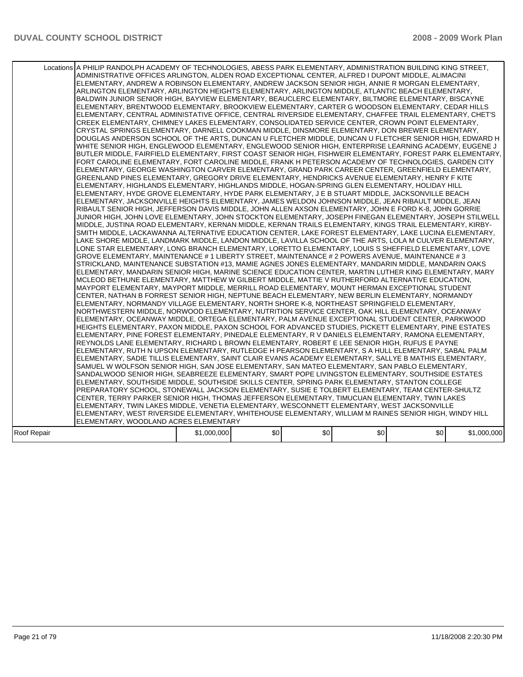|             | Locations A PHILIP RANDOLPH ACADEMY OF TECHNOLOGIES, ABESS PARK ELEMENTARY, ADMINISTRATION BUILDING KING STREET,<br>ADMINISTRATIVE OFFICES ARLINGTON, ALDEN ROAD EXCEPTIONAL CENTER, ALFRED I DUPONT MIDDLE, ALIMACINI<br>ELEMENTARY, ANDREW A ROBINSON ELEMENTARY, ANDREW JACKSON SENIOR HIGH, ANNIE R MORGAN ELEMENTARY,<br>ARLINGTON ELEMENTARY, ARLINGTON HEIGHTS ELEMENTARY, ARLINGTON MIDDLE, ATLANTIC BEACH ELEMENTARY,<br>BALDWIN JUNIOR SENIOR HIGH, BAYVIEW ELEMENTARY, BEAUCLERC ELEMENTARY, BILTMORE ELEMENTARY, BISCAYNE<br>ELEMENTARY, BRENTWOOD ELEMENTARY, BROOKVIEW ELEMENTARY, CARTER G WOODSON ELEMENTARY, CEDAR HILLS<br>ELEMENTARY, CENTRAL ADMINISTATIVE OFFICE, CENTRAL RIVERSIDE ELEMENTARY, CHAFFEE TRAIL ELEMENTARY, CHET'S<br>CREEK ELEMENTARY, CHIMNEY LAKES ELEMENTARY, CONSOLIDATED SERVICE CENTER, CROWN POINT ELEMENTARY,<br>CRYSTAL SPRINGS ELEMENTARY, DARNELL COOKMAN MIDDLE, DINSMORE ELEMENTARY, DON BREWER ELEMENTARY,<br>DOUGLAS ANDERSON SCHOOL OF THE ARTS, DUNCAN U FLETCHER MIDDLE, DUNCAN U FLETCHER SENIOR HIGH, EDWARD H<br>WHITE SENIOR HIGH, ENGLEWOOD ELEMENTARY, ENGLEWOOD SENIOR HIGH, ENTERPRISE LEARNING ACADEMY, EUGENE J<br>BUTLER MIDDLE, FAIRFIELD ELEMENTARY, FIRST COAST SENIOR HIGH, FISHWEIR ELEMENTARY, FOREST PARK ELEMENTARY,<br>FORT CAROLINE ELEMENTARY, FORT CAROLINE MIDDLE, FRANK H PETERSON ACADEMY OF TECHNOLOGIES, GARDEN CITY<br>ELEMENTARY, GEORGE WASHINGTON CARVER ELEMENTARY, GRAND PARK CAREER CENTER, GREENFIELD ELEMENTARY,<br>GREENLAND PINES ELEMENTARY, GREGORY DRIVE ELEMENTARY, HENDRICKS AVENUE ELEMENTARY, HENRY F KITE<br>IELEMENTARY. HIGHLANDS ELEMENTARY. HIGHLANDS MIDDLE. HOGAN-SPRING GLEN ELEMENTARY. HOLIDAY HILL<br>ELEMENTARY, HYDE GROVE ELEMENTARY, HYDE PARK ELEMENTARY, J E B STUART MIDDLE, JACKSONVILLE BEACH<br>ELEMENTARY, JACKSONVILLE HEIGHTS ELEMENTARY, JAMES WELDON JOHNSON MIDDLE, JEAN RIBAULT MIDDLE, JEAN<br>RIBAULT SENIOR HIGH, JEFFERSON DAVIS MIDDLE, JOHN ALLEN AXSON ELEMENTARY, JOHN E FORD K-8, JOHN GORRIE<br>JUNIOR HIGH, JOHN LOVE ELEMENTARY, JOHN STOCKTON ELEMENTARY, JOSEPH FINEGAN ELEMENTARY, JOSEPH STILWELL<br>MIDDLE, JUSTINA ROAD ELEMENTARY, KERNAN MIDDLE, KERNAN TRAILS ELEMENTARY, KINGS TRAIL ELEMENTARY, KIRBY-<br>SMITH MIDDLE, LACKAWANNA ALTERNATIVE EDUCATION CENTER, LAKE FOREST ELEMENTARY, LAKE LUCINA ELEMENTARY,<br>LAKE SHORE MIDDLE, LANDMARK MIDDLE, LANDON MIDDLE, LAVILLA SCHOOL OF THE ARTS, LOLA M CULVER ELEMENTARY,<br>LONE STAR ELEMENTARY. LONG BRANCH ELEMENTARY. LORETTO ELEMENTARY. LOUIS S SHEFFIELD ELEMENTARY. LOVE<br>GROVE ELEMENTARY, MAINTENANCE # 1 LIBERTY STREET, MAINTENANCE # 2 POWERS AVENUE, MAINTENANCE # 3<br>STRICKLAND, MAINTENANCE SUBSTATION #13, MAMIE AGNES JONES ELEMENTARY, MANDARIN MIDDLE, MANDARIN OAKS<br>ELEMENTARY, MANDARIN SENIOR HIGH, MARINE SCIENCE EDUCATION CENTER, MARTIN LUTHER KING ELEMENTARY, MARY<br>MCLEOD BETHUNE ELEMENTARY, MATTHEW W GILBERT MIDDLE, MATTIE V RUTHERFORD ALTERNATIVE EDUCATION,<br>MAYPORT ELEMENTARY, MAYPORT MIDDLE, MERRILL ROAD ELEMENTARY, MOUNT HERMAN EXCEPTIONAL STUDENT<br>CENTER, NATHAN B FORREST SENIOR HIGH, NEPTUNE BEACH ELEMENTARY, NEW BERLIN ELEMENTARY, NORMANDY<br>ELEMENTARY, NORMANDY VILLAGE ELEMENTARY, NORTH SHORE K-8, NORTHEAST SPRINGFIELD ELEMENTARY,<br>NORTHWESTERN MIDDLE, NORWOOD ELEMENTARY, NUTRITION SERVICE CENTER, OAK HILL ELEMENTARY, OCEANWAY<br>ELEMENTARY, OCEANWAY MIDDLE, ORTEGA ELEMENTARY, PALM AVENUE EXCEPTIONAL STUDENT CENTER, PARKWOOD<br>HEIGHTS ELEMENTARY, PAXON MIDDLE, PAXON SCHOOL FOR ADVANCED STUDIES, PICKETT ELEMENTARY, PINE ESTATES<br>ELEMENTARY. PINE FOREST ELEMENTARY. PINEDALE ELEMENTARY. R V DANIELS ELEMENTARY. RAMONA ELEMENTARY.<br>REYNOLDS LANE ELEMENTARY, RICHARD L BROWN ELEMENTARY, ROBERT E LEE SENIOR HIGH, RUFUS E PAYNE<br>ELEMENTARY, RUTH N UPSON ELEMENTARY, RUTLEDGE H PEARSON ELEMENTARY, S A HULL ELEMENTARY, SABAL PALM<br>ELEMENTARY, SADIE TILLIS ELEMENTARY, SAINT CLAIR EVANS ACADEMY ELEMENTARY, SALLYE B MATHIS ELEMENTARY,<br>SAMUEL W WOLFSON SENIOR HIGH, SAN JOSE ELEMENTARY, SAN MATEO ELEMENTARY, SAN PABLO ELEMENTARY,<br>SANDALWOOD SENIOR HIGH, SEABREEZE ELEMENTARY, SMART POPE LIVINGSTON ELEMENTARY, SOUTHSIDE ESTATES<br>ELEMENTARY, SOUTHSIDE MIDDLE, SOUTHSIDE SKILLS CENTER, SPRING PARK ELEMENTARY, STANTON COLLEGE<br>PREPARATORY SCHOOL, STONEWALL JACKSON ELEMENTARY, SUSIE E TOLBERT ELEMENTARY, TEAM CENTER-SHULTZ<br>CENTER, TERRY PARKER SENIOR HIGH, THOMAS JEFFERSON ELEMENTARY, TIMUCUAN ELEMENTARY, TWIN LAKES<br>ELEMENTARY, TWIN LAKES MIDDLE, VENETIA ELEMENTARY, WESCONNETT ELEMENTARY, WEST JACKSONVILLE<br>ELEMENTARY, WEST RIVERSIDE ELEMENTARY, WHITEHOUSE ELEMENTARY, WILLIAM M RAINES SENIOR HIGH, WINDY HILL<br>ELEMENTARY, WOODLAND ACRES ELEMENTARY |             |     |     |     |     |             |
|-------------|------------------------------------------------------------------------------------------------------------------------------------------------------------------------------------------------------------------------------------------------------------------------------------------------------------------------------------------------------------------------------------------------------------------------------------------------------------------------------------------------------------------------------------------------------------------------------------------------------------------------------------------------------------------------------------------------------------------------------------------------------------------------------------------------------------------------------------------------------------------------------------------------------------------------------------------------------------------------------------------------------------------------------------------------------------------------------------------------------------------------------------------------------------------------------------------------------------------------------------------------------------------------------------------------------------------------------------------------------------------------------------------------------------------------------------------------------------------------------------------------------------------------------------------------------------------------------------------------------------------------------------------------------------------------------------------------------------------------------------------------------------------------------------------------------------------------------------------------------------------------------------------------------------------------------------------------------------------------------------------------------------------------------------------------------------------------------------------------------------------------------------------------------------------------------------------------------------------------------------------------------------------------------------------------------------------------------------------------------------------------------------------------------------------------------------------------------------------------------------------------------------------------------------------------------------------------------------------------------------------------------------------------------------------------------------------------------------------------------------------------------------------------------------------------------------------------------------------------------------------------------------------------------------------------------------------------------------------------------------------------------------------------------------------------------------------------------------------------------------------------------------------------------------------------------------------------------------------------------------------------------------------------------------------------------------------------------------------------------------------------------------------------------------------------------------------------------------------------------------------------------------------------------------------------------------------------------------------------------------------------------------------------------------------------------------------------------------------------------------------------------------------------------------------------------------------------------------------------------------------------------------------------------------------------------------------------------------------------------------------------------------------------------------------------------------------------------------------------------------------------------------------------------------------------------------------------------------------------------------------------------------------------------------------------------------------------------------------------------------------------------------------------------------------------------------------------------------------------------------------------------------------------------------------------------------------------------------------------------------------------------------------------------------------------------------------------------------------------------------------------------------------------------------------------------------------------------------|-------------|-----|-----|-----|-----|-------------|
| Roof Repair |                                                                                                                                                                                                                                                                                                                                                                                                                                                                                                                                                                                                                                                                                                                                                                                                                                                                                                                                                                                                                                                                                                                                                                                                                                                                                                                                                                                                                                                                                                                                                                                                                                                                                                                                                                                                                                                                                                                                                                                                                                                                                                                                                                                                                                                                                                                                                                                                                                                                                                                                                                                                                                                                                                                                                                                                                                                                                                                                                                                                                                                                                                                                                                                                                                                                                                                                                                                                                                                                                                                                                                                                                                                                                                                                                                                                                                                                                                                                                                                                                                                                                                                                                                                                                                                                                                                                                                                                                                                                                                                                                                                                                                                                                                                                                                                                                                    | \$1,000,000 | \$0 | \$0 | \$0 | \$0 | \$1,000,000 |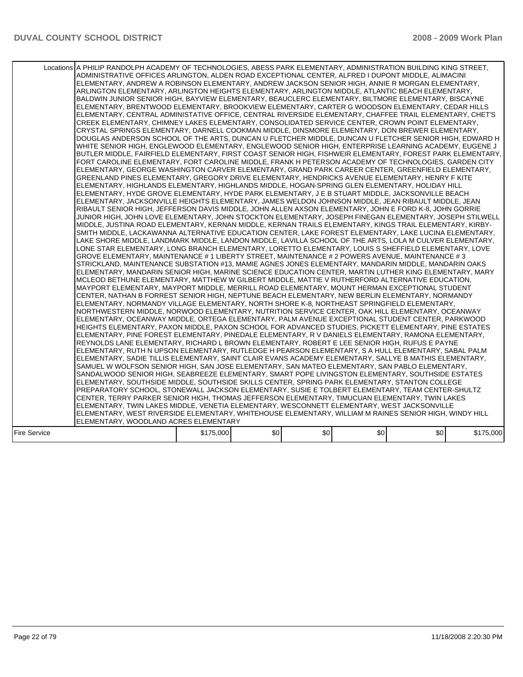|              | Locations A PHILIP RANDOLPH ACADEMY OF TECHNOLOGIES, ABESS PARK ELEMENTARY, ADMINISTRATION BUILDING KING STREET,<br>ADMINISTRATIVE OFFICES ARLINGTON, ALDEN ROAD EXCEPTIONAL CENTER, ALFRED I DUPONT MIDDLE, ALIMACINI<br>ELEMENTARY, ANDREW A ROBINSON ELEMENTARY, ANDREW JACKSON SENIOR HIGH, ANNIE R MORGAN ELEMENTARY,<br>ARLINGTON ELEMENTARY, ARLINGTON HEIGHTS ELEMENTARY, ARLINGTON MIDDLE, ATLANTIC BEACH ELEMENTARY,<br>BALDWIN JUNIOR SENIOR HIGH, BAYVIEW ELEMENTARY, BEAUCLERC ELEMENTARY, BILTMORE ELEMENTARY, BISCAYNE<br>ELEMENTARY, BRENTWOOD ELEMENTARY, BROOKVIEW ELEMENTARY, CARTER G WOODSON ELEMENTARY, CEDAR HILLS<br>IELEMENTARY. CENTRAL ADMINISTATIVE OFFICE. CENTRAL RIVERSIDE ELEMENTARY. CHAFFEE TRAIL ELEMENTARY. CHET'S<br>CREEK ELEMENTARY, CHIMNEY LAKES ELEMENTARY, CONSOLIDATED SERVICE CENTER, CROWN POINT ELEMENTARY,<br>CRYSTAL SPRINGS ELEMENTARY, DARNELL COOKMAN MIDDLE, DINSMORE ELEMENTARY, DON BREWER ELEMENTARY,<br>DOUGLAS ANDERSON SCHOOL OF THE ARTS, DUNCAN U FLETCHER MIDDLE, DUNCAN U FLETCHER SENIOR HIGH, EDWARD H<br>WHITE SENIOR HIGH, ENGLEWOOD ELEMENTARY, ENGLEWOOD SENIOR HIGH, ENTERPRISE LEARNING ACADEMY, EUGENE J<br>BUTLER MIDDLE, FAIRFIELD ELEMENTARY, FIRST COAST SENIOR HIGH, FISHWEIR ELEMENTARY, FOREST PARK ELEMENTARY,<br>FORT CAROLINE ELEMENTARY, FORT CAROLINE MIDDLE, FRANK H PETERSON ACADEMY OF TECHNOLOGIES, GARDEN CITY<br>ELEMENTARY, GEORGE WASHINGTON CARVER ELEMENTARY, GRAND PARK CAREER CENTER, GREENFIELD ELEMENTARY,<br>GREENLAND PINES ELEMENTARY, GREGORY DRIVE ELEMENTARY, HENDRICKS AVENUE ELEMENTARY, HENRY F KITE<br>ELEMENTARY, HIGHLANDS ELEMENTARY, HIGHLANDS MIDDLE, HOGAN-SPRING GLEN ELEMENTARY, HOLIDAY HILL<br>ELEMENTARY, HYDE GROVE ELEMENTARY, HYDE PARK ELEMENTARY, J E B STUART MIDDLE, JACKSONVILLE BEACH<br>ELEMENTARY, JACKSONVILLE HEIGHTS ELEMENTARY, JAMES WELDON JOHNSON MIDDLE, JEAN RIBAULT MIDDLE, JEAN<br>RIBAULT SENIOR HIGH, JEFFERSON DAVIS MIDDLE, JOHN ALLEN AXSON ELEMENTARY, JOHN E FORD K-8, JOHN GORRIE<br>JUNIOR HIGH, JOHN LOVE ELEMENTARY, JOHN STOCKTON ELEMENTARY, JOSEPH FINEGAN ELEMENTARY, JOSEPH STILWELL<br>MIDDLE, JUSTINA ROAD ELEMENTARY, KERNAN MIDDLE, KERNAN TRAILS ELEMENTARY, KINGS TRAIL ELEMENTARY, KIRBY-<br>SMITH MIDDLE, LACKAWANNA ALTERNATIVE EDUCATION CENTER, LAKE FOREST ELEMENTARY, LAKE LUCINA ELEMENTARY,<br>LAKE SHORE MIDDLE, LANDMARK MIDDLE, LANDON MIDDLE, LAVILLA SCHOOL OF THE ARTS, LOLA M CULVER ELEMENTARY,<br>LONE STAR ELEMENTARY, LONG BRANCH ELEMENTARY, LORETTO ELEMENTARY, LOUIS S SHEFFIELD ELEMENTARY, LOVE<br>GROVE ELEMENTARY, MAINTENANCE # 1 LIBERTY STREET, MAINTENANCE # 2 POWERS AVENUE, MAINTENANCE # 3<br>STRICKLAND, MAINTENANCE SUBSTATION #13, MAMIE AGNES JONES ELEMENTARY, MANDARIN MIDDLE, MANDARIN OAKS<br>IELEMENTARY, MANDARIN SENIOR HIGH, MARINE SCIENCE EDUCATION CENTER, MARTIN LUTHER KING ELEMENTARY, MARY<br>MCLEOD BETHUNE ELEMENTARY, MATTHEW W GILBERT MIDDLE, MATTIE V RUTHERFORD ALTERNATIVE EDUCATION,<br>MAYPORT ELEMENTARY, MAYPORT MIDDLE, MERRILL ROAD ELEMENTARY, MOUNT HERMAN EXCEPTIONAL STUDENT<br>CENTER, NATHAN B FORREST SENIOR HIGH, NEPTUNE BEACH ELEMENTARY, NEW BERLIN ELEMENTARY, NORMANDY<br>ELEMENTARY, NORMANDY VILLAGE ELEMENTARY, NORTH SHORE K-8, NORTHEAST SPRINGFIELD ELEMENTARY,<br>NORTHWESTERN MIDDLE, NORWOOD ELEMENTARY, NUTRITION SERVICE CENTER, OAK HILL ELEMENTARY, OCEANWAY<br>ELEMENTARY, OCEANWAY MIDDLE, ORTEGA ELEMENTARY, PALM AVENUE EXCEPTIONAL STUDENT CENTER, PARKWOOD<br>HEIGHTS ELEMENTARY, PAXON MIDDLE, PAXON SCHOOL FOR ADVANCED STUDIES, PICKETT ELEMENTARY, PINE ESTATES<br>ELEMENTARY. PINE FOREST ELEMENTARY. PINEDALE ELEMENTARY. R V DANIELS ELEMENTARY. RAMONA ELEMENTARY.<br>REYNOLDS LANE ELEMENTARY, RICHARD L BROWN ELEMENTARY, ROBERT E LEE SENIOR HIGH, RUFUS E PAYNE<br>ELEMENTARY, RUTH N UPSON ELEMENTARY, RUTLEDGE H PEARSON ELEMENTARY, S A HULL ELEMENTARY, SABAL PALM<br>ELEMENTARY, SADIE TILLIS ELEMENTARY, SAINT CLAIR EVANS ACADEMY ELEMENTARY, SALLYE B MATHIS ELEMENTARY,<br>SAMUEL W WOLFSON SENIOR HIGH, SAN JOSE ELEMENTARY, SAN MATEO ELEMENTARY, SAN PABLO ELEMENTARY,<br>SANDALWOOD SENIOR HIGH, SEABREEZE ELEMENTARY, SMART POPE LIVINGSTON ELEMENTARY, SOUTHSIDE ESTATES<br>ELEMENTARY, SOUTHSIDE MIDDLE, SOUTHSIDE SKILLS CENTER, SPRING PARK ELEMENTARY, STANTON COLLEGE<br>PREPARATORY SCHOOL, STONEWALL JACKSON ELEMENTARY, SUSIE E TOLBERT ELEMENTARY, TEAM CENTER-SHULTZ<br>CENTER, TERRY PARKER SENIOR HIGH, THOMAS JEFFERSON ELEMENTARY, TIMUCUAN ELEMENTARY, TWIN LAKES<br>ELEMENTARY, TWIN LAKES MIDDLE, VENETIA ELEMENTARY, WESCONNETT ELEMENTARY, WEST JACKSONVILLE<br>ELEMENTARY, WEST RIVERSIDE ELEMENTARY, WHITEHOUSE ELEMENTARY, WILLIAM M RAINES SENIOR HIGH, WINDY HILL<br>ELEMENTARY, WOODLAND ACRES ELEMENTARY |           |     |     |     |     |           |
|--------------|-------------------------------------------------------------------------------------------------------------------------------------------------------------------------------------------------------------------------------------------------------------------------------------------------------------------------------------------------------------------------------------------------------------------------------------------------------------------------------------------------------------------------------------------------------------------------------------------------------------------------------------------------------------------------------------------------------------------------------------------------------------------------------------------------------------------------------------------------------------------------------------------------------------------------------------------------------------------------------------------------------------------------------------------------------------------------------------------------------------------------------------------------------------------------------------------------------------------------------------------------------------------------------------------------------------------------------------------------------------------------------------------------------------------------------------------------------------------------------------------------------------------------------------------------------------------------------------------------------------------------------------------------------------------------------------------------------------------------------------------------------------------------------------------------------------------------------------------------------------------------------------------------------------------------------------------------------------------------------------------------------------------------------------------------------------------------------------------------------------------------------------------------------------------------------------------------------------------------------------------------------------------------------------------------------------------------------------------------------------------------------------------------------------------------------------------------------------------------------------------------------------------------------------------------------------------------------------------------------------------------------------------------------------------------------------------------------------------------------------------------------------------------------------------------------------------------------------------------------------------------------------------------------------------------------------------------------------------------------------------------------------------------------------------------------------------------------------------------------------------------------------------------------------------------------------------------------------------------------------------------------------------------------------------------------------------------------------------------------------------------------------------------------------------------------------------------------------------------------------------------------------------------------------------------------------------------------------------------------------------------------------------------------------------------------------------------------------------------------------------------------------------------------------------------------------------------------------------------------------------------------------------------------------------------------------------------------------------------------------------------------------------------------------------------------------------------------------------------------------------------------------------------------------------------------------------------------------------------------------------------------------------------------------------------------------------------------------------------------------------------------------------------------------------------------------------------------------------------------------------------------------------------------------------------------------------------------------------------------------------------------------------------------------------------------------------------------------------------------------------------------------------------------------------------------------------------------------|-----------|-----|-----|-----|-----|-----------|
| Fire Service |                                                                                                                                                                                                                                                                                                                                                                                                                                                                                                                                                                                                                                                                                                                                                                                                                                                                                                                                                                                                                                                                                                                                                                                                                                                                                                                                                                                                                                                                                                                                                                                                                                                                                                                                                                                                                                                                                                                                                                                                                                                                                                                                                                                                                                                                                                                                                                                                                                                                                                                                                                                                                                                                                                                                                                                                                                                                                                                                                                                                                                                                                                                                                                                                                                                                                                                                                                                                                                                                                                                                                                                                                                                                                                                                                                                                                                                                                                                                                                                                                                                                                                                                                                                                                                                                                                                                                                                                                                                                                                                                                                                                                                                                                                                                                                                                                                     | \$175,000 | \$0 | \$0 | \$0 | \$0 | \$175,000 |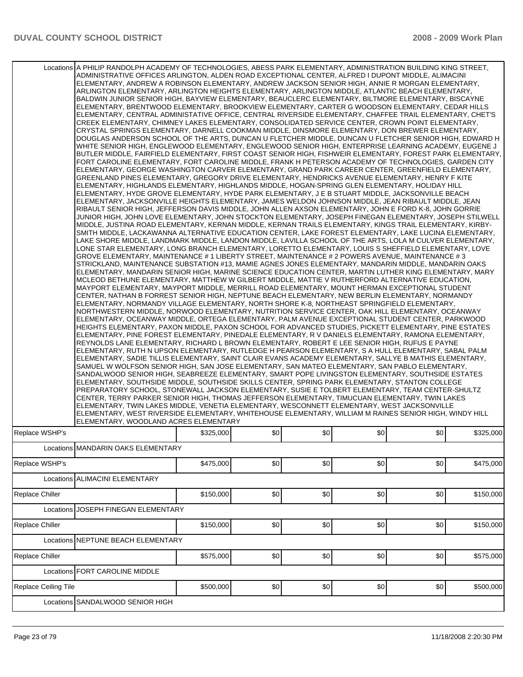|                      | Locations A PHILIP RANDOLPH ACADEMY OF TECHNOLOGIES, ABESS PARK ELEMENTARY, ADMINISTRATION BUILDING KING STREET,<br>ADMINISTRATIVE OFFICES ARLINGTON, ALDEN ROAD EXCEPTIONAL CENTER, ALFRED I DUPONT MIDDLE, ALIMACINI<br>ELEMENTARY, ANDREW A ROBINSON ELEMENTARY, ANDREW JACKSON SENIOR HIGH, ANNIE R MORGAN ELEMENTARY,<br>ARLINGTON ELEMENTARY, ARLINGTON HEIGHTS ELEMENTARY, ARLINGTON MIDDLE, ATLANTIC BEACH ELEMENTARY,<br>BALDWIN JUNIOR SENIOR HIGH, BAYVIEW ELEMENTARY, BEAUCLERC ELEMENTARY, BILTMORE ELEMENTARY, BISCAYNE<br>ELEMENTARY, BRENTWOOD ELEMENTARY, BROOKVIEW ELEMENTARY, CARTER G WOODSON ELEMENTARY, CEDAR HILLS<br>ELEMENTARY, CENTRAL ADMINISTATIVE OFFICE, CENTRAL RIVERSIDE ELEMENTARY, CHAFFEE TRAIL ELEMENTARY, CHET'S<br>CREEK ELEMENTARY, CHIMNEY LAKES ELEMENTARY, CONSOLIDATED SERVICE CENTER, CROWN POINT ELEMENTARY,<br>CRYSTAL SPRINGS ELEMENTARY, DARNELL COOKMAN MIDDLE, DINSMORE ELEMENTARY, DON BREWER ELEMENTARY,<br>DOUGLAS ANDERSON SCHOOL OF THE ARTS, DUNCAN U FLETCHER MIDDLE, DUNCAN U FLETCHER SENIOR HIGH, EDWARD H<br>WHITE SENIOR HIGH, ENGLEWOOD ELEMENTARY, ENGLEWOOD SENIOR HIGH, ENTERPRISE LEARNING ACADEMY, EUGENE J<br>IBUTLER MIDDLE. FAIRFIELD ELEMENTARY. FIRST COAST SENIOR HIGH. FISHWEIR ELEMENTARY. FOREST PARK ELEMENTARY. I<br>FORT CAROLINE ELEMENTARY, FORT CAROLINE MIDDLE, FRANK H PETERSON ACADEMY OF TECHNOLOGIES, GARDEN CITY<br>ELEMENTARY, GEORGE WASHINGTON CARVER ELEMENTARY, GRAND PARK CAREER CENTER, GREENFIELD ELEMENTARY,<br>GREENLAND PINES ELEMENTARY, GREGORY DRIVE ELEMENTARY, HENDRICKS AVENUE ELEMENTARY, HENRY F KITE<br>ELEMENTARY, HIGHLANDS ELEMENTARY, HIGHLANDS MIDDLE, HOGAN-SPRING GLEN ELEMENTARY, HOLIDAY HILL<br>ELEMENTARY, HYDE GROVE ELEMENTARY, HYDE PARK ELEMENTARY, J E B STUART MIDDLE, JACKSONVILLE BEACH<br>ELEMENTARY, JACKSONVILLE HEIGHTS ELEMENTARY, JAMES WELDON JOHNSON MIDDLE, JEAN RIBAULT MIDDLE, JEAN<br>RIBAULT SENIOR HIGH, JEFFERSON DAVIS MIDDLE, JOHN ALLEN AXSON ELEMENTARY, JOHN E FORD K-8, JOHN GORRIE<br>JUNIOR HIGH, JOHN LOVE ELEMENTARY, JOHN STOCKTON ELEMENTARY, JOSEPH FINEGAN ELEMENTARY, JOSEPH STILWELL<br>MIDDLE, JUSTINA ROAD ELEMENTARY, KERNAN MIDDLE, KERNAN TRAILS ELEMENTARY, KINGS TRAIL ELEMENTARY, KIRBY-<br>SMITH MIDDLE, LACKAWANNA ALTERNATIVE EDUCATION CENTER, LAKE FOREST ELEMENTARY, LAKE LUCINA ELEMENTARY,<br>LAKE SHORE MIDDLE, LANDMARK MIDDLE, LANDON MIDDLE, LAVILLA SCHOOL OF THE ARTS, LOLA M CULVER ELEMENTARY,<br>LONE STAR ELEMENTARY, LONG BRANCH ELEMENTARY, LORETTO ELEMENTARY, LOUIS S SHEFFIELD ELEMENTARY, LOVE<br>GROVE ELEMENTARY, MAINTENANCE # 1 LIBERTY STREET, MAINTENANCE # 2 POWERS AVENUE, MAINTENANCE # 3<br>STRICKLAND, MAINTENANCE SUBSTATION #13, MAMIE AGNES JONES ELEMENTARY, MANDARIN MIDDLE, MANDARIN OAKS<br>ELEMENTARY. MANDARIN SENIOR HIGH. MARINE SCIENCE EDUCATION CENTER. MARTIN LUTHER KING ELEMENTARY. MARY<br>MCLEOD BETHUNE ELEMENTARY, MATTHEW W GILBERT MIDDLE, MATTIE V RUTHERFORD ALTERNATIVE EDUCATION,<br>IMAYPORT ELEMENTARY. MAYPORT MIDDLE. MERRILL ROAD ELEMENTARY. MOUNT HERMAN EXCEPTIONAL STUDENT<br>CENTER, NATHAN B FORREST SENIOR HIGH, NEPTUNE BEACH ELEMENTARY, NEW BERLIN ELEMENTARY, NORMANDY<br>ELEMENTARY, NORMANDY VILLAGE ELEMENTARY, NORTH SHORE K-8, NORTHEAST SPRINGFIELD ELEMENTARY,<br>NORTHWESTERN MIDDLE, NORWOOD ELEMENTARY, NUTRITION SERVICE CENTER, OAK HILL ELEMENTARY, OCEANWAY<br>ELEMENTARY, OCEANWAY MIDDLE, ORTEGA ELEMENTARY, PALM AVENUE EXCEPTIONAL STUDENT CENTER, PARKWOOD<br>HEIGHTS ELEMENTARY, PAXON MIDDLE, PAXON SCHOOL FOR ADVANCED STUDIES, PICKETT ELEMENTARY, PINE ESTATES<br>ELEMENTARY, PINE FOREST ELEMENTARY, PINEDALE ELEMENTARY, R V DANIELS ELEMENTARY, RAMONA ELEMENTARY,<br>REYNOLDS LANE ELEMENTARY, RICHARD L BROWN ELEMENTARY, ROBERT E LEE SENIOR HIGH, RUFUS E PAYNE<br>IELEMENTARY, RUTH N UPSON ELEMENTARY, RUTLEDGE H PEARSON ELEMENTARY, S A HULL ELEMENTARY, SABAL PALM<br>ELEMENTARY, SADIE TILLIS ELEMENTARY, SAINT CLAIR EVANS ACADEMY ELEMENTARY, SALLYE B MATHIS ELEMENTARY,<br>SAMUEL W WOLFSON SENIOR HIGH, SAN JOSE ELEMENTARY, SAN MATEO ELEMENTARY, SAN PABLO ELEMENTARY,<br>SANDALWOOD SENIOR HIGH, SEABREEZE ELEMENTARY, SMART POPE LIVINGSTON ELEMENTARY, SOUTHSIDE ESTATES<br>ELEMENTARY, SOUTHSIDE MIDDLE, SOUTHSIDE SKILLS CENTER, SPRING PARK ELEMENTARY, STANTON COLLEGE<br>PREPARATORY SCHOOL, STONEWALL JACKSON ELEMENTARY, SUSIE E TOLBERT ELEMENTARY, TEAM CENTER-SHULTZ<br>CENTER, TERRY PARKER SENIOR HIGH, THOMAS JEFFERSON ELEMENTARY, TIMUCUAN ELEMENTARY, TWIN LAKES<br>ELEMENTARY. TWIN LAKES MIDDLE. VENETIA ELEMENTARY. WESCONNETT ELEMENTARY. WEST JACKSONVILLE<br>ELEMENTARY, WEST RIVERSIDE ELEMENTARY, WHITEHOUSE ELEMENTARY, WILLIAM M RAINES SENIOR HIGH, WINDY HILL<br>ELEMENTARY. WOODLAND ACRES ELEMENTARY |           |     |     |     |     |           |
|----------------------|----------------------------------------------------------------------------------------------------------------------------------------------------------------------------------------------------------------------------------------------------------------------------------------------------------------------------------------------------------------------------------------------------------------------------------------------------------------------------------------------------------------------------------------------------------------------------------------------------------------------------------------------------------------------------------------------------------------------------------------------------------------------------------------------------------------------------------------------------------------------------------------------------------------------------------------------------------------------------------------------------------------------------------------------------------------------------------------------------------------------------------------------------------------------------------------------------------------------------------------------------------------------------------------------------------------------------------------------------------------------------------------------------------------------------------------------------------------------------------------------------------------------------------------------------------------------------------------------------------------------------------------------------------------------------------------------------------------------------------------------------------------------------------------------------------------------------------------------------------------------------------------------------------------------------------------------------------------------------------------------------------------------------------------------------------------------------------------------------------------------------------------------------------------------------------------------------------------------------------------------------------------------------------------------------------------------------------------------------------------------------------------------------------------------------------------------------------------------------------------------------------------------------------------------------------------------------------------------------------------------------------------------------------------------------------------------------------------------------------------------------------------------------------------------------------------------------------------------------------------------------------------------------------------------------------------------------------------------------------------------------------------------------------------------------------------------------------------------------------------------------------------------------------------------------------------------------------------------------------------------------------------------------------------------------------------------------------------------------------------------------------------------------------------------------------------------------------------------------------------------------------------------------------------------------------------------------------------------------------------------------------------------------------------------------------------------------------------------------------------------------------------------------------------------------------------------------------------------------------------------------------------------------------------------------------------------------------------------------------------------------------------------------------------------------------------------------------------------------------------------------------------------------------------------------------------------------------------------------------------------------------------------------------------------------------------------------------------------------------------------------------------------------------------------------------------------------------------------------------------------------------------------------------------------------------------------------------------------------------------------------------------------------------------------------------------------------------------------------------------------------------------------------------------------------------------------------------------|-----------|-----|-----|-----|-----|-----------|
| Replace WSHP's       |                                                                                                                                                                                                                                                                                                                                                                                                                                                                                                                                                                                                                                                                                                                                                                                                                                                                                                                                                                                                                                                                                                                                                                                                                                                                                                                                                                                                                                                                                                                                                                                                                                                                                                                                                                                                                                                                                                                                                                                                                                                                                                                                                                                                                                                                                                                                                                                                                                                                                                                                                                                                                                                                                                                                                                                                                                                                                                                                                                                                                                                                                                                                                                                                                                                                                                                                                                                                                                                                                                                                                                                                                                                                                                                                                                                                                                                                                                                                                                                                                                                                                                                                                                                                                                                                                                                                                                                                                                                                                                                                                                                                                                                                                                                                                                                                                                        | \$325,000 | \$0 | \$0 | \$0 | \$0 | \$325,000 |
|                      | Locations MANDARIN OAKS ELEMENTARY                                                                                                                                                                                                                                                                                                                                                                                                                                                                                                                                                                                                                                                                                                                                                                                                                                                                                                                                                                                                                                                                                                                                                                                                                                                                                                                                                                                                                                                                                                                                                                                                                                                                                                                                                                                                                                                                                                                                                                                                                                                                                                                                                                                                                                                                                                                                                                                                                                                                                                                                                                                                                                                                                                                                                                                                                                                                                                                                                                                                                                                                                                                                                                                                                                                                                                                                                                                                                                                                                                                                                                                                                                                                                                                                                                                                                                                                                                                                                                                                                                                                                                                                                                                                                                                                                                                                                                                                                                                                                                                                                                                                                                                                                                                                                                                                     |           |     |     |     |     |           |
| Replace WSHP's       |                                                                                                                                                                                                                                                                                                                                                                                                                                                                                                                                                                                                                                                                                                                                                                                                                                                                                                                                                                                                                                                                                                                                                                                                                                                                                                                                                                                                                                                                                                                                                                                                                                                                                                                                                                                                                                                                                                                                                                                                                                                                                                                                                                                                                                                                                                                                                                                                                                                                                                                                                                                                                                                                                                                                                                                                                                                                                                                                                                                                                                                                                                                                                                                                                                                                                                                                                                                                                                                                                                                                                                                                                                                                                                                                                                                                                                                                                                                                                                                                                                                                                                                                                                                                                                                                                                                                                                                                                                                                                                                                                                                                                                                                                                                                                                                                                                        | \$475,000 | \$0 | \$0 | \$0 | \$0 | \$475,000 |
|                      | Locations ALIMACINI ELEMENTARY                                                                                                                                                                                                                                                                                                                                                                                                                                                                                                                                                                                                                                                                                                                                                                                                                                                                                                                                                                                                                                                                                                                                                                                                                                                                                                                                                                                                                                                                                                                                                                                                                                                                                                                                                                                                                                                                                                                                                                                                                                                                                                                                                                                                                                                                                                                                                                                                                                                                                                                                                                                                                                                                                                                                                                                                                                                                                                                                                                                                                                                                                                                                                                                                                                                                                                                                                                                                                                                                                                                                                                                                                                                                                                                                                                                                                                                                                                                                                                                                                                                                                                                                                                                                                                                                                                                                                                                                                                                                                                                                                                                                                                                                                                                                                                                                         |           |     |     |     |     |           |
| Replace Chiller      |                                                                                                                                                                                                                                                                                                                                                                                                                                                                                                                                                                                                                                                                                                                                                                                                                                                                                                                                                                                                                                                                                                                                                                                                                                                                                                                                                                                                                                                                                                                                                                                                                                                                                                                                                                                                                                                                                                                                                                                                                                                                                                                                                                                                                                                                                                                                                                                                                                                                                                                                                                                                                                                                                                                                                                                                                                                                                                                                                                                                                                                                                                                                                                                                                                                                                                                                                                                                                                                                                                                                                                                                                                                                                                                                                                                                                                                                                                                                                                                                                                                                                                                                                                                                                                                                                                                                                                                                                                                                                                                                                                                                                                                                                                                                                                                                                                        | \$150,000 | \$0 | \$0 | \$0 | \$0 | \$150,000 |
| Locations            | JOSEPH FINEGAN ELEMENTARY                                                                                                                                                                                                                                                                                                                                                                                                                                                                                                                                                                                                                                                                                                                                                                                                                                                                                                                                                                                                                                                                                                                                                                                                                                                                                                                                                                                                                                                                                                                                                                                                                                                                                                                                                                                                                                                                                                                                                                                                                                                                                                                                                                                                                                                                                                                                                                                                                                                                                                                                                                                                                                                                                                                                                                                                                                                                                                                                                                                                                                                                                                                                                                                                                                                                                                                                                                                                                                                                                                                                                                                                                                                                                                                                                                                                                                                                                                                                                                                                                                                                                                                                                                                                                                                                                                                                                                                                                                                                                                                                                                                                                                                                                                                                                                                                              |           |     |     |     |     |           |
| Replace Chiller      |                                                                                                                                                                                                                                                                                                                                                                                                                                                                                                                                                                                                                                                                                                                                                                                                                                                                                                                                                                                                                                                                                                                                                                                                                                                                                                                                                                                                                                                                                                                                                                                                                                                                                                                                                                                                                                                                                                                                                                                                                                                                                                                                                                                                                                                                                                                                                                                                                                                                                                                                                                                                                                                                                                                                                                                                                                                                                                                                                                                                                                                                                                                                                                                                                                                                                                                                                                                                                                                                                                                                                                                                                                                                                                                                                                                                                                                                                                                                                                                                                                                                                                                                                                                                                                                                                                                                                                                                                                                                                                                                                                                                                                                                                                                                                                                                                                        | \$150,000 | \$0 | \$0 | \$0 | \$0 | \$150,000 |
|                      | Locations NEPTUNE BEACH ELEMENTARY                                                                                                                                                                                                                                                                                                                                                                                                                                                                                                                                                                                                                                                                                                                                                                                                                                                                                                                                                                                                                                                                                                                                                                                                                                                                                                                                                                                                                                                                                                                                                                                                                                                                                                                                                                                                                                                                                                                                                                                                                                                                                                                                                                                                                                                                                                                                                                                                                                                                                                                                                                                                                                                                                                                                                                                                                                                                                                                                                                                                                                                                                                                                                                                                                                                                                                                                                                                                                                                                                                                                                                                                                                                                                                                                                                                                                                                                                                                                                                                                                                                                                                                                                                                                                                                                                                                                                                                                                                                                                                                                                                                                                                                                                                                                                                                                     |           |     |     |     |     |           |
| Replace Chiller      |                                                                                                                                                                                                                                                                                                                                                                                                                                                                                                                                                                                                                                                                                                                                                                                                                                                                                                                                                                                                                                                                                                                                                                                                                                                                                                                                                                                                                                                                                                                                                                                                                                                                                                                                                                                                                                                                                                                                                                                                                                                                                                                                                                                                                                                                                                                                                                                                                                                                                                                                                                                                                                                                                                                                                                                                                                                                                                                                                                                                                                                                                                                                                                                                                                                                                                                                                                                                                                                                                                                                                                                                                                                                                                                                                                                                                                                                                                                                                                                                                                                                                                                                                                                                                                                                                                                                                                                                                                                                                                                                                                                                                                                                                                                                                                                                                                        | \$575,000 | \$0 | \$0 | \$0 | \$0 | \$575,000 |
|                      | Locations FORT CAROLINE MIDDLE                                                                                                                                                                                                                                                                                                                                                                                                                                                                                                                                                                                                                                                                                                                                                                                                                                                                                                                                                                                                                                                                                                                                                                                                                                                                                                                                                                                                                                                                                                                                                                                                                                                                                                                                                                                                                                                                                                                                                                                                                                                                                                                                                                                                                                                                                                                                                                                                                                                                                                                                                                                                                                                                                                                                                                                                                                                                                                                                                                                                                                                                                                                                                                                                                                                                                                                                                                                                                                                                                                                                                                                                                                                                                                                                                                                                                                                                                                                                                                                                                                                                                                                                                                                                                                                                                                                                                                                                                                                                                                                                                                                                                                                                                                                                                                                                         |           |     |     |     |     |           |
| Replace Ceiling Tile |                                                                                                                                                                                                                                                                                                                                                                                                                                                                                                                                                                                                                                                                                                                                                                                                                                                                                                                                                                                                                                                                                                                                                                                                                                                                                                                                                                                                                                                                                                                                                                                                                                                                                                                                                                                                                                                                                                                                                                                                                                                                                                                                                                                                                                                                                                                                                                                                                                                                                                                                                                                                                                                                                                                                                                                                                                                                                                                                                                                                                                                                                                                                                                                                                                                                                                                                                                                                                                                                                                                                                                                                                                                                                                                                                                                                                                                                                                                                                                                                                                                                                                                                                                                                                                                                                                                                                                                                                                                                                                                                                                                                                                                                                                                                                                                                                                        | \$500,000 | \$0 | \$0 | \$0 | \$0 | \$500,000 |
|                      | Locations SANDALWOOD SENIOR HIGH                                                                                                                                                                                                                                                                                                                                                                                                                                                                                                                                                                                                                                                                                                                                                                                                                                                                                                                                                                                                                                                                                                                                                                                                                                                                                                                                                                                                                                                                                                                                                                                                                                                                                                                                                                                                                                                                                                                                                                                                                                                                                                                                                                                                                                                                                                                                                                                                                                                                                                                                                                                                                                                                                                                                                                                                                                                                                                                                                                                                                                                                                                                                                                                                                                                                                                                                                                                                                                                                                                                                                                                                                                                                                                                                                                                                                                                                                                                                                                                                                                                                                                                                                                                                                                                                                                                                                                                                                                                                                                                                                                                                                                                                                                                                                                                                       |           |     |     |     |     |           |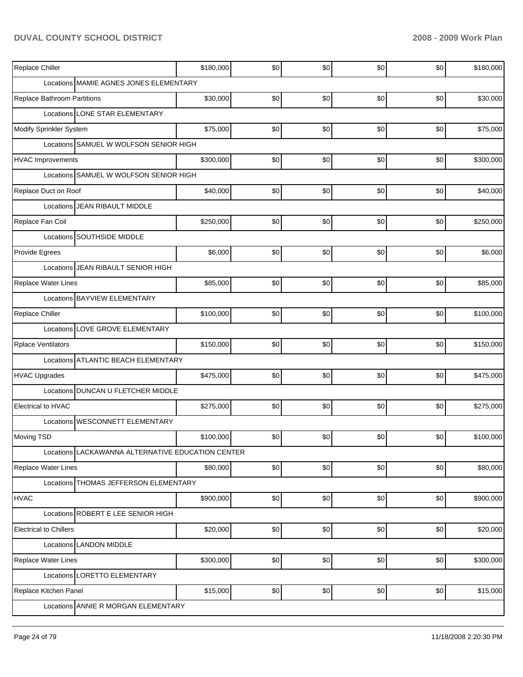## **DUVAL COUNTY SCHOOL DISTRICT 2008 - 2009 Work Plan**

| Replace Chiller                                   | \$180,000 | \$0 | \$0  | \$0 | \$0 | \$180,000 |
|---------------------------------------------------|-----------|-----|------|-----|-----|-----------|
| Locations MAMIE AGNES JONES ELEMENTARY            |           |     |      |     |     |           |
| <b>Replace Bathroom Partitions</b>                | \$30,000  | \$0 | \$0  | \$0 | \$0 | \$30,000  |
| Locations LONE STAR ELEMENTARY                    |           |     |      |     |     |           |
| Modify Sprinkler System                           | \$75,000  | \$0 | \$0  | \$0 | \$0 | \$75,000  |
| Locations SAMUEL W WOLFSON SENIOR HIGH            |           |     |      |     |     |           |
| <b>HVAC Improvements</b>                          | \$300,000 | \$0 | \$0  | \$0 | \$0 | \$300,000 |
| Locations SAMUEL W WOLFSON SENIOR HIGH            |           |     |      |     |     |           |
| Replace Duct on Roof                              | \$40,000  | \$0 | \$0  | \$0 | \$0 | \$40,000  |
| Locations JJEAN RIBAULT MIDDLE                    |           |     |      |     |     |           |
| Replace Fan Coil                                  | \$250,000 | \$0 | \$0  | \$0 | \$0 | \$250,000 |
| Locations SOUTHSIDE MIDDLE                        |           |     |      |     |     |           |
| Provide Egrees                                    | \$6,000   | \$0 | \$0  | \$0 | \$0 | \$6,000   |
| Locations JEAN RIBAULT SENIOR HIGH                |           |     |      |     |     |           |
| Replace Water Lines                               | \$85,000  | \$0 | \$0  | \$0 | \$0 | \$85,000  |
| Locations BAYVIEW ELEMENTARY                      |           |     |      |     |     |           |
| Replace Chiller                                   | \$100,000 | \$0 | \$0  | \$0 | \$0 | \$100,000 |
| Locations LOVE GROVE ELEMENTARY                   |           |     |      |     |     |           |
| <b>Rplace Ventilators</b>                         | \$150,000 | \$0 | \$0  | \$0 | \$0 | \$150,000 |
| Locations ATLANTIC BEACH ELEMENTARY               |           |     |      |     |     |           |
| <b>HVAC Upgrades</b>                              | \$475,000 | \$0 | \$0  | \$0 | \$0 | \$475,000 |
| <b>DUNCAN U FLETCHER MIDDLE</b><br>Locations      |           |     |      |     |     |           |
| <b>Electrical to HVAC</b>                         | \$275,000 | \$0 | \$0  | \$0 | \$0 | \$275,000 |
| Locations WESCONNETT ELEMENTARY                   |           |     |      |     |     |           |
| Moving TSD                                        | \$100,000 | \$0 | \$0  | \$0 | \$0 | \$100,000 |
| Locations LACKAWANNA ALTERNATIVE EDUCATION CENTER |           |     |      |     |     |           |
| Replace Water Lines                               | \$80,000  | \$0 | \$0  | \$0 | \$0 | \$80,000  |
| Locations   THOMAS JEFFERSON ELEMENTARY           |           |     |      |     |     |           |
| <b>HVAC</b>                                       | \$900,000 | \$0 | \$0  | \$0 | \$0 | \$900,000 |
| Locations ROBERT E LEE SENIOR HIGH                |           |     |      |     |     |           |
| <b>Electrical to Chillers</b>                     | \$20,000  | \$0 | \$0  | \$0 | \$0 | \$20,000  |
| Locations LANDON MIDDLE                           |           |     |      |     |     |           |
| Replace Water Lines                               | \$300,000 | \$0 | \$0] | \$0 | \$0 | \$300,000 |
| Locations LORETTO ELEMENTARY                      |           |     |      |     |     |           |
| Replace Kitchen Panel                             | \$15,000  | \$0 | \$0] | \$0 | \$0 | \$15,000  |
| Locations ANNIE R MORGAN ELEMENTARY               |           |     |      |     |     |           |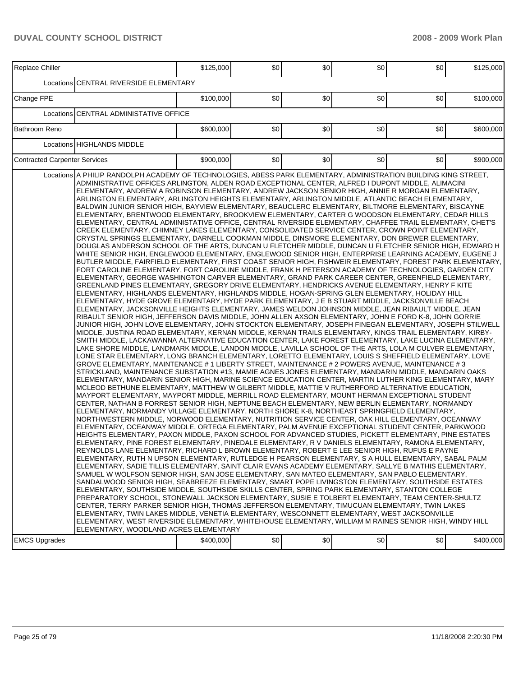## **DUVAL COUNTY SCHOOL DISTRICT 2008 - 2009 Work Plan**

| <b>CENTRAL RIVERSIDE ELEMENTARY</b><br>Locations<br>Change FPE<br>\$0<br>\$0<br>\$0<br>\$100,000<br>\$0<br>\$100,000<br><b>ICENTRAL ADMINISTATIVE OFFICE</b><br>Locations<br>\$0<br>\$0<br>\$0<br>Bathroom Reno<br>\$600,000<br>\$0<br>\$600,000<br><b>HIGHLANDS MIDDLE</b><br>Locations<br>\$900,000<br>\$0<br>\$0<br>\$0<br><b>Contracted Carpenter Services</b><br>\$0<br>\$900,000<br>Locations A PHILIP RANDOLPH ACADEMY OF TECHNOLOGIES, ABESS PARK ELEMENTARY, ADMINISTRATION BUILDING KING STREET,<br>ADMINISTRATIVE OFFICES ARLINGTON, ALDEN ROAD EXCEPTIONAL CENTER, ALFRED I DUPONT MIDDLE, ALIMACINI<br>ELEMENTARY, ANDREW A ROBINSON ELEMENTARY, ANDREW JACKSON SENIOR HIGH, ANNIE R MORGAN ELEMENTARY,<br>ARLINGTON ELEMENTARY, ARLINGTON HEIGHTS ELEMENTARY, ARLINGTON MIDDLE, ATLANTIC BEACH ELEMENTARY,<br>BALDWIN JUNIOR SENIOR HIGH, BAYVIEW ELEMENTARY, BEAUCLERC ELEMENTARY, BILTMORE ELEMENTARY, BISCAYNE<br>ELEMENTARY, BRENTWOOD ELEMENTARY, BROOKVIEW ELEMENTARY, CARTER G WOODSON ELEMENTARY, CEDAR HILLS<br>ELEMENTARY, CENTRAL ADMINISTATIVE OFFICE, CENTRAL RIVERSIDE ELEMENTARY, CHAFFEE TRAIL ELEMENTARY, CHET'S<br>CREEK ELEMENTARY, CHIMNEY LAKES ELEMENTARY, CONSOLIDATED SERVICE CENTER, CROWN POINT ELEMENTARY,<br>CRYSTAL SPRINGS ELEMENTARY, DARNELL COOKMAN MIDDLE, DINSMORE ELEMENTARY, DON BREWER ELEMENTARY,<br>DOUGLAS ANDERSON SCHOOL OF THE ARTS, DUNCAN U FLETCHER MIDDLE, DUNCAN U FLETCHER SENIOR HIGH, EDWARD H<br>WHITE SENIOR HIGH, ENGLEWOOD ELEMENTARY, ENGLEWOOD SENIOR HIGH, ENTERPRISE LEARNING ACADEMY, EUGENE J<br>FORT CAROLINE ELEMENTARY, FORT CAROLINE MIDDLE, FRANK H PETERSON ACADEMY OF TECHNOLOGIES, GARDEN CITY<br>ELEMENTARY, GEORGE WASHINGTON CARVER ELEMENTARY, GRAND PARK CAREER CENTER, GREENFIELD ELEMENTARY,<br>GREENLAND PINES ELEMENTARY, GREGORY DRIVE ELEMENTARY, HENDRICKS AVENUE ELEMENTARY, HENRY F KITE<br>ELEMENTARY, HIGHLANDS ELEMENTARY, HIGHLANDS MIDDLE, HOGAN-SPRING GLEN ELEMENTARY, HOLIDAY HILL<br>ELEMENTARY, HYDE GROVE ELEMENTARY, HYDE PARK ELEMENTARY, J E B STUART MIDDLE, JACKSONVILLE BEACH<br>ELEMENTARY, JACKSONVILLE HEIGHTS ELEMENTARY, JAMES WELDON JOHNSON MIDDLE, JEAN RIBAULT MIDDLE, JEAN<br>RIBAULT SENIOR HIGH, JEFFERSON DAVIS MIDDLE, JOHN ALLEN AXSON ELEMENTARY, JOHN E FORD K-8, JOHN GORRIE<br>JUNIOR HIGH, JOHN LOVE ELEMENTARY, JOHN STOCKTON ELEMENTARY, JOSEPH FINEGAN ELEMENTARY, JOSEPH STILWELL<br>MIDDLE, JUSTINA ROAD ELEMENTARY, KERNAN MIDDLE, KERNAN TRAILS ELEMENTARY, KINGS TRAIL ELEMENTARY, KIRBY-<br>SMITH MIDDLE, LACKAWANNA ALTERNATIVE EDUCATION CENTER, LAKE FOREST ELEMENTARY, LAKE LUCINA ELEMENTARY,<br>LAKE SHORE MIDDLE, LANDMARK MIDDLE, LANDON MIDDLE, LAVILLA SCHOOL OF THE ARTS, LOLA M CULVER ELEMENTARY,<br>LONE STAR ELEMENTARY, LONG BRANCH ELEMENTARY, LORETTO ELEMENTARY, LOUIS S SHEFFIELD ELEMENTARY, LOVE<br>1 3 GROVE ELEMENTARY, MAINTENANCE # 1 LIBERTY STREET, MAINTENANCE # 2 POWERS AVENUE, MAINTENANCE # 3<br>STRICKLAND, MAINTENANCE SUBSTATION #13, MAMIE AGNES JONES ELEMENTARY, MANDARIN MIDDLE, MANDARIN OAKS<br>ELEMENTARY, MANDARIN SENIOR HIGH, MARINE SCIENCE EDUCATION CENTER, MARTIN LUTHER KING ELEMENTARY, MARY<br>MCLEOD BETHUNE ELEMENTARY, MATTHEW W GILBERT MIDDLE, MATTIE V RUTHERFORD ALTERNATIVE EDUCATION,<br>MAYPORT ELEMENTARY, MAYPORT MIDDLE, MERRILL ROAD ELEMENTARY, MOUNT HERMAN EXCEPTIONAL STUDENT<br>CENTER, NATHAN B FORREST SENIOR HIGH, NEPTUNE BEACH ELEMENTARY, NEW BERLIN ELEMENTARY, NORMANDY<br>ELEMENTARY, NORMANDY VILLAGE ELEMENTARY, NORTH SHORE K-8, NORTHEAST SPRINGFIELD ELEMENTARY,<br>NORTHWESTERN MIDDLE, NORWOOD ELEMENTARY, NUTRITION SERVICE CENTER, OAK HILL ELEMENTARY, OCEANWAY<br>ELEMENTARY, OCEANWAY MIDDLE, ORTEGA ELEMENTARY, PALM AVENUE EXCEPTIONAL STUDENT CENTER, PARKWOOD<br>HEIGHTS ELEMENTARY, PAXON MIDDLE, PAXON SCHOOL FOR ADVANCED STUDIES, PICKETT ELEMENTARY, PINE ESTATES<br>ELEMENTARY, PINE FOREST ELEMENTARY, PINEDALE ELEMENTARY, R V DANIELS ELEMENTARY, RAMONA ELEMENTARY<br>REYNOLDS LANE ELEMENTARY, RICHARD L BROWN ELEMENTARY, ROBERT E LEE SENIOR HIGH, RUFUS E PAYNE<br>ELEMENTARY, RUTH N UPSON ELEMENTARY, RUTLEDGE H PEARSON ELEMENTARY, S A HULL ELEMENTARY, SABAL PALM<br>ELEMENTARY, SADIE TILLIS ELEMENTARY, SAINT CLAIR EVANS ACADEMY ELEMENTARY, SALLYE B MATHIS ELEMENTARY,<br>SAMUEL W WOLFSON SENIOR HIGH, SAN JOSE ELEMENTARY, SAN MATEO ELEMENTARY, SAN PABLO ELEMENTARY,<br>SANDALWOOD SENIOR HIGH, SEABREEZE ELEMENTARY, SMART POPE LIVINGSTON ELEMENTARY, SOUTHSIDE ESTATES<br>ELEMENTARY, SOUTHSIDE MIDDLE, SOUTHSIDE SKILLS CENTER, SPRING PARK ELEMENTARY, STANTON COLLEGE<br>PREPARATORY SCHOOL, STONEWALL JACKSON ELEMENTARY, SUSIE E TOLBERT ELEMENTARY, TEAM CENTER-SHULTZ<br>CENTER, TERRY PARKER SENIOR HIGH, THOMAS JEFFERSON ELEMENTARY, TIMUCUAN ELEMENTARY, TWIN LAKES<br>ELEMENTARY, TWIN LAKES MIDDLE, VENETIA ELEMENTARY, WESCONNETT ELEMENTARY, WEST JACKSONVILLE<br>ELEMENTARY, WEST RIVERSIDE ELEMENTARY, WHITEHOUSE ELEMENTARY, WILLIAM M RAINES SENIOR HIGH, WINDY HILL<br>ELEMENTARY, WOODLAND ACRES ELEMENTARY | Replace Chiller      | \$125,000 | \$0 | \$0 | \$0 | \$0 | \$125,000 |
|------------------------------------------------------------------------------------------------------------------------------------------------------------------------------------------------------------------------------------------------------------------------------------------------------------------------------------------------------------------------------------------------------------------------------------------------------------------------------------------------------------------------------------------------------------------------------------------------------------------------------------------------------------------------------------------------------------------------------------------------------------------------------------------------------------------------------------------------------------------------------------------------------------------------------------------------------------------------------------------------------------------------------------------------------------------------------------------------------------------------------------------------------------------------------------------------------------------------------------------------------------------------------------------------------------------------------------------------------------------------------------------------------------------------------------------------------------------------------------------------------------------------------------------------------------------------------------------------------------------------------------------------------------------------------------------------------------------------------------------------------------------------------------------------------------------------------------------------------------------------------------------------------------------------------------------------------------------------------------------------------------------------------------------------------------------------------------------------------------------------------------------------------------------------------------------------------------------------------------------------------------------------------------------------------------------------------------------------------------------------------------------------------------------------------------------------------------------------------------------------------------------------------------------------------------------------------------------------------------------------------------------------------------------------------------------------------------------------------------------------------------------------------------------------------------------------------------------------------------------------------------------------------------------------------------------------------------------------------------------------------------------------------------------------------------------------------------------------------------------------------------------------------------------------------------------------------------------------------------------------------------------------------------------------------------------------------------------------------------------------------------------------------------------------------------------------------------------------------------------------------------------------------------------------------------------------------------------------------------------------------------------------------------------------------------------------------------------------------------------------------------------------------------------------------------------------------------------------------------------------------------------------------------------------------------------------------------------------------------------------------------------------------------------------------------------------------------------------------------------------------------------------------------------------------------------------------------------------------------------------------------------------------------------------------------------------------------------------------------------------------------------------------------------------------------------------------------------------------------------------------------------------------------------------------------------------------------------------------------------------------------------------------------------------------------------------------------------------------------------------------------------------------------------------------------------------------------------------------------------------------------------------------------------------------------------------------------------------------------------------------------------------------------------------------------------------------------------------------------------|----------------------|-----------|-----|-----|-----|-----|-----------|
| BUTLER MIDDLE, FAIRFIELD ELEMENTARY, FIRST COAST SENIOR HIGH, FISHWEIR ELEMENTARY, FOREST PARK ELEMENTARY,                                                                                                                                                                                                                                                                                                                                                                                                                                                                                                                                                                                                                                                                                                                                                                                                                                                                                                                                                                                                                                                                                                                                                                                                                                                                                                                                                                                                                                                                                                                                                                                                                                                                                                                                                                                                                                                                                                                                                                                                                                                                                                                                                                                                                                                                                                                                                                                                                                                                                                                                                                                                                                                                                                                                                                                                                                                                                                                                                                                                                                                                                                                                                                                                                                                                                                                                                                                                                                                                                                                                                                                                                                                                                                                                                                                                                                                                                                                                                                                                                                                                                                                                                                                                                                                                                                                                                                                                                                                                                                                                                                                                                                                                                                                                                                                                                                                                                                                                                                                                       |                      |           |     |     |     |     |           |
|                                                                                                                                                                                                                                                                                                                                                                                                                                                                                                                                                                                                                                                                                                                                                                                                                                                                                                                                                                                                                                                                                                                                                                                                                                                                                                                                                                                                                                                                                                                                                                                                                                                                                                                                                                                                                                                                                                                                                                                                                                                                                                                                                                                                                                                                                                                                                                                                                                                                                                                                                                                                                                                                                                                                                                                                                                                                                                                                                                                                                                                                                                                                                                                                                                                                                                                                                                                                                                                                                                                                                                                                                                                                                                                                                                                                                                                                                                                                                                                                                                                                                                                                                                                                                                                                                                                                                                                                                                                                                                                                                                                                                                                                                                                                                                                                                                                                                                                                                                                                                                                                                                                  |                      |           |     |     |     |     |           |
|                                                                                                                                                                                                                                                                                                                                                                                                                                                                                                                                                                                                                                                                                                                                                                                                                                                                                                                                                                                                                                                                                                                                                                                                                                                                                                                                                                                                                                                                                                                                                                                                                                                                                                                                                                                                                                                                                                                                                                                                                                                                                                                                                                                                                                                                                                                                                                                                                                                                                                                                                                                                                                                                                                                                                                                                                                                                                                                                                                                                                                                                                                                                                                                                                                                                                                                                                                                                                                                                                                                                                                                                                                                                                                                                                                                                                                                                                                                                                                                                                                                                                                                                                                                                                                                                                                                                                                                                                                                                                                                                                                                                                                                                                                                                                                                                                                                                                                                                                                                                                                                                                                                  |                      |           |     |     |     |     |           |
|                                                                                                                                                                                                                                                                                                                                                                                                                                                                                                                                                                                                                                                                                                                                                                                                                                                                                                                                                                                                                                                                                                                                                                                                                                                                                                                                                                                                                                                                                                                                                                                                                                                                                                                                                                                                                                                                                                                                                                                                                                                                                                                                                                                                                                                                                                                                                                                                                                                                                                                                                                                                                                                                                                                                                                                                                                                                                                                                                                                                                                                                                                                                                                                                                                                                                                                                                                                                                                                                                                                                                                                                                                                                                                                                                                                                                                                                                                                                                                                                                                                                                                                                                                                                                                                                                                                                                                                                                                                                                                                                                                                                                                                                                                                                                                                                                                                                                                                                                                                                                                                                                                                  |                      |           |     |     |     |     |           |
|                                                                                                                                                                                                                                                                                                                                                                                                                                                                                                                                                                                                                                                                                                                                                                                                                                                                                                                                                                                                                                                                                                                                                                                                                                                                                                                                                                                                                                                                                                                                                                                                                                                                                                                                                                                                                                                                                                                                                                                                                                                                                                                                                                                                                                                                                                                                                                                                                                                                                                                                                                                                                                                                                                                                                                                                                                                                                                                                                                                                                                                                                                                                                                                                                                                                                                                                                                                                                                                                                                                                                                                                                                                                                                                                                                                                                                                                                                                                                                                                                                                                                                                                                                                                                                                                                                                                                                                                                                                                                                                                                                                                                                                                                                                                                                                                                                                                                                                                                                                                                                                                                                                  |                      |           |     |     |     |     |           |
|                                                                                                                                                                                                                                                                                                                                                                                                                                                                                                                                                                                                                                                                                                                                                                                                                                                                                                                                                                                                                                                                                                                                                                                                                                                                                                                                                                                                                                                                                                                                                                                                                                                                                                                                                                                                                                                                                                                                                                                                                                                                                                                                                                                                                                                                                                                                                                                                                                                                                                                                                                                                                                                                                                                                                                                                                                                                                                                                                                                                                                                                                                                                                                                                                                                                                                                                                                                                                                                                                                                                                                                                                                                                                                                                                                                                                                                                                                                                                                                                                                                                                                                                                                                                                                                                                                                                                                                                                                                                                                                                                                                                                                                                                                                                                                                                                                                                                                                                                                                                                                                                                                                  |                      |           |     |     |     |     |           |
|                                                                                                                                                                                                                                                                                                                                                                                                                                                                                                                                                                                                                                                                                                                                                                                                                                                                                                                                                                                                                                                                                                                                                                                                                                                                                                                                                                                                                                                                                                                                                                                                                                                                                                                                                                                                                                                                                                                                                                                                                                                                                                                                                                                                                                                                                                                                                                                                                                                                                                                                                                                                                                                                                                                                                                                                                                                                                                                                                                                                                                                                                                                                                                                                                                                                                                                                                                                                                                                                                                                                                                                                                                                                                                                                                                                                                                                                                                                                                                                                                                                                                                                                                                                                                                                                                                                                                                                                                                                                                                                                                                                                                                                                                                                                                                                                                                                                                                                                                                                                                                                                                                                  | <b>EMCS Upgrades</b> | \$400,000 | \$0 | \$0 | \$0 | \$0 | \$400,000 |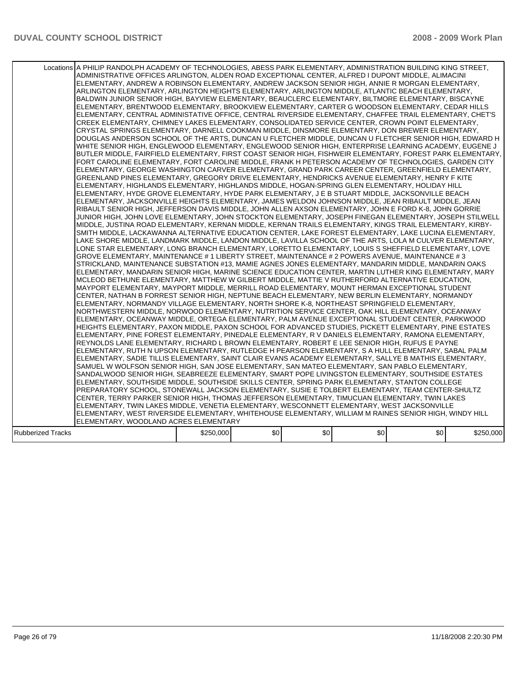|                   | Locations A PHILIP RANDOLPH ACADEMY OF TECHNOLOGIES, ABESS PARK ELEMENTARY, ADMINISTRATION BUILDING KING STREET,<br>ADMINISTRATIVE OFFICES ARLINGTON, ALDEN ROAD EXCEPTIONAL CENTER, ALFRED I DUPONT MIDDLE, ALIMACINI<br>ELEMENTARY, ANDREW A ROBINSON ELEMENTARY, ANDREW JACKSON SENIOR HIGH, ANNIE R MORGAN ELEMENTARY,<br>ARLINGTON ELEMENTARY, ARLINGTON HEIGHTS ELEMENTARY, ARLINGTON MIDDLE, ATLANTIC BEACH ELEMENTARY,<br>BALDWIN JUNIOR SENIOR HIGH, BAYVIEW ELEMENTARY, BEAUCLERC ELEMENTARY, BILTMORE ELEMENTARY, BISCAYNE<br>ELEMENTARY, BRENTWOOD ELEMENTARY, BROOKVIEW ELEMENTARY, CARTER G WOODSON ELEMENTARY, CEDAR HILLS<br>ELEMENTARY, CENTRAL ADMINISTATIVE OFFICE, CENTRAL RIVERSIDE ELEMENTARY, CHAFFEE TRAIL ELEMENTARY, CHET'S<br>CREEK ELEMENTARY, CHIMNEY LAKES ELEMENTARY, CONSOLIDATED SERVICE CENTER, CROWN POINT ELEMENTARY,<br>CRYSTAL SPRINGS ELEMENTARY, DARNELL COOKMAN MIDDLE, DINSMORE ELEMENTARY, DON BREWER ELEMENTARY,<br>DOUGLAS ANDERSON SCHOOL OF THE ARTS, DUNCAN U FLETCHER MIDDLE, DUNCAN U FLETCHER SENIOR HIGH, EDWARD H<br>WHITE SENIOR HIGH, ENGLEWOOD ELEMENTARY, ENGLEWOOD SENIOR HIGH, ENTERPRISE LEARNING ACADEMY, EUGENE J<br>BUTLER MIDDLE, FAIRFIELD ELEMENTARY, FIRST COAST SENIOR HIGH, FISHWEIR ELEMENTARY, FOREST PARK ELEMENTARY,<br>FORT CAROLINE ELEMENTARY, FORT CAROLINE MIDDLE, FRANK H PETERSON ACADEMY OF TECHNOLOGIES, GARDEN CITY<br>ELEMENTARY, GEORGE WASHINGTON CARVER ELEMENTARY, GRAND PARK CAREER CENTER, GREENFIELD ELEMENTARY,<br>GREENLAND PINES ELEMENTARY, GREGORY DRIVE ELEMENTARY, HENDRICKS AVENUE ELEMENTARY, HENRY F KITE<br>IELEMENTARY. HIGHLANDS ELEMENTARY. HIGHLANDS MIDDLE. HOGAN-SPRING GLEN ELEMENTARY. HOLIDAY HILL<br>ELEMENTARY, HYDE GROVE ELEMENTARY, HYDE PARK ELEMENTARY, J E B STUART MIDDLE, JACKSONVILLE BEACH<br>ELEMENTARY, JACKSONVILLE HEIGHTS ELEMENTARY, JAMES WELDON JOHNSON MIDDLE, JEAN RIBAULT MIDDLE, JEAN<br>RIBAULT SENIOR HIGH, JEFFERSON DAVIS MIDDLE, JOHN ALLEN AXSON ELEMENTARY, JOHN E FORD K-8, JOHN GORRIE<br>JUNIOR HIGH, JOHN LOVE ELEMENTARY, JOHN STOCKTON ELEMENTARY, JOSEPH FINEGAN ELEMENTARY, JOSEPH STILWELL<br>MIDDLE, JUSTINA ROAD ELEMENTARY, KERNAN MIDDLE, KERNAN TRAILS ELEMENTARY, KINGS TRAIL ELEMENTARY, KIRBY-<br>SMITH MIDDLE, LACKAWANNA ALTERNATIVE EDUCATION CENTER, LAKE FOREST ELEMENTARY, LAKE LUCINA ELEMENTARY.<br>LAKE SHORE MIDDLE, LANDMARK MIDDLE, LANDON MIDDLE, LAVILLA SCHOOL OF THE ARTS, LOLA M CULVER ELEMENTARY,<br>LONE STAR ELEMENTARY, LONG BRANCH ELEMENTARY, LORETTO ELEMENTARY, LOUIS S SHEFFIELD ELEMENTARY, LOVE<br>GROVE ELEMENTARY, MAINTENANCE # 1 LIBERTY STREET, MAINTENANCE # 2 POWERS AVENUE, MAINTENANCE # 3<br>STRICKLAND, MAINTENANCE SUBSTATION #13, MAMIE AGNES JONES ELEMENTARY, MANDARIN MIDDLE, MANDARIN OAKS<br>IELEMENTARY. MANDARIN SENIOR HIGH. MARINE SCIENCE EDUCATION CENTER. MARTIN LUTHER KING ELEMENTARY. MARY<br>MCLEOD BETHUNE ELEMENTARY, MATTHEW W GILBERT MIDDLE, MATTIE V RUTHERFORD ALTERNATIVE EDUCATION,<br>MAYPORT ELEMENTARY, MAYPORT MIDDLE, MERRILL ROAD ELEMENTARY, MOUNT HERMAN EXCEPTIONAL STUDENT<br>CENTER, NATHAN B FORREST SENIOR HIGH, NEPTUNE BEACH ELEMENTARY, NEW BERLIN ELEMENTARY, NORMANDY<br>ELEMENTARY, NORMANDY VILLAGE ELEMENTARY, NORTH SHORE K-8, NORTHEAST SPRINGFIELD ELEMENTARY,<br>NORTHWESTERN MIDDLE, NORWOOD ELEMENTARY, NUTRITION SERVICE CENTER, OAK HILL ELEMENTARY, OCEANWAY<br>ELEMENTARY. OCEANWAY MIDDLE. ORTEGA ELEMENTARY. PALM AVENUE EXCEPTIONAL STUDENT CENTER. PARKWOOD<br>HEIGHTS ELEMENTARY, PAXON MIDDLE, PAXON SCHOOL FOR ADVANCED STUDIES, PICKETT ELEMENTARY, PINE ESTATES<br>ELEMENTARY, PINE FOREST ELEMENTARY, PINEDALE ELEMENTARY, R V DANIELS ELEMENTARY, RAMONA ELEMENTARY,<br>REYNOLDS LANE ELEMENTARY, RICHARD L BROWN ELEMENTARY, ROBERT E LEE SENIOR HIGH, RUFUS E PAYNE<br>ELEMENTARY, RUTH N UPSON ELEMENTARY, RUTLEDGE H PEARSON ELEMENTARY, S A HULL ELEMENTARY, SABAL PALM <br>ELEMENTARY, SADIE TILLIS ELEMENTARY, SAINT CLAIR EVANS ACADEMY ELEMENTARY, SALLYE B MATHIS ELEMENTARY,<br>SAMUEL W WOLFSON SENIOR HIGH, SAN JOSE ELEMENTARY, SAN MATEO ELEMENTARY, SAN PABLO ELEMENTARY,<br>SANDALWOOD SENIOR HIGH, SEABREEZE ELEMENTARY, SMART POPE LIVINGSTON ELEMENTARY, SOUTHSIDE ESTATES<br>ELEMENTARY, SOUTHSIDE MIDDLE, SOUTHSIDE SKILLS CENTER, SPRING PARK ELEMENTARY, STANTON COLLEGE<br>PREPARATORY SCHOOL, STONEWALL JACKSON ELEMENTARY, SUSIE E TOLBERT ELEMENTARY, TEAM CENTER-SHULTZ<br>CENTER, TERRY PARKER SENIOR HIGH, THOMAS JEFFERSON ELEMENTARY, TIMUCUAN ELEMENTARY, TWIN LAKES<br>ELEMENTARY, TWIN LAKES MIDDLE, VENETIA ELEMENTARY, WESCONNETT ELEMENTARY, WEST JACKSONVILLE<br>ELEMENTARY, WEST RIVERSIDE ELEMENTARY, WHITEHOUSE ELEMENTARY, WILLIAM M RAINES SENIOR HIGH, WINDY HILL<br>ELEMENTARY, WOODLAND ACRES ELEMENTARY |           |     |     |     |     |           |
|-------------------|--------------------------------------------------------------------------------------------------------------------------------------------------------------------------------------------------------------------------------------------------------------------------------------------------------------------------------------------------------------------------------------------------------------------------------------------------------------------------------------------------------------------------------------------------------------------------------------------------------------------------------------------------------------------------------------------------------------------------------------------------------------------------------------------------------------------------------------------------------------------------------------------------------------------------------------------------------------------------------------------------------------------------------------------------------------------------------------------------------------------------------------------------------------------------------------------------------------------------------------------------------------------------------------------------------------------------------------------------------------------------------------------------------------------------------------------------------------------------------------------------------------------------------------------------------------------------------------------------------------------------------------------------------------------------------------------------------------------------------------------------------------------------------------------------------------------------------------------------------------------------------------------------------------------------------------------------------------------------------------------------------------------------------------------------------------------------------------------------------------------------------------------------------------------------------------------------------------------------------------------------------------------------------------------------------------------------------------------------------------------------------------------------------------------------------------------------------------------------------------------------------------------------------------------------------------------------------------------------------------------------------------------------------------------------------------------------------------------------------------------------------------------------------------------------------------------------------------------------------------------------------------------------------------------------------------------------------------------------------------------------------------------------------------------------------------------------------------------------------------------------------------------------------------------------------------------------------------------------------------------------------------------------------------------------------------------------------------------------------------------------------------------------------------------------------------------------------------------------------------------------------------------------------------------------------------------------------------------------------------------------------------------------------------------------------------------------------------------------------------------------------------------------------------------------------------------------------------------------------------------------------------------------------------------------------------------------------------------------------------------------------------------------------------------------------------------------------------------------------------------------------------------------------------------------------------------------------------------------------------------------------------------------------------------------------------------------------------------------------------------------------------------------------------------------------------------------------------------------------------------------------------------------------------------------------------------------------------------------------------------------------------------------------------------------------------------------------------------------------------------------------------------------------------------------------------------------------------|-----------|-----|-----|-----|-----|-----------|
| Rubberized Tracks |                                                                                                                                                                                                                                                                                                                                                                                                                                                                                                                                                                                                                                                                                                                                                                                                                                                                                                                                                                                                                                                                                                                                                                                                                                                                                                                                                                                                                                                                                                                                                                                                                                                                                                                                                                                                                                                                                                                                                                                                                                                                                                                                                                                                                                                                                                                                                                                                                                                                                                                                                                                                                                                                                                                                                                                                                                                                                                                                                                                                                                                                                                                                                                                                                                                                                                                                                                                                                                                                                                                                                                                                                                                                                                                                                                                                                                                                                                                                                                                                                                                                                                                                                                                                                                                                                                                                                                                                                                                                                                                                                                                                                                                                                                                                                                                                                                      | \$250,000 | \$0 | \$0 | \$0 | \$0 | \$250,000 |
|                   |                                                                                                                                                                                                                                                                                                                                                                                                                                                                                                                                                                                                                                                                                                                                                                                                                                                                                                                                                                                                                                                                                                                                                                                                                                                                                                                                                                                                                                                                                                                                                                                                                                                                                                                                                                                                                                                                                                                                                                                                                                                                                                                                                                                                                                                                                                                                                                                                                                                                                                                                                                                                                                                                                                                                                                                                                                                                                                                                                                                                                                                                                                                                                                                                                                                                                                                                                                                                                                                                                                                                                                                                                                                                                                                                                                                                                                                                                                                                                                                                                                                                                                                                                                                                                                                                                                                                                                                                                                                                                                                                                                                                                                                                                                                                                                                                                                      |           |     |     |     |     |           |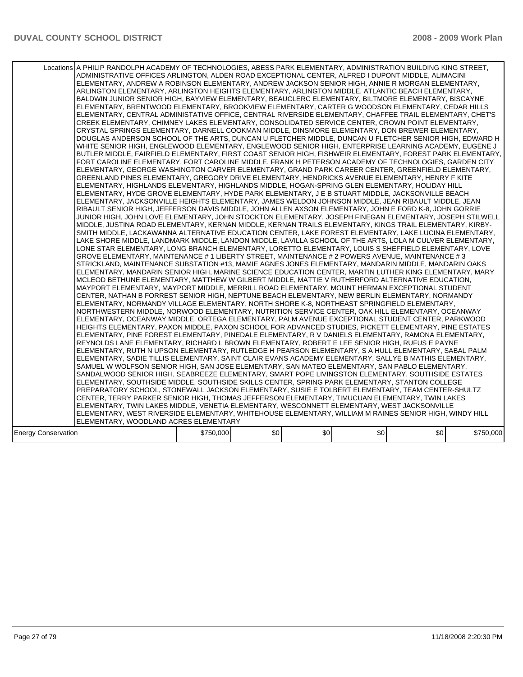|                            | Locations A PHILIP RANDOLPH ACADEMY OF TECHNOLOGIES, ABESS PARK ELEMENTARY, ADMINISTRATION BUILDING KING STREET,<br>ADMINISTRATIVE OFFICES ARLINGTON, ALDEN ROAD EXCEPTIONAL CENTER, ALFRED I DUPONT MIDDLE, ALIMACINI<br>ELEMENTARY, ANDREW A ROBINSON ELEMENTARY, ANDREW JACKSON SENIOR HIGH, ANNIE R MORGAN ELEMENTARY,<br>ARLINGTON ELEMENTARY, ARLINGTON HEIGHTS ELEMENTARY, ARLINGTON MIDDLE, ATLANTIC BEACH ELEMENTARY,<br>BALDWIN JUNIOR SENIOR HIGH, BAYVIEW ELEMENTARY, BEAUCLERC ELEMENTARY, BILTMORE ELEMENTARY, BISCAYNE<br>ELEMENTARY, BRENTWOOD ELEMENTARY, BROOKVIEW ELEMENTARY, CARTER G WOODSON ELEMENTARY, CEDAR HILLS<br>IELEMENTARY, CENTRAL ADMINISTATIVE OFFICE, CENTRAL RIVERSIDE ELEMENTARY, CHAFFEE TRAIL ELEMENTARY, CHET'S<br>CREEK ELEMENTARY, CHIMNEY LAKES ELEMENTARY, CONSOLIDATED SERVICE CENTER, CROWN POINT ELEMENTARY,<br>CRYSTAL SPRINGS ELEMENTARY, DARNELL COOKMAN MIDDLE, DINSMORE ELEMENTARY, DON BREWER ELEMENTARY,<br>DOUGLAS ANDERSON SCHOOL OF THE ARTS, DUNCAN U FLETCHER MIDDLE, DUNCAN U FLETCHER SENIOR HIGH, EDWARD H<br>WHITE SENIOR HIGH, ENGLEWOOD ELEMENTARY, ENGLEWOOD SENIOR HIGH, ENTERPRISE LEARNING ACADEMY, EUGENE J<br>BUTLER MIDDLE, FAIRFIELD ELEMENTARY, FIRST COAST SENIOR HIGH, FISHWEIR ELEMENTARY, FOREST PARK ELEMENTARY,<br>FORT CAROLINE ELEMENTARY, FORT CAROLINE MIDDLE, FRANK H PETERSON ACADEMY OF TECHNOLOGIES, GARDEN CITY<br>ELEMENTARY, GEORGE WASHINGTON CARVER ELEMENTARY, GRAND PARK CAREER CENTER, GREENFIELD ELEMENTARY,<br>GREENLAND PINES ELEMENTARY, GREGORY DRIVE ELEMENTARY, HENDRICKS AVENUE ELEMENTARY, HENRY F KITE<br>ELEMENTARY, HIGHLANDS ELEMENTARY, HIGHLANDS MIDDLE, HOGAN-SPRING GLEN ELEMENTARY, HOLIDAY HILL<br>ELEMENTARY, HYDE GROVE ELEMENTARY, HYDE PARK ELEMENTARY, J E B STUART MIDDLE, JACKSONVILLE BEACH<br>ELEMENTARY, JACKSONVILLE HEIGHTS ELEMENTARY, JAMES WELDON JOHNSON MIDDLE, JEAN RIBAULT MIDDLE, JEAN<br>RIBAULT SENIOR HIGH, JEFFERSON DAVIS MIDDLE, JOHN ALLEN AXSON ELEMENTARY, JOHN E FORD K-8, JOHN GORRIE<br>JUNIOR HIGH, JOHN LOVE ELEMENTARY, JOHN STOCKTON ELEMENTARY, JOSEPH FINEGAN ELEMENTARY, JOSEPH STILWELL<br>MIDDLE, JUSTINA ROAD ELEMENTARY, KERNAN MIDDLE, KERNAN TRAILS ELEMENTARY, KINGS TRAIL ELEMENTARY, KIRBY-<br>SMITH MIDDLE. LACKAWANNA ALTERNATIVE EDUCATION CENTER. LAKE FOREST ELEMENTARY. LAKE LUCINA ELEMENTARY.<br>LAKE SHORE MIDDLE, LANDMARK MIDDLE, LANDON MIDDLE, LAVILLA SCHOOL OF THE ARTS, LOLA M CULVER ELEMENTARY,<br>LONE STAR ELEMENTARY, LONG BRANCH ELEMENTARY, LORETTO ELEMENTARY, LOUIS S SHEFFIELD ELEMENTARY, LOVE<br>GROVE ELEMENTARY, MAINTENANCE # 1 LIBERTY STREET, MAINTENANCE # 2 POWERS AVENUE, MAINTENANCE # 3<br>STRICKLAND, MAINTENANCE SUBSTATION #13, MAMIE AGNES JONES ELEMENTARY, MANDARIN MIDDLE, MANDARIN OAKS<br>ELEMENTARY, MANDARIN SENIOR HIGH, MARINE SCIENCE EDUCATION CENTER, MARTIN LUTHER KING ELEMENTARY, MARY<br>MCLEOD BETHUNE ELEMENTARY, MATTHEW W GILBERT MIDDLE, MATTIE V RUTHERFORD ALTERNATIVE EDUCATION,<br>MAYPORT ELEMENTARY, MAYPORT MIDDLE, MERRILL ROAD ELEMENTARY, MOUNT HERMAN EXCEPTIONAL STUDENT<br>CENTER, NATHAN B FORREST SENIOR HIGH, NEPTUNE BEACH ELEMENTARY, NEW BERLIN ELEMENTARY, NORMANDY<br>ELEMENTARY, NORMANDY VILLAGE ELEMENTARY, NORTH SHORE K-8, NORTHEAST SPRINGFIELD ELEMENTARY,<br>NORTHWESTERN MIDDLE, NORWOOD ELEMENTARY, NUTRITION SERVICE CENTER, OAK HILL ELEMENTARY, OCEANWAY<br>ELEMENTARY, OCEANWAY MIDDLE, ORTEGA ELEMENTARY, PALM AVENUE EXCEPTIONAL STUDENT CENTER, PARKWOOD<br>HEIGHTS ELEMENTARY, PAXON MIDDLE, PAXON SCHOOL FOR ADVANCED STUDIES, PICKETT ELEMENTARY, PINE ESTATES<br>ELEMENTARY, PINE FOREST ELEMENTARY, PINEDALE ELEMENTARY, R V DANIELS ELEMENTARY, RAMONA ELEMENTARY,<br>REYNOLDS LANE ELEMENTARY, RICHARD L BROWN ELEMENTARY, ROBERT E LEE SENIOR HIGH, RUFUS E PAYNE<br>ELEMENTARY, RUTH N UPSON ELEMENTARY, RUTLEDGE H PEARSON ELEMENTARY, S A HULL ELEMENTARY, SABAL PALM<br>ELEMENTARY, SADIE TILLIS ELEMENTARY, SAINT CLAIR EVANS ACADEMY ELEMENTARY, SALLYE B MATHIS ELEMENTARY,<br>SAMUEL W WOLFSON SENIOR HIGH, SAN JOSE ELEMENTARY, SAN MATEO ELEMENTARY, SAN PABLO ELEMENTARY,<br>SANDALWOOD SENIOR HIGH, SEABREEZE ELEMENTARY, SMART POPE LIVINGSTON ELEMENTARY, SOUTHSIDE ESTATES<br>ELEMENTARY, SOUTHSIDE MIDDLE, SOUTHSIDE SKILLS CENTER, SPRING PARK ELEMENTARY, STANTON COLLEGE<br>PREPARATORY SCHOOL, STONEWALL JACKSON ELEMENTARY, SUSIE E TOLBERT ELEMENTARY, TEAM CENTER-SHULTZ<br>ICENTER, TERRY PARKER SENIOR HIGH, THOMAS JEFFERSON ELEMENTARY, TIMUCUAN ELEMENTARY, TWIN LAKES<br>ELEMENTARY. TWIN LAKES MIDDLE. VENETIA ELEMENTARY. WESCONNETT ELEMENTARY. WEST JACKSONVILLE<br>ELEMENTARY, WEST RIVERSIDE ELEMENTARY, WHITEHOUSE ELEMENTARY, WILLIAM M RAINES SENIOR HIGH, WINDY HILL<br>ELEMENTARY, WOODLAND ACRES ELEMENTARY |           |     |     |     |     |           |
|----------------------------|-------------------------------------------------------------------------------------------------------------------------------------------------------------------------------------------------------------------------------------------------------------------------------------------------------------------------------------------------------------------------------------------------------------------------------------------------------------------------------------------------------------------------------------------------------------------------------------------------------------------------------------------------------------------------------------------------------------------------------------------------------------------------------------------------------------------------------------------------------------------------------------------------------------------------------------------------------------------------------------------------------------------------------------------------------------------------------------------------------------------------------------------------------------------------------------------------------------------------------------------------------------------------------------------------------------------------------------------------------------------------------------------------------------------------------------------------------------------------------------------------------------------------------------------------------------------------------------------------------------------------------------------------------------------------------------------------------------------------------------------------------------------------------------------------------------------------------------------------------------------------------------------------------------------------------------------------------------------------------------------------------------------------------------------------------------------------------------------------------------------------------------------------------------------------------------------------------------------------------------------------------------------------------------------------------------------------------------------------------------------------------------------------------------------------------------------------------------------------------------------------------------------------------------------------------------------------------------------------------------------------------------------------------------------------------------------------------------------------------------------------------------------------------------------------------------------------------------------------------------------------------------------------------------------------------------------------------------------------------------------------------------------------------------------------------------------------------------------------------------------------------------------------------------------------------------------------------------------------------------------------------------------------------------------------------------------------------------------------------------------------------------------------------------------------------------------------------------------------------------------------------------------------------------------------------------------------------------------------------------------------------------------------------------------------------------------------------------------------------------------------------------------------------------------------------------------------------------------------------------------------------------------------------------------------------------------------------------------------------------------------------------------------------------------------------------------------------------------------------------------------------------------------------------------------------------------------------------------------------------------------------------------------------------------------------------------------------------------------------------------------------------------------------------------------------------------------------------------------------------------------------------------------------------------------------------------------------------------------------------------------------------------------------------------------------------------------------------------------------------------------------------------------------------------------------------------------------------|-----------|-----|-----|-----|-----|-----------|
| <b>Energy Conservation</b> |                                                                                                                                                                                                                                                                                                                                                                                                                                                                                                                                                                                                                                                                                                                                                                                                                                                                                                                                                                                                                                                                                                                                                                                                                                                                                                                                                                                                                                                                                                                                                                                                                                                                                                                                                                                                                                                                                                                                                                                                                                                                                                                                                                                                                                                                                                                                                                                                                                                                                                                                                                                                                                                                                                                                                                                                                                                                                                                                                                                                                                                                                                                                                                                                                                                                                                                                                                                                                                                                                                                                                                                                                                                                                                                                                                                                                                                                                                                                                                                                                                                                                                                                                                                                                                                                                                                                                                                                                                                                                                                                                                                                                                                                                                                                                                                                                                     | \$750,000 | \$0 | \$0 | \$0 | \$0 | \$750,000 |
|                            |                                                                                                                                                                                                                                                                                                                                                                                                                                                                                                                                                                                                                                                                                                                                                                                                                                                                                                                                                                                                                                                                                                                                                                                                                                                                                                                                                                                                                                                                                                                                                                                                                                                                                                                                                                                                                                                                                                                                                                                                                                                                                                                                                                                                                                                                                                                                                                                                                                                                                                                                                                                                                                                                                                                                                                                                                                                                                                                                                                                                                                                                                                                                                                                                                                                                                                                                                                                                                                                                                                                                                                                                                                                                                                                                                                                                                                                                                                                                                                                                                                                                                                                                                                                                                                                                                                                                                                                                                                                                                                                                                                                                                                                                                                                                                                                                                                     |           |     |     |     |     |           |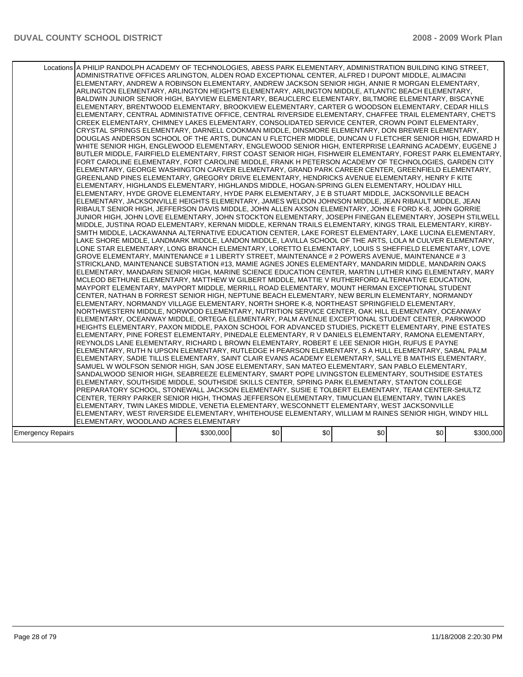|                   | Locations A PHILIP RANDOLPH ACADEMY OF TECHNOLOGIES, ABESS PARK ELEMENTARY, ADMINISTRATION BUILDING KING STREET,<br>ADMINISTRATIVE OFFICES ARLINGTON, ALDEN ROAD EXCEPTIONAL CENTER, ALFRED I DUPONT MIDDLE, ALIMACINI<br>ELEMENTARY, ANDREW A ROBINSON ELEMENTARY, ANDREW JACKSON SENIOR HIGH, ANNIE R MORGAN ELEMENTARY,<br>ARLINGTON ELEMENTARY, ARLINGTON HEIGHTS ELEMENTARY, ARLINGTON MIDDLE, ATLANTIC BEACH ELEMENTARY,<br>BALDWIN JUNIOR SENIOR HIGH, BAYVIEW ELEMENTARY, BEAUCLERC ELEMENTARY, BILTMORE ELEMENTARY, BISCAYNE<br>ELEMENTARY, BRENTWOOD ELEMENTARY, BROOKVIEW ELEMENTARY, CARTER G WOODSON ELEMENTARY, CEDAR HILLS<br>ELEMENTARY, CENTRAL ADMINISTATIVE OFFICE, CENTRAL RIVERSIDE ELEMENTARY, CHAFFEE TRAIL ELEMENTARY, CHET'S<br>CREEK ELEMENTARY, CHIMNEY LAKES ELEMENTARY, CONSOLIDATED SERVICE CENTER, CROWN POINT ELEMENTARY,<br>CRYSTAL SPRINGS ELEMENTARY, DARNELL COOKMAN MIDDLE, DINSMORE ELEMENTARY, DON BREWER ELEMENTARY,<br>DOUGLAS ANDERSON SCHOOL OF THE ARTS, DUNCAN U FLETCHER MIDDLE, DUNCAN U FLETCHER SENIOR HIGH, EDWARD H<br>WHITE SENIOR HIGH, ENGLEWOOD ELEMENTARY, ENGLEWOOD SENIOR HIGH, ENTERPRISE LEARNING ACADEMY, EUGENE J<br>BUTLER MIDDLE, FAIRFIELD ELEMENTARY, FIRST COAST SENIOR HIGH, FISHWEIR ELEMENTARY, FOREST PARK ELEMENTARY,<br>FORT CAROLINE ELEMENTARY, FORT CAROLINE MIDDLE, FRANK H PETERSON ACADEMY OF TECHNOLOGIES, GARDEN CITY<br>ELEMENTARY, GEORGE WASHINGTON CARVER ELEMENTARY, GRAND PARK CAREER CENTER, GREENFIELD ELEMENTARY,<br>GREENLAND PINES ELEMENTARY, GREGORY DRIVE ELEMENTARY, HENDRICKS AVENUE ELEMENTARY, HENRY F KITE<br>IELEMENTARY. HIGHLANDS ELEMENTARY. HIGHLANDS MIDDLE. HOGAN-SPRING GLEN ELEMENTARY. HOLIDAY HILL<br>ELEMENTARY, HYDE GROVE ELEMENTARY, HYDE PARK ELEMENTARY, J E B STUART MIDDLE, JACKSONVILLE BEACH<br>ELEMENTARY, JACKSONVILLE HEIGHTS ELEMENTARY, JAMES WELDON JOHNSON MIDDLE, JEAN RIBAULT MIDDLE, JEAN<br>RIBAULT SENIOR HIGH, JEFFERSON DAVIS MIDDLE, JOHN ALLEN AXSON ELEMENTARY, JOHN E FORD K-8, JOHN GORRIE<br>JUNIOR HIGH, JOHN LOVE ELEMENTARY, JOHN STOCKTON ELEMENTARY, JOSEPH FINEGAN ELEMENTARY, JOSEPH STILWELL<br>MIDDLE, JUSTINA ROAD ELEMENTARY, KERNAN MIDDLE, KERNAN TRAILS ELEMENTARY, KINGS TRAIL ELEMENTARY, KIRBY-<br>SMITH MIDDLE, LACKAWANNA ALTERNATIVE EDUCATION CENTER, LAKE FOREST ELEMENTARY, LAKE LUCINA ELEMENTARY.<br>LAKE SHORE MIDDLE, LANDMARK MIDDLE, LANDON MIDDLE, LAVILLA SCHOOL OF THE ARTS, LOLA M CULVER ELEMENTARY,<br>LONE STAR ELEMENTARY, LONG BRANCH ELEMENTARY, LORETTO ELEMENTARY, LOUIS S SHEFFIELD ELEMENTARY, LOVE<br>GROVE ELEMENTARY, MAINTENANCE # 1 LIBERTY STREET, MAINTENANCE # 2 POWERS AVENUE, MAINTENANCE # 3<br>STRICKLAND, MAINTENANCE SUBSTATION #13, MAMIE AGNES JONES ELEMENTARY, MANDARIN MIDDLE, MANDARIN OAKS<br>IELEMENTARY. MANDARIN SENIOR HIGH. MARINE SCIENCE EDUCATION CENTER. MARTIN LUTHER KING ELEMENTARY. MARY<br>MCLEOD BETHUNE ELEMENTARY, MATTHEW W GILBERT MIDDLE, MATTIE V RUTHERFORD ALTERNATIVE EDUCATION,<br>MAYPORT ELEMENTARY, MAYPORT MIDDLE, MERRILL ROAD ELEMENTARY, MOUNT HERMAN EXCEPTIONAL STUDENT<br>CENTER, NATHAN B FORREST SENIOR HIGH, NEPTUNE BEACH ELEMENTARY, NEW BERLIN ELEMENTARY, NORMANDY<br>ELEMENTARY, NORMANDY VILLAGE ELEMENTARY, NORTH SHORE K-8, NORTHEAST SPRINGFIELD ELEMENTARY,<br>NORTHWESTERN MIDDLE, NORWOOD ELEMENTARY, NUTRITION SERVICE CENTER, OAK HILL ELEMENTARY, OCEANWAY<br>ELEMENTARY. OCEANWAY MIDDLE. ORTEGA ELEMENTARY. PALM AVENUE EXCEPTIONAL STUDENT CENTER. PARKWOOD<br>HEIGHTS ELEMENTARY, PAXON MIDDLE, PAXON SCHOOL FOR ADVANCED STUDIES, PICKETT ELEMENTARY, PINE ESTATES<br>ELEMENTARY, PINE FOREST ELEMENTARY, PINEDALE ELEMENTARY, R V DANIELS ELEMENTARY, RAMONA ELEMENTARY,<br>REYNOLDS LANE ELEMENTARY, RICHARD L BROWN ELEMENTARY, ROBERT E LEE SENIOR HIGH, RUFUS E PAYNE<br>ELEMENTARY, RUTH N UPSON ELEMENTARY, RUTLEDGE H PEARSON ELEMENTARY, S A HULL ELEMENTARY, SABAL PALM <br>ELEMENTARY, SADIE TILLIS ELEMENTARY, SAINT CLAIR EVANS ACADEMY ELEMENTARY, SALLYE B MATHIS ELEMENTARY,<br>SAMUEL W WOLFSON SENIOR HIGH, SAN JOSE ELEMENTARY, SAN MATEO ELEMENTARY, SAN PABLO ELEMENTARY,<br>SANDALWOOD SENIOR HIGH, SEABREEZE ELEMENTARY, SMART POPE LIVINGSTON ELEMENTARY, SOUTHSIDE ESTATES<br>ELEMENTARY, SOUTHSIDE MIDDLE, SOUTHSIDE SKILLS CENTER, SPRING PARK ELEMENTARY, STANTON COLLEGE<br>PREPARATORY SCHOOL, STONEWALL JACKSON ELEMENTARY, SUSIE E TOLBERT ELEMENTARY, TEAM CENTER-SHULTZ<br>ICENTER, TERRY PARKER SENIOR HIGH, THOMAS JEFFERSON ELEMENTARY, TIMUCUAN ELEMENTARY, TWIN LAKES<br>ELEMENTARY, TWIN LAKES MIDDLE, VENETIA ELEMENTARY, WESCONNETT ELEMENTARY, WEST JACKSONVILLE<br>ELEMENTARY, WEST RIVERSIDE ELEMENTARY, WHITEHOUSE ELEMENTARY, WILLIAM M RAINES SENIOR HIGH, WINDY HILL<br>ELEMENTARY, WOODLAND ACRES ELEMENTARY |           |     |     |     |     |           |
|-------------------|---------------------------------------------------------------------------------------------------------------------------------------------------------------------------------------------------------------------------------------------------------------------------------------------------------------------------------------------------------------------------------------------------------------------------------------------------------------------------------------------------------------------------------------------------------------------------------------------------------------------------------------------------------------------------------------------------------------------------------------------------------------------------------------------------------------------------------------------------------------------------------------------------------------------------------------------------------------------------------------------------------------------------------------------------------------------------------------------------------------------------------------------------------------------------------------------------------------------------------------------------------------------------------------------------------------------------------------------------------------------------------------------------------------------------------------------------------------------------------------------------------------------------------------------------------------------------------------------------------------------------------------------------------------------------------------------------------------------------------------------------------------------------------------------------------------------------------------------------------------------------------------------------------------------------------------------------------------------------------------------------------------------------------------------------------------------------------------------------------------------------------------------------------------------------------------------------------------------------------------------------------------------------------------------------------------------------------------------------------------------------------------------------------------------------------------------------------------------------------------------------------------------------------------------------------------------------------------------------------------------------------------------------------------------------------------------------------------------------------------------------------------------------------------------------------------------------------------------------------------------------------------------------------------------------------------------------------------------------------------------------------------------------------------------------------------------------------------------------------------------------------------------------------------------------------------------------------------------------------------------------------------------------------------------------------------------------------------------------------------------------------------------------------------------------------------------------------------------------------------------------------------------------------------------------------------------------------------------------------------------------------------------------------------------------------------------------------------------------------------------------------------------------------------------------------------------------------------------------------------------------------------------------------------------------------------------------------------------------------------------------------------------------------------------------------------------------------------------------------------------------------------------------------------------------------------------------------------------------------------------------------------------------------------------------------------------------------------------------------------------------------------------------------------------------------------------------------------------------------------------------------------------------------------------------------------------------------------------------------------------------------------------------------------------------------------------------------------------------------------------------------------------------------------------------------------------------------------|-----------|-----|-----|-----|-----|-----------|
| Emergency Repairs |                                                                                                                                                                                                                                                                                                                                                                                                                                                                                                                                                                                                                                                                                                                                                                                                                                                                                                                                                                                                                                                                                                                                                                                                                                                                                                                                                                                                                                                                                                                                                                                                                                                                                                                                                                                                                                                                                                                                                                                                                                                                                                                                                                                                                                                                                                                                                                                                                                                                                                                                                                                                                                                                                                                                                                                                                                                                                                                                                                                                                                                                                                                                                                                                                                                                                                                                                                                                                                                                                                                                                                                                                                                                                                                                                                                                                                                                                                                                                                                                                                                                                                                                                                                                                                                                                                                                                                                                                                                                                                                                                                                                                                                                                                                                                                                                                                       | \$300,000 | \$0 | \$0 | \$0 | \$0 | \$300,000 |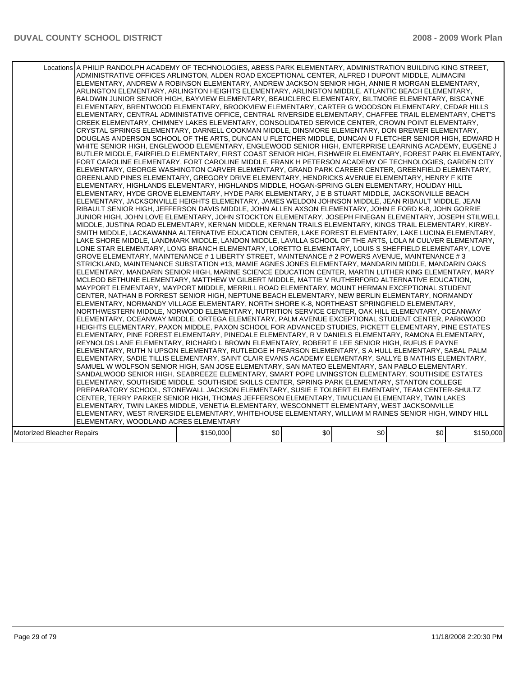|                            | Locations A PHILIP RANDOLPH ACADEMY OF TECHNOLOGIES, ABESS PARK ELEMENTARY, ADMINISTRATION BUILDING KING STREET,<br>ADMINISTRATIVE OFFICES ARLINGTON, ALDEN ROAD EXCEPTIONAL CENTER, ALFRED I DUPONT MIDDLE, ALIMACINI<br>ELEMENTARY, ANDREW A ROBINSON ELEMENTARY, ANDREW JACKSON SENIOR HIGH, ANNIE R MORGAN ELEMENTARY,<br>ARLINGTON ELEMENTARY, ARLINGTON HEIGHTS ELEMENTARY, ARLINGTON MIDDLE, ATLANTIC BEACH ELEMENTARY,<br>BALDWIN JUNIOR SENIOR HIGH, BAYVIEW ELEMENTARY, BEAUCLERC ELEMENTARY, BILTMORE ELEMENTARY, BISCAYNE<br>ELEMENTARY, BRENTWOOD ELEMENTARY, BROOKVIEW ELEMENTARY, CARTER G WOODSON ELEMENTARY, CEDAR HILLS<br>IELEMENTARY, CENTRAL ADMINISTATIVE OFFICE, CENTRAL RIVERSIDE ELEMENTARY, CHAFFEE TRAIL ELEMENTARY, CHET'S<br>CREEK ELEMENTARY, CHIMNEY LAKES ELEMENTARY, CONSOLIDATED SERVICE CENTER, CROWN POINT ELEMENTARY,<br>CRYSTAL SPRINGS ELEMENTARY, DARNELL COOKMAN MIDDLE, DINSMORE ELEMENTARY, DON BREWER ELEMENTARY,<br>DOUGLAS ANDERSON SCHOOL OF THE ARTS, DUNCAN U FLETCHER MIDDLE, DUNCAN U FLETCHER SENIOR HIGH, EDWARD H<br>WHITE SENIOR HIGH, ENGLEWOOD ELEMENTARY, ENGLEWOOD SENIOR HIGH, ENTERPRISE LEARNING ACADEMY, EUGENE J<br>BUTLER MIDDLE, FAIRFIELD ELEMENTARY, FIRST COAST SENIOR HIGH, FISHWEIR ELEMENTARY, FOREST PARK ELEMENTARY,<br>FORT CAROLINE ELEMENTARY, FORT CAROLINE MIDDLE, FRANK H PETERSON ACADEMY OF TECHNOLOGIES, GARDEN CITY<br>ELEMENTARY, GEORGE WASHINGTON CARVER ELEMENTARY, GRAND PARK CAREER CENTER, GREENFIELD ELEMENTARY,<br>GREENLAND PINES ELEMENTARY, GREGORY DRIVE ELEMENTARY, HENDRICKS AVENUE ELEMENTARY, HENRY F KITE<br>ELEMENTARY, HIGHLANDS ELEMENTARY, HIGHLANDS MIDDLE, HOGAN-SPRING GLEN ELEMENTARY, HOLIDAY HILL<br>ELEMENTARY, HYDE GROVE ELEMENTARY, HYDE PARK ELEMENTARY, J E B STUART MIDDLE, JACKSONVILLE BEACH<br>ELEMENTARY, JACKSONVILLE HEIGHTS ELEMENTARY, JAMES WELDON JOHNSON MIDDLE, JEAN RIBAULT MIDDLE, JEAN<br>RIBAULT SENIOR HIGH, JEFFERSON DAVIS MIDDLE, JOHN ALLEN AXSON ELEMENTARY, JOHN E FORD K-8, JOHN GORRIE<br>JUNIOR HIGH, JOHN LOVE ELEMENTARY, JOHN STOCKTON ELEMENTARY, JOSEPH FINEGAN ELEMENTARY, JOSEPH STILWELL<br>MIDDLE, JUSTINA ROAD ELEMENTARY, KERNAN MIDDLE, KERNAN TRAILS ELEMENTARY, KINGS TRAIL ELEMENTARY, KIRBY-<br>SMITH MIDDLE, LACKAWANNA ALTERNATIVE EDUCATION CENTER, LAKE FOREST ELEMENTARY, LAKE LUCINA ELEMENTARY,<br>LAKE SHORE MIDDLE, LANDMARK MIDDLE, LANDON MIDDLE, LAVILLA SCHOOL OF THE ARTS, LOLA M CULVER ELEMENTARY,<br>LONE STAR ELEMENTARY, LONG BRANCH ELEMENTARY, LORETTO ELEMENTARY, LOUIS S SHEFFIELD ELEMENTARY, LOVE<br>GROVE ELEMENTARY, MAINTENANCE # 1 LIBERTY STREET, MAINTENANCE # 2 POWERS AVENUE, MAINTENANCE # 3<br>STRICKLAND, MAINTENANCE SUBSTATION #13, MAMIE AGNES JONES ELEMENTARY, MANDARIN MIDDLE, MANDARIN OAKS<br>ELEMENTARY, MANDARIN SENIOR HIGH, MARINE SCIENCE EDUCATION CENTER, MARTIN LUTHER KING ELEMENTARY, MARY<br>MCLEOD BETHUNE ELEMENTARY, MATTHEW W GILBERT MIDDLE, MATTIE V RUTHERFORD ALTERNATIVE EDUCATION,<br>MAYPORT ELEMENTARY, MAYPORT MIDDLE, MERRILL ROAD ELEMENTARY, MOUNT HERMAN EXCEPTIONAL STUDENT<br>CENTER, NATHAN B FORREST SENIOR HIGH, NEPTUNE BEACH ELEMENTARY, NEW BERLIN ELEMENTARY, NORMANDY<br>IELEMENTARY. NORMANDY VILLAGE ELEMENTARY. NORTH SHORE K-8. NORTHEAST SPRINGFIELD ELEMENTARY.<br>NORTHWESTERN MIDDLE, NORWOOD ELEMENTARY, NUTRITION SERVICE CENTER, OAK HILL ELEMENTARY, OCEANWAY<br>ELEMENTARY, OCEANWAY MIDDLE, ORTEGA ELEMENTARY, PALM AVENUE EXCEPTIONAL STUDENT CENTER, PARKWOOD<br>HEIGHTS ELEMENTARY, PAXON MIDDLE, PAXON SCHOOL FOR ADVANCED STUDIES, PICKETT ELEMENTARY, PINE ESTATES<br>ELEMENTARY, PINE FOREST ELEMENTARY, PINEDALE ELEMENTARY, R V DANIELS ELEMENTARY, RAMONA ELEMENTARY,<br>REYNOLDS LANE ELEMENTARY, RICHARD L BROWN ELEMENTARY, ROBERT E LEE SENIOR HIGH, RUFUS E PAYNE<br>IELEMENTARY, RUTH N UPSON ELEMENTARY, RUTLEDGE H PEARSON ELEMENTARY, S A HULL ELEMENTARY, SABAL PALM<br>ELEMENTARY, SADIE TILLIS ELEMENTARY, SAINT CLAIR EVANS ACADEMY ELEMENTARY, SALLYE B MATHIS ELEMENTARY,<br>SAMUEL W WOLFSON SENIOR HIGH, SAN JOSE ELEMENTARY, SAN MATEO ELEMENTARY, SAN PABLO ELEMENTARY,<br>SANDALWOOD SENIOR HIGH, SEABREEZE ELEMENTARY, SMART POPE LIVINGSTON ELEMENTARY, SOUTHSIDE ESTATES<br>ELEMENTARY, SOUTHSIDE MIDDLE, SOUTHSIDE SKILLS CENTER, SPRING PARK ELEMENTARY, STANTON COLLEGE<br>PREPARATORY SCHOOL, STONEWALL JACKSON ELEMENTARY, SUSIE E TOLBERT ELEMENTARY, TEAM CENTER-SHULTZ<br>CENTER, TERRY PARKER SENIOR HIGH, THOMAS JEFFERSON ELEMENTARY, TIMUCUAN ELEMENTARY, TWIN LAKES<br>ELEMENTARY, TWIN LAKES MIDDLE, VENETIA ELEMENTARY, WESCONNETT ELEMENTARY, WEST JACKSONVILLE<br>ELEMENTARY, WEST RIVERSIDE ELEMENTARY, WHITEHOUSE ELEMENTARY, WILLIAM M RAINES SENIOR HIGH, WINDY HILL<br>ELEMENTARY, WOODLAND ACRES ELEMENTARY |           |     |     |     |     |           |
|----------------------------|--------------------------------------------------------------------------------------------------------------------------------------------------------------------------------------------------------------------------------------------------------------------------------------------------------------------------------------------------------------------------------------------------------------------------------------------------------------------------------------------------------------------------------------------------------------------------------------------------------------------------------------------------------------------------------------------------------------------------------------------------------------------------------------------------------------------------------------------------------------------------------------------------------------------------------------------------------------------------------------------------------------------------------------------------------------------------------------------------------------------------------------------------------------------------------------------------------------------------------------------------------------------------------------------------------------------------------------------------------------------------------------------------------------------------------------------------------------------------------------------------------------------------------------------------------------------------------------------------------------------------------------------------------------------------------------------------------------------------------------------------------------------------------------------------------------------------------------------------------------------------------------------------------------------------------------------------------------------------------------------------------------------------------------------------------------------------------------------------------------------------------------------------------------------------------------------------------------------------------------------------------------------------------------------------------------------------------------------------------------------------------------------------------------------------------------------------------------------------------------------------------------------------------------------------------------------------------------------------------------------------------------------------------------------------------------------------------------------------------------------------------------------------------------------------------------------------------------------------------------------------------------------------------------------------------------------------------------------------------------------------------------------------------------------------------------------------------------------------------------------------------------------------------------------------------------------------------------------------------------------------------------------------------------------------------------------------------------------------------------------------------------------------------------------------------------------------------------------------------------------------------------------------------------------------------------------------------------------------------------------------------------------------------------------------------------------------------------------------------------------------------------------------------------------------------------------------------------------------------------------------------------------------------------------------------------------------------------------------------------------------------------------------------------------------------------------------------------------------------------------------------------------------------------------------------------------------------------------------------------------------------------------------------------------------------------------------------------------------------------------------------------------------------------------------------------------------------------------------------------------------------------------------------------------------------------------------------------------------------------------------------------------------------------------------------------------------------------------------------------------------------------------------------------------------------------------------------------|-----------|-----|-----|-----|-----|-----------|
| Motorized Bleacher Repairs |                                                                                                                                                                                                                                                                                                                                                                                                                                                                                                                                                                                                                                                                                                                                                                                                                                                                                                                                                                                                                                                                                                                                                                                                                                                                                                                                                                                                                                                                                                                                                                                                                                                                                                                                                                                                                                                                                                                                                                                                                                                                                                                                                                                                                                                                                                                                                                                                                                                                                                                                                                                                                                                                                                                                                                                                                                                                                                                                                                                                                                                                                                                                                                                                                                                                                                                                                                                                                                                                                                                                                                                                                                                                                                                                                                                                                                                                                                                                                                                                                                                                                                                                                                                                                                                                                                                                                                                                                                                                                                                                                                                                                                                                                                                                                                                                                                      | \$150,000 | \$0 | \$0 | \$0 | \$0 | \$150,000 |
|                            |                                                                                                                                                                                                                                                                                                                                                                                                                                                                                                                                                                                                                                                                                                                                                                                                                                                                                                                                                                                                                                                                                                                                                                                                                                                                                                                                                                                                                                                                                                                                                                                                                                                                                                                                                                                                                                                                                                                                                                                                                                                                                                                                                                                                                                                                                                                                                                                                                                                                                                                                                                                                                                                                                                                                                                                                                                                                                                                                                                                                                                                                                                                                                                                                                                                                                                                                                                                                                                                                                                                                                                                                                                                                                                                                                                                                                                                                                                                                                                                                                                                                                                                                                                                                                                                                                                                                                                                                                                                                                                                                                                                                                                                                                                                                                                                                                                      |           |     |     |     |     |           |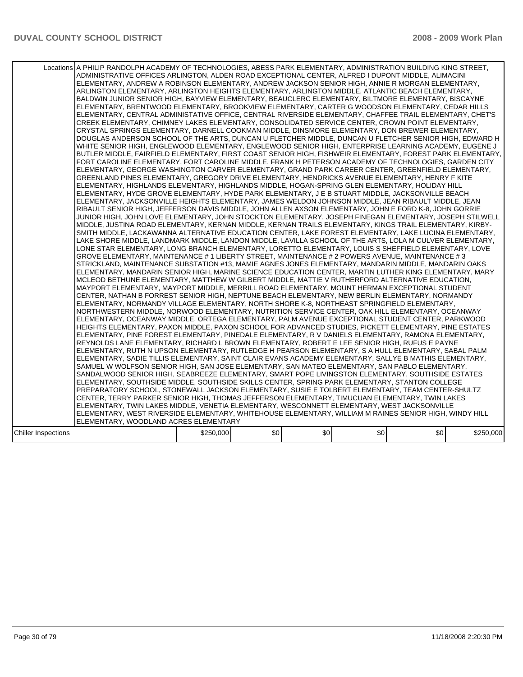|                            | Locations A PHILIP RANDOLPH ACADEMY OF TECHNOLOGIES, ABESS PARK ELEMENTARY, ADMINISTRATION BUILDING KING STREET,<br>ADMINISTRATIVE OFFICES ARLINGTON, ALDEN ROAD EXCEPTIONAL CENTER, ALFRED I DUPONT MIDDLE, ALIMACINI<br>ELEMENTARY, ANDREW A ROBINSON ELEMENTARY, ANDREW JACKSON SENIOR HIGH, ANNIE R MORGAN ELEMENTARY,<br>ARLINGTON ELEMENTARY, ARLINGTON HEIGHTS ELEMENTARY, ARLINGTON MIDDLE, ATLANTIC BEACH ELEMENTARY,<br>BALDWIN JUNIOR SENIOR HIGH, BAYVIEW ELEMENTARY, BEAUCLERC ELEMENTARY, BILTMORE ELEMENTARY, BISCAYNE<br>ELEMENTARY, BRENTWOOD ELEMENTARY, BROOKVIEW ELEMENTARY, CARTER G WOODSON ELEMENTARY, CEDAR HILLS<br>ELEMENTARY, CENTRAL ADMINISTATIVE OFFICE, CENTRAL RIVERSIDE ELEMENTARY, CHAFFEE TRAIL ELEMENTARY, CHET'S<br>CREEK ELEMENTARY, CHIMNEY LAKES ELEMENTARY, CONSOLIDATED SERVICE CENTER, CROWN POINT ELEMENTARY,<br>CRYSTAL SPRINGS ELEMENTARY, DARNELL COOKMAN MIDDLE, DINSMORE ELEMENTARY, DON BREWER ELEMENTARY,<br>DOUGLAS ANDERSON SCHOOL OF THE ARTS, DUNCAN U FLETCHER MIDDLE, DUNCAN U FLETCHER SENIOR HIGH, EDWARD H<br>WHITE SENIOR HIGH, ENGLEWOOD ELEMENTARY, ENGLEWOOD SENIOR HIGH, ENTERPRISE LEARNING ACADEMY, EUGENE J<br>BUTLER MIDDLE, FAIRFIELD ELEMENTARY, FIRST COAST SENIOR HIGH, FISHWEIR ELEMENTARY, FOREST PARK ELEMENTARY,<br>FORT CAROLINE ELEMENTARY, FORT CAROLINE MIDDLE, FRANK H PETERSON ACADEMY OF TECHNOLOGIES, GARDEN CITY<br>ELEMENTARY, GEORGE WASHINGTON CARVER ELEMENTARY, GRAND PARK CAREER CENTER, GREENFIELD ELEMENTARY,<br>GREENLAND PINES ELEMENTARY, GREGORY DRIVE ELEMENTARY, HENDRICKS AVENUE ELEMENTARY, HENRY F KITE<br>IELEMENTARY. HIGHLANDS ELEMENTARY. HIGHLANDS MIDDLE. HOGAN-SPRING GLEN ELEMENTARY. HOLIDAY HILL<br>ELEMENTARY, HYDE GROVE ELEMENTARY, HYDE PARK ELEMENTARY, J E B STUART MIDDLE, JACKSONVILLE BEACH<br>ELEMENTARY, JACKSONVILLE HEIGHTS ELEMENTARY, JAMES WELDON JOHNSON MIDDLE, JEAN RIBAULT MIDDLE, JEAN<br>RIBAULT SENIOR HIGH, JEFFERSON DAVIS MIDDLE, JOHN ALLEN AXSON ELEMENTARY, JOHN E FORD K-8, JOHN GORRIE<br>JUNIOR HIGH, JOHN LOVE ELEMENTARY, JOHN STOCKTON ELEMENTARY, JOSEPH FINEGAN ELEMENTARY, JOSEPH STILWELL<br>MIDDLE, JUSTINA ROAD ELEMENTARY, KERNAN MIDDLE, KERNAN TRAILS ELEMENTARY, KINGS TRAIL ELEMENTARY, KIRBY-<br>SMITH MIDDLE, LACKAWANNA ALTERNATIVE EDUCATION CENTER, LAKE FOREST ELEMENTARY, LAKE LUCINA ELEMENTARY.<br>LAKE SHORE MIDDLE, LANDMARK MIDDLE, LANDON MIDDLE, LAVILLA SCHOOL OF THE ARTS, LOLA M CULVER ELEMENTARY,<br>LONE STAR ELEMENTARY, LONG BRANCH ELEMENTARY, LORETTO ELEMENTARY, LOUIS S SHEFFIELD ELEMENTARY, LOVE<br>GROVE ELEMENTARY, MAINTENANCE # 1 LIBERTY STREET, MAINTENANCE # 2 POWERS AVENUE, MAINTENANCE # 3<br>STRICKLAND, MAINTENANCE SUBSTATION #13, MAMIE AGNES JONES ELEMENTARY, MANDARIN MIDDLE, MANDARIN OAKS<br>IELEMENTARY. MANDARIN SENIOR HIGH. MARINE SCIENCE EDUCATION CENTER. MARTIN LUTHER KING ELEMENTARY. MARY<br>MCLEOD BETHUNE ELEMENTARY, MATTHEW W GILBERT MIDDLE, MATTIE V RUTHERFORD ALTERNATIVE EDUCATION,<br>MAYPORT ELEMENTARY, MAYPORT MIDDLE, MERRILL ROAD ELEMENTARY, MOUNT HERMAN EXCEPTIONAL STUDENT<br>CENTER, NATHAN B FORREST SENIOR HIGH, NEPTUNE BEACH ELEMENTARY, NEW BERLIN ELEMENTARY, NORMANDY<br>ELEMENTARY, NORMANDY VILLAGE ELEMENTARY, NORTH SHORE K-8, NORTHEAST SPRINGFIELD ELEMENTARY,<br>NORTHWESTERN MIDDLE, NORWOOD ELEMENTARY, NUTRITION SERVICE CENTER, OAK HILL ELEMENTARY, OCEANWAY<br>ELEMENTARY. OCEANWAY MIDDLE. ORTEGA ELEMENTARY. PALM AVENUE EXCEPTIONAL STUDENT CENTER. PARKWOOD<br>HEIGHTS ELEMENTARY, PAXON MIDDLE, PAXON SCHOOL FOR ADVANCED STUDIES, PICKETT ELEMENTARY, PINE ESTATES<br>ELEMENTARY, PINE FOREST ELEMENTARY, PINEDALE ELEMENTARY, R V DANIELS ELEMENTARY, RAMONA ELEMENTARY,<br>REYNOLDS LANE ELEMENTARY, RICHARD L BROWN ELEMENTARY, ROBERT E LEE SENIOR HIGH, RUFUS E PAYNE<br>ELEMENTARY, RUTH N UPSON ELEMENTARY, RUTLEDGE H PEARSON ELEMENTARY, S A HULL ELEMENTARY, SABAL PALM <br>ELEMENTARY, SADIE TILLIS ELEMENTARY, SAINT CLAIR EVANS ACADEMY ELEMENTARY, SALLYE B MATHIS ELEMENTARY,<br>SAMUEL W WOLFSON SENIOR HIGH, SAN JOSE ELEMENTARY, SAN MATEO ELEMENTARY, SAN PABLO ELEMENTARY,<br>SANDALWOOD SENIOR HIGH, SEABREEZE ELEMENTARY, SMART POPE LIVINGSTON ELEMENTARY, SOUTHSIDE ESTATES<br>ELEMENTARY, SOUTHSIDE MIDDLE, SOUTHSIDE SKILLS CENTER, SPRING PARK ELEMENTARY, STANTON COLLEGE<br>PREPARATORY SCHOOL, STONEWALL JACKSON ELEMENTARY, SUSIE E TOLBERT ELEMENTARY, TEAM CENTER-SHULTZ<br>CENTER, TERRY PARKER SENIOR HIGH, THOMAS JEFFERSON ELEMENTARY, TIMUCUAN ELEMENTARY, TWIN LAKES<br>ELEMENTARY, TWIN LAKES MIDDLE, VENETIA ELEMENTARY, WESCONNETT ELEMENTARY, WEST JACKSONVILLE<br>ELEMENTARY, WEST RIVERSIDE ELEMENTARY, WHITEHOUSE ELEMENTARY, WILLIAM M RAINES SENIOR HIGH, WINDY HILL<br>ELEMENTARY, WOODLAND ACRES ELEMENTARY |           |     |     |     |     |           |
|----------------------------|--------------------------------------------------------------------------------------------------------------------------------------------------------------------------------------------------------------------------------------------------------------------------------------------------------------------------------------------------------------------------------------------------------------------------------------------------------------------------------------------------------------------------------------------------------------------------------------------------------------------------------------------------------------------------------------------------------------------------------------------------------------------------------------------------------------------------------------------------------------------------------------------------------------------------------------------------------------------------------------------------------------------------------------------------------------------------------------------------------------------------------------------------------------------------------------------------------------------------------------------------------------------------------------------------------------------------------------------------------------------------------------------------------------------------------------------------------------------------------------------------------------------------------------------------------------------------------------------------------------------------------------------------------------------------------------------------------------------------------------------------------------------------------------------------------------------------------------------------------------------------------------------------------------------------------------------------------------------------------------------------------------------------------------------------------------------------------------------------------------------------------------------------------------------------------------------------------------------------------------------------------------------------------------------------------------------------------------------------------------------------------------------------------------------------------------------------------------------------------------------------------------------------------------------------------------------------------------------------------------------------------------------------------------------------------------------------------------------------------------------------------------------------------------------------------------------------------------------------------------------------------------------------------------------------------------------------------------------------------------------------------------------------------------------------------------------------------------------------------------------------------------------------------------------------------------------------------------------------------------------------------------------------------------------------------------------------------------------------------------------------------------------------------------------------------------------------------------------------------------------------------------------------------------------------------------------------------------------------------------------------------------------------------------------------------------------------------------------------------------------------------------------------------------------------------------------------------------------------------------------------------------------------------------------------------------------------------------------------------------------------------------------------------------------------------------------------------------------------------------------------------------------------------------------------------------------------------------------------------------------------------------------------------------------------------------------------------------------------------------------------------------------------------------------------------------------------------------------------------------------------------------------------------------------------------------------------------------------------------------------------------------------------------------------------------------------------------------------------------------------------------------------------------------------------------------------------------------|-----------|-----|-----|-----|-----|-----------|
| <b>Chiller Inspections</b> |                                                                                                                                                                                                                                                                                                                                                                                                                                                                                                                                                                                                                                                                                                                                                                                                                                                                                                                                                                                                                                                                                                                                                                                                                                                                                                                                                                                                                                                                                                                                                                                                                                                                                                                                                                                                                                                                                                                                                                                                                                                                                                                                                                                                                                                                                                                                                                                                                                                                                                                                                                                                                                                                                                                                                                                                                                                                                                                                                                                                                                                                                                                                                                                                                                                                                                                                                                                                                                                                                                                                                                                                                                                                                                                                                                                                                                                                                                                                                                                                                                                                                                                                                                                                                                                                                                                                                                                                                                                                                                                                                                                                                                                                                                                                                                                                                                      | \$250,000 | \$0 | \$0 | \$0 | \$0 | \$250,000 |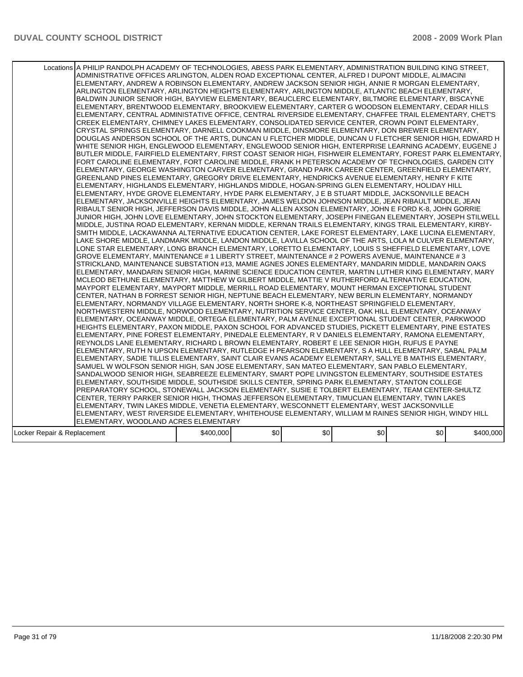| Locations A PHILIP RANDOLPH ACADEMY OF TECHNOLOGIES, ABESS PARK ELEMENTARY, ADMINISTRATION BUILDING KING STREET,<br>ADMINISTRATIVE OFFICES ARLINGTON, ALDEN ROAD EXCEPTIONAL CENTER, ALFRED I DUPONT MIDDLE, ALIMACINI<br>ELEMENTARY, ANDREW A ROBINSON ELEMENTARY, ANDREW JACKSON SENIOR HIGH, ANNIE R MORGAN ELEMENTARY,<br>ARLINGTON ELEMENTARY, ARLINGTON HEIGHTS ELEMENTARY, ARLINGTON MIDDLE, ATLANTIC BEACH ELEMENTARY,<br>BALDWIN JUNIOR SENIOR HIGH, BAYVIEW ELEMENTARY, BEAUCLERC ELEMENTARY, BILTMORE ELEMENTARY, BISCAYNE<br>ELEMENTARY, BRENTWOOD ELEMENTARY, BROOKVIEW ELEMENTARY, CARTER G WOODSON ELEMENTARY, CEDAR HILLS<br>IELEMENTARY, CENTRAL ADMINISTATIVE OFFICE, CENTRAL RIVERSIDE ELEMENTARY, CHAFFEE TRAIL ELEMENTARY, CHET'S<br>CREEK ELEMENTARY, CHIMNEY LAKES ELEMENTARY, CONSOLIDATED SERVICE CENTER, CROWN POINT ELEMENTARY,<br>CRYSTAL SPRINGS ELEMENTARY, DARNELL COOKMAN MIDDLE, DINSMORE ELEMENTARY, DON BREWER ELEMENTARY,<br>DOUGLAS ANDERSON SCHOOL OF THE ARTS, DUNCAN U FLETCHER MIDDLE, DUNCAN U FLETCHER SENIOR HIGH, EDWARD H<br>WHITE SENIOR HIGH, ENGLEWOOD ELEMENTARY, ENGLEWOOD SENIOR HIGH, ENTERPRISE LEARNING ACADEMY, EUGENE J<br>BUTLER MIDDLE, FAIRFIELD ELEMENTARY, FIRST COAST SENIOR HIGH, FISHWEIR ELEMENTARY, FOREST PARK ELEMENTARY,<br>FORT CAROLINE ELEMENTARY, FORT CAROLINE MIDDLE, FRANK H PETERSON ACADEMY OF TECHNOLOGIES, GARDEN CITY<br>ELEMENTARY, GEORGE WASHINGTON CARVER ELEMENTARY, GRAND PARK CAREER CENTER, GREENFIELD ELEMENTARY,<br>GREENLAND PINES ELEMENTARY, GREGORY DRIVE ELEMENTARY, HENDRICKS AVENUE ELEMENTARY, HENRY F KITE<br>ELEMENTARY, HIGHLANDS ELEMENTARY, HIGHLANDS MIDDLE, HOGAN-SPRING GLEN ELEMENTARY, HOLIDAY HILL<br>ELEMENTARY, HYDE GROVE ELEMENTARY, HYDE PARK ELEMENTARY, J E B STUART MIDDLE, JACKSONVILLE BEACH<br>IELEMENTARY, JACKSONVILLE HEIGHTS ELEMENTARY, JAMES WELDON JOHNSON MIDDLE, JEAN RIBAULT MIDDLE, JEAN<br>RIBAULT SENIOR HIGH, JEFFERSON DAVIS MIDDLE, JOHN ALLEN AXSON ELEMENTARY, JOHN E FORD K-8, JOHN GORRIE<br>JUNIOR HIGH. JOHN LOVE ELEMENTARY. JOHN STOCKTON ELEMENTARY. JOSEPH FINEGAN ELEMENTARY. JOSEPH STILWELL<br>MIDDLE, JUSTINA ROAD ELEMENTARY, KERNAN MIDDLE, KERNAN TRAILS ELEMENTARY, KINGS TRAIL ELEMENTARY, KIRBY-<br>SMITH MIDDLE, LACKAWANNA ALTERNATIVE EDUCATION CENTER, LAKE FOREST ELEMENTARY, LAKE LUCINA ELEMENTARY,<br>LAKE SHORE MIDDLE, LANDMARK MIDDLE, LANDON MIDDLE, LAVILLA SCHOOL OF THE ARTS, LOLA M CULVER ELEMENTARY,<br>LONE STAR ELEMENTARY, LONG BRANCH ELEMENTARY, LORETTO ELEMENTARY, LOUIS S SHEFFIELD ELEMENTARY, LOVE<br>GROVE ELEMENTARY, MAINTENANCE # 1 LIBERTY STREET, MAINTENANCE # 2 POWERS AVENUE, MAINTENANCE # 3<br>STRICKLAND, MAINTENANCE SUBSTATION #13, MAMIE AGNES JONES ELEMENTARY, MANDARIN MIDDLE, MANDARIN OAKS<br>IELEMENTARY, MANDARIN SENIOR HIGH, MARINE SCIENCE EDUCATION CENTER, MARTIN LUTHER KING ELEMENTARY, MARY<br>MCLEOD BETHUNE ELEMENTARY, MATTHEW W GILBERT MIDDLE, MATTIE V RUTHERFORD ALTERNATIVE EDUCATION,<br>MAYPORT ELEMENTARY, MAYPORT MIDDLE, MERRILL ROAD ELEMENTARY, MOUNT HERMAN EXCEPTIONAL STUDENT<br>CENTER, NATHAN B FORREST SENIOR HIGH, NEPTUNE BEACH ELEMENTARY, NEW BERLIN ELEMENTARY, NORMANDY<br>ELEMENTARY, NORMANDY VILLAGE ELEMENTARY, NORTH SHORE K-8, NORTHEAST SPRINGFIELD ELEMENTARY,<br>NORTHWESTERN MIDDLE, NORWOOD ELEMENTARY, NUTRITION SERVICE CENTER, OAK HILL ELEMENTARY, OCEANWAY<br>ELEMENTARY, OCEANWAY MIDDLE, ORTEGA ELEMENTARY, PALM AVENUE EXCEPTIONAL STUDENT CENTER, PARKWOOD<br>HEIGHTS ELEMENTARY, PAXON MIDDLE, PAXON SCHOOL FOR ADVANCED STUDIES, PICKETT ELEMENTARY, PINE ESTATES<br>ELEMENTARY, PINE FOREST ELEMENTARY, PINEDALE ELEMENTARY, R V DANIELS ELEMENTARY, RAMONA ELEMENTARY,<br>IREYNOLDS LANE ELEMENTARY, RICHARD L BROWN ELEMENTARY, ROBERT E LEE SENIOR HIGH, RUFUS E PAYNE<br>ELEMENTARY, RUTH N UPSON ELEMENTARY, RUTLEDGE H PEARSON ELEMENTARY, S A HULL ELEMENTARY, SABAL PALM<br>ELEMENTARY, SADIE TILLIS ELEMENTARY, SAINT CLAIR EVANS ACADEMY ELEMENTARY, SALLYE B MATHIS ELEMENTARY,<br>SAMUEL W WOLFSON SENIOR HIGH, SAN JOSE ELEMENTARY, SAN MATEO ELEMENTARY, SAN PABLO ELEMENTARY,<br>SANDALWOOD SENIOR HIGH, SEABREEZE ELEMENTARY, SMART POPE LIVINGSTON ELEMENTARY, SOUTHSIDE ESTATES<br>ELEMENTARY, SOUTHSIDE MIDDLE, SOUTHSIDE SKILLS CENTER, SPRING PARK ELEMENTARY, STANTON COLLEGE<br>PREPARATORY SCHOOL, STONEWALL JACKSON ELEMENTARY, SUSIE E TOLBERT ELEMENTARY, TEAM CENTER-SHULTZ<br>CENTER, TERRY PARKER SENIOR HIGH, THOMAS JEFFERSON ELEMENTARY, TIMUCUAN ELEMENTARY, TWIN LAKES<br>ELEMENTARY, TWIN LAKES MIDDLE, VENETIA ELEMENTARY, WESCONNETT ELEMENTARY, WEST JACKSONVILLE<br>ELEMENTARY, WEST RIVERSIDE ELEMENTARY, WHITEHOUSE ELEMENTARY, WILLIAM M RAINES SENIOR HIGH, WINDY HILL<br>ELEMENTARY, WOODLAND ACRES ELEMENTARY<br>\$0<br>\$0<br>\$0<br>\$0<br>\$400,000<br>\$400,000<br>Locker Repair & Replacement |  |  |  |  |
|----------------------------------------------------------------------------------------------------------------------------------------------------------------------------------------------------------------------------------------------------------------------------------------------------------------------------------------------------------------------------------------------------------------------------------------------------------------------------------------------------------------------------------------------------------------------------------------------------------------------------------------------------------------------------------------------------------------------------------------------------------------------------------------------------------------------------------------------------------------------------------------------------------------------------------------------------------------------------------------------------------------------------------------------------------------------------------------------------------------------------------------------------------------------------------------------------------------------------------------------------------------------------------------------------------------------------------------------------------------------------------------------------------------------------------------------------------------------------------------------------------------------------------------------------------------------------------------------------------------------------------------------------------------------------------------------------------------------------------------------------------------------------------------------------------------------------------------------------------------------------------------------------------------------------------------------------------------------------------------------------------------------------------------------------------------------------------------------------------------------------------------------------------------------------------------------------------------------------------------------------------------------------------------------------------------------------------------------------------------------------------------------------------------------------------------------------------------------------------------------------------------------------------------------------------------------------------------------------------------------------------------------------------------------------------------------------------------------------------------------------------------------------------------------------------------------------------------------------------------------------------------------------------------------------------------------------------------------------------------------------------------------------------------------------------------------------------------------------------------------------------------------------------------------------------------------------------------------------------------------------------------------------------------------------------------------------------------------------------------------------------------------------------------------------------------------------------------------------------------------------------------------------------------------------------------------------------------------------------------------------------------------------------------------------------------------------------------------------------------------------------------------------------------------------------------------------------------------------------------------------------------------------------------------------------------------------------------------------------------------------------------------------------------------------------------------------------------------------------------------------------------------------------------------------------------------------------------------------------------------------------------------------------------------------------------------------------------------------------------------------------------------------------------------------------------------------------------------------------------------------------------------------------------------------------------------------------------------------------------------------------------------------------------------------------------------------------------------------------------------------------------------------------------------------------------------------------------------------------------------------------------------------------------------------|--|--|--|--|
|                                                                                                                                                                                                                                                                                                                                                                                                                                                                                                                                                                                                                                                                                                                                                                                                                                                                                                                                                                                                                                                                                                                                                                                                                                                                                                                                                                                                                                                                                                                                                                                                                                                                                                                                                                                                                                                                                                                                                                                                                                                                                                                                                                                                                                                                                                                                                                                                                                                                                                                                                                                                                                                                                                                                                                                                                                                                                                                                                                                                                                                                                                                                                                                                                                                                                                                                                                                                                                                                                                                                                                                                                                                                                                                                                                                                                                                                                                                                                                                                                                                                                                                                                                                                                                                                                                                                                                                                                                                                                                                                                                                                                                                                                                                                                                                                                                                                                                                            |  |  |  |  |
|                                                                                                                                                                                                                                                                                                                                                                                                                                                                                                                                                                                                                                                                                                                                                                                                                                                                                                                                                                                                                                                                                                                                                                                                                                                                                                                                                                                                                                                                                                                                                                                                                                                                                                                                                                                                                                                                                                                                                                                                                                                                                                                                                                                                                                                                                                                                                                                                                                                                                                                                                                                                                                                                                                                                                                                                                                                                                                                                                                                                                                                                                                                                                                                                                                                                                                                                                                                                                                                                                                                                                                                                                                                                                                                                                                                                                                                                                                                                                                                                                                                                                                                                                                                                                                                                                                                                                                                                                                                                                                                                                                                                                                                                                                                                                                                                                                                                                                                            |  |  |  |  |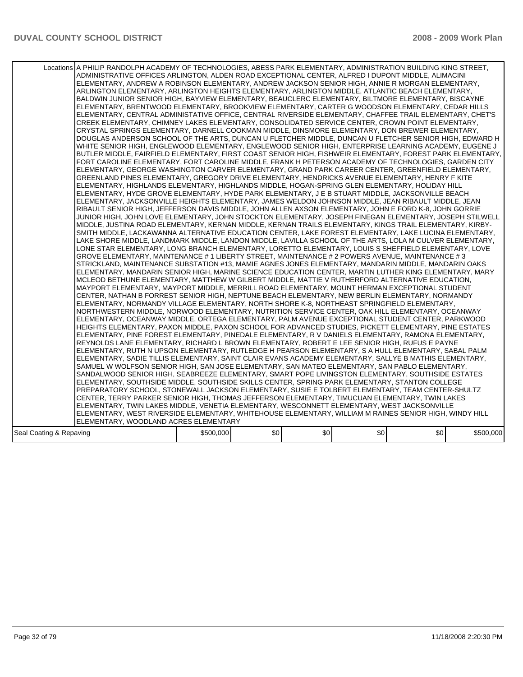|                         | Locations A PHILIP RANDOLPH ACADEMY OF TECHNOLOGIES, ABESS PARK ELEMENTARY, ADMINISTRATION BUILDING KING STREET,<br>ADMINISTRATIVE OFFICES ARLINGTON, ALDEN ROAD EXCEPTIONAL CENTER, ALFRED I DUPONT MIDDLE, ALIMACINI<br>ELEMENTARY, ANDREW A ROBINSON ELEMENTARY, ANDREW JACKSON SENIOR HIGH, ANNIE R MORGAN ELEMENTARY,<br>ARLINGTON ELEMENTARY, ARLINGTON HEIGHTS ELEMENTARY, ARLINGTON MIDDLE, ATLANTIC BEACH ELEMENTARY,<br>BALDWIN JUNIOR SENIOR HIGH, BAYVIEW ELEMENTARY, BEAUCLERC ELEMENTARY, BILTMORE ELEMENTARY, BISCAYNE<br>ELEMENTARY, BRENTWOOD ELEMENTARY, BROOKVIEW ELEMENTARY, CARTER G WOODSON ELEMENTARY, CEDAR HILLS<br>ELEMENTARY, CENTRAL ADMINISTATIVE OFFICE, CENTRAL RIVERSIDE ELEMENTARY, CHAFFEE TRAIL ELEMENTARY, CHET'S<br>CREEK ELEMENTARY, CHIMNEY LAKES ELEMENTARY, CONSOLIDATED SERVICE CENTER, CROWN POINT ELEMENTARY,<br>CRYSTAL SPRINGS ELEMENTARY, DARNELL COOKMAN MIDDLE, DINSMORE ELEMENTARY, DON BREWER ELEMENTARY,<br>DOUGLAS ANDERSON SCHOOL OF THE ARTS, DUNCAN U FLETCHER MIDDLE, DUNCAN U FLETCHER SENIOR HIGH, EDWARD H<br>WHITE SENIOR HIGH, ENGLEWOOD ELEMENTARY, ENGLEWOOD SENIOR HIGH, ENTERPRISE LEARNING ACADEMY, EUGENE J<br>BUTLER MIDDLE, FAIRFIELD ELEMENTARY, FIRST COAST SENIOR HIGH, FISHWEIR ELEMENTARY, FOREST PARK ELEMENTARY,<br>FORT CAROLINE ELEMENTARY, FORT CAROLINE MIDDLE, FRANK H PETERSON ACADEMY OF TECHNOLOGIES, GARDEN CITY<br>ELEMENTARY, GEORGE WASHINGTON CARVER ELEMENTARY, GRAND PARK CAREER CENTER, GREENFIELD ELEMENTARY,<br>GREENLAND PINES ELEMENTARY, GREGORY DRIVE ELEMENTARY, HENDRICKS AVENUE ELEMENTARY, HENRY F KITE<br>ELEMENTARY, HIGHLANDS ELEMENTARY, HIGHLANDS MIDDLE, HOGAN-SPRING GLEN ELEMENTARY, HOLIDAY HILL<br>ELEMENTARY, HYDE GROVE ELEMENTARY, HYDE PARK ELEMENTARY, J E B STUART MIDDLE, JACKSONVILLE BEACH<br>ELEMENTARY, JACKSONVILLE HEIGHTS ELEMENTARY, JAMES WELDON JOHNSON MIDDLE, JEAN RIBAULT MIDDLE, JEAN<br>RIBAULT SENIOR HIGH, JEFFERSON DAVIS MIDDLE, JOHN ALLEN AXSON ELEMENTARY, JOHN E FORD K-8, JOHN GORRIE<br>JUNIOR HIGH, JOHN LOVE ELEMENTARY, JOHN STOCKTON ELEMENTARY, JOSEPH FINEGAN ELEMENTARY, JOSEPH STILWELL<br>MIDDLE, JUSTINA ROAD ELEMENTARY, KERNAN MIDDLE, KERNAN TRAILS ELEMENTARY, KINGS TRAIL ELEMENTARY, KIRBY-<br>SMITH MIDDLE, LACKAWANNA ALTERNATIVE EDUCATION CENTER, LAKE FOREST ELEMENTARY, LAKE LUCINA ELEMENTARY,<br>LAKE SHORE MIDDLE, LANDMARK MIDDLE, LANDON MIDDLE, LAVILLA SCHOOL OF THE ARTS, LOLA M CULVER ELEMENTARY,<br>LONE STAR ELEMENTARY, LONG BRANCH ELEMENTARY, LORETTO ELEMENTARY, LOUIS S SHEFFIELD ELEMENTARY, LOVE<br>GROVE ELEMENTARY, MAINTENANCE # 1 LIBERTY STREET, MAINTENANCE # 2 POWERS AVENUE, MAINTENANCE # 3<br>STRICKLAND, MAINTENANCE SUBSTATION #13, MAMIE AGNES JONES ELEMENTARY, MANDARIN MIDDLE, MANDARIN OAKS<br>IELEMENTARY, MANDARIN SENIOR HIGH, MARINE SCIENCE EDUCATION CENTER, MARTIN LUTHER KING ELEMENTARY, MARY<br>MCLEOD BETHUNE ELEMENTARY, MATTHEW W GILBERT MIDDLE, MATTIE V RUTHERFORD ALTERNATIVE EDUCATION,<br>MAYPORT ELEMENTARY, MAYPORT MIDDLE, MERRILL ROAD ELEMENTARY, MOUNT HERMAN EXCEPTIONAL STUDENT<br>CENTER, NATHAN B FORREST SENIOR HIGH, NEPTUNE BEACH ELEMENTARY, NEW BERLIN ELEMENTARY, NORMANDY<br>ELEMENTARY, NORMANDY VILLAGE ELEMENTARY, NORTH SHORE K-8, NORTHEAST SPRINGFIELD ELEMENTARY,<br>NORTHWESTERN MIDDLE, NORWOOD ELEMENTARY, NUTRITION SERVICE CENTER, OAK HILL ELEMENTARY, OCEANWAY<br>ELEMENTARY, OCEANWAY MIDDLE, ORTEGA ELEMENTARY, PALM AVENUE EXCEPTIONAL STUDENT CENTER, PARKWOOD<br>HEIGHTS ELEMENTARY, PAXON MIDDLE, PAXON SCHOOL FOR ADVANCED STUDIES, PICKETT ELEMENTARY, PINE ESTATES<br>ELEMENTARY, PINE FOREST ELEMENTARY, PINEDALE ELEMENTARY, R V DANIELS ELEMENTARY, RAMONA ELEMENTARY,<br>REYNOLDS LANE ELEMENTARY, RICHARD L BROWN ELEMENTARY, ROBERT E LEE SENIOR HIGH, RUFUS E PAYNE<br>ELEMENTARY, RUTH N UPSON ELEMENTARY, RUTLEDGE H PEARSON ELEMENTARY, S A HULL ELEMENTARY, SABAL PALM<br>ELEMENTARY, SADIE TILLIS ELEMENTARY, SAINT CLAIR EVANS ACADEMY ELEMENTARY, SALLYE B MATHIS ELEMENTARY,<br>SAMUEL W WOLFSON SENIOR HIGH, SAN JOSE ELEMENTARY, SAN MATEO ELEMENTARY, SAN PABLO ELEMENTARY,<br>SANDALWOOD SENIOR HIGH, SEABREEZE ELEMENTARY, SMART POPE LIVINGSTON ELEMENTARY, SOUTHSIDE ESTATES<br>ELEMENTARY, SOUTHSIDE MIDDLE, SOUTHSIDE SKILLS CENTER, SPRING PARK ELEMENTARY, STANTON COLLEGE<br>PREPARATORY SCHOOL, STONEWALL JACKSON ELEMENTARY, SUSIE E TOLBERT ELEMENTARY, TEAM CENTER-SHULTZ<br>CENTER, TERRY PARKER SENIOR HIGH, THOMAS JEFFERSON ELEMENTARY, TIMUCUAN ELEMENTARY, TWIN LAKES<br>ELEMENTARY, TWIN LAKES MIDDLE, VENETIA ELEMENTARY, WESCONNETT ELEMENTARY, WEST JACKSONVILLE<br>ELEMENTARY, WEST RIVERSIDE ELEMENTARY, WHITEHOUSE ELEMENTARY, WILLIAM M RAINES SENIOR HIGH, WINDY HILL<br>ELEMENTARY, WOODLAND ACRES ELEMENTARY |           |     |     |     |     |           |
|-------------------------|------------------------------------------------------------------------------------------------------------------------------------------------------------------------------------------------------------------------------------------------------------------------------------------------------------------------------------------------------------------------------------------------------------------------------------------------------------------------------------------------------------------------------------------------------------------------------------------------------------------------------------------------------------------------------------------------------------------------------------------------------------------------------------------------------------------------------------------------------------------------------------------------------------------------------------------------------------------------------------------------------------------------------------------------------------------------------------------------------------------------------------------------------------------------------------------------------------------------------------------------------------------------------------------------------------------------------------------------------------------------------------------------------------------------------------------------------------------------------------------------------------------------------------------------------------------------------------------------------------------------------------------------------------------------------------------------------------------------------------------------------------------------------------------------------------------------------------------------------------------------------------------------------------------------------------------------------------------------------------------------------------------------------------------------------------------------------------------------------------------------------------------------------------------------------------------------------------------------------------------------------------------------------------------------------------------------------------------------------------------------------------------------------------------------------------------------------------------------------------------------------------------------------------------------------------------------------------------------------------------------------------------------------------------------------------------------------------------------------------------------------------------------------------------------------------------------------------------------------------------------------------------------------------------------------------------------------------------------------------------------------------------------------------------------------------------------------------------------------------------------------------------------------------------------------------------------------------------------------------------------------------------------------------------------------------------------------------------------------------------------------------------------------------------------------------------------------------------------------------------------------------------------------------------------------------------------------------------------------------------------------------------------------------------------------------------------------------------------------------------------------------------------------------------------------------------------------------------------------------------------------------------------------------------------------------------------------------------------------------------------------------------------------------------------------------------------------------------------------------------------------------------------------------------------------------------------------------------------------------------------------------------------------------------------------------------------------------------------------------------------------------------------------------------------------------------------------------------------------------------------------------------------------------------------------------------------------------------------------------------------------------------------------------------------------------------------------------------------------------------------------------------------------------------------------------------------------------|-----------|-----|-----|-----|-----|-----------|
| Seal Coating & Repaving |                                                                                                                                                                                                                                                                                                                                                                                                                                                                                                                                                                                                                                                                                                                                                                                                                                                                                                                                                                                                                                                                                                                                                                                                                                                                                                                                                                                                                                                                                                                                                                                                                                                                                                                                                                                                                                                                                                                                                                                                                                                                                                                                                                                                                                                                                                                                                                                                                                                                                                                                                                                                                                                                                                                                                                                                                                                                                                                                                                                                                                                                                                                                                                                                                                                                                                                                                                                                                                                                                                                                                                                                                                                                                                                                                                                                                                                                                                                                                                                                                                                                                                                                                                                                                                                                                                                                                                                                                                                                                                                                                                                                                                                                                                                                                                                                                                    | \$500,000 | \$0 | \$0 | \$0 | \$0 | \$500,000 |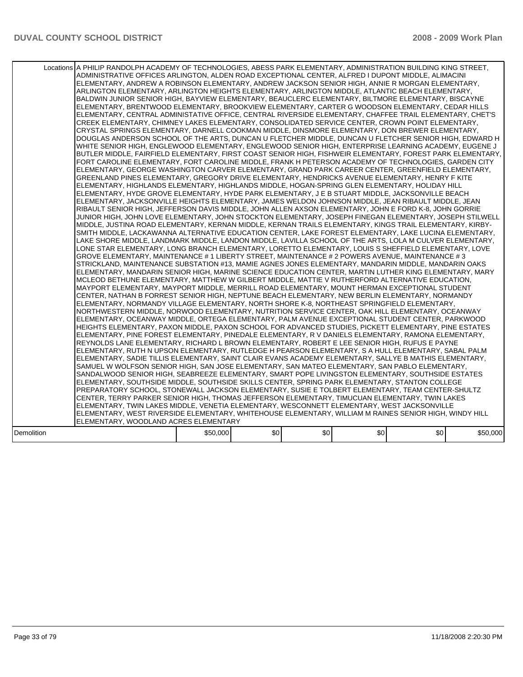|            | Locations A PHILIP RANDOLPH ACADEMY OF TECHNOLOGIES, ABESS PARK ELEMENTARY, ADMINISTRATION BUILDING KING STREET,<br>ADMINISTRATIVE OFFICES ARLINGTON, ALDEN ROAD EXCEPTIONAL CENTER, ALFRED I DUPONT MIDDLE, ALIMACINI<br>ELEMENTARY, ANDREW A ROBINSON ELEMENTARY, ANDREW JACKSON SENIOR HIGH, ANNIE R MORGAN ELEMENTARY,<br>ARLINGTON ELEMENTARY, ARLINGTON HEIGHTS ELEMENTARY, ARLINGTON MIDDLE, ATLANTIC BEACH ELEMENTARY,<br>BALDWIN JUNIOR SENIOR HIGH, BAYVIEW ELEMENTARY, BEAUCLERC ELEMENTARY, BILTMORE ELEMENTARY, BISCAYNE<br>ELEMENTARY, BRENTWOOD ELEMENTARY, BROOKVIEW ELEMENTARY, CARTER G WOODSON ELEMENTARY, CEDAR HILLS<br>ELEMENTARY, CENTRAL ADMINISTATIVE OFFICE, CENTRAL RIVERSIDE ELEMENTARY, CHAFFEE TRAIL ELEMENTARY, CHET'S<br>CREEK ELEMENTARY, CHIMNEY LAKES ELEMENTARY, CONSOLIDATED SERVICE CENTER, CROWN POINT ELEMENTARY,<br>CRYSTAL SPRINGS ELEMENTARY, DARNELL COOKMAN MIDDLE, DINSMORE ELEMENTARY, DON BREWER ELEMENTARY,<br>DOUGLAS ANDERSON SCHOOL OF THE ARTS, DUNCAN U FLETCHER MIDDLE, DUNCAN U FLETCHER SENIOR HIGH, EDWARD H<br>WHITE SENIOR HIGH, ENGLEWOOD ELEMENTARY, ENGLEWOOD SENIOR HIGH, ENTERPRISE LEARNING ACADEMY, EUGENE J<br>BUTLER MIDDLE, FAIRFIELD ELEMENTARY, FIRST COAST SENIOR HIGH, FISHWEIR ELEMENTARY, FOREST PARK ELEMENTARY,<br>FORT CAROLINE ELEMENTARY, FORT CAROLINE MIDDLE, FRANK H PETERSON ACADEMY OF TECHNOLOGIES, GARDEN CITY<br>ELEMENTARY, GEORGE WASHINGTON CARVER ELEMENTARY, GRAND PARK CAREER CENTER, GREENFIELD ELEMENTARY,<br>GREENLAND PINES ELEMENTARY, GREGORY DRIVE ELEMENTARY, HENDRICKS AVENUE ELEMENTARY, HENRY F KITE<br>IELEMENTARY. HIGHLANDS ELEMENTARY. HIGHLANDS MIDDLE. HOGAN-SPRING GLEN ELEMENTARY. HOLIDAY HILL<br>ELEMENTARY, HYDE GROVE ELEMENTARY, HYDE PARK ELEMENTARY, J E B STUART MIDDLE, JACKSONVILLE BEACH<br>ELEMENTARY, JACKSONVILLE HEIGHTS ELEMENTARY, JAMES WELDON JOHNSON MIDDLE, JEAN RIBAULT MIDDLE, JEAN<br>RIBAULT SENIOR HIGH, JEFFERSON DAVIS MIDDLE, JOHN ALLEN AXSON ELEMENTARY, JOHN E FORD K-8, JOHN GORRIE                                                                                                                                                                                                                                                                                                                                                                                                                                                                                                                                                                                                                                                                                                                                                   |          |     |     |     |     |          |
|------------|------------------------------------------------------------------------------------------------------------------------------------------------------------------------------------------------------------------------------------------------------------------------------------------------------------------------------------------------------------------------------------------------------------------------------------------------------------------------------------------------------------------------------------------------------------------------------------------------------------------------------------------------------------------------------------------------------------------------------------------------------------------------------------------------------------------------------------------------------------------------------------------------------------------------------------------------------------------------------------------------------------------------------------------------------------------------------------------------------------------------------------------------------------------------------------------------------------------------------------------------------------------------------------------------------------------------------------------------------------------------------------------------------------------------------------------------------------------------------------------------------------------------------------------------------------------------------------------------------------------------------------------------------------------------------------------------------------------------------------------------------------------------------------------------------------------------------------------------------------------------------------------------------------------------------------------------------------------------------------------------------------------------------------------------------------------------------------------------------------------------------------------------------------------------------------------------------------------------------------------------------------------------------------------------------------------------------------------------------------------------------------------------------------------------------------------------------------------------------------------------------------------------------------------------------------------------------------------------------------------------------------------------------------------------------------------------------------------------------------------------------------------------------------------|----------|-----|-----|-----|-----|----------|
|            | JUNIOR HIGH, JOHN LOVE ELEMENTARY, JOHN STOCKTON ELEMENTARY, JOSEPH FINEGAN ELEMENTARY, JOSEPH STILWELL<br>MIDDLE, JUSTINA ROAD ELEMENTARY, KERNAN MIDDLE, KERNAN TRAILS ELEMENTARY, KINGS TRAIL ELEMENTARY, KIRBY-<br>SMITH MIDDLE, LACKAWANNA ALTERNATIVE EDUCATION CENTER, LAKE FOREST ELEMENTARY, LAKE LUCINA ELEMENTARY,<br>LAKE SHORE MIDDLE, LANDMARK MIDDLE, LANDON MIDDLE, LAVILLA SCHOOL OF THE ARTS, LOLA M CULVER ELEMENTARY,<br>LONE STAR ELEMENTARY. LONG BRANCH ELEMENTARY. LORETTO ELEMENTARY. LOUIS S SHEFFIELD ELEMENTARY. LOVE<br>GROVE ELEMENTARY, MAINTENANCE # 1 LIBERTY STREET, MAINTENANCE # 2 POWERS AVENUE, MAINTENANCE # 3<br>STRICKLAND, MAINTENANCE SUBSTATION #13, MAMIE AGNES JONES ELEMENTARY, MANDARIN MIDDLE, MANDARIN OAKS<br>ELEMENTARY, MANDARIN SENIOR HIGH, MARINE SCIENCE EDUCATION CENTER, MARTIN LUTHER KING ELEMENTARY, MARY<br>MCLEOD BETHUNE ELEMENTARY, MATTHEW W GILBERT MIDDLE, MATTIE V RUTHERFORD ALTERNATIVE EDUCATION,<br>MAYPORT ELEMENTARY, MAYPORT MIDDLE, MERRILL ROAD ELEMENTARY, MOUNT HERMAN EXCEPTIONAL STUDENT<br>CENTER, NATHAN B FORREST SENIOR HIGH, NEPTUNE BEACH ELEMENTARY, NEW BERLIN ELEMENTARY, NORMANDY<br>ELEMENTARY, NORMANDY VILLAGE ELEMENTARY, NORTH SHORE K-8, NORTHEAST SPRINGFIELD ELEMENTARY,<br>NORTHWESTERN MIDDLE, NORWOOD ELEMENTARY, NUTRITION SERVICE CENTER, OAK HILL ELEMENTARY, OCEANWAY<br>ELEMENTARY, OCEANWAY MIDDLE, ORTEGA ELEMENTARY, PALM AVENUE EXCEPTIONAL STUDENT CENTER, PARKWOOD<br>HEIGHTS ELEMENTARY, PAXON MIDDLE, PAXON SCHOOL FOR ADVANCED STUDIES, PICKETT ELEMENTARY, PINE ESTATES<br>ELEMENTARY. PINE FOREST ELEMENTARY. PINEDALE ELEMENTARY. R V DANIELS ELEMENTARY. RAMONA ELEMENTARY.<br>REYNOLDS LANE ELEMENTARY, RICHARD L BROWN ELEMENTARY, ROBERT E LEE SENIOR HIGH, RUFUS E PAYNE<br>ELEMENTARY, RUTH N UPSON ELEMENTARY, RUTLEDGE H PEARSON ELEMENTARY, S A HULL ELEMENTARY, SABAL PALM<br>ELEMENTARY, SADIE TILLIS ELEMENTARY, SAINT CLAIR EVANS ACADEMY ELEMENTARY, SALLYE B MATHIS ELEMENTARY,<br>SAMUEL W WOLFSON SENIOR HIGH, SAN JOSE ELEMENTARY, SAN MATEO ELEMENTARY, SAN PABLO ELEMENTARY,<br>SANDALWOOD SENIOR HIGH, SEABREEZE ELEMENTARY, SMART POPE LIVINGSTON ELEMENTARY, SOUTHSIDE ESTATES<br>ELEMENTARY, SOUTHSIDE MIDDLE, SOUTHSIDE SKILLS CENTER, SPRING PARK ELEMENTARY, STANTON COLLEGE<br>PREPARATORY SCHOOL, STONEWALL JACKSON ELEMENTARY, SUSIE E TOLBERT ELEMENTARY, TEAM CENTER-SHULTZ<br>CENTER, TERRY PARKER SENIOR HIGH, THOMAS JEFFERSON ELEMENTARY, TIMUCUAN ELEMENTARY, TWIN LAKES<br>ELEMENTARY, TWIN LAKES MIDDLE, VENETIA ELEMENTARY, WESCONNETT ELEMENTARY, WEST JACKSONVILLE<br>ELEMENTARY, WEST RIVERSIDE ELEMENTARY, WHITEHOUSE ELEMENTARY, WILLIAM M RAINES SENIOR HIGH, WINDY HILL<br>ELEMENTARY, WOODLAND ACRES ELEMENTARY |          |     |     |     |     |          |
| Demolition |                                                                                                                                                                                                                                                                                                                                                                                                                                                                                                                                                                                                                                                                                                                                                                                                                                                                                                                                                                                                                                                                                                                                                                                                                                                                                                                                                                                                                                                                                                                                                                                                                                                                                                                                                                                                                                                                                                                                                                                                                                                                                                                                                                                                                                                                                                                                                                                                                                                                                                                                                                                                                                                                                                                                                                                          | \$50,000 | \$0 | \$0 | \$0 | \$0 | \$50,000 |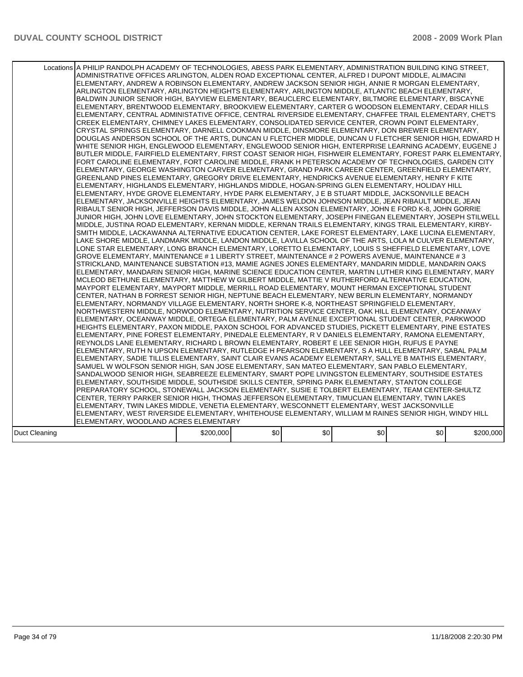|               | Locations A PHILIP RANDOLPH ACADEMY OF TECHNOLOGIES, ABESS PARK ELEMENTARY, ADMINISTRATION BUILDING KING STREET,<br>ADMINISTRATIVE OFFICES ARLINGTON, ALDEN ROAD EXCEPTIONAL CENTER, ALFRED I DUPONT MIDDLE, ALIMACINI<br>ELEMENTARY, ANDREW A ROBINSON ELEMENTARY, ANDREW JACKSON SENIOR HIGH, ANNIE R MORGAN ELEMENTARY,<br>ARLINGTON ELEMENTARY, ARLINGTON HEIGHTS ELEMENTARY, ARLINGTON MIDDLE, ATLANTIC BEACH ELEMENTARY,<br>BALDWIN JUNIOR SENIOR HIGH, BAYVIEW ELEMENTARY, BEAUCLERC ELEMENTARY, BILTMORE ELEMENTARY, BISCAYNE<br>ELEMENTARY, BRENTWOOD ELEMENTARY, BROOKVIEW ELEMENTARY, CARTER G WOODSON ELEMENTARY, CEDAR HILLS<br>IELEMENTARY. CENTRAL ADMINISTATIVE OFFICE. CENTRAL RIVERSIDE ELEMENTARY. CHAFFEE TRAIL ELEMENTARY. CHET'S<br>CREEK ELEMENTARY, CHIMNEY LAKES ELEMENTARY, CONSOLIDATED SERVICE CENTER, CROWN POINT ELEMENTARY,<br>CRYSTAL SPRINGS ELEMENTARY, DARNELL COOKMAN MIDDLE, DINSMORE ELEMENTARY, DON BREWER ELEMENTARY,<br>DOUGLAS ANDERSON SCHOOL OF THE ARTS, DUNCAN U FLETCHER MIDDLE, DUNCAN U FLETCHER SENIOR HIGH, EDWARD H<br>WHITE SENIOR HIGH, ENGLEWOOD ELEMENTARY, ENGLEWOOD SENIOR HIGH, ENTERPRISE LEARNING ACADEMY, EUGENE J<br>BUTLER MIDDLE, FAIRFIELD ELEMENTARY, FIRST COAST SENIOR HIGH, FISHWEIR ELEMENTARY, FOREST PARK ELEMENTARY,<br>FORT CAROLINE ELEMENTARY, FORT CAROLINE MIDDLE, FRANK H PETERSON ACADEMY OF TECHNOLOGIES, GARDEN CITY<br>ELEMENTARY, GEORGE WASHINGTON CARVER ELEMENTARY, GRAND PARK CAREER CENTER, GREENFIELD ELEMENTARY,<br>GREENLAND PINES ELEMENTARY, GREGORY DRIVE ELEMENTARY, HENDRICKS AVENUE ELEMENTARY, HENRY F KITE<br>ELEMENTARY, HIGHLANDS ELEMENTARY, HIGHLANDS MIDDLE, HOGAN-SPRING GLEN ELEMENTARY, HOLIDAY HILL<br>ELEMENTARY, HYDE GROVE ELEMENTARY, HYDE PARK ELEMENTARY, J E B STUART MIDDLE, JACKSONVILLE BEACH<br>ELEMENTARY, JACKSONVILLE HEIGHTS ELEMENTARY, JAMES WELDON JOHNSON MIDDLE, JEAN RIBAULT MIDDLE, JEAN<br>RIBAULT SENIOR HIGH, JEFFERSON DAVIS MIDDLE, JOHN ALLEN AXSON ELEMENTARY, JOHN E FORD K-8, JOHN GORRIE<br>JUNIOR HIGH, JOHN LOVE ELEMENTARY, JOHN STOCKTON ELEMENTARY, JOSEPH FINEGAN ELEMENTARY, JOSEPH STILWELL<br>MIDDLE, JUSTINA ROAD ELEMENTARY, KERNAN MIDDLE, KERNAN TRAILS ELEMENTARY, KINGS TRAIL ELEMENTARY, KIRBY-<br>SMITH MIDDLE, LACKAWANNA ALTERNATIVE EDUCATION CENTER, LAKE FOREST ELEMENTARY, LAKE LUCINA ELEMENTARY,<br>LAKE SHORE MIDDLE, LANDMARK MIDDLE, LANDON MIDDLE, LAVILLA SCHOOL OF THE ARTS, LOLA M CULVER ELEMENTARY,<br>LONE STAR ELEMENTARY, LONG BRANCH ELEMENTARY, LORETTO ELEMENTARY, LOUIS S SHEFFIELD ELEMENTARY, LOVE<br>GROVE ELEMENTARY, MAINTENANCE # 1 LIBERTY STREET, MAINTENANCE # 2 POWERS AVENUE, MAINTENANCE # 3<br>STRICKLAND, MAINTENANCE SUBSTATION #13, MAMIE AGNES JONES ELEMENTARY, MANDARIN MIDDLE, MANDARIN OAKS<br>IELEMENTARY, MANDARIN SENIOR HIGH, MARINE SCIENCE EDUCATION CENTER, MARTIN LUTHER KING ELEMENTARY, MARY<br>MCLEOD BETHUNE ELEMENTARY, MATTHEW W GILBERT MIDDLE, MATTIE V RUTHERFORD ALTERNATIVE EDUCATION,<br>MAYPORT ELEMENTARY, MAYPORT MIDDLE, MERRILL ROAD ELEMENTARY, MOUNT HERMAN EXCEPTIONAL STUDENT<br>CENTER, NATHAN B FORREST SENIOR HIGH, NEPTUNE BEACH ELEMENTARY, NEW BERLIN ELEMENTARY, NORMANDY<br>ELEMENTARY, NORMANDY VILLAGE ELEMENTARY, NORTH SHORE K-8, NORTHEAST SPRINGFIELD ELEMENTARY,<br>NORTHWESTERN MIDDLE, NORWOOD ELEMENTARY, NUTRITION SERVICE CENTER, OAK HILL ELEMENTARY, OCEANWAY<br>ELEMENTARY, OCEANWAY MIDDLE, ORTEGA ELEMENTARY, PALM AVENUE EXCEPTIONAL STUDENT CENTER, PARKWOOD<br>HEIGHTS ELEMENTARY, PAXON MIDDLE, PAXON SCHOOL FOR ADVANCED STUDIES, PICKETT ELEMENTARY, PINE ESTATES<br>ELEMENTARY. PINE FOREST ELEMENTARY. PINEDALE ELEMENTARY. R V DANIELS ELEMENTARY. RAMONA ELEMENTARY.<br>REYNOLDS LANE ELEMENTARY, RICHARD L BROWN ELEMENTARY, ROBERT E LEE SENIOR HIGH, RUFUS E PAYNE<br>ELEMENTARY, RUTH N UPSON ELEMENTARY, RUTLEDGE H PEARSON ELEMENTARY, S A HULL ELEMENTARY, SABAL PALM<br>ELEMENTARY, SADIE TILLIS ELEMENTARY, SAINT CLAIR EVANS ACADEMY ELEMENTARY, SALLYE B MATHIS ELEMENTARY,<br>SAMUEL W WOLFSON SENIOR HIGH, SAN JOSE ELEMENTARY, SAN MATEO ELEMENTARY, SAN PABLO ELEMENTARY,<br>SANDALWOOD SENIOR HIGH, SEABREEZE ELEMENTARY, SMART POPE LIVINGSTON ELEMENTARY, SOUTHSIDE ESTATES<br>ELEMENTARY, SOUTHSIDE MIDDLE, SOUTHSIDE SKILLS CENTER, SPRING PARK ELEMENTARY, STANTON COLLEGE<br>PREPARATORY SCHOOL, STONEWALL JACKSON ELEMENTARY, SUSIE E TOLBERT ELEMENTARY, TEAM CENTER-SHULTZ<br>CENTER, TERRY PARKER SENIOR HIGH, THOMAS JEFFERSON ELEMENTARY, TIMUCUAN ELEMENTARY, TWIN LAKES<br>ELEMENTARY, TWIN LAKES MIDDLE, VENETIA ELEMENTARY, WESCONNETT ELEMENTARY, WEST JACKSONVILLE<br>ELEMENTARY, WEST RIVERSIDE ELEMENTARY, WHITEHOUSE ELEMENTARY, WILLIAM M RAINES SENIOR HIGH, WINDY HILL<br>ELEMENTARY, WOODLAND ACRES ELEMENTARY |           |     |     |     |     |           |
|---------------|-------------------------------------------------------------------------------------------------------------------------------------------------------------------------------------------------------------------------------------------------------------------------------------------------------------------------------------------------------------------------------------------------------------------------------------------------------------------------------------------------------------------------------------------------------------------------------------------------------------------------------------------------------------------------------------------------------------------------------------------------------------------------------------------------------------------------------------------------------------------------------------------------------------------------------------------------------------------------------------------------------------------------------------------------------------------------------------------------------------------------------------------------------------------------------------------------------------------------------------------------------------------------------------------------------------------------------------------------------------------------------------------------------------------------------------------------------------------------------------------------------------------------------------------------------------------------------------------------------------------------------------------------------------------------------------------------------------------------------------------------------------------------------------------------------------------------------------------------------------------------------------------------------------------------------------------------------------------------------------------------------------------------------------------------------------------------------------------------------------------------------------------------------------------------------------------------------------------------------------------------------------------------------------------------------------------------------------------------------------------------------------------------------------------------------------------------------------------------------------------------------------------------------------------------------------------------------------------------------------------------------------------------------------------------------------------------------------------------------------------------------------------------------------------------------------------------------------------------------------------------------------------------------------------------------------------------------------------------------------------------------------------------------------------------------------------------------------------------------------------------------------------------------------------------------------------------------------------------------------------------------------------------------------------------------------------------------------------------------------------------------------------------------------------------------------------------------------------------------------------------------------------------------------------------------------------------------------------------------------------------------------------------------------------------------------------------------------------------------------------------------------------------------------------------------------------------------------------------------------------------------------------------------------------------------------------------------------------------------------------------------------------------------------------------------------------------------------------------------------------------------------------------------------------------------------------------------------------------------------------------------------------------------------------------------------------------------------------------------------------------------------------------------------------------------------------------------------------------------------------------------------------------------------------------------------------------------------------------------------------------------------------------------------------------------------------------------------------------------------------------------------------------------------------------------------------------------------|-----------|-----|-----|-----|-----|-----------|
| Duct Cleaning |                                                                                                                                                                                                                                                                                                                                                                                                                                                                                                                                                                                                                                                                                                                                                                                                                                                                                                                                                                                                                                                                                                                                                                                                                                                                                                                                                                                                                                                                                                                                                                                                                                                                                                                                                                                                                                                                                                                                                                                                                                                                                                                                                                                                                                                                                                                                                                                                                                                                                                                                                                                                                                                                                                                                                                                                                                                                                                                                                                                                                                                                                                                                                                                                                                                                                                                                                                                                                                                                                                                                                                                                                                                                                                                                                                                                                                                                                                                                                                                                                                                                                                                                                                                                                                                                                                                                                                                                                                                                                                                                                                                                                                                                                                                                                                                                                                     | \$200,000 | \$0 | \$0 | \$0 | \$0 | \$200,000 |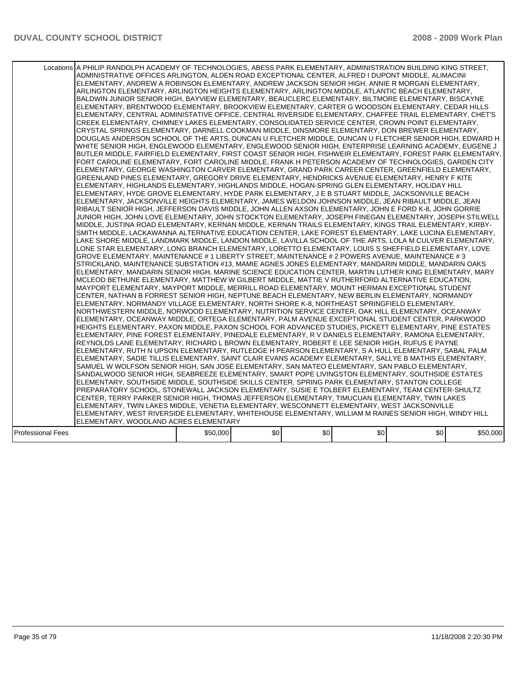|                   | Locations A PHILIP RANDOLPH ACADEMY OF TECHNOLOGIES, ABESS PARK ELEMENTARY, ADMINISTRATION BUILDING KING STREET,<br>ADMINISTRATIVE OFFICES ARLINGTON, ALDEN ROAD EXCEPTIONAL CENTER, ALFRED I DUPONT MIDDLE, ALIMACINI<br>ELEMENTARY, ANDREW A ROBINSON ELEMENTARY, ANDREW JACKSON SENIOR HIGH, ANNIE R MORGAN ELEMENTARY,<br>ARLINGTON ELEMENTARY, ARLINGTON HEIGHTS ELEMENTARY, ARLINGTON MIDDLE, ATLANTIC BEACH ELEMENTARY,<br>BALDWIN JUNIOR SENIOR HIGH, BAYVIEW ELEMENTARY, BEAUCLERC ELEMENTARY, BILTMORE ELEMENTARY, BISCAYNE<br>ELEMENTARY, BRENTWOOD ELEMENTARY, BROOKVIEW ELEMENTARY, CARTER G WOODSON ELEMENTARY, CEDAR HILLS<br>ELEMENTARY, CENTRAL ADMINISTATIVE OFFICE, CENTRAL RIVERSIDE ELEMENTARY, CHAFFEE TRAIL ELEMENTARY, CHET'S<br>CREEK ELEMENTARY, CHIMNEY LAKES ELEMENTARY, CONSOLIDATED SERVICE CENTER, CROWN POINT ELEMENTARY,<br>CRYSTAL SPRINGS ELEMENTARY, DARNELL COOKMAN MIDDLE, DINSMORE ELEMENTARY, DON BREWER ELEMENTARY,<br>DOUGLAS ANDERSON SCHOOL OF THE ARTS, DUNCAN U FLETCHER MIDDLE, DUNCAN U FLETCHER SENIOR HIGH, EDWARD H<br>WHITE SENIOR HIGH, ENGLEWOOD ELEMENTARY, ENGLEWOOD SENIOR HIGH, ENTERPRISE LEARNING ACADEMY, EUGENE J<br>BUTLER MIDDLE, FAIRFIELD ELEMENTARY, FIRST COAST SENIOR HIGH, FISHWEIR ELEMENTARY, FOREST PARK ELEMENTARY,<br>FORT CAROLINE ELEMENTARY, FORT CAROLINE MIDDLE, FRANK H PETERSON ACADEMY OF TECHNOLOGIES, GARDEN CITY<br>ELEMENTARY, GEORGE WASHINGTON CARVER ELEMENTARY, GRAND PARK CAREER CENTER, GREENFIELD ELEMENTARY,<br>GREENLAND PINES ELEMENTARY, GREGORY DRIVE ELEMENTARY, HENDRICKS AVENUE ELEMENTARY, HENRY F KITE<br>IELEMENTARY. HIGHLANDS ELEMENTARY. HIGHLANDS MIDDLE. HOGAN-SPRING GLEN ELEMENTARY. HOLIDAY HILL<br>ELEMENTARY, HYDE GROVE ELEMENTARY, HYDE PARK ELEMENTARY, J E B STUART MIDDLE, JACKSONVILLE BEACH<br>ELEMENTARY, JACKSONVILLE HEIGHTS ELEMENTARY, JAMES WELDON JOHNSON MIDDLE, JEAN RIBAULT MIDDLE, JEAN<br>RIBAULT SENIOR HIGH, JEFFERSON DAVIS MIDDLE, JOHN ALLEN AXSON ELEMENTARY, JOHN E FORD K-8, JOHN GORRIE<br>JUNIOR HIGH, JOHN LOVE ELEMENTARY, JOHN STOCKTON ELEMENTARY, JOSEPH FINEGAN ELEMENTARY, JOSEPH STILWELL<br>MIDDLE, JUSTINA ROAD ELEMENTARY, KERNAN MIDDLE, KERNAN TRAILS ELEMENTARY, KINGS TRAIL ELEMENTARY, KIRBY-<br>SMITH MIDDLE, LACKAWANNA ALTERNATIVE EDUCATION CENTER, LAKE FOREST ELEMENTARY, LAKE LUCINA ELEMENTARY.<br>LAKE SHORE MIDDLE, LANDMARK MIDDLE, LANDON MIDDLE, LAVILLA SCHOOL OF THE ARTS, LOLA M CULVER ELEMENTARY,<br>LONE STAR ELEMENTARY, LONG BRANCH ELEMENTARY, LORETTO ELEMENTARY, LOUIS S SHEFFIELD ELEMENTARY, LOVE<br>GROVE ELEMENTARY, MAINTENANCE # 1 LIBERTY STREET, MAINTENANCE # 2 POWERS AVENUE, MAINTENANCE # 3<br>STRICKLAND, MAINTENANCE SUBSTATION #13, MAMIE AGNES JONES ELEMENTARY, MANDARIN MIDDLE, MANDARIN OAKS<br>IELEMENTARY. MANDARIN SENIOR HIGH. MARINE SCIENCE EDUCATION CENTER. MARTIN LUTHER KING ELEMENTARY. MARY<br>MCLEOD BETHUNE ELEMENTARY, MATTHEW W GILBERT MIDDLE, MATTIE V RUTHERFORD ALTERNATIVE EDUCATION,<br>MAYPORT ELEMENTARY, MAYPORT MIDDLE, MERRILL ROAD ELEMENTARY, MOUNT HERMAN EXCEPTIONAL STUDENT<br>CENTER, NATHAN B FORREST SENIOR HIGH, NEPTUNE BEACH ELEMENTARY, NEW BERLIN ELEMENTARY, NORMANDY<br>ELEMENTARY, NORMANDY VILLAGE ELEMENTARY, NORTH SHORE K-8, NORTHEAST SPRINGFIELD ELEMENTARY,<br>NORTHWESTERN MIDDLE, NORWOOD ELEMENTARY, NUTRITION SERVICE CENTER, OAK HILL ELEMENTARY, OCEANWAY<br>ELEMENTARY. OCEANWAY MIDDLE. ORTEGA ELEMENTARY. PALM AVENUE EXCEPTIONAL STUDENT CENTER. PARKWOOD<br>HEIGHTS ELEMENTARY, PAXON MIDDLE, PAXON SCHOOL FOR ADVANCED STUDIES, PICKETT ELEMENTARY, PINE ESTATES<br>ELEMENTARY, PINE FOREST ELEMENTARY, PINEDALE ELEMENTARY, R V DANIELS ELEMENTARY, RAMONA ELEMENTARY,<br>REYNOLDS LANE ELEMENTARY, RICHARD L BROWN ELEMENTARY, ROBERT E LEE SENIOR HIGH, RUFUS E PAYNE<br>ELEMENTARY, RUTH N UPSON ELEMENTARY, RUTLEDGE H PEARSON ELEMENTARY, S A HULL ELEMENTARY, SABAL PALM <br>ELEMENTARY, SADIE TILLIS ELEMENTARY, SAINT CLAIR EVANS ACADEMY ELEMENTARY, SALLYE B MATHIS ELEMENTARY,<br>SAMUEL W WOLFSON SENIOR HIGH, SAN JOSE ELEMENTARY, SAN MATEO ELEMENTARY, SAN PABLO ELEMENTARY,<br>SANDALWOOD SENIOR HIGH, SEABREEZE ELEMENTARY, SMART POPE LIVINGSTON ELEMENTARY, SOUTHSIDE ESTATES<br>ELEMENTARY, SOUTHSIDE MIDDLE, SOUTHSIDE SKILLS CENTER, SPRING PARK ELEMENTARY, STANTON COLLEGE<br>PREPARATORY SCHOOL, STONEWALL JACKSON ELEMENTARY, SUSIE E TOLBERT ELEMENTARY, TEAM CENTER-SHULTZ<br>CENTER, TERRY PARKER SENIOR HIGH, THOMAS JEFFERSON ELEMENTARY, TIMUCUAN ELEMENTARY, TWIN LAKES<br>ELEMENTARY, TWIN LAKES MIDDLE, VENETIA ELEMENTARY, WESCONNETT ELEMENTARY, WEST JACKSONVILLE<br>ELEMENTARY, WEST RIVERSIDE ELEMENTARY, WHITEHOUSE ELEMENTARY, WILLIAM M RAINES SENIOR HIGH, WINDY HILL<br>ELEMENTARY, WOODLAND ACRES ELEMENTARY |          |     |     |     |     |          |
|-------------------|--------------------------------------------------------------------------------------------------------------------------------------------------------------------------------------------------------------------------------------------------------------------------------------------------------------------------------------------------------------------------------------------------------------------------------------------------------------------------------------------------------------------------------------------------------------------------------------------------------------------------------------------------------------------------------------------------------------------------------------------------------------------------------------------------------------------------------------------------------------------------------------------------------------------------------------------------------------------------------------------------------------------------------------------------------------------------------------------------------------------------------------------------------------------------------------------------------------------------------------------------------------------------------------------------------------------------------------------------------------------------------------------------------------------------------------------------------------------------------------------------------------------------------------------------------------------------------------------------------------------------------------------------------------------------------------------------------------------------------------------------------------------------------------------------------------------------------------------------------------------------------------------------------------------------------------------------------------------------------------------------------------------------------------------------------------------------------------------------------------------------------------------------------------------------------------------------------------------------------------------------------------------------------------------------------------------------------------------------------------------------------------------------------------------------------------------------------------------------------------------------------------------------------------------------------------------------------------------------------------------------------------------------------------------------------------------------------------------------------------------------------------------------------------------------------------------------------------------------------------------------------------------------------------------------------------------------------------------------------------------------------------------------------------------------------------------------------------------------------------------------------------------------------------------------------------------------------------------------------------------------------------------------------------------------------------------------------------------------------------------------------------------------------------------------------------------------------------------------------------------------------------------------------------------------------------------------------------------------------------------------------------------------------------------------------------------------------------------------------------------------------------------------------------------------------------------------------------------------------------------------------------------------------------------------------------------------------------------------------------------------------------------------------------------------------------------------------------------------------------------------------------------------------------------------------------------------------------------------------------------------------------------------------------------------------------------------------------------------------------------------------------------------------------------------------------------------------------------------------------------------------------------------------------------------------------------------------------------------------------------------------------------------------------------------------------------------------------------------------------------------------------------------------------------------------------------------------------|----------|-----|-----|-----|-----|----------|
| Professional Fees |                                                                                                                                                                                                                                                                                                                                                                                                                                                                                                                                                                                                                                                                                                                                                                                                                                                                                                                                                                                                                                                                                                                                                                                                                                                                                                                                                                                                                                                                                                                                                                                                                                                                                                                                                                                                                                                                                                                                                                                                                                                                                                                                                                                                                                                                                                                                                                                                                                                                                                                                                                                                                                                                                                                                                                                                                                                                                                                                                                                                                                                                                                                                                                                                                                                                                                                                                                                                                                                                                                                                                                                                                                                                                                                                                                                                                                                                                                                                                                                                                                                                                                                                                                                                                                                                                                                                                                                                                                                                                                                                                                                                                                                                                                                                                                                                                                      | \$50,000 | \$0 | \$0 | \$0 | \$0 | \$50,000 |
|                   |                                                                                                                                                                                                                                                                                                                                                                                                                                                                                                                                                                                                                                                                                                                                                                                                                                                                                                                                                                                                                                                                                                                                                                                                                                                                                                                                                                                                                                                                                                                                                                                                                                                                                                                                                                                                                                                                                                                                                                                                                                                                                                                                                                                                                                                                                                                                                                                                                                                                                                                                                                                                                                                                                                                                                                                                                                                                                                                                                                                                                                                                                                                                                                                                                                                                                                                                                                                                                                                                                                                                                                                                                                                                                                                                                                                                                                                                                                                                                                                                                                                                                                                                                                                                                                                                                                                                                                                                                                                                                                                                                                                                                                                                                                                                                                                                                                      |          |     |     |     |     |          |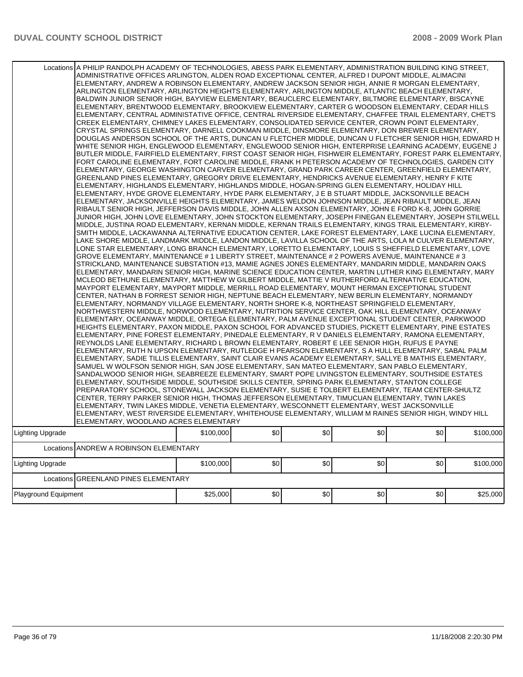|                      | Locations A PHILIP RANDOLPH ACADEMY OF TECHNOLOGIES, ABESS PARK ELEMENTARY, ADMINISTRATION BUILDING KING STREET,<br>ADMINISTRATIVE OFFICES ARLINGTON, ALDEN ROAD EXCEPTIONAL CENTER, ALFRED I DUPONT MIDDLE, ALIMACINI<br>ELEMENTARY, ANDREW A ROBINSON ELEMENTARY, ANDREW JACKSON SENIOR HIGH, ANNIE R MORGAN ELEMENTARY,<br>ARLINGTON ELEMENTARY, ARLINGTON HEIGHTS ELEMENTARY, ARLINGTON MIDDLE, ATLANTIC BEACH ELEMENTARY,<br>BALDWIN JUNIOR SENIOR HIGH, BAYVIEW ELEMENTARY, BEAUCLERC ELEMENTARY, BILTMORE ELEMENTARY, BISCAYNE<br>ELEMENTARY, BRENTWOOD ELEMENTARY, BROOKVIEW ELEMENTARY, CARTER G WOODSON ELEMENTARY, CEDAR HILLS<br>ELEMENTARY, CENTRAL ADMINISTATIVE OFFICE, CENTRAL RIVERSIDE ELEMENTARY, CHAFFEE TRAIL ELEMENTARY, CHET'S<br>CREEK ELEMENTARY, CHIMNEY LAKES ELEMENTARY, CONSOLIDATED SERVICE CENTER, CROWN POINT ELEMENTARY,<br>CRYSTAL SPRINGS ELEMENTARY, DARNELL COOKMAN MIDDLE, DINSMORE ELEMENTARY, DON BREWER ELEMENTARY,<br>DOUGLAS ANDERSON SCHOOL OF THE ARTS, DUNCAN U FLETCHER MIDDLE, DUNCAN U FLETCHER SENIOR HIGH, EDWARD H<br>WHITE SENIOR HIGH, ENGLEWOOD ELEMENTARY, ENGLEWOOD SENIOR HIGH, ENTERPRISE LEARNING ACADEMY, EUGENE J<br>BUTLER MIDDLE, FAIRFIELD ELEMENTARY, FIRST COAST SENIOR HIGH, FISHWEIR ELEMENTARY, FOREST PARK ELEMENTARY,<br>FORT CAROLINE ELEMENTARY, FORT CAROLINE MIDDLE, FRANK H PETERSON ACADEMY OF TECHNOLOGIES, GARDEN CITY<br>ELEMENTARY, GEORGE WASHINGTON CARVER ELEMENTARY, GRAND PARK CAREER CENTER, GREENFIELD ELEMENTARY,<br>GREENLAND PINES ELEMENTARY, GREGORY DRIVE ELEMENTARY, HENDRICKS AVENUE ELEMENTARY, HENRY F KITE<br>ELEMENTARY, HIGHLANDS ELEMENTARY, HIGHLANDS MIDDLE, HOGAN-SPRING GLEN ELEMENTARY, HOLIDAY HILL<br>ELEMENTARY, HYDE GROVE ELEMENTARY, HYDE PARK ELEMENTARY, J E B STUART MIDDLE, JACKSONVILLE BEACH<br>ELEMENTARY, JACKSONVILLE HEIGHTS ELEMENTARY, JAMES WELDON JOHNSON MIDDLE, JEAN RIBAULT MIDDLE, JEAN<br>RIBAULT SENIOR HIGH, JEFFERSON DAVIS MIDDLE, JOHN ALLEN AXSON ELEMENTARY, JOHN E FORD K-8, JOHN GORRIE<br>JUNIOR HIGH, JOHN LOVE ELEMENTARY, JOHN STOCKTON ELEMENTARY, JOSEPH FINEGAN ELEMENTARY, JOSEPH STILWELL<br>MIDDLE, JUSTINA ROAD ELEMENTARY, KERNAN MIDDLE, KERNAN TRAILS ELEMENTARY, KINGS TRAIL ELEMENTARY, KIRBY-<br>SMITH MIDDLE, LACKAWANNA ALTERNATIVE EDUCATION CENTER, LAKE FOREST ELEMENTARY, LAKE LUCINA ELEMENTARY,<br>LAKE SHORE MIDDLE, LANDMARK MIDDLE, LANDON MIDDLE, LAVILLA SCHOOL OF THE ARTS, LOLA M CULVER ELEMENTARY,<br>LONE STAR ELEMENTARY, LONG BRANCH ELEMENTARY, LORETTO ELEMENTARY, LOUIS S SHEFFIELD ELEMENTARY, LOVE<br>GROVE ELEMENTARY, MAINTENANCE # 1 LIBERTY STREET, MAINTENANCE # 2 POWERS AVENUE, MAINTENANCE # 3<br>STRICKLAND, MAINTENANCE SUBSTATION #13, MAMIE AGNES JONES ELEMENTARY, MANDARIN MIDDLE, MANDARIN OAKS<br>ELEMENTARY, MANDARIN SENIOR HIGH, MARINE SCIENCE EDUCATION CENTER, MARTIN LUTHER KING ELEMENTARY, MARY<br>MCLEOD BETHUNE ELEMENTARY, MATTHEW W GILBERT MIDDLE, MATTIE V RUTHERFORD ALTERNATIVE EDUCATION,<br>MAYPORT ELEMENTARY, MAYPORT MIDDLE, MERRILL ROAD ELEMENTARY, MOUNT HERMAN EXCEPTIONAL STUDENT<br>CENTER, NATHAN B FORREST SENIOR HIGH, NEPTUNE BEACH ELEMENTARY, NEW BERLIN ELEMENTARY, NORMANDY<br>ELEMENTARY, NORMANDY VILLAGE ELEMENTARY, NORTH SHORE K-8, NORTHEAST SPRINGFIELD ELEMENTARY,<br>NORTHWESTERN MIDDLE, NORWOOD ELEMENTARY, NUTRITION SERVICE CENTER, OAK HILL ELEMENTARY, OCEANWAY<br>ELEMENTARY, OCEANWAY MIDDLE, ORTEGA ELEMENTARY, PALM AVENUE EXCEPTIONAL STUDENT CENTER, PARKWOOD<br>HEIGHTS ELEMENTARY, PAXON MIDDLE, PAXON SCHOOL FOR ADVANCED STUDIES, PICKETT ELEMENTARY, PINE ESTATES<br>ELEMENTARY, PINE FOREST ELEMENTARY, PINEDALE ELEMENTARY, R V DANIELS ELEMENTARY, RAMONA ELEMENTARY,<br>REYNOLDS LANE ELEMENTARY, RICHARD L BROWN ELEMENTARY, ROBERT E LEE SENIOR HIGH, RUFUS E PAYNE<br>ELEMENTARY, RUTH N UPSON ELEMENTARY, RUTLEDGE H PEARSON ELEMENTARY, S A HULL ELEMENTARY, SABAL PALM<br>ELEMENTARY, SADIE TILLIS ELEMENTARY, SAINT CLAIR EVANS ACADEMY ELEMENTARY, SALLYE B MATHIS ELEMENTARY,<br>SAMUEL W WOLFSON SENIOR HIGH, SAN JOSE ELEMENTARY, SAN MATEO ELEMENTARY, SAN PABLO ELEMENTARY,<br>SANDALWOOD SENIOR HIGH, SEABREEZE ELEMENTARY, SMART POPE LIVINGSTON ELEMENTARY, SOUTHSIDE ESTATES<br>ELEMENTARY, SOUTHSIDE MIDDLE, SOUTHSIDE SKILLS CENTER, SPRING PARK ELEMENTARY, STANTON COLLEGE<br>PREPARATORY SCHOOL, STONEWALL JACKSON ELEMENTARY, SUSIE E TOLBERT ELEMENTARY, TEAM CENTER-SHULTZ<br>CENTER, TERRY PARKER SENIOR HIGH, THOMAS JEFFERSON ELEMENTARY, TIMUCUAN ELEMENTARY, TWIN LAKES<br>ELEMENTARY, TWIN LAKES MIDDLE, VENETIA ELEMENTARY, WESCONNETT ELEMENTARY, WEST JACKSONVILLE<br>ELEMENTARY, WEST RIVERSIDE ELEMENTARY, WHITEHOUSE ELEMENTARY, WILLIAM M RAINES SENIOR HIGH, WINDY HILL<br>ELEMENTARY, WOODLAND ACRES ELEMENTARY |           |     |     |     |     |           |
|----------------------|-----------------------------------------------------------------------------------------------------------------------------------------------------------------------------------------------------------------------------------------------------------------------------------------------------------------------------------------------------------------------------------------------------------------------------------------------------------------------------------------------------------------------------------------------------------------------------------------------------------------------------------------------------------------------------------------------------------------------------------------------------------------------------------------------------------------------------------------------------------------------------------------------------------------------------------------------------------------------------------------------------------------------------------------------------------------------------------------------------------------------------------------------------------------------------------------------------------------------------------------------------------------------------------------------------------------------------------------------------------------------------------------------------------------------------------------------------------------------------------------------------------------------------------------------------------------------------------------------------------------------------------------------------------------------------------------------------------------------------------------------------------------------------------------------------------------------------------------------------------------------------------------------------------------------------------------------------------------------------------------------------------------------------------------------------------------------------------------------------------------------------------------------------------------------------------------------------------------------------------------------------------------------------------------------------------------------------------------------------------------------------------------------------------------------------------------------------------------------------------------------------------------------------------------------------------------------------------------------------------------------------------------------------------------------------------------------------------------------------------------------------------------------------------------------------------------------------------------------------------------------------------------------------------------------------------------------------------------------------------------------------------------------------------------------------------------------------------------------------------------------------------------------------------------------------------------------------------------------------------------------------------------------------------------------------------------------------------------------------------------------------------------------------------------------------------------------------------------------------------------------------------------------------------------------------------------------------------------------------------------------------------------------------------------------------------------------------------------------------------------------------------------------------------------------------------------------------------------------------------------------------------------------------------------------------------------------------------------------------------------------------------------------------------------------------------------------------------------------------------------------------------------------------------------------------------------------------------------------------------------------------------------------------------------------------------------------------------------------------------------------------------------------------------------------------------------------------------------------------------------------------------------------------------------------------------------------------------------------------------------------------------------------------------------------------------------------------------------------------------------------------------------------------------------------------------------------------------|-----------|-----|-----|-----|-----|-----------|
| Lighting Upgrade     |                                                                                                                                                                                                                                                                                                                                                                                                                                                                                                                                                                                                                                                                                                                                                                                                                                                                                                                                                                                                                                                                                                                                                                                                                                                                                                                                                                                                                                                                                                                                                                                                                                                                                                                                                                                                                                                                                                                                                                                                                                                                                                                                                                                                                                                                                                                                                                                                                                                                                                                                                                                                                                                                                                                                                                                                                                                                                                                                                                                                                                                                                                                                                                                                                                                                                                                                                                                                                                                                                                                                                                                                                                                                                                                                                                                                                                                                                                                                                                                                                                                                                                                                                                                                                                                                                                                                                                                                                                                                                                                                                                                                                                                                                                                                                                                                                                   | \$100,000 | \$0 | \$0 | \$0 | \$0 | \$100,000 |
| Locations            | ANDREW A ROBINSON ELEMENTARY                                                                                                                                                                                                                                                                                                                                                                                                                                                                                                                                                                                                                                                                                                                                                                                                                                                                                                                                                                                                                                                                                                                                                                                                                                                                                                                                                                                                                                                                                                                                                                                                                                                                                                                                                                                                                                                                                                                                                                                                                                                                                                                                                                                                                                                                                                                                                                                                                                                                                                                                                                                                                                                                                                                                                                                                                                                                                                                                                                                                                                                                                                                                                                                                                                                                                                                                                                                                                                                                                                                                                                                                                                                                                                                                                                                                                                                                                                                                                                                                                                                                                                                                                                                                                                                                                                                                                                                                                                                                                                                                                                                                                                                                                                                                                                                                      |           |     |     |     |     |           |
| Lighting Upgrade     |                                                                                                                                                                                                                                                                                                                                                                                                                                                                                                                                                                                                                                                                                                                                                                                                                                                                                                                                                                                                                                                                                                                                                                                                                                                                                                                                                                                                                                                                                                                                                                                                                                                                                                                                                                                                                                                                                                                                                                                                                                                                                                                                                                                                                                                                                                                                                                                                                                                                                                                                                                                                                                                                                                                                                                                                                                                                                                                                                                                                                                                                                                                                                                                                                                                                                                                                                                                                                                                                                                                                                                                                                                                                                                                                                                                                                                                                                                                                                                                                                                                                                                                                                                                                                                                                                                                                                                                                                                                                                                                                                                                                                                                                                                                                                                                                                                   | \$100,000 | \$0 | 10  | \$0 | \$0 | \$100.000 |
| Locations            | <b>GREENLAND PINES ELEMENTARY</b>                                                                                                                                                                                                                                                                                                                                                                                                                                                                                                                                                                                                                                                                                                                                                                                                                                                                                                                                                                                                                                                                                                                                                                                                                                                                                                                                                                                                                                                                                                                                                                                                                                                                                                                                                                                                                                                                                                                                                                                                                                                                                                                                                                                                                                                                                                                                                                                                                                                                                                                                                                                                                                                                                                                                                                                                                                                                                                                                                                                                                                                                                                                                                                                                                                                                                                                                                                                                                                                                                                                                                                                                                                                                                                                                                                                                                                                                                                                                                                                                                                                                                                                                                                                                                                                                                                                                                                                                                                                                                                                                                                                                                                                                                                                                                                                                 |           |     |     |     |     |           |
| Playground Equipment |                                                                                                                                                                                                                                                                                                                                                                                                                                                                                                                                                                                                                                                                                                                                                                                                                                                                                                                                                                                                                                                                                                                                                                                                                                                                                                                                                                                                                                                                                                                                                                                                                                                                                                                                                                                                                                                                                                                                                                                                                                                                                                                                                                                                                                                                                                                                                                                                                                                                                                                                                                                                                                                                                                                                                                                                                                                                                                                                                                                                                                                                                                                                                                                                                                                                                                                                                                                                                                                                                                                                                                                                                                                                                                                                                                                                                                                                                                                                                                                                                                                                                                                                                                                                                                                                                                                                                                                                                                                                                                                                                                                                                                                                                                                                                                                                                                   | \$25,000  | \$0 | \$0 | \$0 | \$0 | \$25,000  |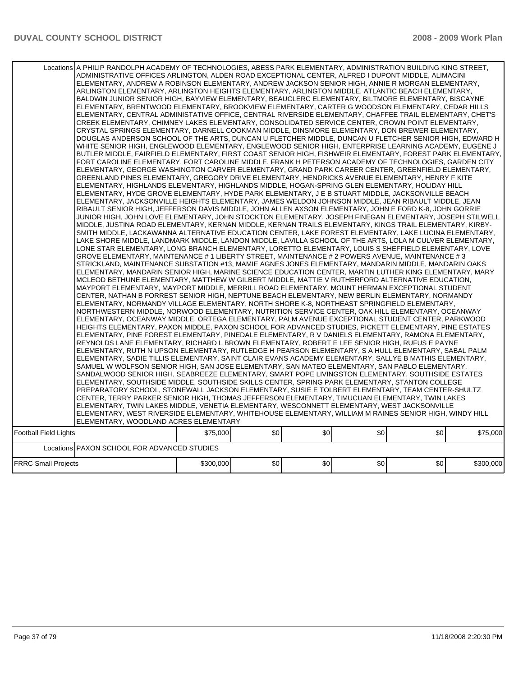|                              | Locations A PHILIP RANDOLPH ACADEMY OF TECHNOLOGIES, ABESS PARK ELEMENTARY, ADMINISTRATION BUILDING KING STREET,<br>ADMINISTRATIVE OFFICES ARLINGTON, ALDEN ROAD EXCEPTIONAL CENTER, ALFRED I DUPONT MIDDLE, ALIMACINI<br>ELEMENTARY, ANDREW A ROBINSON ELEMENTARY, ANDREW JACKSON SENIOR HIGH, ANNIE R MORGAN ELEMENTARY,<br>ARLINGTON ELEMENTARY, ARLINGTON HEIGHTS ELEMENTARY, ARLINGTON MIDDLE, ATLANTIC BEACH ELEMENTARY,<br>BALDWIN JUNIOR SENIOR HIGH, BAYVIEW ELEMENTARY, BEAUCLERC ELEMENTARY, BILTMORE ELEMENTARY, BISCAYNE<br>ELEMENTARY, BRENTWOOD ELEMENTARY, BROOKVIEW ELEMENTARY, CARTER G WOODSON ELEMENTARY, CEDAR HILLS<br>IELEMENTARY, CENTRAL ADMINISTATIVE OFFICE, CENTRAL RIVERSIDE ELEMENTARY, CHAFFEE TRAIL ELEMENTARY, CHET'S<br>CREEK ELEMENTARY, CHIMNEY LAKES ELEMENTARY, CONSOLIDATED SERVICE CENTER, CROWN POINT ELEMENTARY,<br>CRYSTAL SPRINGS ELEMENTARY, DARNELL COOKMAN MIDDLE, DINSMORE ELEMENTARY, DON BREWER ELEMENTARY,<br>DOUGLAS ANDERSON SCHOOL OF THE ARTS, DUNCAN U FLETCHER MIDDLE, DUNCAN U FLETCHER SENIOR HIGH, EDWARD H<br>WHITE SENIOR HIGH, ENGLEWOOD ELEMENTARY, ENGLEWOOD SENIOR HIGH, ENTERPRISE LEARNING ACADEMY, EUGENE J<br>BUTLER MIDDLE, FAIRFIELD ELEMENTARY, FIRST COAST SENIOR HIGH, FISHWEIR ELEMENTARY, FOREST PARK ELEMENTARY,<br>FORT CAROLINE ELEMENTARY, FORT CAROLINE MIDDLE, FRANK H PETERSON ACADEMY OF TECHNOLOGIES, GARDEN CITY<br>ELEMENTARY, GEORGE WASHINGTON CARVER ELEMENTARY, GRAND PARK CAREER CENTER, GREENFIELD ELEMENTARY,<br>GREENLAND PINES ELEMENTARY, GREGORY DRIVE ELEMENTARY, HENDRICKS AVENUE ELEMENTARY, HENRY F KITE<br>ELEMENTARY, HIGHLANDS ELEMENTARY, HIGHLANDS MIDDLE, HOGAN-SPRING GLEN ELEMENTARY, HOLIDAY HILL<br>ELEMENTARY, HYDE GROVE ELEMENTARY, HYDE PARK ELEMENTARY, J E B STUART MIDDLE, JACKSONVILLE BEACH<br>ELEMENTARY, JACKSONVILLE HEIGHTS ELEMENTARY, JAMES WELDON JOHNSON MIDDLE, JEAN RIBAULT MIDDLE, JEAN<br>RIBAULT SENIOR HIGH, JEFFERSON DAVIS MIDDLE, JOHN ALLEN AXSON ELEMENTARY, JOHN E FORD K-8, JOHN GORRIE<br>JUNIOR HIGH, JOHN LOVE ELEMENTARY, JOHN STOCKTON ELEMENTARY, JOSEPH FINEGAN ELEMENTARY, JOSEPH STILWELL<br>MIDDLE, JUSTINA ROAD ELEMENTARY, KERNAN MIDDLE, KERNAN TRAILS ELEMENTARY, KINGS TRAIL ELEMENTARY, KIRBY-<br>SMITH MIDDLE, LACKAWANNA ALTERNATIVE EDUCATION CENTER, LAKE FOREST ELEMENTARY, LAKE LUCINA ELEMENTARY,<br>LAKE SHORE MIDDLE, LANDMARK MIDDLE, LANDON MIDDLE, LAVILLA SCHOOL OF THE ARTS, LOLA M CULVER ELEMENTARY,<br>LONE STAR ELEMENTARY, LONG BRANCH ELEMENTARY, LORETTO ELEMENTARY, LOUIS S SHEFFIELD ELEMENTARY, LOVE<br>GROVE ELEMENTARY, MAINTENANCE # 1 LIBERTY STREET, MAINTENANCE # 2 POWERS AVENUE, MAINTENANCE # 3<br>STRICKLAND, MAINTENANCE SUBSTATION #13, MAMIE AGNES JONES ELEMENTARY, MANDARIN MIDDLE, MANDARIN OAKS<br>ELEMENTARY, MANDARIN SENIOR HIGH, MARINE SCIENCE EDUCATION CENTER, MARTIN LUTHER KING ELEMENTARY, MARY<br>MCLEOD BETHUNE ELEMENTARY, MATTHEW W GILBERT MIDDLE, MATTIE V RUTHERFORD ALTERNATIVE EDUCATION,<br>MAYPORT ELEMENTARY, MAYPORT MIDDLE, MERRILL ROAD ELEMENTARY, MOUNT HERMAN EXCEPTIONAL STUDENT<br>CENTER, NATHAN B FORREST SENIOR HIGH, NEPTUNE BEACH ELEMENTARY, NEW BERLIN ELEMENTARY, NORMANDY<br>ELEMENTARY, NORMANDY VILLAGE ELEMENTARY, NORTH SHORE K-8, NORTHEAST SPRINGFIELD ELEMENTARY,<br>NORTHWESTERN MIDDLE, NORWOOD ELEMENTARY, NUTRITION SERVICE CENTER, OAK HILL ELEMENTARY, OCEANWAY<br>ELEMENTARY, OCEANWAY MIDDLE, ORTEGA ELEMENTARY, PALM AVENUE EXCEPTIONAL STUDENT CENTER, PARKWOOD<br>HEIGHTS ELEMENTARY, PAXON MIDDLE, PAXON SCHOOL FOR ADVANCED STUDIES, PICKETT ELEMENTARY, PINE ESTATES<br>ELEMENTARY, PINE FOREST ELEMENTARY, PINEDALE ELEMENTARY, R V DANIELS ELEMENTARY, RAMONA ELEMENTARY,<br>REYNOLDS LANE ELEMENTARY, RICHARD L BROWN ELEMENTARY, ROBERT E LEE SENIOR HIGH, RUFUS E PAYNE<br>ELEMENTARY, RUTH N UPSON ELEMENTARY, RUTLEDGE H PEARSON ELEMENTARY, S A HULL ELEMENTARY, SABAL PALM<br>ELEMENTARY, SADIE TILLIS ELEMENTARY, SAINT CLAIR EVANS ACADEMY ELEMENTARY, SALLYE B MATHIS ELEMENTARY,<br>SAMUEL W WOLFSON SENIOR HIGH, SAN JOSE ELEMENTARY, SAN MATEO ELEMENTARY, SAN PABLO ELEMENTARY,<br>SANDALWOOD SENIOR HIGH, SEABREEZE ELEMENTARY, SMART POPE LIVINGSTON ELEMENTARY, SOUTHSIDE ESTATES<br>ELEMENTARY, SOUTHSIDE MIDDLE, SOUTHSIDE SKILLS CENTER, SPRING PARK ELEMENTARY, STANTON COLLEGE<br>PREPARATORY SCHOOL, STONEWALL JACKSON ELEMENTARY, SUSIE E TOLBERT ELEMENTARY, TEAM CENTER-SHULTZ<br>CENTER, TERRY PARKER SENIOR HIGH, THOMAS JEFFERSON ELEMENTARY, TIMUCUAN ELEMENTARY, TWIN LAKES<br>ELEMENTARY, TWIN LAKES MIDDLE, VENETIA ELEMENTARY, WESCONNETT ELEMENTARY, WEST JACKSONVILLE<br>ELEMENTARY, WEST RIVERSIDE ELEMENTARY, WHITEHOUSE ELEMENTARY, WILLIAM M RAINES SENIOR HIGH, WINDY HILL |           |     |     |     |     |           |
|------------------------------|-------------------------------------------------------------------------------------------------------------------------------------------------------------------------------------------------------------------------------------------------------------------------------------------------------------------------------------------------------------------------------------------------------------------------------------------------------------------------------------------------------------------------------------------------------------------------------------------------------------------------------------------------------------------------------------------------------------------------------------------------------------------------------------------------------------------------------------------------------------------------------------------------------------------------------------------------------------------------------------------------------------------------------------------------------------------------------------------------------------------------------------------------------------------------------------------------------------------------------------------------------------------------------------------------------------------------------------------------------------------------------------------------------------------------------------------------------------------------------------------------------------------------------------------------------------------------------------------------------------------------------------------------------------------------------------------------------------------------------------------------------------------------------------------------------------------------------------------------------------------------------------------------------------------------------------------------------------------------------------------------------------------------------------------------------------------------------------------------------------------------------------------------------------------------------------------------------------------------------------------------------------------------------------------------------------------------------------------------------------------------------------------------------------------------------------------------------------------------------------------------------------------------------------------------------------------------------------------------------------------------------------------------------------------------------------------------------------------------------------------------------------------------------------------------------------------------------------------------------------------------------------------------------------------------------------------------------------------------------------------------------------------------------------------------------------------------------------------------------------------------------------------------------------------------------------------------------------------------------------------------------------------------------------------------------------------------------------------------------------------------------------------------------------------------------------------------------------------------------------------------------------------------------------------------------------------------------------------------------------------------------------------------------------------------------------------------------------------------------------------------------------------------------------------------------------------------------------------------------------------------------------------------------------------------------------------------------------------------------------------------------------------------------------------------------------------------------------------------------------------------------------------------------------------------------------------------------------------------------------------------------------------------------------------------------------------------------------------------------------------------------------------------------------------------------------------------------------------------------------------------------------------------------------------------------------------------------------------------------------------------------------------------------------------------------------------------------------------------------------------------------------------------------------------|-----------|-----|-----|-----|-----|-----------|
|                              | ELEMENTARY, WOODLAND ACRES ELEMENTARY                                                                                                                                                                                                                                                                                                                                                                                                                                                                                                                                                                                                                                                                                                                                                                                                                                                                                                                                                                                                                                                                                                                                                                                                                                                                                                                                                                                                                                                                                                                                                                                                                                                                                                                                                                                                                                                                                                                                                                                                                                                                                                                                                                                                                                                                                                                                                                                                                                                                                                                                                                                                                                                                                                                                                                                                                                                                                                                                                                                                                                                                                                                                                                                                                                                                                                                                                                                                                                                                                                                                                                                                                                                                                                                                                                                                                                                                                                                                                                                                                                                                                                                                                                                                                                                                                                                                                                                                                                                                                                                                                                                                                                                                                                                                                     |           |     |     |     |     |           |
| <b>Football Field Lights</b> |                                                                                                                                                                                                                                                                                                                                                                                                                                                                                                                                                                                                                                                                                                                                                                                                                                                                                                                                                                                                                                                                                                                                                                                                                                                                                                                                                                                                                                                                                                                                                                                                                                                                                                                                                                                                                                                                                                                                                                                                                                                                                                                                                                                                                                                                                                                                                                                                                                                                                                                                                                                                                                                                                                                                                                                                                                                                                                                                                                                                                                                                                                                                                                                                                                                                                                                                                                                                                                                                                                                                                                                                                                                                                                                                                                                                                                                                                                                                                                                                                                                                                                                                                                                                                                                                                                                                                                                                                                                                                                                                                                                                                                                                                                                                                                                           | \$75,000  | \$0 | \$0 | \$0 | \$0 | \$75,000  |
|                              | Locations PAXON SCHOOL FOR ADVANCED STUDIES                                                                                                                                                                                                                                                                                                                                                                                                                                                                                                                                                                                                                                                                                                                                                                                                                                                                                                                                                                                                                                                                                                                                                                                                                                                                                                                                                                                                                                                                                                                                                                                                                                                                                                                                                                                                                                                                                                                                                                                                                                                                                                                                                                                                                                                                                                                                                                                                                                                                                                                                                                                                                                                                                                                                                                                                                                                                                                                                                                                                                                                                                                                                                                                                                                                                                                                                                                                                                                                                                                                                                                                                                                                                                                                                                                                                                                                                                                                                                                                                                                                                                                                                                                                                                                                                                                                                                                                                                                                                                                                                                                                                                                                                                                                                               |           |     |     |     |     |           |
| <b>FRRC Small Projects</b>   |                                                                                                                                                                                                                                                                                                                                                                                                                                                                                                                                                                                                                                                                                                                                                                                                                                                                                                                                                                                                                                                                                                                                                                                                                                                                                                                                                                                                                                                                                                                                                                                                                                                                                                                                                                                                                                                                                                                                                                                                                                                                                                                                                                                                                                                                                                                                                                                                                                                                                                                                                                                                                                                                                                                                                                                                                                                                                                                                                                                                                                                                                                                                                                                                                                                                                                                                                                                                                                                                                                                                                                                                                                                                                                                                                                                                                                                                                                                                                                                                                                                                                                                                                                                                                                                                                                                                                                                                                                                                                                                                                                                                                                                                                                                                                                                           | \$300,000 | \$0 | \$0 | \$0 | \$0 | \$300,000 |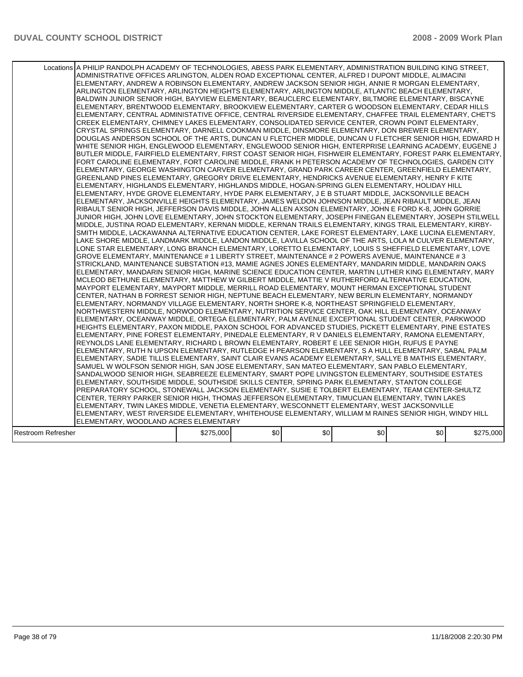|                    | Locations A PHILIP RANDOLPH ACADEMY OF TECHNOLOGIES, ABESS PARK ELEMENTARY, ADMINISTRATION BUILDING KING STREET,<br>ADMINISTRATIVE OFFICES ARLINGTON, ALDEN ROAD EXCEPTIONAL CENTER, ALFRED I DUPONT MIDDLE, ALIMACINI<br>ELEMENTARY, ANDREW A ROBINSON ELEMENTARY, ANDREW JACKSON SENIOR HIGH, ANNIE R MORGAN ELEMENTARY,<br>ARLINGTON ELEMENTARY, ARLINGTON HEIGHTS ELEMENTARY, ARLINGTON MIDDLE, ATLANTIC BEACH ELEMENTARY,<br>BALDWIN JUNIOR SENIOR HIGH, BAYVIEW ELEMENTARY, BEAUCLERC ELEMENTARY, BILTMORE ELEMENTARY, BISCAYNE<br>ELEMENTARY, BRENTWOOD ELEMENTARY, BROOKVIEW ELEMENTARY, CARTER G WOODSON ELEMENTARY, CEDAR HILLS<br>IELEMENTARY, CENTRAL ADMINISTATIVE OFFICE, CENTRAL RIVERSIDE ELEMENTARY, CHAFFEE TRAIL ELEMENTARY, CHET'S<br>CREEK ELEMENTARY, CHIMNEY LAKES ELEMENTARY, CONSOLIDATED SERVICE CENTER, CROWN POINT ELEMENTARY,<br>CRYSTAL SPRINGS ELEMENTARY, DARNELL COOKMAN MIDDLE, DINSMORE ELEMENTARY, DON BREWER ELEMENTARY,<br>DOUGLAS ANDERSON SCHOOL OF THE ARTS, DUNCAN U FLETCHER MIDDLE, DUNCAN U FLETCHER SENIOR HIGH, EDWARD H<br>WHITE SENIOR HIGH, ENGLEWOOD ELEMENTARY, ENGLEWOOD SENIOR HIGH, ENTERPRISE LEARNING ACADEMY, EUGENE J<br>BUTLER MIDDLE, FAIRFIELD ELEMENTARY, FIRST COAST SENIOR HIGH, FISHWEIR ELEMENTARY, FOREST PARK ELEMENTARY,<br>FORT CAROLINE ELEMENTARY, FORT CAROLINE MIDDLE, FRANK H PETERSON ACADEMY OF TECHNOLOGIES, GARDEN CITY<br>ELEMENTARY, GEORGE WASHINGTON CARVER ELEMENTARY, GRAND PARK CAREER CENTER, GREENFIELD ELEMENTARY,<br>GREENLAND PINES ELEMENTARY, GREGORY DRIVE ELEMENTARY, HENDRICKS AVENUE ELEMENTARY, HENRY F KITE<br>ELEMENTARY, HIGHLANDS ELEMENTARY, HIGHLANDS MIDDLE, HOGAN-SPRING GLEN ELEMENTARY, HOLIDAY HILL<br>ELEMENTARY, HYDE GROVE ELEMENTARY, HYDE PARK ELEMENTARY, J E B STUART MIDDLE, JACKSONVILLE BEACH<br>ELEMENTARY, JACKSONVILLE HEIGHTS ELEMENTARY, JAMES WELDON JOHNSON MIDDLE, JEAN RIBAULT MIDDLE, JEAN<br>RIBAULT SENIOR HIGH, JEFFERSON DAVIS MIDDLE, JOHN ALLEN AXSON ELEMENTARY, JOHN E FORD K-8, JOHN GORRIE<br>JUNIOR HIGH, JOHN LOVE ELEMENTARY, JOHN STOCKTON ELEMENTARY, JOSEPH FINEGAN ELEMENTARY, JOSEPH STILWELL<br>MIDDLE, JUSTINA ROAD ELEMENTARY, KERNAN MIDDLE, KERNAN TRAILS ELEMENTARY, KINGS TRAIL ELEMENTARY, KIRBY-<br>SMITH MIDDLE. LACKAWANNA ALTERNATIVE EDUCATION CENTER. LAKE FOREST ELEMENTARY. LAKE LUCINA ELEMENTARY.<br>LAKE SHORE MIDDLE, LANDMARK MIDDLE, LANDON MIDDLE, LAVILLA SCHOOL OF THE ARTS, LOLA M CULVER ELEMENTARY,<br>LONE STAR ELEMENTARY, LONG BRANCH ELEMENTARY, LORETTO ELEMENTARY, LOUIS S SHEFFIELD ELEMENTARY, LOVE<br>GROVE ELEMENTARY, MAINTENANCE # 1 LIBERTY STREET, MAINTENANCE # 2 POWERS AVENUE, MAINTENANCE # 3<br>STRICKLAND, MAINTENANCE SUBSTATION #13, MAMIE AGNES JONES ELEMENTARY, MANDARIN MIDDLE, MANDARIN OAKS<br>ELEMENTARY, MANDARIN SENIOR HIGH, MARINE SCIENCE EDUCATION CENTER, MARTIN LUTHER KING ELEMENTARY, MARY<br>MCLEOD BETHUNE ELEMENTARY, MATTHEW W GILBERT MIDDLE, MATTIE V RUTHERFORD ALTERNATIVE EDUCATION,<br>MAYPORT ELEMENTARY, MAYPORT MIDDLE, MERRILL ROAD ELEMENTARY, MOUNT HERMAN EXCEPTIONAL STUDENT<br>CENTER, NATHAN B FORREST SENIOR HIGH, NEPTUNE BEACH ELEMENTARY, NEW BERLIN ELEMENTARY, NORMANDY<br>ELEMENTARY, NORMANDY VILLAGE ELEMENTARY, NORTH SHORE K-8, NORTHEAST SPRINGFIELD ELEMENTARY,<br>NORTHWESTERN MIDDLE, NORWOOD ELEMENTARY, NUTRITION SERVICE CENTER, OAK HILL ELEMENTARY, OCEANWAY<br>ELEMENTARY, OCEANWAY MIDDLE, ORTEGA ELEMENTARY, PALM AVENUE EXCEPTIONAL STUDENT CENTER, PARKWOOD<br>HEIGHTS ELEMENTARY, PAXON MIDDLE, PAXON SCHOOL FOR ADVANCED STUDIES, PICKETT ELEMENTARY, PINE ESTATES<br>ELEMENTARY, PINE FOREST ELEMENTARY, PINEDALE ELEMENTARY, R V DANIELS ELEMENTARY, RAMONA ELEMENTARY,<br>REYNOLDS LANE ELEMENTARY, RICHARD L BROWN ELEMENTARY, ROBERT E LEE SENIOR HIGH, RUFUS E PAYNE<br>ELEMENTARY, RUTH N UPSON ELEMENTARY, RUTLEDGE H PEARSON ELEMENTARY, S A HULL ELEMENTARY, SABAL PALM<br>ELEMENTARY, SADIE TILLIS ELEMENTARY, SAINT CLAIR EVANS ACADEMY ELEMENTARY, SALLYE B MATHIS ELEMENTARY,<br>SAMUEL W WOLFSON SENIOR HIGH, SAN JOSE ELEMENTARY, SAN MATEO ELEMENTARY, SAN PABLO ELEMENTARY,<br>SANDALWOOD SENIOR HIGH, SEABREEZE ELEMENTARY, SMART POPE LIVINGSTON ELEMENTARY, SOUTHSIDE ESTATES<br>ELEMENTARY, SOUTHSIDE MIDDLE, SOUTHSIDE SKILLS CENTER, SPRING PARK ELEMENTARY, STANTON COLLEGE<br>PREPARATORY SCHOOL, STONEWALL JACKSON ELEMENTARY, SUSIE E TOLBERT ELEMENTARY, TEAM CENTER-SHULTZ<br>ICENTER, TERRY PARKER SENIOR HIGH, THOMAS JEFFERSON ELEMENTARY, TIMUCUAN ELEMENTARY, TWIN LAKES<br>ELEMENTARY. TWIN LAKES MIDDLE. VENETIA ELEMENTARY. WESCONNETT ELEMENTARY. WEST JACKSONVILLE<br>ELEMENTARY, WEST RIVERSIDE ELEMENTARY, WHITEHOUSE ELEMENTARY, WILLIAM M RAINES SENIOR HIGH, WINDY HILL<br>ELEMENTARY, WOODLAND ACRES ELEMENTARY |           |     |     |     |     |           |
|--------------------|-------------------------------------------------------------------------------------------------------------------------------------------------------------------------------------------------------------------------------------------------------------------------------------------------------------------------------------------------------------------------------------------------------------------------------------------------------------------------------------------------------------------------------------------------------------------------------------------------------------------------------------------------------------------------------------------------------------------------------------------------------------------------------------------------------------------------------------------------------------------------------------------------------------------------------------------------------------------------------------------------------------------------------------------------------------------------------------------------------------------------------------------------------------------------------------------------------------------------------------------------------------------------------------------------------------------------------------------------------------------------------------------------------------------------------------------------------------------------------------------------------------------------------------------------------------------------------------------------------------------------------------------------------------------------------------------------------------------------------------------------------------------------------------------------------------------------------------------------------------------------------------------------------------------------------------------------------------------------------------------------------------------------------------------------------------------------------------------------------------------------------------------------------------------------------------------------------------------------------------------------------------------------------------------------------------------------------------------------------------------------------------------------------------------------------------------------------------------------------------------------------------------------------------------------------------------------------------------------------------------------------------------------------------------------------------------------------------------------------------------------------------------------------------------------------------------------------------------------------------------------------------------------------------------------------------------------------------------------------------------------------------------------------------------------------------------------------------------------------------------------------------------------------------------------------------------------------------------------------------------------------------------------------------------------------------------------------------------------------------------------------------------------------------------------------------------------------------------------------------------------------------------------------------------------------------------------------------------------------------------------------------------------------------------------------------------------------------------------------------------------------------------------------------------------------------------------------------------------------------------------------------------------------------------------------------------------------------------------------------------------------------------------------------------------------------------------------------------------------------------------------------------------------------------------------------------------------------------------------------------------------------------------------------------------------------------------------------------------------------------------------------------------------------------------------------------------------------------------------------------------------------------------------------------------------------------------------------------------------------------------------------------------------------------------------------------------------------------------------------------------------------------------------------------------------------------------------------|-----------|-----|-----|-----|-----|-----------|
| Restroom Refresher |                                                                                                                                                                                                                                                                                                                                                                                                                                                                                                                                                                                                                                                                                                                                                                                                                                                                                                                                                                                                                                                                                                                                                                                                                                                                                                                                                                                                                                                                                                                                                                                                                                                                                                                                                                                                                                                                                                                                                                                                                                                                                                                                                                                                                                                                                                                                                                                                                                                                                                                                                                                                                                                                                                                                                                                                                                                                                                                                                                                                                                                                                                                                                                                                                                                                                                                                                                                                                                                                                                                                                                                                                                                                                                                                                                                                                                                                                                                                                                                                                                                                                                                                                                                                                                                                                                                                                                                                                                                                                                                                                                                                                                                                                                                                                                                                                                     | \$275,000 | \$0 | \$0 | \$0 | \$0 | \$275,000 |
|                    |                                                                                                                                                                                                                                                                                                                                                                                                                                                                                                                                                                                                                                                                                                                                                                                                                                                                                                                                                                                                                                                                                                                                                                                                                                                                                                                                                                                                                                                                                                                                                                                                                                                                                                                                                                                                                                                                                                                                                                                                                                                                                                                                                                                                                                                                                                                                                                                                                                                                                                                                                                                                                                                                                                                                                                                                                                                                                                                                                                                                                                                                                                                                                                                                                                                                                                                                                                                                                                                                                                                                                                                                                                                                                                                                                                                                                                                                                                                                                                                                                                                                                                                                                                                                                                                                                                                                                                                                                                                                                                                                                                                                                                                                                                                                                                                                                                     |           |     |     |     |     |           |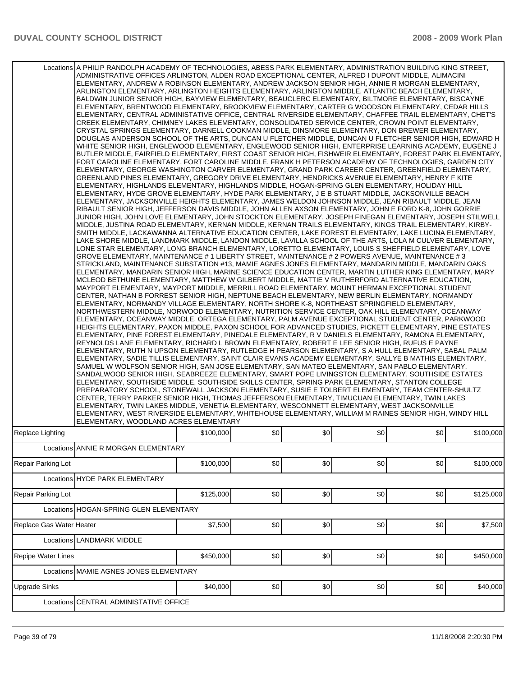|                           | Locations A PHILIP RANDOLPH ACADEMY OF TECHNOLOGIES, ABESS PARK ELEMENTARY, ADMINISTRATION BUILDING KING STREET,<br>ADMINISTRATIVE OFFICES ARLINGTON, ALDEN ROAD EXCEPTIONAL CENTER, ALFRED I DUPONT MIDDLE, ALIMACINI<br>ELEMENTARY, ANDREW A ROBINSON ELEMENTARY, ANDREW JACKSON SENIOR HIGH, ANNIE R MORGAN ELEMENTARY,<br>ARLINGTON ELEMENTARY, ARLINGTON HEIGHTS ELEMENTARY, ARLINGTON MIDDLE, ATLANTIC BEACH ELEMENTARY,<br>BALDWIN JUNIOR SENIOR HIGH, BAYVIEW ELEMENTARY, BEAUCLERC ELEMENTARY, BILTMORE ELEMENTARY, BISCAYNE<br>ELEMENTARY, BRENTWOOD ELEMENTARY, BROOKVIEW ELEMENTARY, CARTER G WOODSON ELEMENTARY, CEDAR HILLS<br>IELEMENTARY, CENTRAL ADMINISTATIVE OFFICE, CENTRAL RIVERSIDE ELEMENTARY, CHAFFEE TRAIL ELEMENTARY, CHET'S<br>CREEK ELEMENTARY, CHIMNEY LAKES ELEMENTARY, CONSOLIDATED SERVICE CENTER, CROWN POINT ELEMENTARY,<br>CRYSTAL SPRINGS ELEMENTARY, DARNELL COOKMAN MIDDLE, DINSMORE ELEMENTARY, DON BREWER ELEMENTARY,<br>DOUGLAS ANDERSON SCHOOL OF THE ARTS, DUNCAN U FLETCHER MIDDLE, DUNCAN U FLETCHER SENIOR HIGH, EDWARD H<br>WHITE SENIOR HIGH, ENGLEWOOD ELEMENTARY, ENGLEWOOD SENIOR HIGH, ENTERPRISE LEARNING ACADEMY, EUGENE J<br>IBUTLER MIDDLE. FAIRFIELD ELEMENTARY. FIRST COAST SENIOR HIGH. FISHWEIR ELEMENTARY. FOREST PARK ELEMENTARY. I<br>FORT CAROLINE ELEMENTARY, FORT CAROLINE MIDDLE, FRANK H PETERSON ACADEMY OF TECHNOLOGIES, GARDEN CITY<br>ELEMENTARY, GEORGE WASHINGTON CARVER ELEMENTARY, GRAND PARK CAREER CENTER, GREENFIELD ELEMENTARY,<br>GREENLAND PINES ELEMENTARY, GREGORY DRIVE ELEMENTARY, HENDRICKS AVENUE ELEMENTARY, HENRY F KITE<br>ELEMENTARY, HIGHLANDS ELEMENTARY, HIGHLANDS MIDDLE, HOGAN-SPRING GLEN ELEMENTARY, HOLIDAY HILL<br>ELEMENTARY, HYDE GROVE ELEMENTARY, HYDE PARK ELEMENTARY, J E B STUART MIDDLE, JACKSONVILLE BEACH<br>ELEMENTARY, JACKSONVILLE HEIGHTS ELEMENTARY, JAMES WELDON JOHNSON MIDDLE, JEAN RIBAULT MIDDLE, JEAN<br>RIBAULT SENIOR HIGH, JEFFERSON DAVIS MIDDLE, JOHN ALLEN AXSON ELEMENTARY, JOHN E FORD K-8, JOHN GORRIE<br>JUNIOR HIGH, JOHN LOVE ELEMENTARY, JOHN STOCKTON ELEMENTARY, JOSEPH FINEGAN ELEMENTARY, JOSEPH STILWELL<br>MIDDLE, JUSTINA ROAD ELEMENTARY, KERNAN MIDDLE, KERNAN TRAILS ELEMENTARY, KINGS TRAIL ELEMENTARY, KIRBY-<br>SMITH MIDDLE, LACKAWANNA ALTERNATIVE EDUCATION CENTER, LAKE FOREST ELEMENTARY, LAKE LUCINA ELEMENTARY,<br>LAKE SHORE MIDDLE, LANDMARK MIDDLE, LANDON MIDDLE, LAVILLA SCHOOL OF THE ARTS, LOLA M CULVER ELEMENTARY,<br>LONE STAR ELEMENTARY, LONG BRANCH ELEMENTARY, LORETTO ELEMENTARY, LOUIS S SHEFFIELD ELEMENTARY, LOVE<br>GROVE ELEMENTARY, MAINTENANCE # 1 LIBERTY STREET, MAINTENANCE # 2 POWERS AVENUE, MAINTENANCE # 3<br>STRICKLAND, MAINTENANCE SUBSTATION #13, MAMIE AGNES JONES ELEMENTARY, MANDARIN MIDDLE, MANDARIN OAKS<br>ELEMENTARY, MANDARIN SENIOR HIGH, MARINE SCIENCE EDUCATION CENTER, MARTIN LUTHER KING ELEMENTARY, MARY<br>MCLEOD BETHUNE ELEMENTARY, MATTHEW W GILBERT MIDDLE, MATTIE V RUTHERFORD ALTERNATIVE EDUCATION,<br>MAYPORT ELEMENTARY, MAYPORT MIDDLE, MERRILL ROAD ELEMENTARY, MOUNT HERMAN EXCEPTIONAL STUDENT<br>CENTER, NATHAN B FORREST SENIOR HIGH, NEPTUNE BEACH ELEMENTARY, NEW BERLIN ELEMENTARY, NORMANDY<br>ELEMENTARY, NORMANDY VILLAGE ELEMENTARY, NORTH SHORE K-8, NORTHEAST SPRINGFIELD ELEMENTARY,<br>NORTHWESTERN MIDDLE, NORWOOD ELEMENTARY, NUTRITION SERVICE CENTER, OAK HILL ELEMENTARY, OCEANWAY<br>ELEMENTARY, OCEANWAY MIDDLE, ORTEGA ELEMENTARY, PALM AVENUE EXCEPTIONAL STUDENT CENTER, PARKWOOD<br>HEIGHTS ELEMENTARY, PAXON MIDDLE, PAXON SCHOOL FOR ADVANCED STUDIES, PICKETT ELEMENTARY, PINE ESTATES<br>ELEMENTARY, PINE FOREST ELEMENTARY, PINEDALE ELEMENTARY, R V DANIELS ELEMENTARY, RAMONA ELEMENTARY,<br>REYNOLDS LANE ELEMENTARY, RICHARD L BROWN ELEMENTARY, ROBERT E LEE SENIOR HIGH, RUFUS E PAYNE<br>IELEMENTARY, RUTH N UPSON ELEMENTARY, RUTLEDGE H PEARSON ELEMENTARY, S A HULL ELEMENTARY, SABAL PALM<br>ELEMENTARY, SADIE TILLIS ELEMENTARY, SAINT CLAIR EVANS ACADEMY ELEMENTARY, SALLYE B MATHIS ELEMENTARY,<br>SAMUEL W WOLFSON SENIOR HIGH, SAN JOSE ELEMENTARY, SAN MATEO ELEMENTARY, SAN PABLO ELEMENTARY,<br>SANDALWOOD SENIOR HIGH, SEABREEZE ELEMENTARY, SMART POPE LIVINGSTON ELEMENTARY, SOUTHSIDE ESTATES<br>ELEMENTARY, SOUTHSIDE MIDDLE, SOUTHSIDE SKILLS CENTER, SPRING PARK ELEMENTARY, STANTON COLLEGE<br>PREPARATORY SCHOOL, STONEWALL JACKSON ELEMENTARY, SUSIE E TOLBERT ELEMENTARY, TEAM CENTER-SHULTZ<br>CENTER, TERRY PARKER SENIOR HIGH, THOMAS JEFFERSON ELEMENTARY, TIMUCUAN ELEMENTARY, TWIN LAKES<br>IELEMENTARY, TWIN LAKES MIDDLE, VENETIA ELEMENTARY, WESCONNETT ELEMENTARY, WEST JACKSONVILLE<br>ELEMENTARY, WEST RIVERSIDE ELEMENTARY, WHITEHOUSE ELEMENTARY, WILLIAM M RAINES SENIOR HIGH, WINDY HILL<br>ELEMENTARY, WOODLAND ACRES ELEMENTARY |           |     |     |     |     |           |
|---------------------------|-----------------------------------------------------------------------------------------------------------------------------------------------------------------------------------------------------------------------------------------------------------------------------------------------------------------------------------------------------------------------------------------------------------------------------------------------------------------------------------------------------------------------------------------------------------------------------------------------------------------------------------------------------------------------------------------------------------------------------------------------------------------------------------------------------------------------------------------------------------------------------------------------------------------------------------------------------------------------------------------------------------------------------------------------------------------------------------------------------------------------------------------------------------------------------------------------------------------------------------------------------------------------------------------------------------------------------------------------------------------------------------------------------------------------------------------------------------------------------------------------------------------------------------------------------------------------------------------------------------------------------------------------------------------------------------------------------------------------------------------------------------------------------------------------------------------------------------------------------------------------------------------------------------------------------------------------------------------------------------------------------------------------------------------------------------------------------------------------------------------------------------------------------------------------------------------------------------------------------------------------------------------------------------------------------------------------------------------------------------------------------------------------------------------------------------------------------------------------------------------------------------------------------------------------------------------------------------------------------------------------------------------------------------------------------------------------------------------------------------------------------------------------------------------------------------------------------------------------------------------------------------------------------------------------------------------------------------------------------------------------------------------------------------------------------------------------------------------------------------------------------------------------------------------------------------------------------------------------------------------------------------------------------------------------------------------------------------------------------------------------------------------------------------------------------------------------------------------------------------------------------------------------------------------------------------------------------------------------------------------------------------------------------------------------------------------------------------------------------------------------------------------------------------------------------------------------------------------------------------------------------------------------------------------------------------------------------------------------------------------------------------------------------------------------------------------------------------------------------------------------------------------------------------------------------------------------------------------------------------------------------------------------------------------------------------------------------------------------------------------------------------------------------------------------------------------------------------------------------------------------------------------------------------------------------------------------------------------------------------------------------------------------------------------------------------------------------------------------------------------------------------------------------------------------------------------------------------------|-----------|-----|-----|-----|-----|-----------|
| Replace Lighting          |                                                                                                                                                                                                                                                                                                                                                                                                                                                                                                                                                                                                                                                                                                                                                                                                                                                                                                                                                                                                                                                                                                                                                                                                                                                                                                                                                                                                                                                                                                                                                                                                                                                                                                                                                                                                                                                                                                                                                                                                                                                                                                                                                                                                                                                                                                                                                                                                                                                                                                                                                                                                                                                                                                                                                                                                                                                                                                                                                                                                                                                                                                                                                                                                                                                                                                                                                                                                                                                                                                                                                                                                                                                                                                                                                                                                                                                                                                                                                                                                                                                                                                                                                                                                                                                                                                                                                                                                                                                                                                                                                                                                                                                                                                                                                                                                                                         | \$100,000 | \$0 | \$0 | \$0 | \$0 | \$100,000 |
|                           | Locations ANNIE R MORGAN ELEMENTARY                                                                                                                                                                                                                                                                                                                                                                                                                                                                                                                                                                                                                                                                                                                                                                                                                                                                                                                                                                                                                                                                                                                                                                                                                                                                                                                                                                                                                                                                                                                                                                                                                                                                                                                                                                                                                                                                                                                                                                                                                                                                                                                                                                                                                                                                                                                                                                                                                                                                                                                                                                                                                                                                                                                                                                                                                                                                                                                                                                                                                                                                                                                                                                                                                                                                                                                                                                                                                                                                                                                                                                                                                                                                                                                                                                                                                                                                                                                                                                                                                                                                                                                                                                                                                                                                                                                                                                                                                                                                                                                                                                                                                                                                                                                                                                                                     |           |     |     |     |     |           |
| Repair Parking Lot        |                                                                                                                                                                                                                                                                                                                                                                                                                                                                                                                                                                                                                                                                                                                                                                                                                                                                                                                                                                                                                                                                                                                                                                                                                                                                                                                                                                                                                                                                                                                                                                                                                                                                                                                                                                                                                                                                                                                                                                                                                                                                                                                                                                                                                                                                                                                                                                                                                                                                                                                                                                                                                                                                                                                                                                                                                                                                                                                                                                                                                                                                                                                                                                                                                                                                                                                                                                                                                                                                                                                                                                                                                                                                                                                                                                                                                                                                                                                                                                                                                                                                                                                                                                                                                                                                                                                                                                                                                                                                                                                                                                                                                                                                                                                                                                                                                                         | \$100,000 | \$0 | \$0 | \$0 | \$0 | \$100,000 |
|                           | Locations HYDE PARK ELEMENTARY                                                                                                                                                                                                                                                                                                                                                                                                                                                                                                                                                                                                                                                                                                                                                                                                                                                                                                                                                                                                                                                                                                                                                                                                                                                                                                                                                                                                                                                                                                                                                                                                                                                                                                                                                                                                                                                                                                                                                                                                                                                                                                                                                                                                                                                                                                                                                                                                                                                                                                                                                                                                                                                                                                                                                                                                                                                                                                                                                                                                                                                                                                                                                                                                                                                                                                                                                                                                                                                                                                                                                                                                                                                                                                                                                                                                                                                                                                                                                                                                                                                                                                                                                                                                                                                                                                                                                                                                                                                                                                                                                                                                                                                                                                                                                                                                          |           |     |     |     |     |           |
| Repair Parking Lot        |                                                                                                                                                                                                                                                                                                                                                                                                                                                                                                                                                                                                                                                                                                                                                                                                                                                                                                                                                                                                                                                                                                                                                                                                                                                                                                                                                                                                                                                                                                                                                                                                                                                                                                                                                                                                                                                                                                                                                                                                                                                                                                                                                                                                                                                                                                                                                                                                                                                                                                                                                                                                                                                                                                                                                                                                                                                                                                                                                                                                                                                                                                                                                                                                                                                                                                                                                                                                                                                                                                                                                                                                                                                                                                                                                                                                                                                                                                                                                                                                                                                                                                                                                                                                                                                                                                                                                                                                                                                                                                                                                                                                                                                                                                                                                                                                                                         | \$125,000 | \$0 | \$0 | \$0 | \$0 | \$125,000 |
|                           | Locations HOGAN-SPRING GLEN ELEMENTARY                                                                                                                                                                                                                                                                                                                                                                                                                                                                                                                                                                                                                                                                                                                                                                                                                                                                                                                                                                                                                                                                                                                                                                                                                                                                                                                                                                                                                                                                                                                                                                                                                                                                                                                                                                                                                                                                                                                                                                                                                                                                                                                                                                                                                                                                                                                                                                                                                                                                                                                                                                                                                                                                                                                                                                                                                                                                                                                                                                                                                                                                                                                                                                                                                                                                                                                                                                                                                                                                                                                                                                                                                                                                                                                                                                                                                                                                                                                                                                                                                                                                                                                                                                                                                                                                                                                                                                                                                                                                                                                                                                                                                                                                                                                                                                                                  |           |     |     |     |     |           |
| Replace Gas Water Heater  |                                                                                                                                                                                                                                                                                                                                                                                                                                                                                                                                                                                                                                                                                                                                                                                                                                                                                                                                                                                                                                                                                                                                                                                                                                                                                                                                                                                                                                                                                                                                                                                                                                                                                                                                                                                                                                                                                                                                                                                                                                                                                                                                                                                                                                                                                                                                                                                                                                                                                                                                                                                                                                                                                                                                                                                                                                                                                                                                                                                                                                                                                                                                                                                                                                                                                                                                                                                                                                                                                                                                                                                                                                                                                                                                                                                                                                                                                                                                                                                                                                                                                                                                                                                                                                                                                                                                                                                                                                                                                                                                                                                                                                                                                                                                                                                                                                         | \$7,500   | \$0 | \$0 | \$0 | \$0 | \$7,500   |
|                           | Locations LANDMARK MIDDLE                                                                                                                                                                                                                                                                                                                                                                                                                                                                                                                                                                                                                                                                                                                                                                                                                                                                                                                                                                                                                                                                                                                                                                                                                                                                                                                                                                                                                                                                                                                                                                                                                                                                                                                                                                                                                                                                                                                                                                                                                                                                                                                                                                                                                                                                                                                                                                                                                                                                                                                                                                                                                                                                                                                                                                                                                                                                                                                                                                                                                                                                                                                                                                                                                                                                                                                                                                                                                                                                                                                                                                                                                                                                                                                                                                                                                                                                                                                                                                                                                                                                                                                                                                                                                                                                                                                                                                                                                                                                                                                                                                                                                                                                                                                                                                                                               |           |     |     |     |     |           |
| <b>Repipe Water Lines</b> |                                                                                                                                                                                                                                                                                                                                                                                                                                                                                                                                                                                                                                                                                                                                                                                                                                                                                                                                                                                                                                                                                                                                                                                                                                                                                                                                                                                                                                                                                                                                                                                                                                                                                                                                                                                                                                                                                                                                                                                                                                                                                                                                                                                                                                                                                                                                                                                                                                                                                                                                                                                                                                                                                                                                                                                                                                                                                                                                                                                                                                                                                                                                                                                                                                                                                                                                                                                                                                                                                                                                                                                                                                                                                                                                                                                                                                                                                                                                                                                                                                                                                                                                                                                                                                                                                                                                                                                                                                                                                                                                                                                                                                                                                                                                                                                                                                         | \$450,000 | \$0 | \$0 | \$0 | \$0 | \$450,000 |
|                           | Locations MAMIE AGNES JONES ELEMENTARY                                                                                                                                                                                                                                                                                                                                                                                                                                                                                                                                                                                                                                                                                                                                                                                                                                                                                                                                                                                                                                                                                                                                                                                                                                                                                                                                                                                                                                                                                                                                                                                                                                                                                                                                                                                                                                                                                                                                                                                                                                                                                                                                                                                                                                                                                                                                                                                                                                                                                                                                                                                                                                                                                                                                                                                                                                                                                                                                                                                                                                                                                                                                                                                                                                                                                                                                                                                                                                                                                                                                                                                                                                                                                                                                                                                                                                                                                                                                                                                                                                                                                                                                                                                                                                                                                                                                                                                                                                                                                                                                                                                                                                                                                                                                                                                                  |           |     |     |     |     |           |
| <b>Upgrade Sinks</b>      |                                                                                                                                                                                                                                                                                                                                                                                                                                                                                                                                                                                                                                                                                                                                                                                                                                                                                                                                                                                                                                                                                                                                                                                                                                                                                                                                                                                                                                                                                                                                                                                                                                                                                                                                                                                                                                                                                                                                                                                                                                                                                                                                                                                                                                                                                                                                                                                                                                                                                                                                                                                                                                                                                                                                                                                                                                                                                                                                                                                                                                                                                                                                                                                                                                                                                                                                                                                                                                                                                                                                                                                                                                                                                                                                                                                                                                                                                                                                                                                                                                                                                                                                                                                                                                                                                                                                                                                                                                                                                                                                                                                                                                                                                                                                                                                                                                         | \$40,000  | \$0 | \$0 | \$0 | \$0 | \$40,000  |
|                           | Locations CENTRAL ADMINISTATIVE OFFICE                                                                                                                                                                                                                                                                                                                                                                                                                                                                                                                                                                                                                                                                                                                                                                                                                                                                                                                                                                                                                                                                                                                                                                                                                                                                                                                                                                                                                                                                                                                                                                                                                                                                                                                                                                                                                                                                                                                                                                                                                                                                                                                                                                                                                                                                                                                                                                                                                                                                                                                                                                                                                                                                                                                                                                                                                                                                                                                                                                                                                                                                                                                                                                                                                                                                                                                                                                                                                                                                                                                                                                                                                                                                                                                                                                                                                                                                                                                                                                                                                                                                                                                                                                                                                                                                                                                                                                                                                                                                                                                                                                                                                                                                                                                                                                                                  |           |     |     |     |     |           |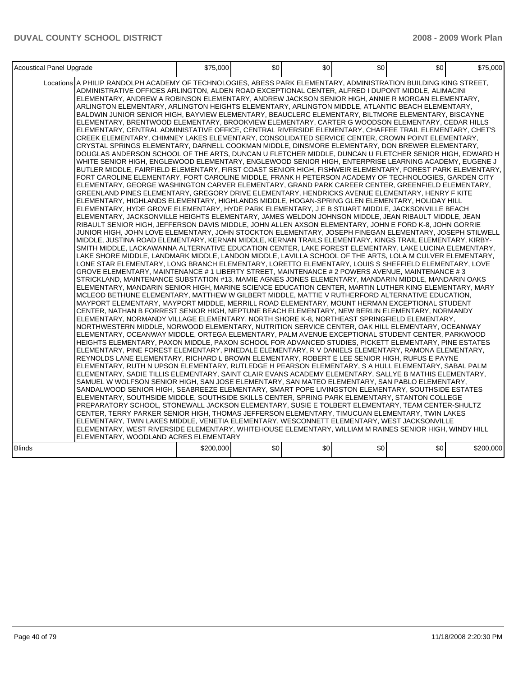| Acoustical Panel Upgrade                                                                                                                                                                                                                                                                                                                                                                                                                                                                                                                                                                                                                                                                                                                                                                                                                                                                                                                                                                                                                                                                                                                                                                                                                                                                                                                                                                                                                                                                                                                                                                                                                                                                                                                                                                                                                                                                                                                                                                                                                                                                                                                                                                                                                                                                                                                                                                                                                                                                                                                                                                                                                                                                                                                                                                                                                                                                                                                                                                                                                                                                                                                                                                                                                                                                                                                                                                                                                                                                                                                                                                                                                                                                                                                                                                                                                                                                                                                                                                                                                                                                                                                                                                                                                                                                                                                                                                                                                                                                                                                                                                                                                                                                                                                                                                                                          | \$75,000  | \$0 | \$0 | \$0 | \$0 | \$75,000  |
|-----------------------------------------------------------------------------------------------------------------------------------------------------------------------------------------------------------------------------------------------------------------------------------------------------------------------------------------------------------------------------------------------------------------------------------------------------------------------------------------------------------------------------------------------------------------------------------------------------------------------------------------------------------------------------------------------------------------------------------------------------------------------------------------------------------------------------------------------------------------------------------------------------------------------------------------------------------------------------------------------------------------------------------------------------------------------------------------------------------------------------------------------------------------------------------------------------------------------------------------------------------------------------------------------------------------------------------------------------------------------------------------------------------------------------------------------------------------------------------------------------------------------------------------------------------------------------------------------------------------------------------------------------------------------------------------------------------------------------------------------------------------------------------------------------------------------------------------------------------------------------------------------------------------------------------------------------------------------------------------------------------------------------------------------------------------------------------------------------------------------------------------------------------------------------------------------------------------------------------------------------------------------------------------------------------------------------------------------------------------------------------------------------------------------------------------------------------------------------------------------------------------------------------------------------------------------------------------------------------------------------------------------------------------------------------------------------------------------------------------------------------------------------------------------------------------------------------------------------------------------------------------------------------------------------------------------------------------------------------------------------------------------------------------------------------------------------------------------------------------------------------------------------------------------------------------------------------------------------------------------------------------------------------------------------------------------------------------------------------------------------------------------------------------------------------------------------------------------------------------------------------------------------------------------------------------------------------------------------------------------------------------------------------------------------------------------------------------------------------------------------------------------------------------------------------------------------------------------------------------------------------------------------------------------------------------------------------------------------------------------------------------------------------------------------------------------------------------------------------------------------------------------------------------------------------------------------------------------------------------------------------------------------------------------------------------------------------------------------------------------------------------------------------------------------------------------------------------------------------------------------------------------------------------------------------------------------------------------------------------------------------------------------------------------------------------------------------------------------------------------------------------------------------------------------------------------------------|-----------|-----|-----|-----|-----|-----------|
| Locations A PHILIP RANDOLPH ACADEMY OF TECHNOLOGIES, ABESS PARK ELEMENTARY, ADMINISTRATION BUILDING KING STREET,<br>ADMINISTRATIVE OFFICES ARLINGTON, ALDEN ROAD EXCEPTIONAL CENTER, ALFRED I DUPONT MIDDLE, ALIMACINI<br>ELEMENTARY, ANDREW A ROBINSON ELEMENTARY, ANDREW JACKSON SENIOR HIGH, ANNIE R MORGAN ELEMENTARY,<br>ARLINGTON ELEMENTARY, ARLINGTON HEIGHTS ELEMENTARY, ARLINGTON MIDDLE, ATLANTIC BEACH ELEMENTARY,<br>BALDWIN JUNIOR SENIOR HIGH, BAYVIEW ELEMENTARY, BEAUCLERC ELEMENTARY, BILTMORE ELEMENTARY, BISCAYNE<br>ELEMENTARY, BRENTWOOD ELEMENTARY, BROOKVIEW ELEMENTARY, CARTER G WOODSON ELEMENTARY, CEDAR HILLS<br>ELEMENTARY, CENTRAL ADMINISTATIVE OFFICE, CENTRAL RIVERSIDE ELEMENTARY, CHAFFEE TRAIL ELEMENTARY, CHET'S<br>CREEK ELEMENTARY, CHIMNEY LAKES ELEMENTARY, CONSOLIDATED SERVICE CENTER, CROWN POINT ELEMENTARY,<br>CRYSTAL SPRINGS ELEMENTARY, DARNELL COOKMAN MIDDLE, DINSMORE ELEMENTARY, DON BREWER ELEMENTARY,<br>DOUGLAS ANDERSON SCHOOL OF THE ARTS, DUNCAN U FLETCHER MIDDLE, DUNCAN U FLETCHER SENIOR HIGH, EDWARD H<br>WHITE SENIOR HIGH, ENGLEWOOD ELEMENTARY, ENGLEWOOD SENIOR HIGH, ENTERPRISE LEARNING ACADEMY, EUGENE J<br>BUTLER MIDDLE, FAIRFIELD ELEMENTARY, FIRST COAST SENIOR HIGH, FISHWEIR ELEMENTARY, FOREST PARK ELEMENTARY,<br>FORT CAROLINE ELEMENTARY, FORT CAROLINE MIDDLE, FRANK H PETERSON ACADEMY OF TECHNOLOGIES, GARDEN CITY<br>ELEMENTARY, GEORGE WASHINGTON CARVER ELEMENTARY, GRAND PARK CAREER CENTER, GREENFIELD ELEMENTARY,<br>GREENLAND PINES ELEMENTARY, GREGORY DRIVE ELEMENTARY, HENDRICKS AVENUE ELEMENTARY, HENRY F KITE<br>ELEMENTARY. HIGHLANDS ELEMENTARY. HIGHLANDS MIDDLE. HOGAN-SPRING GLEN ELEMENTARY. HOLIDAY HILL<br>ELEMENTARY, HYDE GROVE ELEMENTARY, HYDE PARK ELEMENTARY, J E B STUART MIDDLE, JACKSONVILLE BEACH<br>ELEMENTARY, JACKSONVILLE HEIGHTS ELEMENTARY, JAMES WELDON JOHNSON MIDDLE, JEAN RIBAULT MIDDLE, JEAN<br>RIBAULT SENIOR HIGH, JEFFERSON DAVIS MIDDLE, JOHN ALLEN AXSON ELEMENTARY, JOHN E FORD K-8, JOHN GORRIE<br>JUNIOR HIGH, JOHN LOVE ELEMENTARY, JOHN STOCKTON ELEMENTARY, JOSEPH FINEGAN ELEMENTARY, JOSEPH STILWELL<br>MIDDLE, JUSTINA ROAD ELEMENTARY, KERNAN MIDDLE, KERNAN TRAILS ELEMENTARY, KINGS TRAIL ELEMENTARY, KIRBY-<br>SMITH MIDDLE, LACKAWANNA ALTERNATIVE EDUCATION CENTER, LAKE FOREST ELEMENTARY, LAKE LUCINA ELEMENTARY,<br>LAKE SHORE MIDDLE, LANDMARK MIDDLE, LANDON MIDDLE, LAVILLA SCHOOL OF THE ARTS, LOLA M CULVER ELEMENTARY,<br>LONE STAR ELEMENTARY, LONG BRANCH ELEMENTARY, LORETTO ELEMENTARY, LOUIS S SHEFFIELD ELEMENTARY, LOVE<br>GROVE ELEMENTARY, MAINTENANCE # 1 LIBERTY STREET, MAINTENANCE # 2 POWERS AVENUE, MAINTENANCE # 3<br>STRICKLAND, MAINTENANCE SUBSTATION #13, MAMIE AGNES JONES ELEMENTARY, MANDARIN MIDDLE, MANDARIN OAKS<br>ELEMENTARY, MANDARIN SENIOR HIGH, MARINE SCIENCE EDUCATION CENTER, MARTIN LUTHER KING ELEMENTARY, MARY<br>MCLEOD BETHUNE ELEMENTARY, MATTHEW W GILBERT MIDDLE, MATTIE V RUTHERFORD ALTERNATIVE EDUCATION,<br>MAYPORT ELEMENTARY, MAYPORT MIDDLE, MERRILL ROAD ELEMENTARY, MOUNT HERMAN EXCEPTIONAL STUDENT<br>CENTER, NATHAN B FORREST SENIOR HIGH, NEPTUNE BEACH ELEMENTARY, NEW BERLIN ELEMENTARY, NORMANDY<br>ELEMENTARY, NORMANDY VILLAGE ELEMENTARY, NORTH SHORE K-8, NORTHEAST SPRINGFIELD ELEMENTARY,<br>NORTHWESTERN MIDDLE, NORWOOD ELEMENTARY, NUTRITION SERVICE CENTER, OAK HILL ELEMENTARY, OCEANWAY<br>ELEMENTARY, OCEANWAY MIDDLE, ORTEGA ELEMENTARY, PALM AVENUE EXCEPTIONAL STUDENT CENTER, PARKWOOD<br>HEIGHTS ELEMENTARY, PAXON MIDDLE, PAXON SCHOOL FOR ADVANCED STUDIES, PICKETT ELEMENTARY, PINE ESTATES<br>ELEMENTARY, PINE FOREST ELEMENTARY, PINEDALE ELEMENTARY, R V DANIELS ELEMENTARY, RAMONA ELEMENTARY,<br>REYNOLDS LANE ELEMENTARY, RICHARD L BROWN ELEMENTARY, ROBERT E LEE SENIOR HIGH, RUFUS E PAYNE<br>ELEMENTARY. RUTH N UPSON ELEMENTARY. RUTLEDGE H PEARSON ELEMENTARY. S A HULL ELEMENTARY. SABAL PALM<br>ELEMENTARY, SADIE TILLIS ELEMENTARY, SAINT CLAIR EVANS ACADEMY ELEMENTARY, SALLYE B MATHIS ELEMENTARY,<br>SAMUEL W WOLFSON SENIOR HIGH, SAN JOSE ELEMENTARY, SAN MATEO ELEMENTARY, SAN PABLO ELEMENTARY,<br>SANDALWOOD SENIOR HIGH, SEABREEZE ELEMENTARY, SMART POPE LIVINGSTON ELEMENTARY, SOUTHSIDE ESTATES<br>ELEMENTARY, SOUTHSIDE MIDDLE, SOUTHSIDE SKILLS CENTER, SPRING PARK ELEMENTARY, STANTON COLLEGE<br>PREPARATORY SCHOOL, STONEWALL JACKSON ELEMENTARY, SUSIE E TOLBERT ELEMENTARY, TEAM CENTER-SHULTZ<br>CENTER, TERRY PARKER SENIOR HIGH, THOMAS JEFFERSON ELEMENTARY, TIMUCUAN ELEMENTARY, TWIN LAKES<br>ELEMENTARY, TWIN LAKES MIDDLE, VENETIA ELEMENTARY, WESCONNETT ELEMENTARY, WEST JACKSONVILLE<br>ELEMENTARY, WEST RIVERSIDE ELEMENTARY, WHITEHOUSE ELEMENTARY, WILLIAM M RAINES SENIOR HIGH, WINDY HILL<br>ELEMENTARY, WOODLAND ACRES ELEMENTARY |           |     |     |     |     |           |
| <b>Blinds</b>                                                                                                                                                                                                                                                                                                                                                                                                                                                                                                                                                                                                                                                                                                                                                                                                                                                                                                                                                                                                                                                                                                                                                                                                                                                                                                                                                                                                                                                                                                                                                                                                                                                                                                                                                                                                                                                                                                                                                                                                                                                                                                                                                                                                                                                                                                                                                                                                                                                                                                                                                                                                                                                                                                                                                                                                                                                                                                                                                                                                                                                                                                                                                                                                                                                                                                                                                                                                                                                                                                                                                                                                                                                                                                                                                                                                                                                                                                                                                                                                                                                                                                                                                                                                                                                                                                                                                                                                                                                                                                                                                                                                                                                                                                                                                                                                                     | \$200,000 | \$0 | \$0 | \$0 | \$0 | \$200,000 |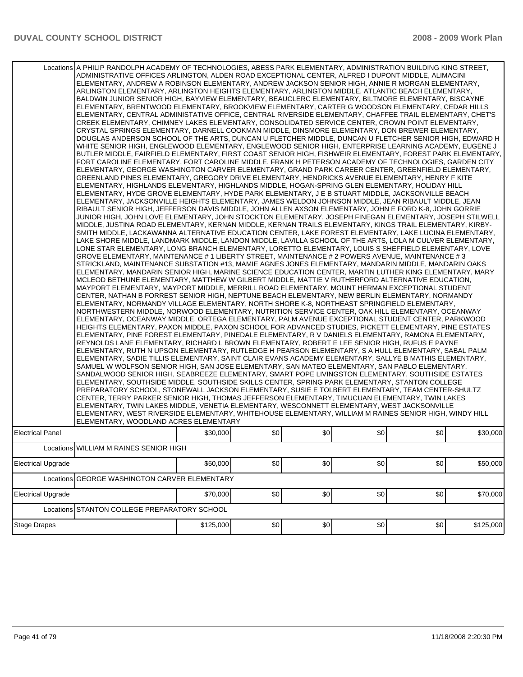|                           | Locations A PHILIP RANDOLPH ACADEMY OF TECHNOLOGIES, ABESS PARK ELEMENTARY, ADMINISTRATION BUILDING KING STREET,<br>ADMINISTRATIVE OFFICES ARLINGTON, ALDEN ROAD EXCEPTIONAL CENTER, ALFRED I DUPONT MIDDLE, ALIMACINI<br>ELEMENTARY, ANDREW A ROBINSON ELEMENTARY, ANDREW JACKSON SENIOR HIGH, ANNIE R MORGAN ELEMENTARY,<br>ARLINGTON ELEMENTARY, ARLINGTON HEIGHTS ELEMENTARY, ARLINGTON MIDDLE, ATLANTIC BEACH ELEMENTARY,<br>BALDWIN JUNIOR SENIOR HIGH, BAYVIEW ELEMENTARY, BEAUCLERC ELEMENTARY, BILTMORE ELEMENTARY, BISCAYNE<br>ELEMENTARY, BRENTWOOD ELEMENTARY, BROOKVIEW ELEMENTARY, CARTER G WOODSON ELEMENTARY, CEDAR HILLS<br>ELEMENTARY, CENTRAL ADMINISTATIVE OFFICE, CENTRAL RIVERSIDE ELEMENTARY, CHAFFEE TRAIL ELEMENTARY, CHET'S<br>CREEK ELEMENTARY, CHIMNEY LAKES ELEMENTARY, CONSOLIDATED SERVICE CENTER, CROWN POINT ELEMENTARY,<br>CRYSTAL SPRINGS ELEMENTARY, DARNELL COOKMAN MIDDLE, DINSMORE ELEMENTARY, DON BREWER ELEMENTARY,<br>DOUGLAS ANDERSON SCHOOL OF THE ARTS, DUNCAN U FLETCHER MIDDLE, DUNCAN U FLETCHER SENIOR HIGH, EDWARD H<br>WHITE SENIOR HIGH, ENGLEWOOD ELEMENTARY, ENGLEWOOD SENIOR HIGH, ENTERPRISE LEARNING ACADEMY, EUGENE J<br>BUTLER MIDDLE, FAIRFIELD ELEMENTARY, FIRST COAST SENIOR HIGH, FISHWEIR ELEMENTARY, FOREST PARK ELEMENTARY,<br>FORT CAROLINE ELEMENTARY, FORT CAROLINE MIDDLE, FRANK H PETERSON ACADEMY OF TECHNOLOGIES, GARDEN CITY<br>ELEMENTARY, GEORGE WASHINGTON CARVER ELEMENTARY, GRAND PARK CAREER CENTER, GREENFIELD ELEMENTARY,<br>GREENLAND PINES ELEMENTARY, GREGORY DRIVE ELEMENTARY, HENDRICKS AVENUE ELEMENTARY, HENRY F KITE<br>ELEMENTARY, HIGHLANDS ELEMENTARY, HIGHLANDS MIDDLE, HOGAN-SPRING GLEN ELEMENTARY, HOLIDAY HILL<br>ELEMENTARY, HYDE GROVE ELEMENTARY, HYDE PARK ELEMENTARY, J E B STUART MIDDLE, JACKSONVILLE BEACH<br>ELEMENTARY, JACKSONVILLE HEIGHTS ELEMENTARY, JAMES WELDON JOHNSON MIDDLE, JEAN RIBAULT MIDDLE, JEAN<br>RIBAULT SENIOR HIGH, JEFFERSON DAVIS MIDDLE, JOHN ALLEN AXSON ELEMENTARY, JOHN E FORD K-8, JOHN GORRIE<br>JUNIOR HIGH, JOHN LOVE ELEMENTARY, JOHN STOCKTON ELEMENTARY, JOSEPH FINEGAN ELEMENTARY, JOSEPH STILWELL<br>MIDDLE, JUSTINA ROAD ELEMENTARY, KERNAN MIDDLE, KERNAN TRAILS ELEMENTARY, KINGS TRAIL ELEMENTARY, KIRBY-<br>SMITH MIDDLE, LACKAWANNA ALTERNATIVE EDUCATION CENTER, LAKE FOREST ELEMENTARY, LAKE LUCINA ELEMENTARY,<br>LAKE SHORE MIDDLE, LANDMARK MIDDLE, LANDON MIDDLE, LAVILLA SCHOOL OF THE ARTS, LOLA M CULVER ELEMENTARY,<br>LONE STAR ELEMENTARY, LONG BRANCH ELEMENTARY, LORETTO ELEMENTARY, LOUIS S SHEFFIELD ELEMENTARY, LOVE<br>GROVE ELEMENTARY, MAINTENANCE # 1 LIBERTY STREET, MAINTENANCE # 2 POWERS AVENUE, MAINTENANCE # 3<br>STRICKLAND, MAINTENANCE SUBSTATION #13, MAMIE AGNES JONES ELEMENTARY, MANDARIN MIDDLE, MANDARIN OAKS<br>ELEMENTARY, MANDARIN SENIOR HIGH, MARINE SCIENCE EDUCATION CENTER, MARTIN LUTHER KING ELEMENTARY, MARY<br>MCLEOD BETHUNE ELEMENTARY, MATTHEW W GILBERT MIDDLE, MATTIE V RUTHERFORD ALTERNATIVE EDUCATION,<br>MAYPORT ELEMENTARY, MAYPORT MIDDLE, MERRILL ROAD ELEMENTARY, MOUNT HERMAN EXCEPTIONAL STUDENT<br>CENTER, NATHAN B FORREST SENIOR HIGH, NEPTUNE BEACH ELEMENTARY, NEW BERLIN ELEMENTARY, NORMANDY<br>ELEMENTARY, NORMANDY VILLAGE ELEMENTARY, NORTH SHORE K-8, NORTHEAST SPRINGFIELD ELEMENTARY,<br>NORTHWESTERN MIDDLE, NORWOOD ELEMENTARY, NUTRITION SERVICE CENTER, OAK HILL ELEMENTARY, OCEANWAY<br>ELEMENTARY, OCEANWAY MIDDLE, ORTEGA ELEMENTARY, PALM AVENUE EXCEPTIONAL STUDENT CENTER, PARKWOOD<br>HEIGHTS ELEMENTARY, PAXON MIDDLE, PAXON SCHOOL FOR ADVANCED STUDIES, PICKETT ELEMENTARY, PINE ESTATES<br>ELEMENTARY, PINE FOREST ELEMENTARY, PINEDALE ELEMENTARY, R V DANIELS ELEMENTARY, RAMONA ELEMENTARY,<br>REYNOLDS LANE ELEMENTARY, RICHARD L BROWN ELEMENTARY, ROBERT E LEE SENIOR HIGH, RUFUS E PAYNE<br>ELEMENTARY, RUTH N UPSON ELEMENTARY, RUTLEDGE H PEARSON ELEMENTARY, S A HULL ELEMENTARY, SABAL PALM<br>ELEMENTARY, SADIE TILLIS ELEMENTARY, SAINT CLAIR EVANS ACADEMY ELEMENTARY, SALLYE B MATHIS ELEMENTARY,<br>SAMUEL W WOLFSON SENIOR HIGH, SAN JOSE ELEMENTARY, SAN MATEO ELEMENTARY, SAN PABLO ELEMENTARY,<br>SANDALWOOD SENIOR HIGH, SEABREEZE ELEMENTARY, SMART POPE LIVINGSTON ELEMENTARY, SOUTHSIDE ESTATES<br>ELEMENTARY, SOUTHSIDE MIDDLE, SOUTHSIDE SKILLS CENTER, SPRING PARK ELEMENTARY, STANTON COLLEGE<br>PREPARATORY SCHOOL, STONEWALL JACKSON ELEMENTARY, SUSIE E TOLBERT ELEMENTARY, TEAM CENTER-SHULTZ<br>CENTER, TERRY PARKER SENIOR HIGH, THOMAS JEFFERSON ELEMENTARY, TIMUCUAN ELEMENTARY, TWIN LAKES<br>ELEMENTARY, TWIN LAKES MIDDLE, VENETIA ELEMENTARY, WESCONNETT ELEMENTARY, WEST JACKSONVILLE<br>ELEMENTARY, WEST RIVERSIDE ELEMENTARY, WHITEHOUSE ELEMENTARY, WILLIAM M RAINES SENIOR HIGH, WINDY HILL<br>ELEMENTARY, WOODLAND ACRES ELEMENTARY |           |     |      |     |     |           |
|---------------------------|-----------------------------------------------------------------------------------------------------------------------------------------------------------------------------------------------------------------------------------------------------------------------------------------------------------------------------------------------------------------------------------------------------------------------------------------------------------------------------------------------------------------------------------------------------------------------------------------------------------------------------------------------------------------------------------------------------------------------------------------------------------------------------------------------------------------------------------------------------------------------------------------------------------------------------------------------------------------------------------------------------------------------------------------------------------------------------------------------------------------------------------------------------------------------------------------------------------------------------------------------------------------------------------------------------------------------------------------------------------------------------------------------------------------------------------------------------------------------------------------------------------------------------------------------------------------------------------------------------------------------------------------------------------------------------------------------------------------------------------------------------------------------------------------------------------------------------------------------------------------------------------------------------------------------------------------------------------------------------------------------------------------------------------------------------------------------------------------------------------------------------------------------------------------------------------------------------------------------------------------------------------------------------------------------------------------------------------------------------------------------------------------------------------------------------------------------------------------------------------------------------------------------------------------------------------------------------------------------------------------------------------------------------------------------------------------------------------------------------------------------------------------------------------------------------------------------------------------------------------------------------------------------------------------------------------------------------------------------------------------------------------------------------------------------------------------------------------------------------------------------------------------------------------------------------------------------------------------------------------------------------------------------------------------------------------------------------------------------------------------------------------------------------------------------------------------------------------------------------------------------------------------------------------------------------------------------------------------------------------------------------------------------------------------------------------------------------------------------------------------------------------------------------------------------------------------------------------------------------------------------------------------------------------------------------------------------------------------------------------------------------------------------------------------------------------------------------------------------------------------------------------------------------------------------------------------------------------------------------------------------------------------------------------------------------------------------------------------------------------------------------------------------------------------------------------------------------------------------------------------------------------------------------------------------------------------------------------------------------------------------------------------------------------------------------------------------------------------------------------------------------------------------------------------------------------------------------------|-----------|-----|------|-----|-----|-----------|
| Electrical Panel          |                                                                                                                                                                                                                                                                                                                                                                                                                                                                                                                                                                                                                                                                                                                                                                                                                                                                                                                                                                                                                                                                                                                                                                                                                                                                                                                                                                                                                                                                                                                                                                                                                                                                                                                                                                                                                                                                                                                                                                                                                                                                                                                                                                                                                                                                                                                                                                                                                                                                                                                                                                                                                                                                                                                                                                                                                                                                                                                                                                                                                                                                                                                                                                                                                                                                                                                                                                                                                                                                                                                                                                                                                                                                                                                                                                                                                                                                                                                                                                                                                                                                                                                                                                                                                                                                                                                                                                                                                                                                                                                                                                                                                                                                                                                                                                                                                                   | \$30,000  | \$0 | \$0  | \$0 | \$0 | \$30,000  |
|                           | Locations WILLIAM M RAINES SENIOR HIGH                                                                                                                                                                                                                                                                                                                                                                                                                                                                                                                                                                                                                                                                                                                                                                                                                                                                                                                                                                                                                                                                                                                                                                                                                                                                                                                                                                                                                                                                                                                                                                                                                                                                                                                                                                                                                                                                                                                                                                                                                                                                                                                                                                                                                                                                                                                                                                                                                                                                                                                                                                                                                                                                                                                                                                                                                                                                                                                                                                                                                                                                                                                                                                                                                                                                                                                                                                                                                                                                                                                                                                                                                                                                                                                                                                                                                                                                                                                                                                                                                                                                                                                                                                                                                                                                                                                                                                                                                                                                                                                                                                                                                                                                                                                                                                                            |           |     |      |     |     |           |
| <b>Electrical Upgrade</b> |                                                                                                                                                                                                                                                                                                                                                                                                                                                                                                                                                                                                                                                                                                                                                                                                                                                                                                                                                                                                                                                                                                                                                                                                                                                                                                                                                                                                                                                                                                                                                                                                                                                                                                                                                                                                                                                                                                                                                                                                                                                                                                                                                                                                                                                                                                                                                                                                                                                                                                                                                                                                                                                                                                                                                                                                                                                                                                                                                                                                                                                                                                                                                                                                                                                                                                                                                                                                                                                                                                                                                                                                                                                                                                                                                                                                                                                                                                                                                                                                                                                                                                                                                                                                                                                                                                                                                                                                                                                                                                                                                                                                                                                                                                                                                                                                                                   | \$50,000  | \$0 | \$0] | \$0 | \$0 | \$50,000  |
| Locations                 | <b>GEORGE WASHINGTON CARVER ELEMENTARY</b>                                                                                                                                                                                                                                                                                                                                                                                                                                                                                                                                                                                                                                                                                                                                                                                                                                                                                                                                                                                                                                                                                                                                                                                                                                                                                                                                                                                                                                                                                                                                                                                                                                                                                                                                                                                                                                                                                                                                                                                                                                                                                                                                                                                                                                                                                                                                                                                                                                                                                                                                                                                                                                                                                                                                                                                                                                                                                                                                                                                                                                                                                                                                                                                                                                                                                                                                                                                                                                                                                                                                                                                                                                                                                                                                                                                                                                                                                                                                                                                                                                                                                                                                                                                                                                                                                                                                                                                                                                                                                                                                                                                                                                                                                                                                                                                        |           |     |      |     |     |           |
| <b>Electrical Upgrade</b> |                                                                                                                                                                                                                                                                                                                                                                                                                                                                                                                                                                                                                                                                                                                                                                                                                                                                                                                                                                                                                                                                                                                                                                                                                                                                                                                                                                                                                                                                                                                                                                                                                                                                                                                                                                                                                                                                                                                                                                                                                                                                                                                                                                                                                                                                                                                                                                                                                                                                                                                                                                                                                                                                                                                                                                                                                                                                                                                                                                                                                                                                                                                                                                                                                                                                                                                                                                                                                                                                                                                                                                                                                                                                                                                                                                                                                                                                                                                                                                                                                                                                                                                                                                                                                                                                                                                                                                                                                                                                                                                                                                                                                                                                                                                                                                                                                                   | \$70,000  | \$0 | \$0] | \$0 | \$0 | \$70,000  |
|                           | Locations STANTON COLLEGE PREPARATORY SCHOOL                                                                                                                                                                                                                                                                                                                                                                                                                                                                                                                                                                                                                                                                                                                                                                                                                                                                                                                                                                                                                                                                                                                                                                                                                                                                                                                                                                                                                                                                                                                                                                                                                                                                                                                                                                                                                                                                                                                                                                                                                                                                                                                                                                                                                                                                                                                                                                                                                                                                                                                                                                                                                                                                                                                                                                                                                                                                                                                                                                                                                                                                                                                                                                                                                                                                                                                                                                                                                                                                                                                                                                                                                                                                                                                                                                                                                                                                                                                                                                                                                                                                                                                                                                                                                                                                                                                                                                                                                                                                                                                                                                                                                                                                                                                                                                                      |           |     |      |     |     |           |
| <b>Stage Drapes</b>       |                                                                                                                                                                                                                                                                                                                                                                                                                                                                                                                                                                                                                                                                                                                                                                                                                                                                                                                                                                                                                                                                                                                                                                                                                                                                                                                                                                                                                                                                                                                                                                                                                                                                                                                                                                                                                                                                                                                                                                                                                                                                                                                                                                                                                                                                                                                                                                                                                                                                                                                                                                                                                                                                                                                                                                                                                                                                                                                                                                                                                                                                                                                                                                                                                                                                                                                                                                                                                                                                                                                                                                                                                                                                                                                                                                                                                                                                                                                                                                                                                                                                                                                                                                                                                                                                                                                                                                                                                                                                                                                                                                                                                                                                                                                                                                                                                                   | \$125,000 | \$0 | \$0] | \$0 | \$0 | \$125,000 |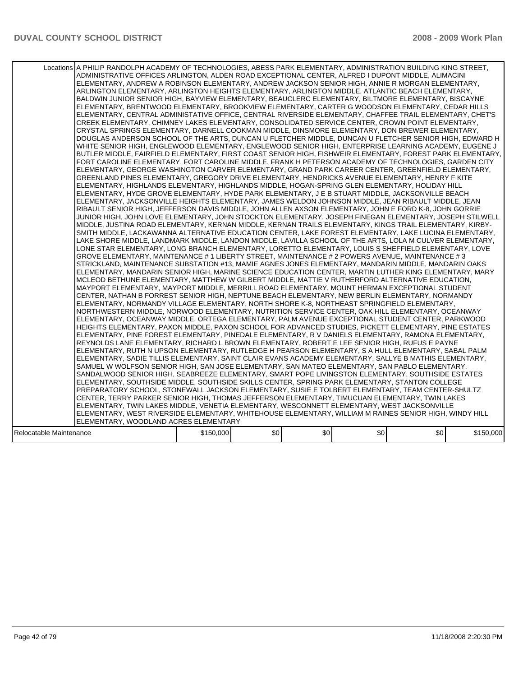| Locations A PHILIP RANDOLPH ACADEMY OF TECHNOLOGIES, ABESS PARK ELEMENTARY, ADMINISTRATION BUILDING KING STREET,<br>ADMINISTRATIVE OFFICES ARLINGTON, ALDEN ROAD EXCEPTIONAL CENTER, ALFRED I DUPONT MIDDLE, ALIMACINI<br>ELEMENTARY, ANDREW A ROBINSON ELEMENTARY, ANDREW JACKSON SENIOR HIGH, ANNIE R MORGAN ELEMENTARY,<br>ARLINGTON ELEMENTARY, ARLINGTON HEIGHTS ELEMENTARY, ARLINGTON MIDDLE, ATLANTIC BEACH ELEMENTARY,<br>BALDWIN JUNIOR SENIOR HIGH, BAYVIEW ELEMENTARY, BEAUCLERC ELEMENTARY, BILTMORE ELEMENTARY, BISCAYNE<br>ELEMENTARY, BRENTWOOD ELEMENTARY, BROOKVIEW ELEMENTARY, CARTER G WOODSON ELEMENTARY, CEDAR HILLS<br>ELEMENTARY, CENTRAL ADMINISTATIVE OFFICE, CENTRAL RIVERSIDE ELEMENTARY, CHAFFEE TRAIL ELEMENTARY, CHET'S<br>CREEK ELEMENTARY, CHIMNEY LAKES ELEMENTARY, CONSOLIDATED SERVICE CENTER, CROWN POINT ELEMENTARY,<br>CRYSTAL SPRINGS ELEMENTARY, DARNELL COOKMAN MIDDLE, DINSMORE ELEMENTARY, DON BREWER ELEMENTARY,<br>DOUGLAS ANDERSON SCHOOL OF THE ARTS, DUNCAN U FLETCHER MIDDLE, DUNCAN U FLETCHER SENIOR HIGH, EDWARD H<br>WHITE SENIOR HIGH, ENGLEWOOD ELEMENTARY, ENGLEWOOD SENIOR HIGH, ENTERPRISE LEARNING ACADEMY, EUGENE J<br>BUTLER MIDDLE, FAIRFIELD ELEMENTARY, FIRST COAST SENIOR HIGH, FISHWEIR ELEMENTARY, FOREST PARK ELEMENTARY,<br>FORT CAROLINE ELEMENTARY, FORT CAROLINE MIDDLE, FRANK H PETERSON ACADEMY OF TECHNOLOGIES, GARDEN CITY<br>ELEMENTARY, GEORGE WASHINGTON CARVER ELEMENTARY, GRAND PARK CAREER CENTER, GREENFIELD ELEMENTARY,<br>GREENLAND PINES ELEMENTARY, GREGORY DRIVE ELEMENTARY, HENDRICKS AVENUE ELEMENTARY, HENRY F KITE<br>IELEMENTARY. HIGHLANDS ELEMENTARY. HIGHLANDS MIDDLE. HOGAN-SPRING GLEN ELEMENTARY. HOLIDAY HILL<br>ELEMENTARY, HYDE GROVE ELEMENTARY, HYDE PARK ELEMENTARY, J E B STUART MIDDLE, JACKSONVILLE BEACH<br>ELEMENTARY, JACKSONVILLE HEIGHTS ELEMENTARY, JAMES WELDON JOHNSON MIDDLE, JEAN RIBAULT MIDDLE, JEAN<br>RIBAULT SENIOR HIGH, JEFFERSON DAVIS MIDDLE, JOHN ALLEN AXSON ELEMENTARY, JOHN E FORD K-8, JOHN GORRIE<br>JUNIOR HIGH, JOHN LOVE ELEMENTARY, JOHN STOCKTON ELEMENTARY, JOSEPH FINEGAN ELEMENTARY, JOSEPH STILWELL<br>MIDDLE, JUSTINA ROAD ELEMENTARY, KERNAN MIDDLE, KERNAN TRAILS ELEMENTARY, KINGS TRAIL ELEMENTARY, KIRBY-<br>SMITH MIDDLE, LACKAWANNA ALTERNATIVE EDUCATION CENTER, LAKE FOREST ELEMENTARY, LAKE LUCINA ELEMENTARY.<br>LAKE SHORE MIDDLE, LANDMARK MIDDLE, LANDON MIDDLE, LAVILLA SCHOOL OF THE ARTS, LOLA M CULVER ELEMENTARY,<br>LONE STAR ELEMENTARY, LONG BRANCH ELEMENTARY, LORETTO ELEMENTARY, LOUIS S SHEFFIELD ELEMENTARY, LOVE<br>GROVE ELEMENTARY, MAINTENANCE # 1 LIBERTY STREET, MAINTENANCE # 2 POWERS AVENUE, MAINTENANCE # 3<br>STRICKLAND, MAINTENANCE SUBSTATION #13, MAMIE AGNES JONES ELEMENTARY, MANDARIN MIDDLE, MANDARIN OAKS<br>IELEMENTARY. MANDARIN SENIOR HIGH. MARINE SCIENCE EDUCATION CENTER. MARTIN LUTHER KING ELEMENTARY. MARY<br>MCLEOD BETHUNE ELEMENTARY, MATTHEW W GILBERT MIDDLE, MATTIE V RUTHERFORD ALTERNATIVE EDUCATION,<br>MAYPORT ELEMENTARY, MAYPORT MIDDLE, MERRILL ROAD ELEMENTARY, MOUNT HERMAN EXCEPTIONAL STUDENT<br>CENTER, NATHAN B FORREST SENIOR HIGH, NEPTUNE BEACH ELEMENTARY, NEW BERLIN ELEMENTARY, NORMANDY<br>ELEMENTARY, NORMANDY VILLAGE ELEMENTARY, NORTH SHORE K-8, NORTHEAST SPRINGFIELD ELEMENTARY,<br>NORTHWESTERN MIDDLE, NORWOOD ELEMENTARY, NUTRITION SERVICE CENTER, OAK HILL ELEMENTARY, OCEANWAY<br>ELEMENTARY. OCEANWAY MIDDLE. ORTEGA ELEMENTARY. PALM AVENUE EXCEPTIONAL STUDENT CENTER. PARKWOOD<br>HEIGHTS ELEMENTARY, PAXON MIDDLE, PAXON SCHOOL FOR ADVANCED STUDIES, PICKETT ELEMENTARY, PINE ESTATES<br>ELEMENTARY, PINE FOREST ELEMENTARY, PINEDALE ELEMENTARY, R V DANIELS ELEMENTARY, RAMONA ELEMENTARY,<br>REYNOLDS LANE ELEMENTARY, RICHARD L BROWN ELEMENTARY, ROBERT E LEE SENIOR HIGH, RUFUS E PAYNE<br>ELEMENTARY, RUTH N UPSON ELEMENTARY, RUTLEDGE H PEARSON ELEMENTARY, S A HULL ELEMENTARY, SABAL PALM <br>ELEMENTARY, SADIE TILLIS ELEMENTARY, SAINT CLAIR EVANS ACADEMY ELEMENTARY, SALLYE B MATHIS ELEMENTARY,<br>SAMUEL W WOLFSON SENIOR HIGH, SAN JOSE ELEMENTARY, SAN MATEO ELEMENTARY, SAN PABLO ELEMENTARY,<br>SANDALWOOD SENIOR HIGH, SEABREEZE ELEMENTARY, SMART POPE LIVINGSTON ELEMENTARY, SOUTHSIDE ESTATES<br>ELEMENTARY, SOUTHSIDE MIDDLE, SOUTHSIDE SKILLS CENTER, SPRING PARK ELEMENTARY, STANTON COLLEGE<br>PREPARATORY SCHOOL, STONEWALL JACKSON ELEMENTARY, SUSIE E TOLBERT ELEMENTARY, TEAM CENTER-SHULTZ<br>ICENTER, TERRY PARKER SENIOR HIGH, THOMAS JEFFERSON ELEMENTARY, TIMUCUAN ELEMENTARY, TWIN LAKES<br>ELEMENTARY, TWIN LAKES MIDDLE, VENETIA ELEMENTARY, WESCONNETT ELEMENTARY, WEST JACKSONVILLE<br>ELEMENTARY, WEST RIVERSIDE ELEMENTARY, WHITEHOUSE ELEMENTARY, WILLIAM M RAINES SENIOR HIGH, WINDY HILL<br>ELEMENTARY, WOODLAND ACRES ELEMENTARY |           |     |     |     |     |           |
|---------------------------------------------------------------------------------------------------------------------------------------------------------------------------------------------------------------------------------------------------------------------------------------------------------------------------------------------------------------------------------------------------------------------------------------------------------------------------------------------------------------------------------------------------------------------------------------------------------------------------------------------------------------------------------------------------------------------------------------------------------------------------------------------------------------------------------------------------------------------------------------------------------------------------------------------------------------------------------------------------------------------------------------------------------------------------------------------------------------------------------------------------------------------------------------------------------------------------------------------------------------------------------------------------------------------------------------------------------------------------------------------------------------------------------------------------------------------------------------------------------------------------------------------------------------------------------------------------------------------------------------------------------------------------------------------------------------------------------------------------------------------------------------------------------------------------------------------------------------------------------------------------------------------------------------------------------------------------------------------------------------------------------------------------------------------------------------------------------------------------------------------------------------------------------------------------------------------------------------------------------------------------------------------------------------------------------------------------------------------------------------------------------------------------------------------------------------------------------------------------------------------------------------------------------------------------------------------------------------------------------------------------------------------------------------------------------------------------------------------------------------------------------------------------------------------------------------------------------------------------------------------------------------------------------------------------------------------------------------------------------------------------------------------------------------------------------------------------------------------------------------------------------------------------------------------------------------------------------------------------------------------------------------------------------------------------------------------------------------------------------------------------------------------------------------------------------------------------------------------------------------------------------------------------------------------------------------------------------------------------------------------------------------------------------------------------------------------------------------------------------------------------------------------------------------------------------------------------------------------------------------------------------------------------------------------------------------------------------------------------------------------------------------------------------------------------------------------------------------------------------------------------------------------------------------------------------------------------------------------------------------------------------------------------------------------------------------------------------------------------------------------------------------------------------------------------------------------------------------------------------------------------------------------------------------------------------------------------------------------------------------------------------------------------------------------------------------------------------------------------------------------------------------------------------------------------------------|-----------|-----|-----|-----|-----|-----------|
| Relocatable Maintenance                                                                                                                                                                                                                                                                                                                                                                                                                                                                                                                                                                                                                                                                                                                                                                                                                                                                                                                                                                                                                                                                                                                                                                                                                                                                                                                                                                                                                                                                                                                                                                                                                                                                                                                                                                                                                                                                                                                                                                                                                                                                                                                                                                                                                                                                                                                                                                                                                                                                                                                                                                                                                                                                                                                                                                                                                                                                                                                                                                                                                                                                                                                                                                                                                                                                                                                                                                                                                                                                                                                                                                                                                                                                                                                                                                                                                                                                                                                                                                                                                                                                                                                                                                                                                                                                                                                                                                                                                                                                                                                                                                                                                                                                                                                                                                                                               | \$150,000 | \$0 | \$0 | \$0 | \$0 | \$150,000 |
|                                                                                                                                                                                                                                                                                                                                                                                                                                                                                                                                                                                                                                                                                                                                                                                                                                                                                                                                                                                                                                                                                                                                                                                                                                                                                                                                                                                                                                                                                                                                                                                                                                                                                                                                                                                                                                                                                                                                                                                                                                                                                                                                                                                                                                                                                                                                                                                                                                                                                                                                                                                                                                                                                                                                                                                                                                                                                                                                                                                                                                                                                                                                                                                                                                                                                                                                                                                                                                                                                                                                                                                                                                                                                                                                                                                                                                                                                                                                                                                                                                                                                                                                                                                                                                                                                                                                                                                                                                                                                                                                                                                                                                                                                                                                                                                                                                       |           |     |     |     |     |           |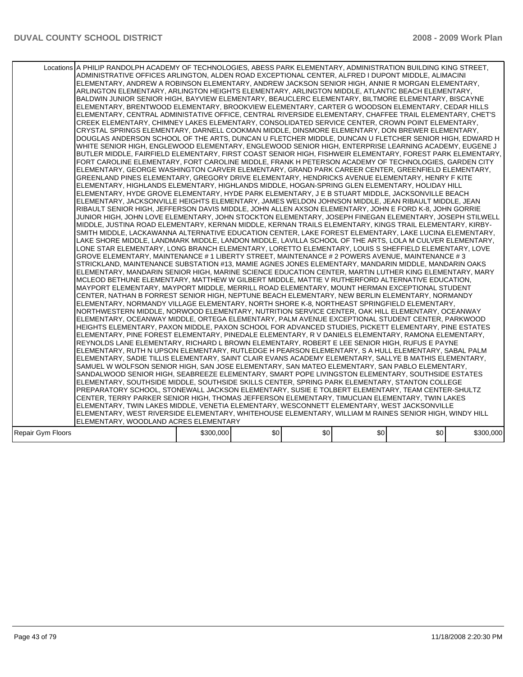| Locations A PHILIP RANDOLPH ACADEMY OF TECHNOLOGIES, ABESS PARK ELEMENTARY, ADMINISTRATION BUILDING KING STREET,<br>ADMINISTRATIVE OFFICES ARLINGTON, ALDEN ROAD EXCEPTIONAL CENTER, ALFRED I DUPONT MIDDLE, ALIMACINI<br>ELEMENTARY, ANDREW A ROBINSON ELEMENTARY, ANDREW JACKSON SENIOR HIGH, ANNIE R MORGAN ELEMENTARY,<br>ARLINGTON ELEMENTARY, ARLINGTON HEIGHTS ELEMENTARY, ARLINGTON MIDDLE, ATLANTIC BEACH ELEMENTARY,<br>BALDWIN JUNIOR SENIOR HIGH, BAYVIEW ELEMENTARY, BEAUCLERC ELEMENTARY, BILTMORE ELEMENTARY, BISCAYNE<br>ELEMENTARY, BRENTWOOD ELEMENTARY, BROOKVIEW ELEMENTARY, CARTER G WOODSON ELEMENTARY, CEDAR HILLS<br>ELEMENTARY, CENTRAL ADMINISTATIVE OFFICE, CENTRAL RIVERSIDE ELEMENTARY, CHAFFEE TRAIL ELEMENTARY, CHET'S<br>CREEK ELEMENTARY, CHIMNEY LAKES ELEMENTARY, CONSOLIDATED SERVICE CENTER, CROWN POINT ELEMENTARY,<br>CRYSTAL SPRINGS ELEMENTARY, DARNELL COOKMAN MIDDLE, DINSMORE ELEMENTARY, DON BREWER ELEMENTARY,<br>DOUGLAS ANDERSON SCHOOL OF THE ARTS, DUNCAN U FLETCHER MIDDLE, DUNCAN U FLETCHER SENIOR HIGH, EDWARD H<br>WHITE SENIOR HIGH, ENGLEWOOD ELEMENTARY, ENGLEWOOD SENIOR HIGH, ENTERPRISE LEARNING ACADEMY, EUGENE J<br>BUTLER MIDDLE, FAIRFIELD ELEMENTARY, FIRST COAST SENIOR HIGH, FISHWEIR ELEMENTARY, FOREST PARK ELEMENTARY,<br>FORT CAROLINE ELEMENTARY, FORT CAROLINE MIDDLE, FRANK H PETERSON ACADEMY OF TECHNOLOGIES, GARDEN CITY<br>ELEMENTARY, GEORGE WASHINGTON CARVER ELEMENTARY, GRAND PARK CAREER CENTER, GREENFIELD ELEMENTARY,<br>GREENLAND PINES ELEMENTARY, GREGORY DRIVE ELEMENTARY, HENDRICKS AVENUE ELEMENTARY, HENRY F KITE<br>ELEMENTARY, HIGHLANDS ELEMENTARY, HIGHLANDS MIDDLE, HOGAN-SPRING GLEN ELEMENTARY, HOLIDAY HILL<br>ELEMENTARY, HYDE GROVE ELEMENTARY, HYDE PARK ELEMENTARY, J E B STUART MIDDLE, JACKSONVILLE BEACH<br>ELEMENTARY, JACKSONVILLE HEIGHTS ELEMENTARY, JAMES WELDON JOHNSON MIDDLE, JEAN RIBAULT MIDDLE, JEAN<br>RIBAULT SENIOR HIGH, JEFFERSON DAVIS MIDDLE, JOHN ALLEN AXSON ELEMENTARY, JOHN E FORD K-8, JOHN GORRIE<br>JUNIOR HIGH, JOHN LOVE ELEMENTARY, JOHN STOCKTON ELEMENTARY, JOSEPH FINEGAN ELEMENTARY, JOSEPH STILWELL<br>MIDDLE, JUSTINA ROAD ELEMENTARY, KERNAN MIDDLE, KERNAN TRAILS ELEMENTARY, KINGS TRAIL ELEMENTARY, KIRBY-<br>SMITH MIDDLE, LACKAWANNA ALTERNATIVE EDUCATION CENTER, LAKE FOREST ELEMENTARY, LAKE LUCINA ELEMENTARY,<br>LAKE SHORE MIDDLE, LANDMARK MIDDLE, LANDON MIDDLE, LAVILLA SCHOOL OF THE ARTS, LOLA M CULVER ELEMENTARY,<br>LONE STAR ELEMENTARY, LONG BRANCH ELEMENTARY, LORETTO ELEMENTARY, LOUIS S SHEFFIELD ELEMENTARY, LOVE<br>GROVE ELEMENTARY, MAINTENANCE # 1 LIBERTY STREET, MAINTENANCE # 2 POWERS AVENUE, MAINTENANCE # 3<br>STRICKLAND, MAINTENANCE SUBSTATION #13, MAMIE AGNES JONES ELEMENTARY, MANDARIN MIDDLE, MANDARIN OAKS<br>IELEMENTARY, MANDARIN SENIOR HIGH, MARINE SCIENCE EDUCATION CENTER, MARTIN LUTHER KING ELEMENTARY, MARY<br>MCLEOD BETHUNE ELEMENTARY, MATTHEW W GILBERT MIDDLE, MATTIE V RUTHERFORD ALTERNATIVE EDUCATION,<br>MAYPORT ELEMENTARY, MAYPORT MIDDLE, MERRILL ROAD ELEMENTARY, MOUNT HERMAN EXCEPTIONAL STUDENT<br>CENTER, NATHAN B FORREST SENIOR HIGH, NEPTUNE BEACH ELEMENTARY, NEW BERLIN ELEMENTARY, NORMANDY<br>ELEMENTARY, NORMANDY VILLAGE ELEMENTARY, NORTH SHORE K-8, NORTHEAST SPRINGFIELD ELEMENTARY,<br>NORTHWESTERN MIDDLE, NORWOOD ELEMENTARY, NUTRITION SERVICE CENTER, OAK HILL ELEMENTARY, OCEANWAY<br>ELEMENTARY, OCEANWAY MIDDLE, ORTEGA ELEMENTARY, PALM AVENUE EXCEPTIONAL STUDENT CENTER, PARKWOOD<br>HEIGHTS ELEMENTARY, PAXON MIDDLE, PAXON SCHOOL FOR ADVANCED STUDIES, PICKETT ELEMENTARY, PINE ESTATES<br>ELEMENTARY, PINE FOREST ELEMENTARY, PINEDALE ELEMENTARY, R V DANIELS ELEMENTARY, RAMONA ELEMENTARY,<br>REYNOLDS LANE ELEMENTARY, RICHARD L BROWN ELEMENTARY, ROBERT E LEE SENIOR HIGH, RUFUS E PAYNE<br>ELEMENTARY, RUTH N UPSON ELEMENTARY, RUTLEDGE H PEARSON ELEMENTARY, S A HULL ELEMENTARY, SABAL PALM<br>ELEMENTARY, SADIE TILLIS ELEMENTARY, SAINT CLAIR EVANS ACADEMY ELEMENTARY, SALLYE B MATHIS ELEMENTARY,<br>SAMUEL W WOLFSON SENIOR HIGH, SAN JOSE ELEMENTARY, SAN MATEO ELEMENTARY, SAN PABLO ELEMENTARY,<br>SANDALWOOD SENIOR HIGH, SEABREEZE ELEMENTARY, SMART POPE LIVINGSTON ELEMENTARY, SOUTHSIDE ESTATES<br>ELEMENTARY, SOUTHSIDE MIDDLE, SOUTHSIDE SKILLS CENTER, SPRING PARK ELEMENTARY, STANTON COLLEGE<br>PREPARATORY SCHOOL, STONEWALL JACKSON ELEMENTARY, SUSIE E TOLBERT ELEMENTARY, TEAM CENTER-SHULTZ<br>CENTER, TERRY PARKER SENIOR HIGH, THOMAS JEFFERSON ELEMENTARY, TIMUCUAN ELEMENTARY, TWIN LAKES<br>ELEMENTARY, TWIN LAKES MIDDLE, VENETIA ELEMENTARY, WESCONNETT ELEMENTARY, WEST JACKSONVILLE<br>ELEMENTARY, WEST RIVERSIDE ELEMENTARY, WHITEHOUSE ELEMENTARY, WILLIAM M RAINES SENIOR HIGH, WINDY HILL<br>ELEMENTARY, WOODLAND ACRES ELEMENTARY<br>\$0<br>\$0<br>\$0<br>\$0<br>\$300,000<br>Repair Gym Floors |  |  |  |           |
|--------------------------------------------------------------------------------------------------------------------------------------------------------------------------------------------------------------------------------------------------------------------------------------------------------------------------------------------------------------------------------------------------------------------------------------------------------------------------------------------------------------------------------------------------------------------------------------------------------------------------------------------------------------------------------------------------------------------------------------------------------------------------------------------------------------------------------------------------------------------------------------------------------------------------------------------------------------------------------------------------------------------------------------------------------------------------------------------------------------------------------------------------------------------------------------------------------------------------------------------------------------------------------------------------------------------------------------------------------------------------------------------------------------------------------------------------------------------------------------------------------------------------------------------------------------------------------------------------------------------------------------------------------------------------------------------------------------------------------------------------------------------------------------------------------------------------------------------------------------------------------------------------------------------------------------------------------------------------------------------------------------------------------------------------------------------------------------------------------------------------------------------------------------------------------------------------------------------------------------------------------------------------------------------------------------------------------------------------------------------------------------------------------------------------------------------------------------------------------------------------------------------------------------------------------------------------------------------------------------------------------------------------------------------------------------------------------------------------------------------------------------------------------------------------------------------------------------------------------------------------------------------------------------------------------------------------------------------------------------------------------------------------------------------------------------------------------------------------------------------------------------------------------------------------------------------------------------------------------------------------------------------------------------------------------------------------------------------------------------------------------------------------------------------------------------------------------------------------------------------------------------------------------------------------------------------------------------------------------------------------------------------------------------------------------------------------------------------------------------------------------------------------------------------------------------------------------------------------------------------------------------------------------------------------------------------------------------------------------------------------------------------------------------------------------------------------------------------------------------------------------------------------------------------------------------------------------------------------------------------------------------------------------------------------------------------------------------------------------------------------------------------------------------------------------------------------------------------------------------------------------------------------------------------------------------------------------------------------------------------------------------------------------------------------------------------------------------------------------------------------------------------------------------------------------------------------------------------------------------------------------------------------|--|--|--|-----------|
|                                                                                                                                                                                                                                                                                                                                                                                                                                                                                                                                                                                                                                                                                                                                                                                                                                                                                                                                                                                                                                                                                                                                                                                                                                                                                                                                                                                                                                                                                                                                                                                                                                                                                                                                                                                                                                                                                                                                                                                                                                                                                                                                                                                                                                                                                                                                                                                                                                                                                                                                                                                                                                                                                                                                                                                                                                                                                                                                                                                                                                                                                                                                                                                                                                                                                                                                                                                                                                                                                                                                                                                                                                                                                                                                                                                                                                                                                                                                                                                                                                                                                                                                                                                                                                                                                                                                                                                                                                                                                                                                                                                                                                                                                                                                                                                                                                                                                                  |  |  |  |           |
|                                                                                                                                                                                                                                                                                                                                                                                                                                                                                                                                                                                                                                                                                                                                                                                                                                                                                                                                                                                                                                                                                                                                                                                                                                                                                                                                                                                                                                                                                                                                                                                                                                                                                                                                                                                                                                                                                                                                                                                                                                                                                                                                                                                                                                                                                                                                                                                                                                                                                                                                                                                                                                                                                                                                                                                                                                                                                                                                                                                                                                                                                                                                                                                                                                                                                                                                                                                                                                                                                                                                                                                                                                                                                                                                                                                                                                                                                                                                                                                                                                                                                                                                                                                                                                                                                                                                                                                                                                                                                                                                                                                                                                                                                                                                                                                                                                                                                                  |  |  |  | \$300,000 |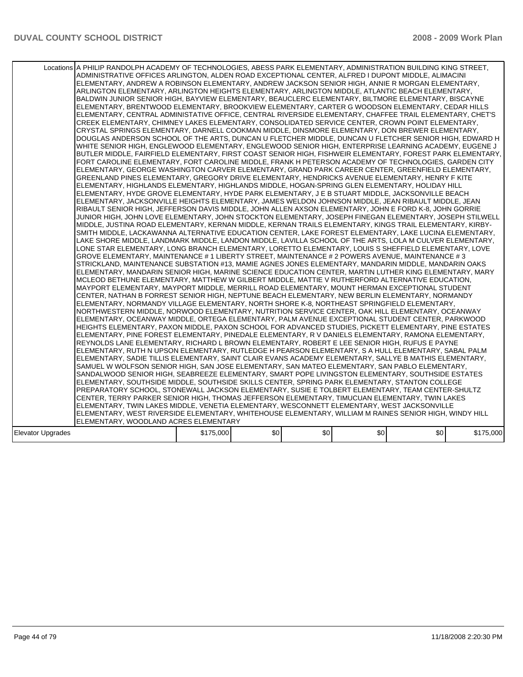|                   | Locations A PHILIP RANDOLPH ACADEMY OF TECHNOLOGIES, ABESS PARK ELEMENTARY, ADMINISTRATION BUILDING KING STREET,<br>ADMINISTRATIVE OFFICES ARLINGTON, ALDEN ROAD EXCEPTIONAL CENTER, ALFRED I DUPONT MIDDLE, ALIMACINI<br>ELEMENTARY, ANDREW A ROBINSON ELEMENTARY, ANDREW JACKSON SENIOR HIGH, ANNIE R MORGAN ELEMENTARY,<br>ARLINGTON ELEMENTARY, ARLINGTON HEIGHTS ELEMENTARY, ARLINGTON MIDDLE, ATLANTIC BEACH ELEMENTARY,<br>BALDWIN JUNIOR SENIOR HIGH, BAYVIEW ELEMENTARY, BEAUCLERC ELEMENTARY, BILTMORE ELEMENTARY, BISCAYNE<br>ELEMENTARY, BRENTWOOD ELEMENTARY, BROOKVIEW ELEMENTARY, CARTER G WOODSON ELEMENTARY, CEDAR HILLS<br>ELEMENTARY, CENTRAL ADMINISTATIVE OFFICE, CENTRAL RIVERSIDE ELEMENTARY, CHAFFEE TRAIL ELEMENTARY, CHET'S<br>CREEK ELEMENTARY, CHIMNEY LAKES ELEMENTARY, CONSOLIDATED SERVICE CENTER, CROWN POINT ELEMENTARY,<br>CRYSTAL SPRINGS ELEMENTARY, DARNELL COOKMAN MIDDLE, DINSMORE ELEMENTARY, DON BREWER ELEMENTARY,<br>DOUGLAS ANDERSON SCHOOL OF THE ARTS, DUNCAN U FLETCHER MIDDLE, DUNCAN U FLETCHER SENIOR HIGH, EDWARD H<br>WHITE SENIOR HIGH, ENGLEWOOD ELEMENTARY, ENGLEWOOD SENIOR HIGH, ENTERPRISE LEARNING ACADEMY, EUGENE J<br>BUTLER MIDDLE, FAIRFIELD ELEMENTARY, FIRST COAST SENIOR HIGH, FISHWEIR ELEMENTARY, FOREST PARK ELEMENTARY,<br>FORT CAROLINE ELEMENTARY, FORT CAROLINE MIDDLE, FRANK H PETERSON ACADEMY OF TECHNOLOGIES, GARDEN CITY<br>ELEMENTARY, GEORGE WASHINGTON CARVER ELEMENTARY, GRAND PARK CAREER CENTER, GREENFIELD ELEMENTARY,<br>GREENLAND PINES ELEMENTARY, GREGORY DRIVE ELEMENTARY, HENDRICKS AVENUE ELEMENTARY, HENRY F KITE<br>IELEMENTARY. HIGHLANDS ELEMENTARY. HIGHLANDS MIDDLE. HOGAN-SPRING GLEN ELEMENTARY. HOLIDAY HILL<br>ELEMENTARY, HYDE GROVE ELEMENTARY, HYDE PARK ELEMENTARY, J E B STUART MIDDLE, JACKSONVILLE BEACH<br>ELEMENTARY, JACKSONVILLE HEIGHTS ELEMENTARY, JAMES WELDON JOHNSON MIDDLE, JEAN RIBAULT MIDDLE, JEAN<br>RIBAULT SENIOR HIGH, JEFFERSON DAVIS MIDDLE, JOHN ALLEN AXSON ELEMENTARY, JOHN E FORD K-8, JOHN GORRIE<br>JUNIOR HIGH, JOHN LOVE ELEMENTARY, JOHN STOCKTON ELEMENTARY, JOSEPH FINEGAN ELEMENTARY, JOSEPH STILWELL<br>MIDDLE, JUSTINA ROAD ELEMENTARY, KERNAN MIDDLE, KERNAN TRAILS ELEMENTARY, KINGS TRAIL ELEMENTARY, KIRBY-<br>SMITH MIDDLE, LACKAWANNA ALTERNATIVE EDUCATION CENTER, LAKE FOREST ELEMENTARY, LAKE LUCINA ELEMENTARY.<br>LAKE SHORE MIDDLE, LANDMARK MIDDLE, LANDON MIDDLE, LAVILLA SCHOOL OF THE ARTS, LOLA M CULVER ELEMENTARY,<br>LONE STAR ELEMENTARY, LONG BRANCH ELEMENTARY, LORETTO ELEMENTARY, LOUIS S SHEFFIELD ELEMENTARY, LOVE<br>GROVE ELEMENTARY, MAINTENANCE # 1 LIBERTY STREET, MAINTENANCE # 2 POWERS AVENUE, MAINTENANCE # 3<br>STRICKLAND, MAINTENANCE SUBSTATION #13, MAMIE AGNES JONES ELEMENTARY, MANDARIN MIDDLE, MANDARIN OAKS<br>IELEMENTARY. MANDARIN SENIOR HIGH. MARINE SCIENCE EDUCATION CENTER. MARTIN LUTHER KING ELEMENTARY. MARY<br>MCLEOD BETHUNE ELEMENTARY, MATTHEW W GILBERT MIDDLE, MATTIE V RUTHERFORD ALTERNATIVE EDUCATION,<br>MAYPORT ELEMENTARY, MAYPORT MIDDLE, MERRILL ROAD ELEMENTARY, MOUNT HERMAN EXCEPTIONAL STUDENT<br>CENTER, NATHAN B FORREST SENIOR HIGH, NEPTUNE BEACH ELEMENTARY, NEW BERLIN ELEMENTARY, NORMANDY<br>ELEMENTARY, NORMANDY VILLAGE ELEMENTARY, NORTH SHORE K-8, NORTHEAST SPRINGFIELD ELEMENTARY,<br>NORTHWESTERN MIDDLE, NORWOOD ELEMENTARY, NUTRITION SERVICE CENTER, OAK HILL ELEMENTARY, OCEANWAY<br>ELEMENTARY. OCEANWAY MIDDLE. ORTEGA ELEMENTARY. PALM AVENUE EXCEPTIONAL STUDENT CENTER. PARKWOOD<br>HEIGHTS ELEMENTARY, PAXON MIDDLE, PAXON SCHOOL FOR ADVANCED STUDIES, PICKETT ELEMENTARY, PINE ESTATES<br>ELEMENTARY, PINE FOREST ELEMENTARY, PINEDALE ELEMENTARY, R V DANIELS ELEMENTARY, RAMONA ELEMENTARY,<br>REYNOLDS LANE ELEMENTARY, RICHARD L BROWN ELEMENTARY, ROBERT E LEE SENIOR HIGH, RUFUS E PAYNE<br>ELEMENTARY, RUTH N UPSON ELEMENTARY, RUTLEDGE H PEARSON ELEMENTARY, S A HULL ELEMENTARY, SABAL PALM <br>ELEMENTARY, SADIE TILLIS ELEMENTARY, SAINT CLAIR EVANS ACADEMY ELEMENTARY, SALLYE B MATHIS ELEMENTARY,<br>SAMUEL W WOLFSON SENIOR HIGH, SAN JOSE ELEMENTARY, SAN MATEO ELEMENTARY, SAN PABLO ELEMENTARY,<br>SANDALWOOD SENIOR HIGH, SEABREEZE ELEMENTARY, SMART POPE LIVINGSTON ELEMENTARY, SOUTHSIDE ESTATES<br>ELEMENTARY, SOUTHSIDE MIDDLE, SOUTHSIDE SKILLS CENTER, SPRING PARK ELEMENTARY, STANTON COLLEGE<br>PREPARATORY SCHOOL, STONEWALL JACKSON ELEMENTARY, SUSIE E TOLBERT ELEMENTARY, TEAM CENTER-SHULTZ<br>CENTER, TERRY PARKER SENIOR HIGH, THOMAS JEFFERSON ELEMENTARY, TIMUCUAN ELEMENTARY, TWIN LAKES<br>ELEMENTARY, TWIN LAKES MIDDLE, VENETIA ELEMENTARY, WESCONNETT ELEMENTARY, WEST JACKSONVILLE<br>ELEMENTARY, WEST RIVERSIDE ELEMENTARY, WHITEHOUSE ELEMENTARY, WILLIAM M RAINES SENIOR HIGH, WINDY HILL<br>ELEMENTARY, WOODLAND ACRES ELEMENTARY |           |     |     |     |     |           |
|-------------------|--------------------------------------------------------------------------------------------------------------------------------------------------------------------------------------------------------------------------------------------------------------------------------------------------------------------------------------------------------------------------------------------------------------------------------------------------------------------------------------------------------------------------------------------------------------------------------------------------------------------------------------------------------------------------------------------------------------------------------------------------------------------------------------------------------------------------------------------------------------------------------------------------------------------------------------------------------------------------------------------------------------------------------------------------------------------------------------------------------------------------------------------------------------------------------------------------------------------------------------------------------------------------------------------------------------------------------------------------------------------------------------------------------------------------------------------------------------------------------------------------------------------------------------------------------------------------------------------------------------------------------------------------------------------------------------------------------------------------------------------------------------------------------------------------------------------------------------------------------------------------------------------------------------------------------------------------------------------------------------------------------------------------------------------------------------------------------------------------------------------------------------------------------------------------------------------------------------------------------------------------------------------------------------------------------------------------------------------------------------------------------------------------------------------------------------------------------------------------------------------------------------------------------------------------------------------------------------------------------------------------------------------------------------------------------------------------------------------------------------------------------------------------------------------------------------------------------------------------------------------------------------------------------------------------------------------------------------------------------------------------------------------------------------------------------------------------------------------------------------------------------------------------------------------------------------------------------------------------------------------------------------------------------------------------------------------------------------------------------------------------------------------------------------------------------------------------------------------------------------------------------------------------------------------------------------------------------------------------------------------------------------------------------------------------------------------------------------------------------------------------------------------------------------------------------------------------------------------------------------------------------------------------------------------------------------------------------------------------------------------------------------------------------------------------------------------------------------------------------------------------------------------------------------------------------------------------------------------------------------------------------------------------------------------------------------------------------------------------------------------------------------------------------------------------------------------------------------------------------------------------------------------------------------------------------------------------------------------------------------------------------------------------------------------------------------------------------------------------------------------------------------------------------------------------------------------------------------|-----------|-----|-----|-----|-----|-----------|
| Elevator Upgrades |                                                                                                                                                                                                                                                                                                                                                                                                                                                                                                                                                                                                                                                                                                                                                                                                                                                                                                                                                                                                                                                                                                                                                                                                                                                                                                                                                                                                                                                                                                                                                                                                                                                                                                                                                                                                                                                                                                                                                                                                                                                                                                                                                                                                                                                                                                                                                                                                                                                                                                                                                                                                                                                                                                                                                                                                                                                                                                                                                                                                                                                                                                                                                                                                                                                                                                                                                                                                                                                                                                                                                                                                                                                                                                                                                                                                                                                                                                                                                                                                                                                                                                                                                                                                                                                                                                                                                                                                                                                                                                                                                                                                                                                                                                                                                                                                                                      | \$175,000 | \$0 | \$0 | \$0 | \$0 | \$175,000 |
|                   |                                                                                                                                                                                                                                                                                                                                                                                                                                                                                                                                                                                                                                                                                                                                                                                                                                                                                                                                                                                                                                                                                                                                                                                                                                                                                                                                                                                                                                                                                                                                                                                                                                                                                                                                                                                                                                                                                                                                                                                                                                                                                                                                                                                                                                                                                                                                                                                                                                                                                                                                                                                                                                                                                                                                                                                                                                                                                                                                                                                                                                                                                                                                                                                                                                                                                                                                                                                                                                                                                                                                                                                                                                                                                                                                                                                                                                                                                                                                                                                                                                                                                                                                                                                                                                                                                                                                                                                                                                                                                                                                                                                                                                                                                                                                                                                                                                      |           |     |     |     |     |           |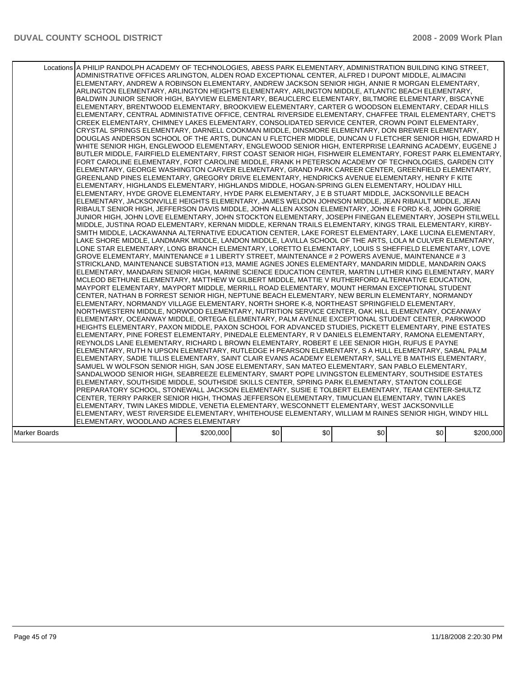|               | Locations A PHILIP RANDOLPH ACADEMY OF TECHNOLOGIES, ABESS PARK ELEMENTARY, ADMINISTRATION BUILDING KING STREET,<br>ADMINISTRATIVE OFFICES ARLINGTON, ALDEN ROAD EXCEPTIONAL CENTER, ALFRED I DUPONT MIDDLE, ALIMACINI<br>ELEMENTARY, ANDREW A ROBINSON ELEMENTARY, ANDREW JACKSON SENIOR HIGH, ANNIE R MORGAN ELEMENTARY,<br>ARLINGTON ELEMENTARY, ARLINGTON HEIGHTS ELEMENTARY, ARLINGTON MIDDLE, ATLANTIC BEACH ELEMENTARY,<br>BALDWIN JUNIOR SENIOR HIGH, BAYVIEW ELEMENTARY, BEAUCLERC ELEMENTARY, BILTMORE ELEMENTARY, BISCAYNE<br>ELEMENTARY, BRENTWOOD ELEMENTARY, BROOKVIEW ELEMENTARY, CARTER G WOODSON ELEMENTARY, CEDAR HILLS<br>ELEMENTARY, CENTRAL ADMINISTATIVE OFFICE, CENTRAL RIVERSIDE ELEMENTARY, CHAFFEE TRAIL ELEMENTARY, CHET'S<br>CREEK ELEMENTARY, CHIMNEY LAKES ELEMENTARY, CONSOLIDATED SERVICE CENTER, CROWN POINT ELEMENTARY,<br>CRYSTAL SPRINGS ELEMENTARY, DARNELL COOKMAN MIDDLE, DINSMORE ELEMENTARY, DON BREWER ELEMENTARY,<br>DOUGLAS ANDERSON SCHOOL OF THE ARTS, DUNCAN U FLETCHER MIDDLE, DUNCAN U FLETCHER SENIOR HIGH, EDWARD H<br>WHITE SENIOR HIGH, ENGLEWOOD ELEMENTARY, ENGLEWOOD SENIOR HIGH, ENTERPRISE LEARNING ACADEMY, EUGENE J<br>BUTLER MIDDLE, FAIRFIELD ELEMENTARY, FIRST COAST SENIOR HIGH, FISHWEIR ELEMENTARY, FOREST PARK ELEMENTARY,<br>FORT CAROLINE ELEMENTARY, FORT CAROLINE MIDDLE, FRANK H PETERSON ACADEMY OF TECHNOLOGIES, GARDEN CITY<br>ELEMENTARY, GEORGE WASHINGTON CARVER ELEMENTARY, GRAND PARK CAREER CENTER, GREENFIELD ELEMENTARY,<br>GREENLAND PINES ELEMENTARY, GREGORY DRIVE ELEMENTARY, HENDRICKS AVENUE ELEMENTARY, HENRY F KITE<br>ELEMENTARY, HIGHLANDS ELEMENTARY, HIGHLANDS MIDDLE, HOGAN-SPRING GLEN ELEMENTARY, HOLIDAY HILL<br>ELEMENTARY, HYDE GROVE ELEMENTARY, HYDE PARK ELEMENTARY, J E B STUART MIDDLE, JACKSONVILLE BEACH<br>ELEMENTARY, JACKSONVILLE HEIGHTS ELEMENTARY, JAMES WELDON JOHNSON MIDDLE, JEAN RIBAULT MIDDLE, JEAN<br>RIBAULT SENIOR HIGH, JEFFERSON DAVIS MIDDLE, JOHN ALLEN AXSON ELEMENTARY, JOHN E FORD K-8, JOHN GORRIE<br>JUNIOR HIGH, JOHN LOVE ELEMENTARY, JOHN STOCKTON ELEMENTARY, JOSEPH FINEGAN ELEMENTARY, JOSEPH STILWELL<br>MIDDLE, JUSTINA ROAD ELEMENTARY, KERNAN MIDDLE, KERNAN TRAILS ELEMENTARY, KINGS TRAIL ELEMENTARY, KIRBY-<br>SMITH MIDDLE, LACKAWANNA ALTERNATIVE EDUCATION CENTER, LAKE FOREST ELEMENTARY, LAKE LUCINA ELEMENTARY.<br>LAKE SHORE MIDDLE, LANDMARK MIDDLE, LANDON MIDDLE, LAVILLA SCHOOL OF THE ARTS, LOLA M CULVER ELEMENTARY,<br>LONE STAR ELEMENTARY, LONG BRANCH ELEMENTARY, LORETTO ELEMENTARY, LOUIS S SHEFFIELD ELEMENTARY, LOVE<br>GROVE ELEMENTARY, MAINTENANCE # 1 LIBERTY STREET, MAINTENANCE # 2 POWERS AVENUE, MAINTENANCE # 3<br>STRICKLAND, MAINTENANCE SUBSTATION #13, MAMIE AGNES JONES ELEMENTARY, MANDARIN MIDDLE, MANDARIN OAKS<br>IELEMENTARY, MANDARIN SENIOR HIGH, MARINE SCIENCE EDUCATION CENTER, MARTIN LUTHER KING ELEMENTARY, MARY<br>MCLEOD BETHUNE ELEMENTARY, MATTHEW W GILBERT MIDDLE, MATTIE V RUTHERFORD ALTERNATIVE EDUCATION,<br>MAYPORT ELEMENTARY, MAYPORT MIDDLE, MERRILL ROAD ELEMENTARY, MOUNT HERMAN EXCEPTIONAL STUDENT<br>CENTER, NATHAN B FORREST SENIOR HIGH, NEPTUNE BEACH ELEMENTARY, NEW BERLIN ELEMENTARY, NORMANDY<br>ELEMENTARY, NORMANDY VILLAGE ELEMENTARY, NORTH SHORE K-8, NORTHEAST SPRINGFIELD ELEMENTARY,<br>NORTHWESTERN MIDDLE, NORWOOD ELEMENTARY, NUTRITION SERVICE CENTER, OAK HILL ELEMENTARY, OCEANWAY<br>ELEMENTARY, OCEANWAY MIDDLE, ORTEGA ELEMENTARY, PALM AVENUE EXCEPTIONAL STUDENT CENTER, PARKWOOD<br>HEIGHTS ELEMENTARY, PAXON MIDDLE, PAXON SCHOOL FOR ADVANCED STUDIES, PICKETT ELEMENTARY, PINE ESTATES<br>ELEMENTARY. PINE FOREST ELEMENTARY. PINEDALE ELEMENTARY. R V DANIELS ELEMENTARY. RAMONA ELEMENTARY.<br>REYNOLDS LANE ELEMENTARY, RICHARD L BROWN ELEMENTARY, ROBERT E LEE SENIOR HIGH, RUFUS E PAYNE<br>ELEMENTARY, RUTH N UPSON ELEMENTARY, RUTLEDGE H PEARSON ELEMENTARY, S A HULL ELEMENTARY, SABAL PALM<br>ELEMENTARY, SADIE TILLIS ELEMENTARY, SAINT CLAIR EVANS ACADEMY ELEMENTARY, SALLYE B MATHIS ELEMENTARY,<br>SAMUEL W WOLFSON SENIOR HIGH, SAN JOSE ELEMENTARY, SAN MATEO ELEMENTARY, SAN PABLO ELEMENTARY,<br>SANDALWOOD SENIOR HIGH, SEABREEZE ELEMENTARY, SMART POPE LIVINGSTON ELEMENTARY, SOUTHSIDE ESTATES<br>ELEMENTARY, SOUTHSIDE MIDDLE, SOUTHSIDE SKILLS CENTER, SPRING PARK ELEMENTARY, STANTON COLLEGE<br>PREPARATORY SCHOOL, STONEWALL JACKSON ELEMENTARY, SUSIE E TOLBERT ELEMENTARY, TEAM CENTER-SHULTZ<br>CENTER, TERRY PARKER SENIOR HIGH, THOMAS JEFFERSON ELEMENTARY, TIMUCUAN ELEMENTARY, TWIN LAKES<br>ELEMENTARY, TWIN LAKES MIDDLE, VENETIA ELEMENTARY, WESCONNETT ELEMENTARY, WEST JACKSONVILLE<br>ELEMENTARY, WEST RIVERSIDE ELEMENTARY, WHITEHOUSE ELEMENTARY, WILLIAM M RAINES SENIOR HIGH, WINDY HILL<br>ELEMENTARY, WOODLAND ACRES ELEMENTARY |           |     |     |     |     |           |
|---------------|------------------------------------------------------------------------------------------------------------------------------------------------------------------------------------------------------------------------------------------------------------------------------------------------------------------------------------------------------------------------------------------------------------------------------------------------------------------------------------------------------------------------------------------------------------------------------------------------------------------------------------------------------------------------------------------------------------------------------------------------------------------------------------------------------------------------------------------------------------------------------------------------------------------------------------------------------------------------------------------------------------------------------------------------------------------------------------------------------------------------------------------------------------------------------------------------------------------------------------------------------------------------------------------------------------------------------------------------------------------------------------------------------------------------------------------------------------------------------------------------------------------------------------------------------------------------------------------------------------------------------------------------------------------------------------------------------------------------------------------------------------------------------------------------------------------------------------------------------------------------------------------------------------------------------------------------------------------------------------------------------------------------------------------------------------------------------------------------------------------------------------------------------------------------------------------------------------------------------------------------------------------------------------------------------------------------------------------------------------------------------------------------------------------------------------------------------------------------------------------------------------------------------------------------------------------------------------------------------------------------------------------------------------------------------------------------------------------------------------------------------------------------------------------------------------------------------------------------------------------------------------------------------------------------------------------------------------------------------------------------------------------------------------------------------------------------------------------------------------------------------------------------------------------------------------------------------------------------------------------------------------------------------------------------------------------------------------------------------------------------------------------------------------------------------------------------------------------------------------------------------------------------------------------------------------------------------------------------------------------------------------------------------------------------------------------------------------------------------------------------------------------------------------------------------------------------------------------------------------------------------------------------------------------------------------------------------------------------------------------------------------------------------------------------------------------------------------------------------------------------------------------------------------------------------------------------------------------------------------------------------------------------------------------------------------------------------------------------------------------------------------------------------------------------------------------------------------------------------------------------------------------------------------------------------------------------------------------------------------------------------------------------------------------------------------------------------------------------------------------------------------------------------------------------------------------------------------|-----------|-----|-----|-----|-----|-----------|
| Marker Boards |                                                                                                                                                                                                                                                                                                                                                                                                                                                                                                                                                                                                                                                                                                                                                                                                                                                                                                                                                                                                                                                                                                                                                                                                                                                                                                                                                                                                                                                                                                                                                                                                                                                                                                                                                                                                                                                                                                                                                                                                                                                                                                                                                                                                                                                                                                                                                                                                                                                                                                                                                                                                                                                                                                                                                                                                                                                                                                                                                                                                                                                                                                                                                                                                                                                                                                                                                                                                                                                                                                                                                                                                                                                                                                                                                                                                                                                                                                                                                                                                                                                                                                                                                                                                                                                                                                                                                                                                                                                                                                                                                                                                                                                                                                                                                                                                                                    | \$200,000 | \$0 | \$0 | \$0 | \$0 | \$200,000 |
|               |                                                                                                                                                                                                                                                                                                                                                                                                                                                                                                                                                                                                                                                                                                                                                                                                                                                                                                                                                                                                                                                                                                                                                                                                                                                                                                                                                                                                                                                                                                                                                                                                                                                                                                                                                                                                                                                                                                                                                                                                                                                                                                                                                                                                                                                                                                                                                                                                                                                                                                                                                                                                                                                                                                                                                                                                                                                                                                                                                                                                                                                                                                                                                                                                                                                                                                                                                                                                                                                                                                                                                                                                                                                                                                                                                                                                                                                                                                                                                                                                                                                                                                                                                                                                                                                                                                                                                                                                                                                                                                                                                                                                                                                                                                                                                                                                                                    |           |     |     |     |     |           |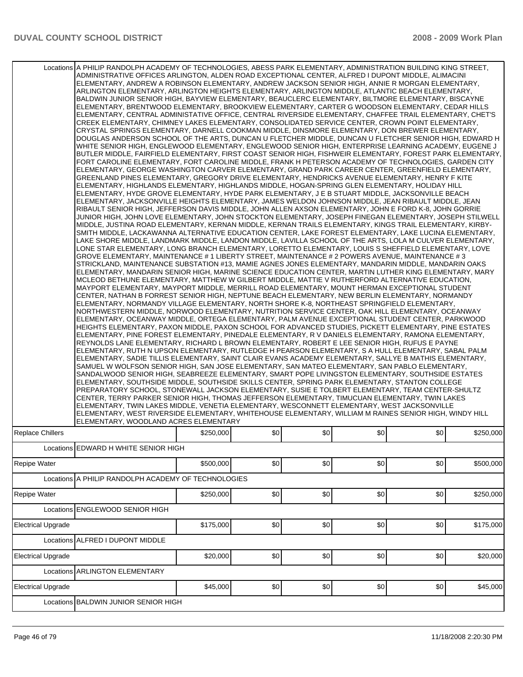|                           | Locations A PHILIP RANDOLPH ACADEMY OF TECHNOLOGIES, ABESS PARK ELEMENTARY, ADMINISTRATION BUILDING KING STREET,<br>ADMINISTRATIVE OFFICES ARLINGTON, ALDEN ROAD EXCEPTIONAL CENTER, ALFRED I DUPONT MIDDLE, ALIMACINI<br>ELEMENTARY, ANDREW A ROBINSON ELEMENTARY, ANDREW JACKSON SENIOR HIGH, ANNIE R MORGAN ELEMENTARY,<br>ARLINGTON ELEMENTARY, ARLINGTON HEIGHTS ELEMENTARY, ARLINGTON MIDDLE, ATLANTIC BEACH ELEMENTARY,<br>BALDWIN JUNIOR SENIOR HIGH, BAYVIEW ELEMENTARY, BEAUCLERC ELEMENTARY, BILTMORE ELEMENTARY, BISCAYNE<br>ELEMENTARY, BRENTWOOD ELEMENTARY, BROOKVIEW ELEMENTARY, CARTER G WOODSON ELEMENTARY, CEDAR HILLS<br>IELEMENTARY. CENTRAL ADMINISTATIVE OFFICE. CENTRAL RIVERSIDE ELEMENTARY. CHAFFEE TRAIL ELEMENTARY. CHET'S<br>CREEK ELEMENTARY, CHIMNEY LAKES ELEMENTARY, CONSOLIDATED SERVICE CENTER, CROWN POINT ELEMENTARY,<br>CRYSTAL SPRINGS ELEMENTARY, DARNELL COOKMAN MIDDLE, DINSMORE ELEMENTARY, DON BREWER ELEMENTARY,<br>DOUGLAS ANDERSON SCHOOL OF THE ARTS, DUNCAN U FLETCHER MIDDLE, DUNCAN U FLETCHER SENIOR HIGH, EDWARD H<br>WHITE SENIOR HIGH, ENGLEWOOD ELEMENTARY, ENGLEWOOD SENIOR HIGH, ENTERPRISE LEARNING ACADEMY, EUGENE J<br>BUTLER MIDDLE. FAIRFIELD ELEMENTARY. FIRST COAST SENIOR HIGH. FISHWEIR ELEMENTARY. FOREST PARK ELEMENTARY.<br>FORT CAROLINE ELEMENTARY, FORT CAROLINE MIDDLE, FRANK H PETERSON ACADEMY OF TECHNOLOGIES, GARDEN CITY<br>ELEMENTARY, GEORGE WASHINGTON CARVER ELEMENTARY, GRAND PARK CAREER CENTER, GREENFIELD ELEMENTARY,<br>GREENLAND PINES ELEMENTARY, GREGORY DRIVE ELEMENTARY, HENDRICKS AVENUE ELEMENTARY, HENRY F KITE<br>ELEMENTARY, HIGHLANDS ELEMENTARY, HIGHLANDS MIDDLE, HOGAN-SPRING GLEN ELEMENTARY, HOLIDAY HILL<br>ELEMENTARY, HYDE GROVE ELEMENTARY, HYDE PARK ELEMENTARY, J E B STUART MIDDLE, JACKSONVILLE BEACH<br>ELEMENTARY, JACKSONVILLE HEIGHTS ELEMENTARY, JAMES WELDON JOHNSON MIDDLE, JEAN RIBAULT MIDDLE, JEAN<br>RIBAULT SENIOR HIGH, JEFFERSON DAVIS MIDDLE, JOHN ALLEN AXSON ELEMENTARY, JOHN E FORD K-8, JOHN GORRIE<br>JUNIOR HIGH, JOHN LOVE ELEMENTARY, JOHN STOCKTON ELEMENTARY, JOSEPH FINEGAN ELEMENTARY, JOSEPH STILWELL<br>MIDDLE, JUSTINA ROAD ELEMENTARY, KERNAN MIDDLE, KERNAN TRAILS ELEMENTARY, KINGS TRAIL ELEMENTARY, KIRBY-<br>SMITH MIDDLE, LACKAWANNA ALTERNATIVE EDUCATION CENTER, LAKE FOREST ELEMENTARY, LAKE LUCINA ELEMENTARY,<br>LAKE SHORE MIDDLE, LANDMARK MIDDLE, LANDON MIDDLE, LAVILLA SCHOOL OF THE ARTS, LOLA M CULVER ELEMENTARY,<br>LONE STAR ELEMENTARY, LONG BRANCH ELEMENTARY, LORETTO ELEMENTARY, LOUIS S SHEFFIELD ELEMENTARY, LOVE<br>GROVE ELEMENTARY, MAINTENANCE # 1 LIBERTY STREET, MAINTENANCE # 2 POWERS AVENUE, MAINTENANCE # 3<br>STRICKLAND, MAINTENANCE SUBSTATION #13, MAMIE AGNES JONES ELEMENTARY, MANDARIN MIDDLE, MANDARIN OAKS<br>IELEMENTARY, MANDARIN SENIOR HIGH, MARINE SCIENCE EDUCATION CENTER, MARTIN LUTHER KING ELEMENTARY, MARY<br>MCLEOD BETHUNE ELEMENTARY, MATTHEW W GILBERT MIDDLE, MATTIE V RUTHERFORD ALTERNATIVE EDUCATION,<br>MAYPORT ELEMENTARY, MAYPORT MIDDLE, MERRILL ROAD ELEMENTARY, MOUNT HERMAN EXCEPTIONAL STUDENT<br>CENTER, NATHAN B FORREST SENIOR HIGH, NEPTUNE BEACH ELEMENTARY, NEW BERLIN ELEMENTARY, NORMANDY<br>ELEMENTARY, NORMANDY VILLAGE ELEMENTARY, NORTH SHORE K-8, NORTHEAST SPRINGFIELD ELEMENTARY,<br>NORTHWESTERN MIDDLE, NORWOOD ELEMENTARY, NUTRITION SERVICE CENTER, OAK HILL ELEMENTARY, OCEANWAY<br>ELEMENTARY, OCEANWAY MIDDLE, ORTEGA ELEMENTARY, PALM AVENUE EXCEPTIONAL STUDENT CENTER, PARKWOOD<br>HEIGHTS ELEMENTARY, PAXON MIDDLE, PAXON SCHOOL FOR ADVANCED STUDIES, PICKETT ELEMENTARY, PINE ESTATES<br>ELEMENTARY, PINE FOREST ELEMENTARY, PINEDALE ELEMENTARY, R V DANIELS ELEMENTARY, RAMONA ELEMENTARY,<br>REYNOLDS LANE ELEMENTARY, RICHARD L BROWN ELEMENTARY, ROBERT E LEE SENIOR HIGH, RUFUS E PAYNE<br>ELEMENTARY, RUTH N UPSON ELEMENTARY, RUTLEDGE H PEARSON ELEMENTARY, S A HULL ELEMENTARY, SABAL PALM]<br>ELEMENTARY, SADIE TILLIS ELEMENTARY, SAINT CLAIR EVANS ACADEMY ELEMENTARY, SALLYE B MATHIS ELEMENTARY,<br>SAMUEL W WOLFSON SENIOR HIGH, SAN JOSE ELEMENTARY, SAN MATEO ELEMENTARY, SAN PABLO ELEMENTARY,<br>SANDALWOOD SENIOR HIGH, SEABREEZE ELEMENTARY, SMART POPE LIVINGSTON ELEMENTARY, SOUTHSIDE ESTATES<br>ELEMENTARY, SOUTHSIDE MIDDLE, SOUTHSIDE SKILLS CENTER, SPRING PARK ELEMENTARY, STANTON COLLEGE<br>PREPARATORY SCHOOL, STONEWALL JACKSON ELEMENTARY, SUSIE E TOLBERT ELEMENTARY, TEAM CENTER-SHULTZ<br>CENTER, TERRY PARKER SENIOR HIGH, THOMAS JEFFERSON ELEMENTARY, TIMUCUAN ELEMENTARY, TWIN LAKES<br>IELEMENTARY, TWIN LAKES MIDDLE, VENETIA ELEMENTARY, WESCONNETT ELEMENTARY, WEST JACKSONVILLE<br>ELEMENTARY, WEST RIVERSIDE ELEMENTARY, WHITEHOUSE ELEMENTARY, WILLIAM M RAINES SENIOR HIGH, WINDY HILL |           |     |     |     |     |           |
|---------------------------|----------------------------------------------------------------------------------------------------------------------------------------------------------------------------------------------------------------------------------------------------------------------------------------------------------------------------------------------------------------------------------------------------------------------------------------------------------------------------------------------------------------------------------------------------------------------------------------------------------------------------------------------------------------------------------------------------------------------------------------------------------------------------------------------------------------------------------------------------------------------------------------------------------------------------------------------------------------------------------------------------------------------------------------------------------------------------------------------------------------------------------------------------------------------------------------------------------------------------------------------------------------------------------------------------------------------------------------------------------------------------------------------------------------------------------------------------------------------------------------------------------------------------------------------------------------------------------------------------------------------------------------------------------------------------------------------------------------------------------------------------------------------------------------------------------------------------------------------------------------------------------------------------------------------------------------------------------------------------------------------------------------------------------------------------------------------------------------------------------------------------------------------------------------------------------------------------------------------------------------------------------------------------------------------------------------------------------------------------------------------------------------------------------------------------------------------------------------------------------------------------------------------------------------------------------------------------------------------------------------------------------------------------------------------------------------------------------------------------------------------------------------------------------------------------------------------------------------------------------------------------------------------------------------------------------------------------------------------------------------------------------------------------------------------------------------------------------------------------------------------------------------------------------------------------------------------------------------------------------------------------------------------------------------------------------------------------------------------------------------------------------------------------------------------------------------------------------------------------------------------------------------------------------------------------------------------------------------------------------------------------------------------------------------------------------------------------------------------------------------------------------------------------------------------------------------------------------------------------------------------------------------------------------------------------------------------------------------------------------------------------------------------------------------------------------------------------------------------------------------------------------------------------------------------------------------------------------------------------------------------------------------------------------------------------------------------------------------------------------------------------------------------------------------------------------------------------------------------------------------------------------------------------------------------------------------------------------------------------------------------------------------------------------------------------------------------------------------------------------------------------------------------------------------------|-----------|-----|-----|-----|-----|-----------|
| <b>Replace Chillers</b>   | ELEMENTARY, WOODLAND ACRES ELEMENTARY                                                                                                                                                                                                                                                                                                                                                                                                                                                                                                                                                                                                                                                                                                                                                                                                                                                                                                                                                                                                                                                                                                                                                                                                                                                                                                                                                                                                                                                                                                                                                                                                                                                                                                                                                                                                                                                                                                                                                                                                                                                                                                                                                                                                                                                                                                                                                                                                                                                                                                                                                                                                                                                                                                                                                                                                                                                                                                                                                                                                                                                                                                                                                                                                                                                                                                                                                                                                                                                                                                                                                                                                                                                                                                                                                                                                                                                                                                                                                                                                                                                                                                                                                                                                                                                                                                                                                                                                                                                                                                                                                                                                                                                                                                                                                        | \$250,000 | \$0 | \$0 | \$0 | \$0 | \$250.000 |
|                           | Locations EDWARD H WHITE SENIOR HIGH                                                                                                                                                                                                                                                                                                                                                                                                                                                                                                                                                                                                                                                                                                                                                                                                                                                                                                                                                                                                                                                                                                                                                                                                                                                                                                                                                                                                                                                                                                                                                                                                                                                                                                                                                                                                                                                                                                                                                                                                                                                                                                                                                                                                                                                                                                                                                                                                                                                                                                                                                                                                                                                                                                                                                                                                                                                                                                                                                                                                                                                                                                                                                                                                                                                                                                                                                                                                                                                                                                                                                                                                                                                                                                                                                                                                                                                                                                                                                                                                                                                                                                                                                                                                                                                                                                                                                                                                                                                                                                                                                                                                                                                                                                                                                         |           |     |     |     |     |           |
| Repipe Water              |                                                                                                                                                                                                                                                                                                                                                                                                                                                                                                                                                                                                                                                                                                                                                                                                                                                                                                                                                                                                                                                                                                                                                                                                                                                                                                                                                                                                                                                                                                                                                                                                                                                                                                                                                                                                                                                                                                                                                                                                                                                                                                                                                                                                                                                                                                                                                                                                                                                                                                                                                                                                                                                                                                                                                                                                                                                                                                                                                                                                                                                                                                                                                                                                                                                                                                                                                                                                                                                                                                                                                                                                                                                                                                                                                                                                                                                                                                                                                                                                                                                                                                                                                                                                                                                                                                                                                                                                                                                                                                                                                                                                                                                                                                                                                                                              | \$500,000 | \$0 | \$0 | \$0 | \$0 | \$500,000 |
|                           | Locations A PHILIP RANDOLPH ACADEMY OF TECHNOLOGIES                                                                                                                                                                                                                                                                                                                                                                                                                                                                                                                                                                                                                                                                                                                                                                                                                                                                                                                                                                                                                                                                                                                                                                                                                                                                                                                                                                                                                                                                                                                                                                                                                                                                                                                                                                                                                                                                                                                                                                                                                                                                                                                                                                                                                                                                                                                                                                                                                                                                                                                                                                                                                                                                                                                                                                                                                                                                                                                                                                                                                                                                                                                                                                                                                                                                                                                                                                                                                                                                                                                                                                                                                                                                                                                                                                                                                                                                                                                                                                                                                                                                                                                                                                                                                                                                                                                                                                                                                                                                                                                                                                                                                                                                                                                                          |           |     |     |     |     |           |
| Repipe Water              |                                                                                                                                                                                                                                                                                                                                                                                                                                                                                                                                                                                                                                                                                                                                                                                                                                                                                                                                                                                                                                                                                                                                                                                                                                                                                                                                                                                                                                                                                                                                                                                                                                                                                                                                                                                                                                                                                                                                                                                                                                                                                                                                                                                                                                                                                                                                                                                                                                                                                                                                                                                                                                                                                                                                                                                                                                                                                                                                                                                                                                                                                                                                                                                                                                                                                                                                                                                                                                                                                                                                                                                                                                                                                                                                                                                                                                                                                                                                                                                                                                                                                                                                                                                                                                                                                                                                                                                                                                                                                                                                                                                                                                                                                                                                                                                              | \$250,000 | \$0 | \$0 | \$0 | \$0 | \$250,000 |
|                           | Locations ENGLEWOOD SENIOR HIGH                                                                                                                                                                                                                                                                                                                                                                                                                                                                                                                                                                                                                                                                                                                                                                                                                                                                                                                                                                                                                                                                                                                                                                                                                                                                                                                                                                                                                                                                                                                                                                                                                                                                                                                                                                                                                                                                                                                                                                                                                                                                                                                                                                                                                                                                                                                                                                                                                                                                                                                                                                                                                                                                                                                                                                                                                                                                                                                                                                                                                                                                                                                                                                                                                                                                                                                                                                                                                                                                                                                                                                                                                                                                                                                                                                                                                                                                                                                                                                                                                                                                                                                                                                                                                                                                                                                                                                                                                                                                                                                                                                                                                                                                                                                                                              |           |     |     |     |     |           |
| <b>Electrical Upgrade</b> |                                                                                                                                                                                                                                                                                                                                                                                                                                                                                                                                                                                                                                                                                                                                                                                                                                                                                                                                                                                                                                                                                                                                                                                                                                                                                                                                                                                                                                                                                                                                                                                                                                                                                                                                                                                                                                                                                                                                                                                                                                                                                                                                                                                                                                                                                                                                                                                                                                                                                                                                                                                                                                                                                                                                                                                                                                                                                                                                                                                                                                                                                                                                                                                                                                                                                                                                                                                                                                                                                                                                                                                                                                                                                                                                                                                                                                                                                                                                                                                                                                                                                                                                                                                                                                                                                                                                                                                                                                                                                                                                                                                                                                                                                                                                                                                              | \$175,000 | \$0 | \$0 | \$0 | \$0 | \$175,000 |
| Locations                 | ALFRED I DUPONT MIDDLE                                                                                                                                                                                                                                                                                                                                                                                                                                                                                                                                                                                                                                                                                                                                                                                                                                                                                                                                                                                                                                                                                                                                                                                                                                                                                                                                                                                                                                                                                                                                                                                                                                                                                                                                                                                                                                                                                                                                                                                                                                                                                                                                                                                                                                                                                                                                                                                                                                                                                                                                                                                                                                                                                                                                                                                                                                                                                                                                                                                                                                                                                                                                                                                                                                                                                                                                                                                                                                                                                                                                                                                                                                                                                                                                                                                                                                                                                                                                                                                                                                                                                                                                                                                                                                                                                                                                                                                                                                                                                                                                                                                                                                                                                                                                                                       |           |     |     |     |     |           |
| <b>Electrical Upgrade</b> |                                                                                                                                                                                                                                                                                                                                                                                                                                                                                                                                                                                                                                                                                                                                                                                                                                                                                                                                                                                                                                                                                                                                                                                                                                                                                                                                                                                                                                                                                                                                                                                                                                                                                                                                                                                                                                                                                                                                                                                                                                                                                                                                                                                                                                                                                                                                                                                                                                                                                                                                                                                                                                                                                                                                                                                                                                                                                                                                                                                                                                                                                                                                                                                                                                                                                                                                                                                                                                                                                                                                                                                                                                                                                                                                                                                                                                                                                                                                                                                                                                                                                                                                                                                                                                                                                                                                                                                                                                                                                                                                                                                                                                                                                                                                                                                              | \$20,000  | \$0 | \$0 | \$0 | \$0 | \$20,000  |
| Locations                 | ARLINGTON ELEMENTARY                                                                                                                                                                                                                                                                                                                                                                                                                                                                                                                                                                                                                                                                                                                                                                                                                                                                                                                                                                                                                                                                                                                                                                                                                                                                                                                                                                                                                                                                                                                                                                                                                                                                                                                                                                                                                                                                                                                                                                                                                                                                                                                                                                                                                                                                                                                                                                                                                                                                                                                                                                                                                                                                                                                                                                                                                                                                                                                                                                                                                                                                                                                                                                                                                                                                                                                                                                                                                                                                                                                                                                                                                                                                                                                                                                                                                                                                                                                                                                                                                                                                                                                                                                                                                                                                                                                                                                                                                                                                                                                                                                                                                                                                                                                                                                         |           |     |     |     |     |           |
| <b>Electrical Upgrade</b> |                                                                                                                                                                                                                                                                                                                                                                                                                                                                                                                                                                                                                                                                                                                                                                                                                                                                                                                                                                                                                                                                                                                                                                                                                                                                                                                                                                                                                                                                                                                                                                                                                                                                                                                                                                                                                                                                                                                                                                                                                                                                                                                                                                                                                                                                                                                                                                                                                                                                                                                                                                                                                                                                                                                                                                                                                                                                                                                                                                                                                                                                                                                                                                                                                                                                                                                                                                                                                                                                                                                                                                                                                                                                                                                                                                                                                                                                                                                                                                                                                                                                                                                                                                                                                                                                                                                                                                                                                                                                                                                                                                                                                                                                                                                                                                                              | \$45,000  | \$0 | \$0 | \$0 | \$0 | \$45,000  |
| Locations                 | <b>BALDWIN JUNIOR SENIOR HIGH</b>                                                                                                                                                                                                                                                                                                                                                                                                                                                                                                                                                                                                                                                                                                                                                                                                                                                                                                                                                                                                                                                                                                                                                                                                                                                                                                                                                                                                                                                                                                                                                                                                                                                                                                                                                                                                                                                                                                                                                                                                                                                                                                                                                                                                                                                                                                                                                                                                                                                                                                                                                                                                                                                                                                                                                                                                                                                                                                                                                                                                                                                                                                                                                                                                                                                                                                                                                                                                                                                                                                                                                                                                                                                                                                                                                                                                                                                                                                                                                                                                                                                                                                                                                                                                                                                                                                                                                                                                                                                                                                                                                                                                                                                                                                                                                            |           |     |     |     |     |           |
|                           |                                                                                                                                                                                                                                                                                                                                                                                                                                                                                                                                                                                                                                                                                                                                                                                                                                                                                                                                                                                                                                                                                                                                                                                                                                                                                                                                                                                                                                                                                                                                                                                                                                                                                                                                                                                                                                                                                                                                                                                                                                                                                                                                                                                                                                                                                                                                                                                                                                                                                                                                                                                                                                                                                                                                                                                                                                                                                                                                                                                                                                                                                                                                                                                                                                                                                                                                                                                                                                                                                                                                                                                                                                                                                                                                                                                                                                                                                                                                                                                                                                                                                                                                                                                                                                                                                                                                                                                                                                                                                                                                                                                                                                                                                                                                                                                              |           |     |     |     |     |           |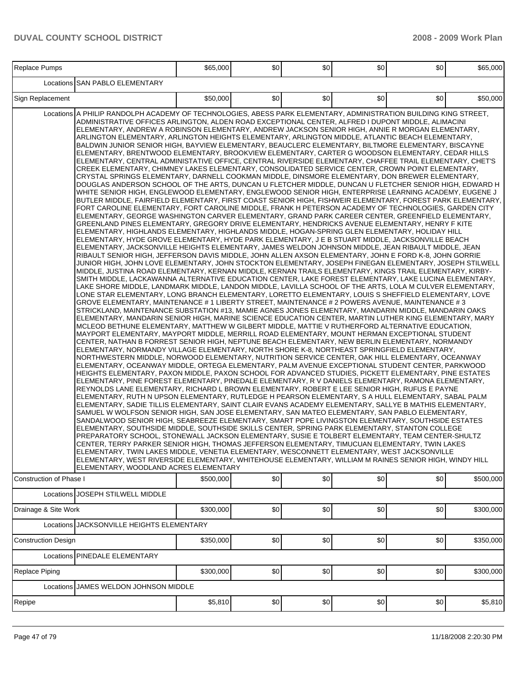| Replace Pumps                                                                                                                                                                                                                                                                                                                                                                                                                                                                                                                                                                                                                                                                                                                                                                                                                                                                                                                                                                                                                                                                                                                                                                                                                                                                                                                                                                                                                                                                                                                                                                                                                                                                                                                                                                                                                                                                                                                                                                                                                                                                                                                                                                                                                                                                                                                                                                                                                                                                                                                                                                                                                                                                                                                                                                                                                                                                                                                                                                                                                                                                                                                                                                                                                                                                                                                                                                                                                                                                                                                                                                                                                                                                                                                                                                                                                                                                                                                                                                                                                                                                                                                                                                                                                                                                                                                                                                                                                                                                                                                                                                                                                                                                |  | \$65,000  | \$0 | \$0] | \$0 | \$0                                                                                                                                                                                                                    | \$65,000  |
|------------------------------------------------------------------------------------------------------------------------------------------------------------------------------------------------------------------------------------------------------------------------------------------------------------------------------------------------------------------------------------------------------------------------------------------------------------------------------------------------------------------------------------------------------------------------------------------------------------------------------------------------------------------------------------------------------------------------------------------------------------------------------------------------------------------------------------------------------------------------------------------------------------------------------------------------------------------------------------------------------------------------------------------------------------------------------------------------------------------------------------------------------------------------------------------------------------------------------------------------------------------------------------------------------------------------------------------------------------------------------------------------------------------------------------------------------------------------------------------------------------------------------------------------------------------------------------------------------------------------------------------------------------------------------------------------------------------------------------------------------------------------------------------------------------------------------------------------------------------------------------------------------------------------------------------------------------------------------------------------------------------------------------------------------------------------------------------------------------------------------------------------------------------------------------------------------------------------------------------------------------------------------------------------------------------------------------------------------------------------------------------------------------------------------------------------------------------------------------------------------------------------------------------------------------------------------------------------------------------------------------------------------------------------------------------------------------------------------------------------------------------------------------------------------------------------------------------------------------------------------------------------------------------------------------------------------------------------------------------------------------------------------------------------------------------------------------------------------------------------------------------------------------------------------------------------------------------------------------------------------------------------------------------------------------------------------------------------------------------------------------------------------------------------------------------------------------------------------------------------------------------------------------------------------------------------------------------------------------------------------------------------------------------------------------------------------------------------------------------------------------------------------------------------------------------------------------------------------------------------------------------------------------------------------------------------------------------------------------------------------------------------------------------------------------------------------------------------------------------------------------------------------------------------------------------------------------------------------------------------------------------------------------------------------------------------------------------------------------------------------------------------------------------------------------------------------------------------------------------------------------------------------------------------------------------------------------------------------------------------------------------------------------------------------|--|-----------|-----|------|-----|------------------------------------------------------------------------------------------------------------------------------------------------------------------------------------------------------------------------|-----------|
| Locations SAN PABLO ELEMENTARY                                                                                                                                                                                                                                                                                                                                                                                                                                                                                                                                                                                                                                                                                                                                                                                                                                                                                                                                                                                                                                                                                                                                                                                                                                                                                                                                                                                                                                                                                                                                                                                                                                                                                                                                                                                                                                                                                                                                                                                                                                                                                                                                                                                                                                                                                                                                                                                                                                                                                                                                                                                                                                                                                                                                                                                                                                                                                                                                                                                                                                                                                                                                                                                                                                                                                                                                                                                                                                                                                                                                                                                                                                                                                                                                                                                                                                                                                                                                                                                                                                                                                                                                                                                                                                                                                                                                                                                                                                                                                                                                                                                                                                               |  |           |     |      |     |                                                                                                                                                                                                                        |           |
| Sign Replacement                                                                                                                                                                                                                                                                                                                                                                                                                                                                                                                                                                                                                                                                                                                                                                                                                                                                                                                                                                                                                                                                                                                                                                                                                                                                                                                                                                                                                                                                                                                                                                                                                                                                                                                                                                                                                                                                                                                                                                                                                                                                                                                                                                                                                                                                                                                                                                                                                                                                                                                                                                                                                                                                                                                                                                                                                                                                                                                                                                                                                                                                                                                                                                                                                                                                                                                                                                                                                                                                                                                                                                                                                                                                                                                                                                                                                                                                                                                                                                                                                                                                                                                                                                                                                                                                                                                                                                                                                                                                                                                                                                                                                                                             |  | \$50,000  | \$0 | \$0] | \$0 | \$0                                                                                                                                                                                                                    | \$50,000  |
| ELEMENTARY, ANDREW A ROBINSON ELEMENTARY, ANDREW JACKSON SENIOR HIGH, ANNIE R MORGAN ELEMENTARY,<br>ARLINGTON ELEMENTARY, ARLINGTON HEIGHTS ELEMENTARY, ARLINGTON MIDDLE, ATLANTIC BEACH ELEMENTARY,<br>BALDWIN JUNIOR SENIOR HIGH, BAYVIEW ELEMENTARY, BEAUCLERC ELEMENTARY, BILTMORE ELEMENTARY, BISCAYNE<br>ELEMENTARY, BRENTWOOD ELEMENTARY, BROOKVIEW ELEMENTARY, CARTER G WOODSON ELEMENTARY, CEDAR HILLS<br>ELEMENTARY, CENTRAL ADMINISTATIVE OFFICE, CENTRAL RIVERSIDE ELEMENTARY, CHAFFEE TRAIL ELEMENTARY, CHET'S<br>CREEK ELEMENTARY, CHIMNEY LAKES ELEMENTARY, CONSOLIDATED SERVICE CENTER, CROWN POINT ELEMENTARY,<br>CRYSTAL SPRINGS ELEMENTARY, DARNELL COOKMAN MIDDLE, DINSMORE ELEMENTARY, DON BREWER ELEMENTARY,<br>DOUGLAS ANDERSON SCHOOL OF THE ARTS, DUNCAN U FLETCHER MIDDLE, DUNCAN U FLETCHER SENIOR HIGH, EDWARD H<br>WHITE SENIOR HIGH, ENGLEWOOD ELEMENTARY, ENGLEWOOD SENIOR HIGH, ENTERPRISE LEARNING ACADEMY, EUGENE J<br>BUTLER MIDDLE, FAIRFIELD ELEMENTARY, FIRST COAST SENIOR HIGH, FISHWEIR ELEMENTARY, FOREST PARK ELEMENTARY,<br>FORT CAROLINE ELEMENTARY, FORT CAROLINE MIDDLE, FRANK H PETERSON ACADEMY OF TECHNOLOGIES, GARDEN CITY<br>ELEMENTARY, GEORGE WASHINGTON CARVER ELEMENTARY, GRAND PARK CAREER CENTER, GREENFIELD ELEMENTARY,<br>GREENLAND PINES ELEMENTARY, GREGORY DRIVE ELEMENTARY, HENDRICKS AVENUE ELEMENTARY, HENRY F KITE<br>ELEMENTARY, HIGHLANDS ELEMENTARY, HIGHLANDS MIDDLE, HOGAN-SPRING GLEN ELEMENTARY, HOLIDAY HILL<br>ELEMENTARY, HYDE GROVE ELEMENTARY, HYDE PARK ELEMENTARY, J E B STUART MIDDLE, JACKSONVILLE BEACH<br>ELEMENTARY, JACKSONVILLE HEIGHTS ELEMENTARY, JAMES WELDON JOHNSON MIDDLE, JEAN RIBAULT MIDDLE, JEAN<br>RIBAULT SENIOR HIGH, JEFFERSON DAVIS MIDDLE, JOHN ALLEN AXSON ELEMENTARY, JOHN E FORD K-8, JOHN GORRIE<br>JUNIOR HIGH, JOHN LOVE ELEMENTARY, JOHN STOCKTON ELEMENTARY, JOSEPH FINEGAN ELEMENTARY, JOSEPH STILWELL<br>MIDDLE, JUSTINA ROAD ELEMENTARY, KERNAN MIDDLE, KERNAN TRAILS ELEMENTARY, KINGS TRAIL ELEMENTARY, KIRBY-<br>SMITH MIDDLE, LACKAWANNA ALTERNATIVE EDUCATION CENTER, LAKE FOREST ELEMENTARY, LAKE LUCINA ELEMENTARY,<br>LAKE SHORE MIDDLE, LANDMARK MIDDLE, LANDON MIDDLE, LAVILLA SCHOOL OF THE ARTS, LOLA M CULVER ELEMENTARY,<br>LONE STAR ELEMENTARY, LONG BRANCH ELEMENTARY, LORETTO ELEMENTARY, LOUIS S SHEFFIELD ELEMENTARY, LOVE<br>GROVE ELEMENTARY, MAINTENANCE # 1 LIBERTY STREET, MAINTENANCE # 2 POWERS AVENUE, MAINTENANCE # 3<br>STRICKLAND, MAINTENANCE SUBSTATION #13, MAMIE AGNES JONES ELEMENTARY, MANDARIN MIDDLE, MANDARIN OAKS<br>ELEMENTARY, MANDARIN SENIOR HIGH, MARINE SCIENCE EDUCATION CENTER, MARTIN LUTHER KING ELEMENTARY, MARY<br>MCLEOD BETHUNE ELEMENTARY, MATTHEW W GILBERT MIDDLE, MATTIE V RUTHERFORD ALTERNATIVE EDUCATION,<br>MAYPORT ELEMENTARY, MAYPORT MIDDLE, MERRILL ROAD ELEMENTARY, MOUNT HERMAN EXCEPTIONAL STUDENT<br>CENTER, NATHAN B FORREST SENIOR HIGH, NEPTUNE BEACH ELEMENTARY, NEW BERLIN ELEMENTARY, NORMANDY<br>ELEMENTARY, NORMANDY VILLAGE ELEMENTARY, NORTH SHORE K-8, NORTHEAST SPRINGFIELD ELEMENTARY,<br>NORTHWESTERN MIDDLE, NORWOOD ELEMENTARY, NUTRITION SERVICE CENTER, OAK HILL ELEMENTARY, OCEANWAY<br>ELEMENTARY, OCEANWAY MIDDLE, ORTEGA ELEMENTARY, PALM AVENUE EXCEPTIONAL STUDENT CENTER, PARKWOOD<br>HEIGHTS ELEMENTARY, PAXON MIDDLE, PAXON SCHOOL FOR ADVANCED STUDIES, PICKETT ELEMENTARY, PINE ESTATES<br>ELEMENTARY, PINE FOREST ELEMENTARY, PINEDALE ELEMENTARY, R V DANIELS ELEMENTARY, RAMONA ELEMENTARY,<br>REYNOLDS LANE ELEMENTARY, RICHARD L BROWN ELEMENTARY, ROBERT E LEE SENIOR HIGH, RUFUS E PAYNE<br>ELEMENTARY, RUTH N UPSON ELEMENTARY, RUTLEDGE H PEARSON ELEMENTARY, S A HULL ELEMENTARY, SABAL PALM<br>ELEMENTARY, SADIE TILLIS ELEMENTARY, SAINT CLAIR EVANS ACADEMY ELEMENTARY, SALLYE B MATHIS ELEMENTARY,<br>SAMUEL W WOLFSON SENIOR HIGH, SAN JOSE ELEMENTARY, SAN MATEO ELEMENTARY, SAN PABLO ELEMENTARY,<br>SANDALWOOD SENIOR HIGH, SEABREEZE ELEMENTARY, SMART POPE LIVINGSTON ELEMENTARY, SOUTHSIDE ESTATES<br>ELEMENTARY, SOUTHSIDE MIDDLE, SOUTHSIDE SKILLS CENTER, SPRING PARK ELEMENTARY, STANTON COLLEGE<br>PREPARATORY SCHOOL, STONEWALL JACKSON ELEMENTARY, SUSIE E TOLBERT ELEMENTARY, TEAM CENTER-SHULTZ<br>CENTER, TERRY PARKER SENIOR HIGH, THOMAS JEFFERSON ELEMENTARY, TIMUCUAN ELEMENTARY, TWIN LAKES<br>ELEMENTARY, TWIN LAKES MIDDLE, VENETIA ELEMENTARY, WESCONNETT ELEMENTARY, WEST JACKSONVILLE<br>ELEMENTARY, WEST RIVERSIDE ELEMENTARY, WHITEHOUSE ELEMENTARY, WILLIAM M RAINES SENIOR HIGH, WINDY HILL<br>ELEMENTARY, WOODLAND ACRES ELEMENTARY<br>\$500,000<br>\$0<br>\$0]<br>\$0<br>Construction of Phase I<br>\$0 |  |           |     |      |     | Locations A PHILIP RANDOLPH ACADEMY OF TECHNOLOGIES, ABESS PARK ELEMENTARY, ADMINISTRATION BUILDING KING STREET,<br>ADMINISTRATIVE OFFICES ARLINGTON, ALDEN ROAD EXCEPTIONAL CENTER, ALFRED I DUPONT MIDDLE, ALIMACINI |           |
|                                                                                                                                                                                                                                                                                                                                                                                                                                                                                                                                                                                                                                                                                                                                                                                                                                                                                                                                                                                                                                                                                                                                                                                                                                                                                                                                                                                                                                                                                                                                                                                                                                                                                                                                                                                                                                                                                                                                                                                                                                                                                                                                                                                                                                                                                                                                                                                                                                                                                                                                                                                                                                                                                                                                                                                                                                                                                                                                                                                                                                                                                                                                                                                                                                                                                                                                                                                                                                                                                                                                                                                                                                                                                                                                                                                                                                                                                                                                                                                                                                                                                                                                                                                                                                                                                                                                                                                                                                                                                                                                                                                                                                                                              |  |           |     |      |     |                                                                                                                                                                                                                        | \$500,000 |
| Locations JOSEPH STILWELL MIDDLE                                                                                                                                                                                                                                                                                                                                                                                                                                                                                                                                                                                                                                                                                                                                                                                                                                                                                                                                                                                                                                                                                                                                                                                                                                                                                                                                                                                                                                                                                                                                                                                                                                                                                                                                                                                                                                                                                                                                                                                                                                                                                                                                                                                                                                                                                                                                                                                                                                                                                                                                                                                                                                                                                                                                                                                                                                                                                                                                                                                                                                                                                                                                                                                                                                                                                                                                                                                                                                                                                                                                                                                                                                                                                                                                                                                                                                                                                                                                                                                                                                                                                                                                                                                                                                                                                                                                                                                                                                                                                                                                                                                                                                             |  |           |     |      |     |                                                                                                                                                                                                                        |           |
| Drainage & Site Work                                                                                                                                                                                                                                                                                                                                                                                                                                                                                                                                                                                                                                                                                                                                                                                                                                                                                                                                                                                                                                                                                                                                                                                                                                                                                                                                                                                                                                                                                                                                                                                                                                                                                                                                                                                                                                                                                                                                                                                                                                                                                                                                                                                                                                                                                                                                                                                                                                                                                                                                                                                                                                                                                                                                                                                                                                                                                                                                                                                                                                                                                                                                                                                                                                                                                                                                                                                                                                                                                                                                                                                                                                                                                                                                                                                                                                                                                                                                                                                                                                                                                                                                                                                                                                                                                                                                                                                                                                                                                                                                                                                                                                                         |  | \$300,000 | \$0 | \$0] | \$0 | \$0                                                                                                                                                                                                                    | \$300,000 |
| Locations JJACKSONVILLE HEIGHTS ELEMENTARY                                                                                                                                                                                                                                                                                                                                                                                                                                                                                                                                                                                                                                                                                                                                                                                                                                                                                                                                                                                                                                                                                                                                                                                                                                                                                                                                                                                                                                                                                                                                                                                                                                                                                                                                                                                                                                                                                                                                                                                                                                                                                                                                                                                                                                                                                                                                                                                                                                                                                                                                                                                                                                                                                                                                                                                                                                                                                                                                                                                                                                                                                                                                                                                                                                                                                                                                                                                                                                                                                                                                                                                                                                                                                                                                                                                                                                                                                                                                                                                                                                                                                                                                                                                                                                                                                                                                                                                                                                                                                                                                                                                                                                   |  |           |     |      |     |                                                                                                                                                                                                                        |           |
| <b>Construction Design</b>                                                                                                                                                                                                                                                                                                                                                                                                                                                                                                                                                                                                                                                                                                                                                                                                                                                                                                                                                                                                                                                                                                                                                                                                                                                                                                                                                                                                                                                                                                                                                                                                                                                                                                                                                                                                                                                                                                                                                                                                                                                                                                                                                                                                                                                                                                                                                                                                                                                                                                                                                                                                                                                                                                                                                                                                                                                                                                                                                                                                                                                                                                                                                                                                                                                                                                                                                                                                                                                                                                                                                                                                                                                                                                                                                                                                                                                                                                                                                                                                                                                                                                                                                                                                                                                                                                                                                                                                                                                                                                                                                                                                                                                   |  | \$350,000 | \$0 | \$0] | \$0 | \$0                                                                                                                                                                                                                    | \$350.000 |
| Locations PINEDALE ELEMENTARY                                                                                                                                                                                                                                                                                                                                                                                                                                                                                                                                                                                                                                                                                                                                                                                                                                                                                                                                                                                                                                                                                                                                                                                                                                                                                                                                                                                                                                                                                                                                                                                                                                                                                                                                                                                                                                                                                                                                                                                                                                                                                                                                                                                                                                                                                                                                                                                                                                                                                                                                                                                                                                                                                                                                                                                                                                                                                                                                                                                                                                                                                                                                                                                                                                                                                                                                                                                                                                                                                                                                                                                                                                                                                                                                                                                                                                                                                                                                                                                                                                                                                                                                                                                                                                                                                                                                                                                                                                                                                                                                                                                                                                                |  |           |     |      |     |                                                                                                                                                                                                                        |           |
| Replace Piping                                                                                                                                                                                                                                                                                                                                                                                                                                                                                                                                                                                                                                                                                                                                                                                                                                                                                                                                                                                                                                                                                                                                                                                                                                                                                                                                                                                                                                                                                                                                                                                                                                                                                                                                                                                                                                                                                                                                                                                                                                                                                                                                                                                                                                                                                                                                                                                                                                                                                                                                                                                                                                                                                                                                                                                                                                                                                                                                                                                                                                                                                                                                                                                                                                                                                                                                                                                                                                                                                                                                                                                                                                                                                                                                                                                                                                                                                                                                                                                                                                                                                                                                                                                                                                                                                                                                                                                                                                                                                                                                                                                                                                                               |  | \$300,000 | \$0 | \$0] | \$0 | \$0                                                                                                                                                                                                                    | \$300,000 |
| Locations JJAMES WELDON JOHNSON MIDDLE                                                                                                                                                                                                                                                                                                                                                                                                                                                                                                                                                                                                                                                                                                                                                                                                                                                                                                                                                                                                                                                                                                                                                                                                                                                                                                                                                                                                                                                                                                                                                                                                                                                                                                                                                                                                                                                                                                                                                                                                                                                                                                                                                                                                                                                                                                                                                                                                                                                                                                                                                                                                                                                                                                                                                                                                                                                                                                                                                                                                                                                                                                                                                                                                                                                                                                                                                                                                                                                                                                                                                                                                                                                                                                                                                                                                                                                                                                                                                                                                                                                                                                                                                                                                                                                                                                                                                                                                                                                                                                                                                                                                                                       |  |           |     |      |     |                                                                                                                                                                                                                        |           |
| Repipe                                                                                                                                                                                                                                                                                                                                                                                                                                                                                                                                                                                                                                                                                                                                                                                                                                                                                                                                                                                                                                                                                                                                                                                                                                                                                                                                                                                                                                                                                                                                                                                                                                                                                                                                                                                                                                                                                                                                                                                                                                                                                                                                                                                                                                                                                                                                                                                                                                                                                                                                                                                                                                                                                                                                                                                                                                                                                                                                                                                                                                                                                                                                                                                                                                                                                                                                                                                                                                                                                                                                                                                                                                                                                                                                                                                                                                                                                                                                                                                                                                                                                                                                                                                                                                                                                                                                                                                                                                                                                                                                                                                                                                                                       |  | \$5,810   | \$0 | \$0] | \$0 | \$0                                                                                                                                                                                                                    | \$5,810   |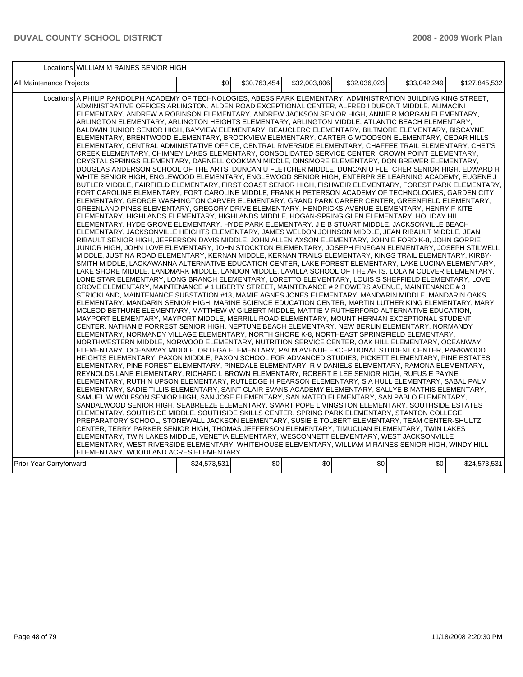Locations WILLIAM M RAINES SENIOR HIGH

| All Maintenance Projects                                                                                                                                                                                                                                                                                                                                                                                                                                                                                                                                                                                                                                                                                                                                                                                                                                                                                                                                                                                                                                                                                                                                                                                                                                                                                                                                                                                                                                                                                                                                                                                                                                                                                                                                                                                                                                                                                                                                                                                                                                                                                                                                                                                                                                                                                                                                                                                                                                                                                                                                                                                                                                                                                                                                                                                                                                                                                                                                                                                                                                                                                                                                                                                                                                                                                                                                                                                                                                                                                                                                                                                                                                                                                                                                                                                                                                                                                                                                                                                                                                                                                                                                                                                                                                                                                                                                                                                                                                                                                                                                                                                                                                                                                                                                                                                                            | \$0          | \$30,763,454 | \$32,003,806 | \$32,036,023 | \$33.042.249 | \$127.845.532 |
|-------------------------------------------------------------------------------------------------------------------------------------------------------------------------------------------------------------------------------------------------------------------------------------------------------------------------------------------------------------------------------------------------------------------------------------------------------------------------------------------------------------------------------------------------------------------------------------------------------------------------------------------------------------------------------------------------------------------------------------------------------------------------------------------------------------------------------------------------------------------------------------------------------------------------------------------------------------------------------------------------------------------------------------------------------------------------------------------------------------------------------------------------------------------------------------------------------------------------------------------------------------------------------------------------------------------------------------------------------------------------------------------------------------------------------------------------------------------------------------------------------------------------------------------------------------------------------------------------------------------------------------------------------------------------------------------------------------------------------------------------------------------------------------------------------------------------------------------------------------------------------------------------------------------------------------------------------------------------------------------------------------------------------------------------------------------------------------------------------------------------------------------------------------------------------------------------------------------------------------------------------------------------------------------------------------------------------------------------------------------------------------------------------------------------------------------------------------------------------------------------------------------------------------------------------------------------------------------------------------------------------------------------------------------------------------------------------------------------------------------------------------------------------------------------------------------------------------------------------------------------------------------------------------------------------------------------------------------------------------------------------------------------------------------------------------------------------------------------------------------------------------------------------------------------------------------------------------------------------------------------------------------------------------------------------------------------------------------------------------------------------------------------------------------------------------------------------------------------------------------------------------------------------------------------------------------------------------------------------------------------------------------------------------------------------------------------------------------------------------------------------------------------------------------------------------------------------------------------------------------------------------------------------------------------------------------------------------------------------------------------------------------------------------------------------------------------------------------------------------------------------------------------------------------------------------------------------------------------------------------------------------------------------------------------------------------------------------------------------------------------------------------------------------------------------------------------------------------------------------------------------------------------------------------------------------------------------------------------------------------------------------------------------------------------------------------------------------------------------------------------------------------------------------------------------------------------------------|--------------|--------------|--------------|--------------|--------------|---------------|
| Locations A PHILIP RANDOLPH ACADEMY OF TECHNOLOGIES, ABESS PARK ELEMENTARY, ADMINISTRATION BUILDING KING STREET,<br>ADMINISTRATIVE OFFICES ARLINGTON, ALDEN ROAD EXCEPTIONAL CENTER, ALFRED I DUPONT MIDDLE, ALIMACINI<br>ELEMENTARY, ANDREW A ROBINSON ELEMENTARY, ANDREW JACKSON SENIOR HIGH, ANNIE R MORGAN ELEMENTARY,<br>ARLINGTON ELEMENTARY, ARLINGTON HEIGHTS ELEMENTARY, ARLINGTON MIDDLE, ATLANTIC BEACH ELEMENTARY,<br>BALDWIN JUNIOR SENIOR HIGH, BAYVIEW ELEMENTARY, BEAUCLERC ELEMENTARY, BILTMORE ELEMENTARY, BISCAYNE<br>ELEMENTARY, BRENTWOOD ELEMENTARY, BROOKVIEW ELEMENTARY, CARTER G WOODSON ELEMENTARY, CEDAR HILLS<br>ELEMENTARY. CENTRAL ADMINISTATIVE OFFICE. CENTRAL RIVERSIDE ELEMENTARY. CHAFFEE TRAIL ELEMENTARY. CHET'S<br>CREEK ELEMENTARY, CHIMNEY LAKES ELEMENTARY, CONSOLIDATED SERVICE CENTER, CROWN POINT ELEMENTARY,<br>CRYSTAL SPRINGS ELEMENTARY, DARNELL COOKMAN MIDDLE, DINSMORE ELEMENTARY, DON BREWER ELEMENTARY,<br>DOUGLAS ANDERSON SCHOOL OF THE ARTS, DUNCAN U FLETCHER MIDDLE, DUNCAN U FLETCHER SENIOR HIGH, EDWARD H<br>WHITE SENIOR HIGH, ENGLEWOOD ELEMENTARY, ENGLEWOOD SENIOR HIGH, ENTERPRISE LEARNING ACADEMY, EUGENE J<br>BUTLER MIDDLE, FAIRFIELD ELEMENTARY, FIRST COAST SENIOR HIGH, FISHWEIR ELEMENTARY, FOREST PARK ELEMENTARY,  <br>FORT CAROLINE ELEMENTARY, FORT CAROLINE MIDDLE, FRANK H PETERSON ACADEMY OF TECHNOLOGIES, GARDEN CITY<br>ELEMENTARY, GEORGE WASHINGTON CARVER ELEMENTARY, GRAND PARK CAREER CENTER, GREENFIELD ELEMENTARY,<br>GREENLAND PINES ELEMENTARY, GREGORY DRIVE ELEMENTARY, HENDRICKS AVENUE ELEMENTARY, HENRY F KITE<br>ELEMENTARY, HIGHLANDS ELEMENTARY, HIGHLANDS MIDDLE, HOGAN-SPRING GLEN ELEMENTARY, HOLIDAY HILL<br>ELEMENTARY, HYDE GROVE ELEMENTARY, HYDE PARK ELEMENTARY, J E B STUART MIDDLE, JACKSONVILLE BEACH<br>ELEMENTARY, JACKSONVILLE HEIGHTS ELEMENTARY, JAMES WELDON JOHNSON MIDDLE, JEAN RIBAULT MIDDLE, JEAN<br>RIBAULT SENIOR HIGH, JEFFERSON DAVIS MIDDLE, JOHN ALLEN AXSON ELEMENTARY, JOHN E FORD K-8, JOHN GORRIE<br>JUNIOR HIGH, JOHN LOVE ELEMENTARY, JOHN STOCKTON ELEMENTARY, JOSEPH FINEGAN ELEMENTARY, JOSEPH STILWELL<br>MIDDLE, JUSTINA ROAD ELEMENTARY, KERNAN MIDDLE, KERNAN TRAILS ELEMENTARY, KINGS TRAIL ELEMENTARY, KIRBY-<br>SMITH MIDDLE, LACKAWANNA ALTERNATIVE EDUCATION CENTER, LAKE FOREST ELEMENTARY, LAKE LUCINA ELEMENTARY,<br>LAKE SHORE MIDDLE, LANDMARK MIDDLE, LANDON MIDDLE, LAVILLA SCHOOL OF THE ARTS, LOLA M CULVER ELEMENTARY,<br>LONE STAR ELEMENTARY, LONG BRANCH ELEMENTARY, LORETTO ELEMENTARY, LOUIS S SHEFFIELD ELEMENTARY, LOVE<br>GROVE ELEMENTARY, MAINTENANCE # 1 LIBERTY STREET, MAINTENANCE # 2 POWERS AVENUE, MAINTENANCE # 3<br>STRICKLAND, MAINTENANCE SUBSTATION #13, MAMIE AGNES JONES ELEMENTARY, MANDARIN MIDDLE, MANDARIN OAKS<br>ELEMENTARY, MANDARIN SENIOR HIGH, MARINE SCIENCE EDUCATION CENTER, MARTIN LUTHER KING ELEMENTARY, MARY<br>MCLEOD BETHUNE ELEMENTARY, MATTHEW W GILBERT MIDDLE, MATTIE V RUTHERFORD ALTERNATIVE EDUCATION,<br>MAYPORT ELEMENTARY, MAYPORT MIDDLE, MERRILL ROAD ELEMENTARY, MOUNT HERMAN EXCEPTIONAL STUDENT<br>CENTER, NATHAN B FORREST SENIOR HIGH, NEPTUNE BEACH ELEMENTARY, NEW BERLIN ELEMENTARY, NORMANDY<br>ELEMENTARY, NORMANDY VILLAGE ELEMENTARY, NORTH SHORE K-8, NORTHEAST SPRINGFIELD ELEMENTARY,<br>NORTHWESTERN MIDDLE, NORWOOD ELEMENTARY, NUTRITION SERVICE CENTER, OAK HILL ELEMENTARY, OCEANWAY<br>ELEMENTARY, OCEANWAY MIDDLE, ORTEGA ELEMENTARY, PALM AVENUE EXCEPTIONAL STUDENT CENTER, PARKWOOD<br>HEIGHTS ELEMENTARY, PAXON MIDDLE, PAXON SCHOOL FOR ADVANCED STUDIES, PICKETT ELEMENTARY, PINE ESTATES<br>ELEMENTARY, PINE FOREST ELEMENTARY, PINEDALE ELEMENTARY, R V DANIELS ELEMENTARY, RAMONA ELEMENTARY,<br>REYNOLDS LANE ELEMENTARY, RICHARD L BROWN ELEMENTARY, ROBERT E LEE SENIOR HIGH, RUFUS E PAYNE<br>ELEMENTARY, RUTH N UPSON ELEMENTARY, RUTLEDGE H PEARSON ELEMENTARY, S A HULL ELEMENTARY, SABAL PALM<br>ELEMENTARY, SADIE TILLIS ELEMENTARY, SAINT CLAIR EVANS ACADEMY ELEMENTARY, SALLYE B MATHIS ELEMENTARY,<br>SAMUEL W WOLFSON SENIOR HIGH, SAN JOSE ELEMENTARY, SAN MATEO ELEMENTARY, SAN PABLO ELEMENTARY,<br>SANDALWOOD SENIOR HIGH, SEABREEZE ELEMENTARY, SMART POPE LIVINGSTON ELEMENTARY, SOUTHSIDE ESTATES<br>ELEMENTARY, SOUTHSIDE MIDDLE, SOUTHSIDE SKILLS CENTER, SPRING PARK ELEMENTARY, STANTON COLLEGE<br>PREPARATORY SCHOOL, STONEWALL JACKSON ELEMENTARY, SUSIE E TOLBERT ELEMENTARY, TEAM CENTER-SHULTZ<br>CENTER, TERRY PARKER SENIOR HIGH, THOMAS JEFFERSON ELEMENTARY, TIMUCUAN ELEMENTARY, TWIN LAKES<br>ELEMENTARY, TWIN LAKES MIDDLE, VENETIA ELEMENTARY, WESCONNETT ELEMENTARY, WEST JACKSONVILLE<br>ELEMENTARY, WEST RIVERSIDE ELEMENTARY, WHITEHOUSE ELEMENTARY, WILLIAM M RAINES SENIOR HIGH, WINDY HILL<br>ELEMENTARY, WOODLAND ACRES ELEMENTARY |              |              |              |              |              |               |
| Prior Year Carryforward                                                                                                                                                                                                                                                                                                                                                                                                                                                                                                                                                                                                                                                                                                                                                                                                                                                                                                                                                                                                                                                                                                                                                                                                                                                                                                                                                                                                                                                                                                                                                                                                                                                                                                                                                                                                                                                                                                                                                                                                                                                                                                                                                                                                                                                                                                                                                                                                                                                                                                                                                                                                                                                                                                                                                                                                                                                                                                                                                                                                                                                                                                                                                                                                                                                                                                                                                                                                                                                                                                                                                                                                                                                                                                                                                                                                                                                                                                                                                                                                                                                                                                                                                                                                                                                                                                                                                                                                                                                                                                                                                                                                                                                                                                                                                                                                             | \$24,573,531 | \$0          | \$0          | \$0          | \$0          | \$24,573,531  |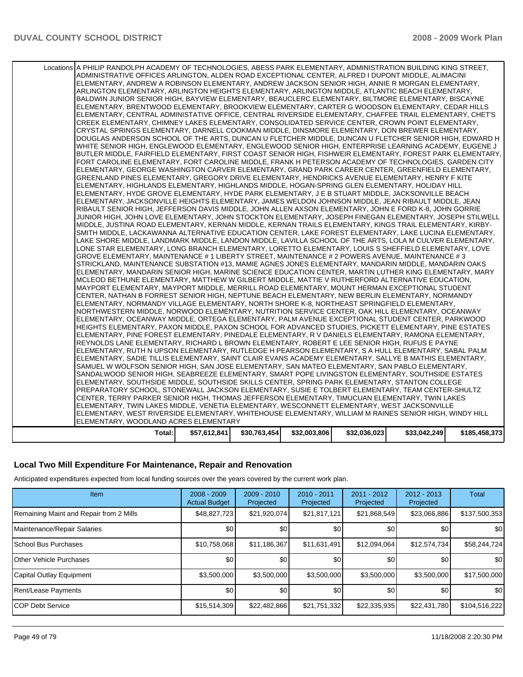| Locations A PHILIP RANDOLPH ACADEMY OF TECHNOLOGIES, ABESS PARK ELEMENTARY, ADMINISTRATION BUILDING KING STREET, |              |              |              |              |              |               |
|------------------------------------------------------------------------------------------------------------------|--------------|--------------|--------------|--------------|--------------|---------------|
| ADMINISTRATIVE OFFICES ARLINGTON, ALDEN ROAD EXCEPTIONAL CENTER, ALFRED I DUPONT MIDDLE, ALIMACINI               |              |              |              |              |              |               |
| ELEMENTARY, ANDREW A ROBINSON ELEMENTARY, ANDREW JACKSON SENIOR HIGH, ANNIE R MORGAN ELEMENTARY,                 |              |              |              |              |              |               |
| ARLINGTON ELEMENTARY, ARLINGTON HEIGHTS ELEMENTARY, ARLINGTON MIDDLE, ATLANTIC BEACH ELEMENTARY,                 |              |              |              |              |              |               |
| BALDWIN JUNIOR SENIOR HIGH, BAYVIEW ELEMENTARY, BEAUCLERC ELEMENTARY, BILTMORE ELEMENTARY, BISCAYNE              |              |              |              |              |              |               |
| ELEMENTARY, BRENTWOOD ELEMENTARY, BROOKVIEW ELEMENTARY, CARTER G WOODSON ELEMENTARY, CEDAR HILLS                 |              |              |              |              |              |               |
| ELEMENTARY, CENTRAL ADMINISTATIVE OFFICE, CENTRAL RIVERSIDE ELEMENTARY, CHAFFEE TRAIL ELEMENTARY, CHET'S         |              |              |              |              |              |               |
| CREEK ELEMENTARY, CHIMNEY LAKES ELEMENTARY, CONSOLIDATED SERVICE CENTER, CROWN POINT ELEMENTARY,                 |              |              |              |              |              |               |
| CRYSTAL SPRINGS ELEMENTARY, DARNELL COOKMAN MIDDLE, DINSMORE ELEMENTARY, DON BREWER ELEMENTARY,                  |              |              |              |              |              |               |
| DOUGLAS ANDERSON SCHOOL OF THE ARTS, DUNCAN U FLETCHER MIDDLE, DUNCAN U FLETCHER SENIOR HIGH, EDWARD H           |              |              |              |              |              |               |
| WHITE SENIOR HIGH, ENGLEWOOD ELEMENTARY, ENGLEWOOD SENIOR HIGH, ENTERPRISE LEARNING ACADEMY, EUGENE J            |              |              |              |              |              |               |
| BUTLER MIDDLE, FAIRFIELD ELEMENTARY, FIRST COAST SENIOR HIGH, FISHWEIR ELEMENTARY, FOREST PARK ELEMENTARY,       |              |              |              |              |              |               |
| FORT CAROLINE ELEMENTARY, FORT CAROLINE MIDDLE, FRANK H PETERSON ACADEMY OF TECHNOLOGIES, GARDEN CITY            |              |              |              |              |              |               |
| ELEMENTARY, GEORGE WASHINGTON CARVER ELEMENTARY, GRAND PARK CAREER CENTER, GREENFIELD ELEMENTARY,                |              |              |              |              |              |               |
| GREENLAND PINES ELEMENTARY, GREGORY DRIVE ELEMENTARY, HENDRICKS AVENUE ELEMENTARY, HENRY F KITE                  |              |              |              |              |              |               |
| ELEMENTARY, HIGHLANDS ELEMENTARY, HIGHLANDS MIDDLE, HOGAN-SPRING GLEN ELEMENTARY, HOLIDAY HILL                   |              |              |              |              |              |               |
|                                                                                                                  |              |              |              |              |              |               |
| ELEMENTARY, HYDE GROVE ELEMENTARY, HYDE PARK ELEMENTARY, J E B STUART MIDDLE, JACKSONVILLE BEACH                 |              |              |              |              |              |               |
| ELEMENTARY, JACKSONVILLE HEIGHTS ELEMENTARY, JAMES WELDON JOHNSON MIDDLE, JEAN RIBAULT MIDDLE, JEAN              |              |              |              |              |              |               |
| RIBAULT SENIOR HIGH, JEFFERSON DAVIS MIDDLE, JOHN ALLEN AXSON ELEMENTARY, JOHN E FORD K-8, JOHN GORRIE           |              |              |              |              |              |               |
| JUNIOR HIGH, JOHN LOVE ELEMENTARY, JOHN STOCKTON ELEMENTARY, JOSEPH FINEGAN ELEMENTARY, JOSEPH STILWELL          |              |              |              |              |              |               |
| MIDDLE, JUSTINA ROAD ELEMENTARY, KERNAN MIDDLE, KERNAN TRAILS ELEMENTARY, KINGS TRAIL ELEMENTARY, KIRBY-         |              |              |              |              |              |               |
| SMITH MIDDLE, LACKAWANNA ALTERNATIVE EDUCATION CENTER, LAKE FOREST ELEMENTARY, LAKE LUCINA ELEMENTARY,           |              |              |              |              |              |               |
| LAKE SHORE MIDDLE, LANDMARK MIDDLE, LANDON MIDDLE, LAVILLA SCHOOL OF THE ARTS, LOLA M CULVER ELEMENTARY,         |              |              |              |              |              |               |
| LONE STAR ELEMENTARY, LONG BRANCH ELEMENTARY, LORETTO ELEMENTARY, LOUIS S SHEFFIELD ELEMENTARY, LOVE             |              |              |              |              |              |               |
| GROVE ELEMENTARY, MAINTENANCE # 1 LIBERTY STREET, MAINTENANCE # 2 POWERS AVENUE, MAINTENANCE # 3                 |              |              |              |              |              |               |
| STRICKLAND, MAINTENANCE SUBSTATION #13, MAMIE AGNES JONES ELEMENTARY, MANDARIN MIDDLE, MANDARIN OAKS             |              |              |              |              |              |               |
| ELEMENTARY, MANDARIN SENIOR HIGH, MARINE SCIENCE EDUCATION CENTER, MARTIN LUTHER KING ELEMENTARY, MARY           |              |              |              |              |              |               |
| MCLEOD BETHUNE ELEMENTARY, MATTHEW W GILBERT MIDDLE, MATTIE V RUTHERFORD ALTERNATIVE EDUCATION,                  |              |              |              |              |              |               |
| MAYPORT ELEMENTARY, MAYPORT MIDDLE, MERRILL ROAD ELEMENTARY, MOUNT HERMAN EXCEPTIONAL STUDENT                    |              |              |              |              |              |               |
| CENTER, NATHAN B FORREST SENIOR HIGH, NEPTUNE BEACH ELEMENTARY, NEW BERLIN ELEMENTARY, NORMANDY                  |              |              |              |              |              |               |
| ELEMENTARY, NORMANDY VILLAGE ELEMENTARY, NORTH SHORE K-8, NORTHEAST SPRINGFIELD ELEMENTARY,                      |              |              |              |              |              |               |
| NORTHWESTERN MIDDLE, NORWOOD ELEMENTARY, NUTRITION SERVICE CENTER, OAK HILL ELEMENTARY, OCEANWAY                 |              |              |              |              |              |               |
| ELEMENTARY, OCEANWAY MIDDLE, ORTEGA ELEMENTARY, PALM AVENUE EXCEPTIONAL STUDENT CENTER, PARKWOOD                 |              |              |              |              |              |               |
| HEIGHTS ELEMENTARY, PAXON MIDDLE, PAXON SCHOOL FOR ADVANCED STUDIES, PICKETT ELEMENTARY, PINE ESTATES            |              |              |              |              |              |               |
| ELEMENTARY, PINE FOREST ELEMENTARY, PINEDALE ELEMENTARY, R V DANIELS ELEMENTARY, RAMONA ELEMENTARY,              |              |              |              |              |              |               |
| REYNOLDS LANE ELEMENTARY, RICHARD L BROWN ELEMENTARY, ROBERT E LEE SENIOR HIGH, RUFUS E PAYNE                    |              |              |              |              |              |               |
| ELEMENTARY, RUTH N UPSON ELEMENTARY, RUTLEDGE H PEARSON ELEMENTARY, S A HULL ELEMENTARY, SABAL PALM              |              |              |              |              |              |               |
| ELEMENTARY, SADIE TILLIS ELEMENTARY, SAINT CLAIR EVANS ACADEMY ELEMENTARY, SALLYE B MATHIS ELEMENTARY,           |              |              |              |              |              |               |
| SAMUEL W WOLFSON SENIOR HIGH, SAN JOSE ELEMENTARY, SAN MATEO ELEMENTARY, SAN PABLO ELEMENTARY,                   |              |              |              |              |              |               |
| SANDALWOOD SENIOR HIGH, SEABREEZE ELEMENTARY, SMART POPE LIVINGSTON ELEMENTARY, SOUTHSIDE ESTATES                |              |              |              |              |              |               |
| ELEMENTARY, SOUTHSIDE MIDDLE, SOUTHSIDE SKILLS CENTER, SPRING PARK ELEMENTARY, STANTON COLLEGE                   |              |              |              |              |              |               |
| PREPARATORY SCHOOL, STONEWALL JACKSON ELEMENTARY, SUSIE E TOLBERT ELEMENTARY, TEAM CENTER-SHULTZ                 |              |              |              |              |              |               |
| CENTER, TERRY PARKER SENIOR HIGH, THOMAS JEFFERSON ELEMENTARY, TIMUCUAN ELEMENTARY, TWIN LAKES                   |              |              |              |              |              |               |
| ELEMENTARY, TWIN LAKES MIDDLE, VENETIA ELEMENTARY, WESCONNETT ELEMENTARY, WEST JACKSONVILLE                      |              |              |              |              |              |               |
| ELEMENTARY, WEST RIVERSIDE ELEMENTARY, WHITEHOUSE ELEMENTARY, WILLIAM M RAINES SENIOR HIGH, WINDY HILL           |              |              |              |              |              |               |
| ELEMENTARY, WOODLAND ACRES ELEMENTARY                                                                            |              |              |              |              |              |               |
|                                                                                                                  |              |              |              |              |              |               |
| Total:                                                                                                           | \$57,612,841 | \$30,763,454 | \$32,003,806 | \$32,036,023 | \$33,042,249 | \$185,458,373 |

### **Local Two Mill Expenditure For Maintenance, Repair and Renovation**

Anticipated expenditures expected from local funding sources over the years covered by the current work plan.

| <b>Item</b>                             | $2008 - 2009$<br><b>Actual Budget</b> | $2009 - 2010$<br>Projected | $2010 - 2011$<br>Projected | 2011 - 2012<br>Projected | $2012 - 2013$<br>Projected | Total         |
|-----------------------------------------|---------------------------------------|----------------------------|----------------------------|--------------------------|----------------------------|---------------|
| Remaining Maint and Repair from 2 Mills | \$48,827,723                          | \$21,920,074               | \$21,817,121               | \$21,868,549             | \$23,066,886               | \$137,500,353 |
| Maintenance/Repair Salaries             | \$0                                   | \$0                        | \$0                        | \$0                      | \$0                        | <b>SO</b>     |
| <b>School Bus Purchases</b>             | \$10,758,068                          | \$11,186,367               | \$11,631,491               | \$12,094,064             | \$12,574,734               | \$58,244,724  |
| <b>Other Vehicle Purchases</b>          | \$0                                   | \$0                        | \$0                        | \$0                      | \$0                        | <b>SO</b>     |
| Capital Outlay Equipment                | \$3,500,000                           | \$3,500,000                | \$3,500,000                | \$3,500,000              | \$3,500,000                | \$17,500,000  |
| Rent/Lease Payments                     | \$0                                   | \$0                        | \$0                        | \$0                      | \$0                        | \$0           |
| <b>ICOP Debt Service</b>                | \$15,514,309                          | \$22,482,866               | \$21,751,332               | \$22,335,935             | \$22,431,780               | \$104,516,222 |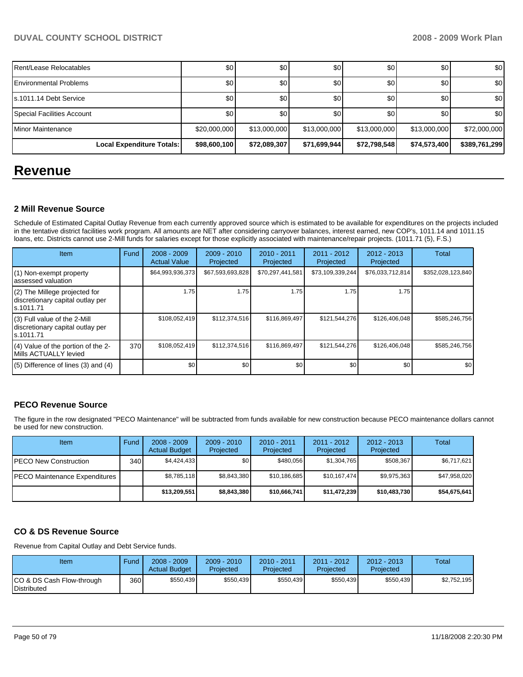| Rent/Lease Relocatables        | \$0              | \$0              | \$0          | \$0          | \$0          | \$0           |
|--------------------------------|------------------|------------------|--------------|--------------|--------------|---------------|
| <b>IEnvironmental Problems</b> | \$0 <sub>1</sub> | \$0              | \$0          | \$0          | \$0          | \$0           |
| Is.1011.14 Debt Service        | \$0              | \$0 <sub>1</sub> | \$0          | \$0          | \$0          | \$0           |
| Special Facilities Account     | \$0              | \$0              | \$0          | \$0          | \$0          | \$0           |
| I Minor Maintenance            | \$20,000,000     | \$13,000,000     | \$13,000,000 | \$13,000,000 | \$13,000,000 | \$72,000,000  |
| Local Expenditure Totals:      | \$98,600,100     | \$72,089,307     | \$71,699,944 | \$72,798,548 | \$74,573,400 | \$389,761,299 |

# **Revenue**

### **2 Mill Revenue Source**

Schedule of Estimated Capital Outlay Revenue from each currently approved source which is estimated to be available for expenditures on the projects included in the tentative district facilities work program. All amounts are NET after considering carryover balances, interest earned, new COP's, 1011.14 and 1011.15 loans, etc. Districts cannot use 2-Mill funds for salaries except for those explicitly associated with maintenance/repair projects. (1011.71 (5), F.S.)

| Item                                                                            | Fund | $2008 - 2009$<br><b>Actual Value</b> | $2009 - 2010$<br>Projected | $2010 - 2011$<br>Projected | $2011 - 2012$<br>Projected | $2012 - 2013$<br>Projected | Total             |
|---------------------------------------------------------------------------------|------|--------------------------------------|----------------------------|----------------------------|----------------------------|----------------------------|-------------------|
| (1) Non-exempt property<br>assessed valuation                                   |      | \$64,993,936,373                     | \$67,593,693,828           | \$70,297,441,581           | \$73,109,339,244           | \$76,033,712,814           | \$352,028,123,840 |
| (2) The Millege projected for<br>discretionary capital outlay per<br>ls.1011.71 |      | 1.75                                 | 1.75                       | 1.75                       | 1.75                       | 1.75                       |                   |
| (3) Full value of the 2-Mill<br>discretionary capital outlay per<br>ls.1011.71  |      | \$108,052,419                        | \$112,374,516              | \$116,869,497              | \$121,544,276              | \$126,406,048              | \$585,246,756     |
| (4) Value of the portion of the 2-<br>Mills ACTUALLY levied                     | 370  | \$108,052,419                        | \$112,374,516              | \$116,869,497              | \$121,544,276              | \$126,406,048              | \$585,246,756     |
| $(5)$ Difference of lines (3) and (4)                                           |      | \$0                                  | \$0                        | \$0                        | \$0                        | \$0                        | \$0               |

# **PECO Revenue Source**

The figure in the row designated "PECO Maintenance" will be subtracted from funds available for new construction because PECO maintenance dollars cannot be used for new construction.

| Item                                 | Fund         | $2008 - 2009$<br><b>Actual Budget</b> | $2009 - 2010$<br>Projected | $2010 - 2011$<br>Projected | $2011 - 2012$<br>Projected | $2012 - 2013$<br>Projected | Total        |
|--------------------------------------|--------------|---------------------------------------|----------------------------|----------------------------|----------------------------|----------------------------|--------------|
| <b>IPECO New Construction</b>        | 340 <b>I</b> | \$4.424.433                           | \$0 <sub>1</sub>           | \$480.056                  | \$1,304,765                | \$508,367                  | \$6,717,621  |
| <b>PECO Maintenance Expenditures</b> |              | \$8,785,118                           | \$8.843.380                | \$10,186,685               | \$10.167.474               | \$9,975,363                | \$47,958,020 |
|                                      |              | \$13,209,551                          | \$8,843,380                | \$10,666,741               | \$11,472,239               | \$10,483,730               | \$54,675,641 |

### **CO & DS Revenue Source**

Revenue from Capital Outlay and Debt Service funds.

| Item                                               | Fund  | $2008 - 2009$<br><b>Actual Budget</b> | $2009 - 2010$<br>Projected | 2010 - 2011<br>Projected | $2011 - 2012$<br>Projected | $2012 - 2013$<br>Projected | <b>Total</b> |
|----------------------------------------------------|-------|---------------------------------------|----------------------------|--------------------------|----------------------------|----------------------------|--------------|
| ICO & DS Cash Flow-through<br><b>I</b> Distributed | 360 l | \$550,439                             | \$550,439                  | \$550,439                | \$550.439                  | \$550,439                  | \$2.752.195  |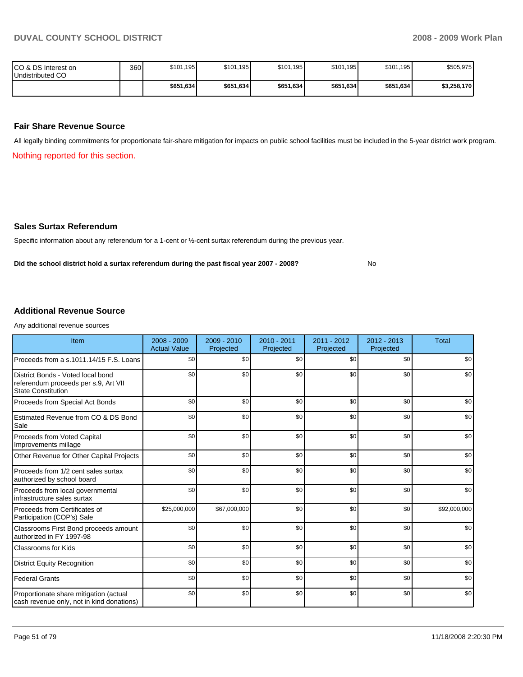| ICO & DS Interest on<br>Undistributed CO | 360 | \$101,195 | \$101,195 | \$101,195 | \$101,195 | \$101,195 | \$505,975   |
|------------------------------------------|-----|-----------|-----------|-----------|-----------|-----------|-------------|
|                                          |     | \$651,634 | \$651,634 | \$651,634 | \$651,634 | \$651,634 | \$3,258,170 |

### **Fair Share Revenue Source**

All legally binding commitments for proportionate fair-share mitigation for impacts on public school facilities must be included in the 5-year district work program.

Nothing reported for this section.

#### **Sales Surtax Referendum**

Specific information about any referendum for a 1-cent or ½-cent surtax referendum during the previous year.

Did the school district hold a surtax referendum during the past fiscal year 2007 - 2008? No

# **Additional Revenue Source**

Any additional revenue sources

| Item                                                                                                   | $2008 - 2009$<br><b>Actual Value</b> | 2009 - 2010<br>Projected | $2010 - 2011$<br>Projected | $2011 - 2012$<br>Projected | $2012 - 2013$<br>Projected | <b>Total</b> |
|--------------------------------------------------------------------------------------------------------|--------------------------------------|--------------------------|----------------------------|----------------------------|----------------------------|--------------|
| Proceeds from a s.1011.14/15 F.S. Loans                                                                | \$0                                  | \$0                      | \$0                        | \$0                        | \$0                        | \$0          |
| District Bonds - Voted local bond<br>referendum proceeds per s.9, Art VII<br><b>State Constitution</b> | \$0                                  | \$0                      | \$0                        | \$0                        | \$0                        | \$0          |
| Proceeds from Special Act Bonds                                                                        | \$0                                  | \$0                      | \$0                        | \$0                        | \$0                        | \$0          |
| Estimated Revenue from CO & DS Bond<br>Sale                                                            | \$0                                  | \$0                      | \$0                        | \$0                        | \$0                        | \$0          |
| Proceeds from Voted Capital<br>Improvements millage                                                    | \$0                                  | \$0                      | \$0                        | \$0                        | \$0                        | \$0          |
| Other Revenue for Other Capital Projects                                                               | \$0                                  | \$0                      | \$0                        | \$0                        | \$0                        | \$0          |
| Proceeds from 1/2 cent sales surtax<br>authorized by school board                                      | \$0                                  | \$0                      | \$0                        | \$0                        | \$0                        | \$0          |
| Proceeds from local governmental<br>infrastructure sales surtax                                        | \$0                                  | \$0                      | \$0                        | \$0                        | \$0                        | \$0          |
| Proceeds from Certificates of<br>Participation (COP's) Sale                                            | \$25,000,000                         | \$67,000,000             | \$0                        | \$0                        | \$0                        | \$92,000,000 |
| Classrooms First Bond proceeds amount<br>authorized in FY 1997-98                                      | \$0                                  | \$0                      | \$0                        | \$0                        | \$0                        | \$0          |
| <b>Classrooms for Kids</b>                                                                             | \$0                                  | \$0                      | \$0                        | \$0                        | \$0                        | \$0          |
| <b>District Equity Recognition</b>                                                                     | \$0                                  | \$0                      | \$0                        | \$0                        | \$0                        | \$0          |
| <b>Federal Grants</b>                                                                                  | \$0                                  | \$0                      | \$0                        | \$0                        | \$0                        | \$0          |
| Proportionate share mitigation (actual<br>cash revenue only, not in kind donations)                    | \$0                                  | \$0                      | \$0                        | \$0                        | \$0                        | \$0          |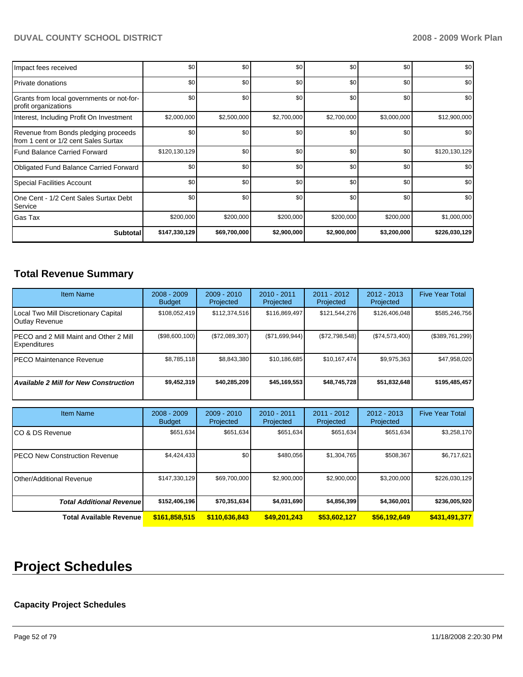| Impact fees received                                                         | \$0           | \$0 <sub>1</sub> | \$0         | \$0         | \$0         | \$0           |
|------------------------------------------------------------------------------|---------------|------------------|-------------|-------------|-------------|---------------|
| <b>Private donations</b>                                                     | \$0           | \$0 <sub>1</sub> | \$0         | \$0         | \$0         | \$0           |
| Grants from local governments or not-for-<br>profit organizations            | \$0           | \$0              | \$0         | \$0         | \$0         | \$0           |
| Interest, Including Profit On Investment                                     | \$2,000,000   | \$2,500,000      | \$2,700,000 | \$2,700,000 | \$3,000,000 | \$12,900,000  |
| Revenue from Bonds pledging proceeds<br>from 1 cent or 1/2 cent Sales Surtax | \$0           | \$0              | \$0         | \$0         | \$0         | \$0           |
| Fund Balance Carried Forward                                                 | \$120,130,129 | \$0              | \$0         | \$0         | \$0         | \$120,130,129 |
| Obligated Fund Balance Carried Forward                                       | \$0           | \$0              | \$0         | \$0         | \$0         | \$0           |
| <b>Special Facilities Account</b>                                            | \$0           | \$0              | \$0         | \$0         | \$0         | \$0           |
| One Cent - 1/2 Cent Sales Surtax Debt<br>Service                             | \$0           | \$0              | \$0         | \$0         | \$0         | \$0           |
| Gas Tax                                                                      | \$200,000     | \$200,000        | \$200,000   | \$200,000   | \$200,000   | \$1,000,000   |
| <b>Subtotal</b>                                                              | \$147,330,129 | \$69,700,000     | \$2,900,000 | \$2,900,000 | \$3,200,000 | \$226,030,129 |

# **Total Revenue Summary**

| <b>Item Name</b>                                               | $2008 - 2009$<br><b>Budget</b> | $2009 - 2010$<br>Projected | $2010 - 2011$<br>Projected | $2011 - 2012$<br>Projected | $2012 - 2013$<br>Projected | <b>Five Year Total</b> |
|----------------------------------------------------------------|--------------------------------|----------------------------|----------------------------|----------------------------|----------------------------|------------------------|
| Local Two Mill Discretionary Capital<br>Outlay Revenue         | \$108,052,419                  | \$112.374.516              | \$116,869,497              | \$121,544,276              | \$126,406,048              | \$585,246,756          |
| IPECO and 2 Mill Maint and Other 2 Mill<br><b>Expenditures</b> | (\$98,600,100)                 | (\$72,089,307)             | (\$71,699,944)             | (\$72,798,548)             | (S74, 573, 400)            | (\$389,761,299)        |
| IPECO Maintenance Revenue                                      | \$8.785.118                    | \$8.843.380                | \$10.186.685               | \$10.167.474               | \$9,975,363                | \$47,958,020           |
| <b>Available 2 Mill for New Construction</b>                   | \$9,452,319                    | \$40,285,209               | \$45,169,553               | \$48,745,728               | \$51,832,648               | \$195,485,457          |

| <b>Item Name</b>                      | $2008 - 2009$<br><b>Budget</b> | $2009 - 2010$<br>Projected | $2010 - 2011$<br>Projected | 2011 - 2012<br>Projected | $2012 - 2013$<br>Projected | <b>Five Year Total</b> |
|---------------------------------------|--------------------------------|----------------------------|----------------------------|--------------------------|----------------------------|------------------------|
| ICO & DS Revenue                      | \$651,634                      | \$651,634                  | \$651,634                  | \$651,634                | \$651,634                  | \$3,258,170            |
| <b>IPECO New Construction Revenue</b> | \$4,424,433                    | \$0                        | \$480.056                  | \$1,304,765              | \$508,367                  | \$6,717,621            |
| Other/Additional Revenue              | \$147,330,129                  | \$69,700,000               | \$2,900,000                | \$2,900,000              | \$3,200,000                | \$226,030,129          |
| <b>Total Additional Revenuel</b>      | \$152,406,196                  | \$70,351,634               | \$4,031,690                | \$4,856,399              | \$4,360,001                | \$236,005,920          |
| Total Available Revenue               | \$161,858,515                  | \$110,636,843              | \$49,201,243               | \$53,602,127             | \$56,192,649               | \$431,491,377          |

# **Project Schedules**

# **Capacity Project Schedules**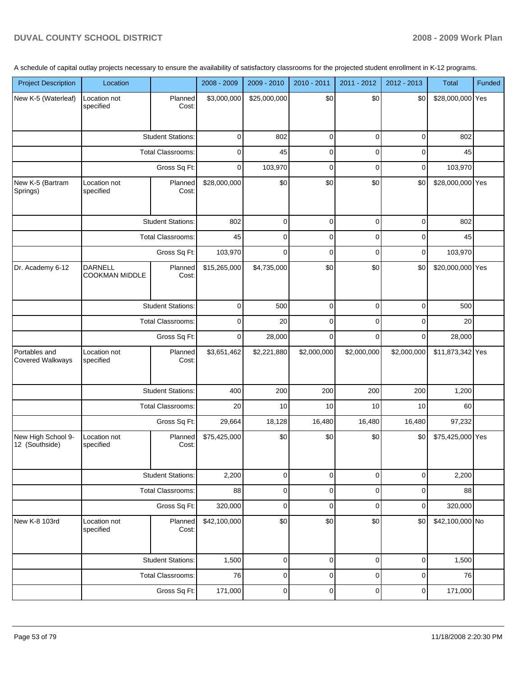A schedule of capital outlay projects necessary to ensure the availability of satisfactory classrooms for the projected student enrollment in K-12 programs.

| <b>Project Description</b>           | Location                                |                          | 2008 - 2009  | 2009 - 2010  | $2010 - 2011$ | 2011 - 2012 | 2012 - 2013 | Total            | <b>Funded</b> |
|--------------------------------------|-----------------------------------------|--------------------------|--------------|--------------|---------------|-------------|-------------|------------------|---------------|
| New K-5 (Waterleaf)                  | Location not<br>specified               | Planned<br>Cost:         | \$3,000,000  | \$25,000,000 | \$0           | \$0         | \$0         | \$28,000,000 Yes |               |
|                                      |                                         | <b>Student Stations:</b> | $\mathbf 0$  | 802          | 0             | $\mathbf 0$ | 0           | 802              |               |
|                                      |                                         | Total Classrooms:        | 0            | 45           | 0             | $\mathbf 0$ | 0           | 45               |               |
|                                      |                                         | Gross Sq Ft:             | $\mathbf 0$  | 103,970      | $\mathbf 0$   | $\mathbf 0$ | 0           | 103,970          |               |
| New K-5 (Bartram<br>Springs)         | Location not<br>specified               | Planned<br>Cost:         | \$28,000,000 | \$0          | \$0           | \$0         | \$0         | \$28,000,000 Yes |               |
|                                      |                                         | <b>Student Stations:</b> | 802          | $\mathbf 0$  | $\mathbf 0$   | $\mathbf 0$ | $\mathbf 0$ | 802              |               |
|                                      |                                         | <b>Total Classrooms:</b> | 45           | $\mathbf 0$  | $\mathbf 0$   | $\mathbf 0$ | 0           | 45               |               |
|                                      |                                         | Gross Sq Ft:             | 103,970      | $\Omega$     | $\mathbf 0$   | $\mathbf 0$ | 0           | 103,970          |               |
| Dr. Academy 6-12                     | <b>DARNELL</b><br><b>COOKMAN MIDDLE</b> | Planned<br>Cost:         | \$15,265,000 | \$4,735,000  | \$0           | \$0         | \$0         | \$20,000,000 Yes |               |
|                                      |                                         | <b>Student Stations:</b> | 0            | 500          | 0             | 0           | 0           | 500              |               |
|                                      |                                         | <b>Total Classrooms:</b> |              | 20           | 0             | $\mathbf 0$ | $\mathbf 0$ | 20               |               |
|                                      | Gross Sq Ft:                            |                          | $\mathbf 0$  | 28,000       | $\mathbf 0$   | $\mathbf 0$ | $\mathbf 0$ | 28,000           |               |
| Portables and<br>Covered Walkways    | Location not<br>specified               | Planned<br>Cost:         | \$3,651,462  | \$2,221,880  | \$2,000,000   | \$2,000,000 | \$2,000,000 | \$11,873,342 Yes |               |
|                                      |                                         | <b>Student Stations:</b> | 400          | 200          | 200           | 200         | 200         | 1,200            |               |
|                                      |                                         | <b>Total Classrooms:</b> | 20           | 10           | 10            | 10          | 10          | 60               |               |
|                                      |                                         | Gross Sq Ft:             | 29,664       | 18,128       | 16,480        | 16,480      | 16,480      | 97,232           |               |
| New High School 9-<br>12 (Southside) | Location not<br>specified               | Planned<br>Cost:         | \$75,425,000 | \$0          | \$0           | \$0         | \$0         | \$75,425,000 Yes |               |
|                                      |                                         | <b>Student Stations:</b> | 2,200        | 0            | $\mathbf 0$   | 0           | $\mathbf 0$ | 2,200            |               |
|                                      |                                         | Total Classrooms:        | 88           | 0            | 0             | 0           | 0           | 88               |               |
|                                      |                                         | Gross Sq Ft:             | 320,000      | 0            | 0             | $\mathbf 0$ | 0           | 320,000          |               |
| New K-8 103rd                        | Location not<br>specified               | Planned<br>Cost:         | \$42,100,000 | \$0          | \$0           | \$0         | \$0         | \$42,100,000 No  |               |
|                                      |                                         | <b>Student Stations:</b> | 1,500        | $\mathbf 0$  | $\mathbf 0$   | $\mathbf 0$ | $\mathbf 0$ | 1,500            |               |
|                                      |                                         | <b>Total Classrooms:</b> | 76           | 0            | $\mathbf 0$   | $\mathbf 0$ | 0           | 76               |               |
|                                      |                                         | Gross Sq Ft:             | 171,000      | $\pmb{0}$    | $\pmb{0}$     | $\pmb{0}$   | $\pmb{0}$   | 171,000          |               |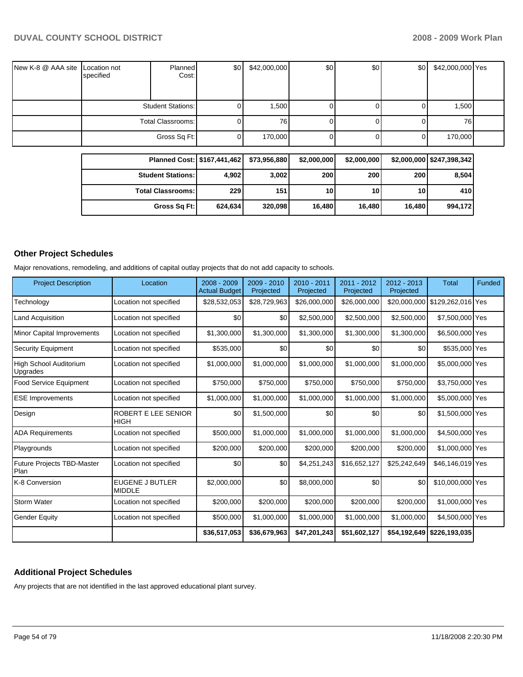| New K-8 @ AAA site Location not | specified | Planned<br>Cost:         | \$0 <sub>1</sub> | \$42,000,000 | \$0 | \$0 | \$0 <sub>1</sub> | \$42,000,000 Yes |  |
|---------------------------------|-----------|--------------------------|------------------|--------------|-----|-----|------------------|------------------|--|
|                                 |           | <b>Student Stations:</b> |                  | 1,500        |     |     | 0                | 1,500            |  |
|                                 |           | Total Classrooms:        |                  | 76 I         |     |     | U                | 76I              |  |
|                                 |           | Gross Sq Ft:             |                  | 170,000      |     |     | 01               | 170,000          |  |

| Planned Cost: \$167,441,462 |         | \$73.956.880 | \$2,000,000 | \$2,000,000     |        | \$2,000,000 \$247,398,342 |
|-----------------------------|---------|--------------|-------------|-----------------|--------|---------------------------|
| <b>Student Stations:</b>    | 4.902   | 3,002        | 200         | 200             | 200    | 8,504                     |
| <b>Total Classrooms:</b>    | 229     | 151          | 10          | 10 <sub>l</sub> | 10     | 410                       |
| Gross Sq Ft:                | 624.634 | 320,098      | 16,480      | 16.480          | 16.480 | 994.172                   |

### **Other Project Schedules**

Major renovations, remodeling, and additions of capital outlay projects that do not add capacity to schools.

| <b>Project Description</b>                | Location                                | $2008 - 2009$<br><b>Actual Budget</b> | 2009 - 2010<br>Projected | 2010 - 2011<br>Projected | 2011 - 2012<br>Projected | $2012 - 2013$<br>Projected | <b>Total</b>                   | <b>Funded</b> |
|-------------------------------------------|-----------------------------------------|---------------------------------------|--------------------------|--------------------------|--------------------------|----------------------------|--------------------------------|---------------|
| Technology                                | Location not specified                  | \$28,532,053                          | \$28,729,963             | \$26,000,000             | \$26,000,000             |                            | \$20,000,000 \$129,262,016 Yes |               |
| <b>Land Acquisition</b>                   | Location not specified                  | \$0                                   | \$0                      | \$2,500,000              | \$2,500,000              | \$2,500,000                | \$7,500,000 Yes                |               |
| <b>Minor Capital Improvements</b>         | Location not specified                  | \$1,300,000                           | \$1,300,000              | \$1,300,000              | \$1,300,000              | \$1,300,000                | \$6,500,000 Yes                |               |
| Security Equipment                        | Location not specified                  | \$535,000                             | \$0                      | \$0                      | \$0                      | \$0                        | \$535,000 Yes                  |               |
| <b>High School Auditorium</b><br>Upgrades | Location not specified                  | \$1,000,000                           | \$1,000,000              | \$1,000,000              | \$1,000,000              | \$1,000,000                | \$5,000,000 Yes                |               |
| <b>Food Service Equipment</b>             | Location not specified                  | \$750,000                             | \$750,000                | \$750,000                | \$750,000                | \$750,000                  | \$3,750,000 Yes                |               |
| <b>ESE Improvements</b>                   | Location not specified                  | \$1,000,000                           | \$1,000,000              | \$1,000,000              | \$1,000,000              | \$1,000,000                | \$5,000,000 Yes                |               |
| Design                                    | ROBERT E LEE SENIOR<br>HIGH             | \$0                                   | \$1,500,000              | \$0                      | \$0                      | \$0                        | \$1,500,000 Yes                |               |
| <b>ADA Requirements</b>                   | Location not specified                  | \$500,000                             | \$1,000,000              | \$1,000,000              | \$1,000,000              | \$1,000,000                | \$4,500,000 Yes                |               |
| Playgrounds                               | Location not specified                  | \$200,000                             | \$200,000                | \$200,000                | \$200,000                | \$200,000                  | \$1,000,000 Yes                |               |
| <b>Future Projects TBD-Master</b><br>Plan | Location not specified                  | \$0                                   | \$0                      | \$4,251,243              | \$16,652,127             | \$25,242,649               | \$46,146,019 Yes               |               |
| K-8 Conversion                            | <b>EUGENE J BUTLER</b><br><b>MIDDLE</b> | \$2,000,000                           | \$0                      | \$8,000,000              | \$0                      | \$0                        | \$10,000,000 Yes               |               |
| <b>Storm Water</b>                        | Location not specified                  | \$200,000                             | \$200,000                | \$200.000                | \$200,000                | \$200,000                  | \$1,000,000 Yes                |               |
| <b>Gender Equity</b>                      | Location not specified                  | \$500,000                             | \$1,000,000              | \$1,000,000              | \$1,000,000              | \$1,000,000                | \$4,500,000 Yes                |               |
|                                           |                                         | \$36,517,053                          | \$36,679,963             | \$47,201,243             | \$51,602,127             | \$54,192,649               | \$226,193,035                  |               |

# **Additional Project Schedules**

Any projects that are not identified in the last approved educational plant survey.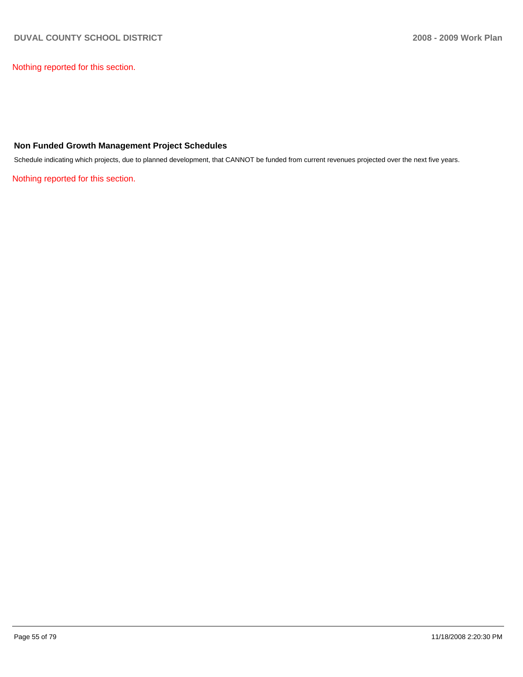Nothing reported for this section.

### **Non Funded Growth Management Project Schedules**

Schedule indicating which projects, due to planned development, that CANNOT be funded from current revenues projected over the next five years.

Nothing reported for this section.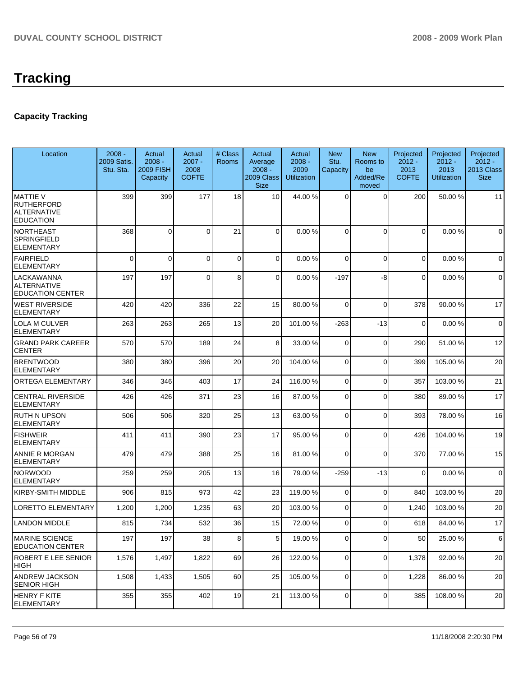# **Capacity Tracking**

| Location                                                                | $2008 -$<br>2009 Satis.<br>Stu. Sta. | Actual<br>$2008 -$<br><b>2009 FISH</b><br>Capacity | Actual<br>$2007 -$<br>2008<br><b>COFTE</b> | # Class<br>Rooms | Actual<br>Average<br>$2008 -$<br>2009 Class<br><b>Size</b> | Actual<br>$2008 -$<br>2009<br><b>Utilization</b> | <b>New</b><br>Stu.<br>Capacity | <b>New</b><br>Rooms to<br>be<br>Added/Re<br>moved | Projected<br>$2012 -$<br>2013<br><b>COFTE</b> | Projected<br>$2012 -$<br>2013<br><b>Utilization</b> | Projected<br>$2012 -$<br>2013 Class<br><b>Size</b> |
|-------------------------------------------------------------------------|--------------------------------------|----------------------------------------------------|--------------------------------------------|------------------|------------------------------------------------------------|--------------------------------------------------|--------------------------------|---------------------------------------------------|-----------------------------------------------|-----------------------------------------------------|----------------------------------------------------|
| <b>MATTIE V</b><br><b>RUTHERFORD</b><br>ALTERNATIVE<br><b>EDUCATION</b> | 399                                  | 399                                                | 177                                        | 18               | 10 <sup>1</sup>                                            | 44.00 %                                          | $\Omega$                       | $\mathbf 0$                                       | 200                                           | 50.00 %                                             | 11                                                 |
| <b>NORTHEAST</b><br>SPRINGFIELD<br>ELEMENTARY                           | 368                                  | 0                                                  | $\Omega$                                   | 21               | $\overline{0}$                                             | 0.00%                                            | $\Omega$                       | $\Omega$                                          | $\mathbf 0$                                   | 0.00%                                               | $\mathbf 0$                                        |
| <b>FAIRFIELD</b><br><b>ELEMENTARY</b>                                   | 0                                    | $\Omega$                                           | $\Omega$                                   | 0                | $\overline{0}$                                             | 0.00%                                            | $\Omega$                       | $\mathbf 0$                                       | $\mathbf 0$                                   | 0.00%                                               | $\mathbf 0$                                        |
| LACKAWANNA<br>ALTERNATIVE<br><b>EDUCATION CENTER</b>                    | 197                                  | 197                                                | $\Omega$                                   | 8                | $\overline{0}$                                             | 0.00%                                            | $-197$                         | -8                                                | $\mathbf{0}$                                  | 0.00%                                               | $\mathbf 0$                                        |
| WEST RIVERSIDE<br><b>ELEMENTARY</b>                                     | 420                                  | 420                                                | 336                                        | 22               | 15                                                         | 80.00 %                                          | $\Omega$                       | $\mathbf 0$                                       | 378                                           | 90.00 %                                             | 17                                                 |
| LOLA M CULVER<br>ELEMENTARY                                             | 263                                  | 263                                                | 265                                        | 13               | 20                                                         | 101.00 %                                         | -263                           | $-13$                                             | $\overline{0}$                                | 0.00%                                               | $\mathbf 0$                                        |
| <b>GRAND PARK CAREER</b><br><b>CENTER</b>                               | 570                                  | 570                                                | 189                                        | 24               | 8                                                          | 33.00 %                                          | 0                              | $\mathbf 0$                                       | 290                                           | 51.00 %                                             | 12                                                 |
| <b>BRENTWOOD</b><br><b>ELEMENTARY</b>                                   | 380                                  | 380                                                | 396                                        | 20               | 20                                                         | 104.00 %                                         | $\Omega$                       | $\mathbf 0$                                       | 399                                           | 105.00 %                                            | 20                                                 |
| ORTEGA ELEMENTARY                                                       | 346                                  | 346                                                | 403                                        | 17               | 24                                                         | 116.00%                                          | $\overline{0}$                 | 0                                                 | 357                                           | 103.00%                                             | 21                                                 |
| <b>CENTRAL RIVERSIDE</b><br><b>ELEMENTARY</b>                           | 426                                  | 426                                                | 371                                        | 23               | 16                                                         | 87.00 %                                          | $\mathbf 0$                    | $\mathbf 0$                                       | 380                                           | 89.00 %                                             | 17                                                 |
| RUTH N UPSON<br>ELEMENTARY                                              | 506                                  | 506                                                | 320                                        | 25               | 13                                                         | 63.00 %                                          | $\Omega$                       | 0                                                 | 393                                           | 78.00 %                                             | 16                                                 |
| <b>FISHWEIR</b><br>ELEMENTARY                                           | 411                                  | 411                                                | 390                                        | 23               | 17                                                         | 95.00 %                                          | $\Omega$                       | $\mathbf 0$                                       | 426                                           | 104.00%                                             | 19                                                 |
| ANNIE R MORGAN<br><b>ELEMENTARY</b>                                     | 479                                  | 479                                                | 388                                        | 25               | 16                                                         | 81.00 %                                          | $\Omega$                       | $\mathbf 0$                                       | 370                                           | 77.00 %                                             | 15                                                 |
| <b>NORWOOD</b><br>ELEMENTARY                                            | 259                                  | 259                                                | 205                                        | 13               | 16                                                         | 79.00 %                                          | $-259$                         | $-13$                                             | $\mathbf 0$                                   | 0.00%                                               | $\mathbf 0$                                        |
| KIRBY-SMITH MIDDLE                                                      | 906                                  | 815                                                | 973                                        | 42               | 23                                                         | 119.00 %                                         | $\mathbf 0$                    | $\mathbf 0$                                       | 840                                           | 103.00 %                                            | 20                                                 |
| LORETTO ELEMENTARY                                                      | 1,200                                | 1,200                                              | 1,235                                      | 63               | 20                                                         | 103.00 %                                         | $\Omega$                       | $\Omega$                                          | 1,240                                         | 103.00 %                                            | 20                                                 |
| <b>LANDON MIDDLE</b>                                                    | 815                                  | 734                                                | 532                                        | 36               | 15                                                         | 72.00 %                                          | $\mathbf 0$                    | $\Omega$                                          | 618                                           | 84.00 %                                             | 17                                                 |
| <b>MARINE SCIENCE</b><br><b>EDUCATION CENTER</b>                        | 197                                  | 197                                                | 38                                         | 8                | 5 <sub>l</sub>                                             | 19.00 %                                          | $\mathbf 0$                    | $\Omega$                                          | 50                                            | 25.00 %                                             | 6                                                  |
| ROBERT E LEE SENIOR<br>HIGH                                             | 1,576                                | 1,497                                              | 1,822                                      | 69               | 26                                                         | 122.00 %                                         | 0                              | 0                                                 | 1,378                                         | 92.00 %                                             | 20                                                 |
| ANDREW JACKSON<br><b>SENIOR HIGH</b>                                    | 1,508                                | 1,433                                              | 1,505                                      | 60               | 25                                                         | 105.00 %                                         | $\overline{0}$                 | $\mathbf 0$                                       | 1,228                                         | 86.00 %                                             | 20                                                 |
| <b>HENRY F KITE</b><br><b>ELEMENTARY</b>                                | 355                                  | 355                                                | 402                                        | 19               | 21                                                         | 113.00 %                                         | $\overline{0}$                 | 0                                                 | 385                                           | 108.00 %                                            | 20                                                 |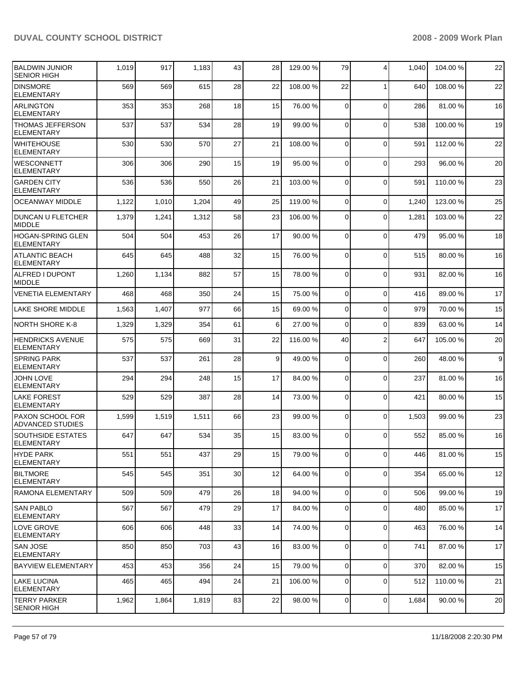| <b>BALDWIN JUNIOR</b><br><b>SENIOR HIGH</b>        | 1,019 | 917   | 1,183 | 43 | 28 | 129.00 % | 79          | $\overline{4}$ | 1,040 | 104.00 % | 22 |
|----------------------------------------------------|-------|-------|-------|----|----|----------|-------------|----------------|-------|----------|----|
| <b>DINSMORE</b><br><b>ELEMENTARY</b>               | 569   | 569   | 615   | 28 | 22 | 108.00 % | 22          | $\mathbf{1}$   | 640   | 108.00 % | 22 |
| <b>ARLINGTON</b><br>ELEMENTARY                     | 353   | 353   | 268   | 18 | 15 | 76.00 %  | 0           | $\mathbf 0$    | 286   | 81.00 %  | 16 |
| <b>THOMAS JEFFERSON</b><br><b>ELEMENTARY</b>       | 537   | 537   | 534   | 28 | 19 | 99.00 %  | $\mathbf 0$ | $\mathbf 0$    | 538   | 100.00 % | 19 |
| <b>WHITEHOUSE</b><br><b>ELEMENTARY</b>             | 530   | 530   | 570   | 27 | 21 | 108.00 % | 0           | $\Omega$       | 591   | 112.00 % | 22 |
| <b>WESCONNETT</b><br><b>ELEMENTARY</b>             | 306   | 306   | 290   | 15 | 19 | 95.00 %  | 0           | $\mathbf 0$    | 293   | 96.00 %  | 20 |
| <b>GARDEN CITY</b><br><b>ELEMENTARY</b>            | 536   | 536   | 550   | 26 | 21 | 103.00 % | 0           | $\mathbf 0$    | 591   | 110.00%  | 23 |
| <b>OCEANWAY MIDDLE</b>                             | 1,122 | 1,010 | 1,204 | 49 | 25 | 119.00 % | $\mathbf 0$ | $\mathbf 0$    | 1,240 | 123.00 % | 25 |
| DUNCAN U FLETCHER<br><b>MIDDLE</b>                 | 1,379 | 1,241 | 1,312 | 58 | 23 | 106.00 % | 0           | $\mathbf 0$    | 1,281 | 103.00 % | 22 |
| <b>HOGAN-SPRING GLEN</b><br><b>ELEMENTARY</b>      | 504   | 504   | 453   | 26 | 17 | 90.00 %  | $\Omega$    | $\mathbf 0$    | 479   | 95.00 %  | 18 |
| ATLANTIC BEACH<br><b>ELEMENTARY</b>                | 645   | 645   | 488   | 32 | 15 | 76.00 %  | $\mathbf 0$ | $\mathbf 0$    | 515   | 80.00 %  | 16 |
| ALFRED I DUPONT<br><b>MIDDLE</b>                   | 1,260 | 1,134 | 882   | 57 | 15 | 78.00 %  | $\Omega$    | $\mathbf 0$    | 931   | 82.00 %  | 16 |
| <b>VENETIA ELEMENTARY</b>                          | 468   | 468   | 350   | 24 | 15 | 75.00 %  | $\mathbf 0$ | $\mathbf 0$    | 416   | 89.00 %  | 17 |
| <b>LAKE SHORE MIDDLE</b>                           | 1,563 | 1,407 | 977   | 66 | 15 | 69.00 %  | 0           | $\Omega$       | 979   | 70.00 %  | 15 |
| <b>NORTH SHORE K-8</b>                             | 1,329 | 1,329 | 354   | 61 | 6  | 27.00 %  | $\mathbf 0$ | $\mathbf 0$    | 839   | 63.00 %  | 14 |
| <b>HENDRICKS AVENUE</b><br><b>ELEMENTARY</b>       | 575   | 575   | 669   | 31 | 22 | 116.00%  | 40          | $\overline{2}$ | 647   | 105.00 % | 20 |
| <b>SPRING PARK</b><br><b>ELEMENTARY</b>            | 537   | 537   | 261   | 28 | 9  | 49.00 %  | $\Omega$    | $\mathbf 0$    | 260   | 48.00 %  | 9  |
| <b>JOHN LOVE</b><br>ELEMENTARY                     | 294   | 294   | 248   | 15 | 17 | 84.00 %  | $\Omega$    | $\mathbf 0$    | 237   | 81.00 %  | 16 |
| <b>LAKE FOREST</b><br><b>ELEMENTARY</b>            | 529   | 529   | 387   | 28 | 14 | 73.00 %  | $\Omega$    | $\mathbf 0$    | 421   | 80.00 %  | 15 |
| <b>PAXON SCHOOL FOR</b><br><b>ADVANCED STUDIES</b> | 1,599 | 1,519 | 1,511 | 66 | 23 | 99.00 %  | $\Omega$    | $\mathbf 0$    | 1,503 | 99.00 %  | 23 |
| <b>SOUTHSIDE ESTATES</b><br>ELEMENTARY             | 647   | 647   | 534   | 35 | 15 | 83.00 %  | $\Omega$    | $\Omega$       | 552   | 85.00 %  | 16 |
| <b>HYDE PARK</b><br><b>ELEMENTARY</b>              | 551   | 551   | 437   | 29 | 15 | 79.00 %  | 0           | $\mathbf 0$    | 446   | 81.00 %  | 15 |
| <b>BILTMORE</b><br><b>ELEMENTARY</b>               | 545   | 545   | 351   | 30 | 12 | 64.00 %  | $\mathbf 0$ | $\mathbf 0$    | 354   | 65.00 %  | 12 |
| RAMONA ELEMENTARY                                  | 509   | 509   | 479   | 26 | 18 | 94.00 %  | 0           | $\mathbf 0$    | 506   | 99.00 %  | 19 |
| <b>SAN PABLO</b><br><b>ELEMENTARY</b>              | 567   | 567   | 479   | 29 | 17 | 84.00 %  | 0           | $\mathbf 0$    | 480   | 85.00 %  | 17 |
| <b>LOVE GROVE</b><br><b>ELEMENTARY</b>             | 606   | 606   | 448   | 33 | 14 | 74.00 %  | 0           | $\mathbf 0$    | 463   | 76.00 %  | 14 |
| <b>SAN JOSE</b><br><b>ELEMENTARY</b>               | 850   | 850   | 703   | 43 | 16 | 83.00 %  | 0           | $\mathbf 0$    | 741   | 87.00 %  | 17 |
| <b>BAYVIEW ELEMENTARY</b>                          | 453   | 453   | 356   | 24 | 15 | 79.00 %  | 0           | $\mathbf 0$    | 370   | 82.00 %  | 15 |
| <b>ILAKE LUCINA</b><br>ELEMENTARY                  | 465   | 465   | 494   | 24 | 21 | 106.00 % | 0           | $\mathbf 0$    | 512   | 110.00 % | 21 |
| TERRY PARKER<br><b>SENIOR HIGH</b>                 | 1,962 | 1,864 | 1,819 | 83 | 22 | 98.00 %  | 0           | $\mathbf 0$    | 1,684 | 90.00 %  | 20 |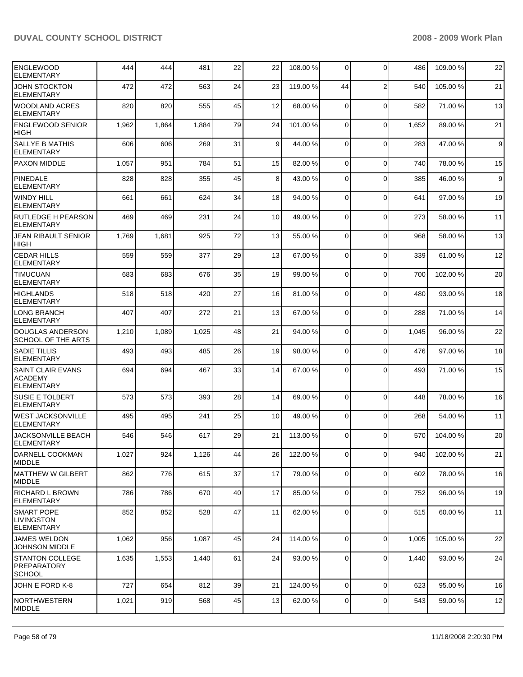| <b>ENGLEWOOD</b><br><b>ELEMENTARY</b>                           | 444   | 444   | 481   | 22 | 22 | 108.00 % | $\overline{0}$ | $\Omega$       | 486   | 109.00 % | 22          |
|-----------------------------------------------------------------|-------|-------|-------|----|----|----------|----------------|----------------|-------|----------|-------------|
| <b>JOHN STOCKTON</b><br><b>ELEMENTARY</b>                       | 472   | 472   | 563   | 24 | 23 | 119.00 % | 44             | $\overline{2}$ | 540   | 105.00 % | 21          |
| <b>WOODLAND ACRES</b><br>ELEMENTARY                             | 820   | 820   | 555   | 45 | 12 | 68.00 %  | $\Omega$       | $\mathbf 0$    | 582   | 71.00 %  | 13          |
| <b>ENGLEWOOD SENIOR</b><br><b>HIGH</b>                          | 1,962 | 1,864 | 1,884 | 79 | 24 | 101.00 % | $\Omega$       | 0              | 1,652 | 89.00 %  | 21          |
| <b>SALLYE B MATHIS</b><br><b>ELEMENTARY</b>                     | 606   | 606   | 269   | 31 | 9  | 44.00 %  | $\Omega$       | $\mathbf 0$    | 283   | 47.00 %  | $\mathsf g$ |
| PAXON MIDDLE                                                    | 1,057 | 951   | 784   | 51 | 15 | 82.00 %  | $\Omega$       | $\mathbf 0$    | 740   | 78.00 %  | 15          |
| <b>PINEDALE</b><br><b>ELEMENTARY</b>                            | 828   | 828   | 355   | 45 | 8  | 43.00 %  | $\Omega$       | $\Omega$       | 385   | 46.00 %  | 9           |
| <b>WINDY HILL</b><br>ELEMENTARY                                 | 661   | 661   | 624   | 34 | 18 | 94.00 %  | $\Omega$       | 0              | 641   | 97.00 %  | 19          |
| RUTLEDGE H PEARSON<br><b>ELEMENTARY</b>                         | 469   | 469   | 231   | 24 | 10 | 49.00 %  | $\Omega$       | $\Omega$       | 273   | 58.00 %  | 11          |
| <b>JEAN RIBAULT SENIOR</b><br><b>HIGH</b>                       | 1,769 | 1,681 | 925   | 72 | 13 | 55.00 %  | $\Omega$       | $\Omega$       | 968   | 58.00 %  | 13          |
| <b>CEDAR HILLS</b><br><b>ELEMENTARY</b>                         | 559   | 559   | 377   | 29 | 13 | 67.00 %  | $\Omega$       | $\Omega$       | 339   | 61.00 %  | 12          |
| <b>TIMUCUAN</b><br><b>ELEMENTARY</b>                            | 683   | 683   | 676   | 35 | 19 | 99.00 %  | $\Omega$       | $\Omega$       | 700   | 102.00 % | 20          |
| <b>HIGHLANDS</b><br><b>ELEMENTARY</b>                           | 518   | 518   | 420   | 27 | 16 | 81.00%   | $\overline{0}$ | $\Omega$       | 480   | 93.00 %  | 18          |
| LONG BRANCH<br><b>ELEMENTARY</b>                                | 407   | 407   | 272   | 21 | 13 | 67.00 %  | $\Omega$       | $\mathbf 0$    | 288   | 71.00 %  | 14          |
| <b>DOUGLAS ANDERSON</b><br><b>SCHOOL OF THE ARTS</b>            | 1,210 | 1,089 | 1,025 | 48 | 21 | 94.00 %  | $\Omega$       | $\mathbf 0$    | 1,045 | 96.00 %  | 22          |
| <b>SADIE TILLIS</b><br><b>ELEMENTARY</b>                        | 493   | 493   | 485   | 26 | 19 | 98.00 %  | $\Omega$       | 0              | 476   | 97.00 %  | 18          |
| <b>SAINT CLAIR EVANS</b><br><b>ACADEMY</b><br><b>ELEMENTARY</b> | 694   | 694   | 467   | 33 | 14 | 67.00 %  | $\Omega$       | $\Omega$       | 493   | 71.00 %  | 15          |
| <b>SUSIE E TOLBERT</b><br><b>ELEMENTARY</b>                     | 573   | 573   | 393   | 28 | 14 | 69.00 %  | $\Omega$       | $\Omega$       | 448   | 78.00 %  | 16          |
| <b>WEST JACKSONVILLE</b><br><b>ELEMENTARY</b>                   | 495   | 495   | 241   | 25 | 10 | 49.00 %  | $\mathbf 0$    | $\mathbf 0$    | 268   | 54.00 %  | 11          |
| JACKSONVILLE BEACH<br>ELEMENTARY                                | 546   | 546   | 617   | 29 | 21 | 113.00 % | $\Omega$       | $\Omega$       | 570   | 104.00 % | 20          |
| DARNELL COOKMAN<br>MIDDLE                                       | 1,027 | 924   | 1,126 | 44 | 26 | 122.00 % | $\Omega$       | 0              | 940   | 102.00 % | 21          |
| <b>IMATTHEW W GILBERT</b><br><b>MIDDLE</b>                      | 862   | 776   | 615   | 37 | 17 | 79.00 %  | $\Omega$       | 0              | 602   | 78.00 %  | 16          |
| RICHARD L BROWN<br><b>ELEMENTARY</b>                            | 786   | 786   | 670   | 40 | 17 | 85.00 %  | $\overline{0}$ | $\mathbf 0$    | 752   | 96.00 %  | 19          |
| <b>SMART POPE</b><br><b>LIVINGSTON</b><br><b>ELEMENTARY</b>     | 852   | 852   | 528   | 47 | 11 | 62.00 %  | $\Omega$       | 0              | 515   | 60.00 %  | 11          |
| <b>JAMES WELDON</b><br><b>JOHNSON MIDDLE</b>                    | 1,062 | 956   | 1,087 | 45 | 24 | 114.00 % | $\mathbf 0$    | 0              | 1,005 | 105.00 % | 22          |
| <b>STANTON COLLEGE</b><br>PREPARATORY<br> SCHOOL                | 1,635 | 1,553 | 1,440 | 61 | 24 | 93.00 %  | $\Omega$       | 0              | 1,440 | 93.00 %  | 24          |
| JOHN E FORD K-8                                                 | 727   | 654   | 812   | 39 | 21 | 124.00 % | $\overline{0}$ | 0              | 623   | 95.00 %  | 16          |
| NORTHWESTERN<br>MIDDLE                                          | 1,021 | 919   | 568   | 45 | 13 | 62.00 %  | 0              | $\mathbf 0$    | 543   | 59.00 %  | 12          |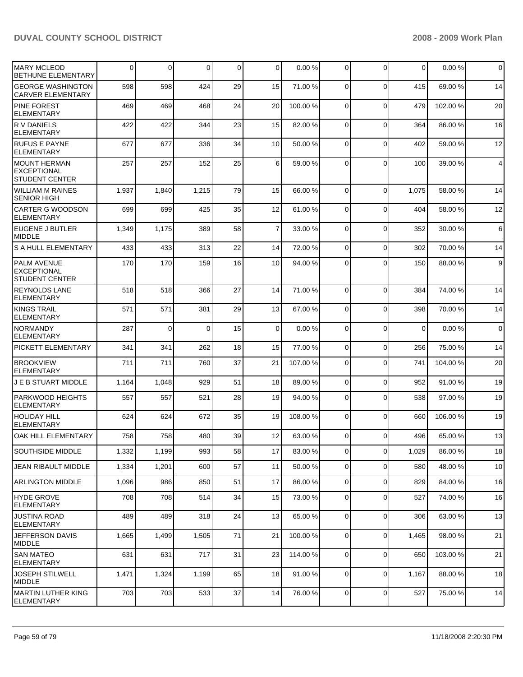| IMARY MCLEOD<br>BETHUNE ELEMENTARY                                | 0     | $\mathbf 0$ | $\Omega$ | $\mathbf 0$ | $\mathbf 0$    | 0.00%    | 0           | $\Omega$    | 0           | 0.00%    | $\mathbf 0$ |
|-------------------------------------------------------------------|-------|-------------|----------|-------------|----------------|----------|-------------|-------------|-------------|----------|-------------|
| <b>GEORGE WASHINGTON</b><br><b>CARVER ELEMENTARY</b>              | 598   | 598         | 424      | 29          | 15             | 71.00 %  | 0           | $\mathbf 0$ | 415         | 69.00 %  | 14          |
| <b>PINE FOREST</b><br><b>ELEMENTARY</b>                           | 469   | 469         | 468      | 24          | 20             | 100.00 % | $\mathbf 0$ | $\mathbf 0$ | 479         | 102.00 % | 20          |
| R V DANIELS<br><b>ELEMENTARY</b>                                  | 422   | 422         | 344      | 23          | 15             | 82.00 %  | $\mathbf 0$ | $\mathbf 0$ | 364         | 86.00 %  | 16          |
| <b>RUFUS E PAYNE</b><br><b>ELEMENTARY</b>                         | 677   | 677         | 336      | 34          | 10             | 50.00 %  | 0           | $\mathbf 0$ | 402         | 59.00 %  | 12          |
| MOUNT HERMAN<br><b>EXCEPTIONAL</b><br><b>STUDENT CENTER</b>       | 257   | 257         | 152      | 25          | 6              | 59.00 %  | $\Omega$    | $\Omega$    | 100         | 39.00 %  | 4           |
| WILLIAM M RAINES<br><b>SENIOR HIGH</b>                            | 1,937 | 1,840       | 1,215    | 79          | 15             | 66.00 %  | 0           | $\mathbf 0$ | 1,075       | 58.00 %  | 14          |
| CARTER G WOODSON<br><b>ELEMENTARY</b>                             | 699   | 699         | 425      | 35          | 12             | 61.00 %  | $\Omega$    | $\mathbf 0$ | 404         | 58.00 %  | 12          |
| <b>EUGENE J BUTLER</b><br>MIDDLE                                  | 1,349 | 1,175       | 389      | 58          | $\overline{7}$ | 33.00 %  | $\mathbf 0$ | $\mathbf 0$ | 352         | 30.00 %  | 6           |
| <b>S A HULL ELEMENTARY</b>                                        | 433   | 433         | 313      | 22          | 14             | 72.00 %  | $\Omega$    | $\Omega$    | 302         | 70.00 %  | 14          |
| <b>PALM AVENUE</b><br><b>EXCEPTIONAL</b><br><b>STUDENT CENTER</b> | 170   | 170         | 159      | 16          | 10             | 94.00 %  | $\Omega$    | $\Omega$    | 150         | 88.00 %  | $9\,$       |
| <b>REYNOLDS LANE</b><br>ELEMENTARY                                | 518   | 518         | 366      | 27          | 14             | 71.00 %  | $\Omega$    | $\mathbf 0$ | 384         | 74.00 %  | 14          |
| IKINGS TRAIL<br><b>ELEMENTARY</b>                                 | 571   | 571         | 381      | 29          | 13             | 67.00 %  | $\Omega$    | $\mathbf 0$ | 398         | 70.00 %  | 14          |
| <b>NORMANDY</b><br><b>ELEMENTARY</b>                              | 287   | $\mathbf 0$ | $\Omega$ | 15          | 0              | 0.00%    | $\Omega$    | $\mathbf 0$ | $\mathbf 0$ | 0.00%    | $\mathbf 0$ |
| PICKETT ELEMENTARY                                                | 341   | 341         | 262      | 18          | 15             | 77.00 %  | $\Omega$    | $\mathbf 0$ | 256         | 75.00 %  | 14          |
| <b>BROOKVIEW</b><br><b>ELEMENTARY</b>                             | 711   | 711         | 760      | 37          | 21             | 107.00 % | $\Omega$    | $\mathbf 0$ | 741         | 104.00 % | 20          |
| J E B STUART MIDDLE                                               | 1,164 | 1,048       | 929      | 51          | 18             | 89.00 %  | 0           | $\mathbf 0$ | 952         | 91.00 %  | 19          |
| <b>PARKWOOD HEIGHTS</b><br><b>ELEMENTARY</b>                      | 557   | 557         | 521      | 28          | 19             | 94.00 %  | $\Omega$    | $\Omega$    | 538         | 97.00 %  | 19          |
| <b>HOLIDAY HILL</b><br><b>ELEMENTARY</b>                          | 624   | 624         | 672      | 35          | 19             | 108.00%  | $\Omega$    | $\mathbf 0$ | 660         | 106.00 % | 19          |
| OAK HILL ELEMENTARY                                               | 758   | 758         | 480      | 39          | 12             | 63.00 %  | 0           | $\Omega$    | 496         | 65.00 %  | 13          |
| SOUTHSIDE MIDDLE                                                  | 1,332 | 1,199       | 993      | 58          | 17             | 83.00 %  | 0           | $\mathbf 0$ | 1,029       | 86.00 %  | 18          |
| <b>JEAN RIBAULT MIDDLE</b>                                        | 1,334 | 1,201       | 600      | 57          | 11             | 50.00 %  | 0           | $\mathbf 0$ | 580         | 48.00 %  | 10          |
| <b>ARLINGTON MIDDLE</b>                                           | 1,096 | 986         | 850      | 51          | 17             | 86.00 %  | 0           | $\mathbf 0$ | 829         | 84.00 %  | 16          |
| <b>HYDE GROVE</b><br><b>ELEMENTARY</b>                            | 708   | 708         | 514      | 34          | 15             | 73.00 %  | 0           | 0           | 527         | 74.00 %  | 16          |
| <b>JUSTINA ROAD</b><br><b>ELEMENTARY</b>                          | 489   | 489         | 318      | 24          | 13             | 65.00 %  | $\mathbf 0$ | $\mathbf 0$ | 306         | 63.00 %  | 13          |
| JEFFERSON DAVIS<br><b>MIDDLE</b>                                  | 1,665 | 1,499       | 1,505    | 71          | 21             | 100.00 % | 0           | $\mathbf 0$ | 1,465       | 98.00 %  | 21          |
| <b>SAN MATEO</b><br><b>ELEMENTARY</b>                             | 631   | 631         | 717      | 31          | 23             | 114.00 % | $\mathbf 0$ | $\mathbf 0$ | 650         | 103.00 % | 21          |
| <b>JOSEPH STILWELL</b><br><b>MIDDLE</b>                           | 1,471 | 1,324       | 1,199    | 65          | 18             | 91.00 %  | 0           | $\mathbf 0$ | 1,167       | 88.00 %  | 18          |
| MARTIN LUTHER KING<br>ELEMENTARY                                  | 703   | 703         | 533      | 37          | 14             | 76.00 %  | 0           | $\pmb{0}$   | 527         | 75.00 %  | 14          |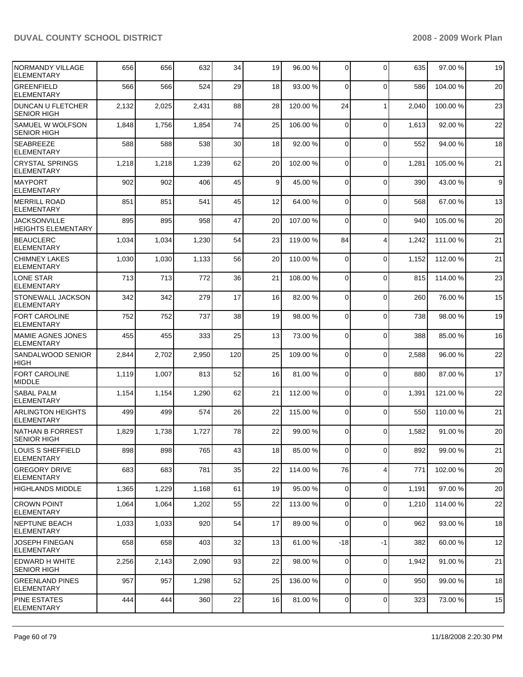| INORMANDY VILLAGE<br><b>ELEMENTARY</b>           | 656   | 656   | 632   | 34  | 19 | 96.00 %  | $\mathbf 0$    | $\Omega$       | 635   | 97.00 %  | 19 |
|--------------------------------------------------|-------|-------|-------|-----|----|----------|----------------|----------------|-------|----------|----|
| <b>GREENFIELD</b><br><b>ELEMENTARY</b>           | 566   | 566   | 524   | 29  | 18 | 93.00 %  | $\Omega$       | $\Omega$       | 586   | 104.00 % | 20 |
| <b>DUNCAN U FLETCHER</b><br><b>SENIOR HIGH</b>   | 2,132 | 2,025 | 2,431 | 88  | 28 | 120.00 % | 24             | $\mathbf{1}$   | 2,040 | 100.00 % | 23 |
| SAMUEL W WOLFSON<br><b>SENIOR HIGH</b>           | 1,848 | 1,756 | 1,854 | 74  | 25 | 106.00 % | $\mathbf 0$    | $\Omega$       | 1,613 | 92.00 %  | 22 |
| <b>SEABREEZE</b><br><b>ELEMENTARY</b>            | 588   | 588   | 538   | 30  | 18 | 92.00 %  | 0              | $\Omega$       | 552   | 94.00 %  | 18 |
| <b>CRYSTAL SPRINGS</b><br><b>ELEMENTARY</b>      | 1,218 | 1,218 | 1,239 | 62  | 20 | 102.00 % | 0              | $\Omega$       | 1,281 | 105.00 % | 21 |
| <b>MAYPORT</b><br>ELEMENTARY                     | 902   | 902   | 406   | 45  | 9  | 45.00 %  | $\mathbf 0$    | $\Omega$       | 390   | 43.00 %  | 9  |
| <b>IMERRILL ROAD</b><br><b>ELEMENTARY</b>        | 851   | 851   | 541   | 45  | 12 | 64.00 %  | $\mathbf 0$    | $\Omega$       | 568   | 67.00 %  | 13 |
| <b>JACKSONVILLE</b><br><b>HEIGHTS ELEMENTARY</b> | 895   | 895   | 958   | 47  | 20 | 107.00 % | 0              | $\Omega$       | 940   | 105.00 % | 20 |
| <b>BEAUCLERC</b><br><b>ELEMENTARY</b>            | 1,034 | 1,034 | 1,230 | 54  | 23 | 119.00 % | 84             | $\overline{4}$ | 1,242 | 111.00 % | 21 |
| <b>CHIMNEY LAKES</b><br><b>ELEMENTARY</b>        | 1,030 | 1,030 | 1,133 | 56  | 20 | 110.00 % | 0              | $\Omega$       | 1,152 | 112.00 % | 21 |
| LONE STAR<br><b>ELEMENTARY</b>                   | 713   | 713   | 772   | 36  | 21 | 108.00 % | 0              | $\Omega$       | 815   | 114.00 % | 23 |
| <b>STONEWALL JACKSON</b><br><b>ELEMENTARY</b>    | 342   | 342   | 279   | 17  | 16 | 82.00 %  | 0              | $\Omega$       | 260   | 76.00 %  | 15 |
| <b>FORT CAROLINE</b><br><b>ELEMENTARY</b>        | 752   | 752   | 737   | 38  | 19 | 98.00 %  | 0              | $\Omega$       | 738   | 98.00 %  | 19 |
| <b>MAMIE AGNES JONES</b><br><b>ELEMENTARY</b>    | 455   | 455   | 333   | 25  | 13 | 73.00 %  | 0              | $\Omega$       | 388   | 85.00 %  | 16 |
| SANDALWOOD SENIOR<br>HIGH                        | 2,844 | 2,702 | 2,950 | 120 | 25 | 109.00 % | 0              | $\Omega$       | 2,588 | 96.00 %  | 22 |
| <b>FORT CAROLINE</b><br>MIDDLE                   | 1,119 | 1,007 | 813   | 52  | 16 | 81.00 %  | 0              | $\Omega$       | 880   | 87.00 %  | 17 |
| <b>SABAL PALM</b><br><b>ELEMENTARY</b>           | 1,154 | 1,154 | 1,290 | 62  | 21 | 112.00 % | 0              | $\Omega$       | 1,391 | 121.00 % | 22 |
| <b>ARLINGTON HEIGHTS</b><br><b>ELEMENTARY</b>    | 499   | 499   | 574   | 26  | 22 | 115.00 % | $\mathbf 0$    | $\Omega$       | 550   | 110.00%  | 21 |
| NATHAN B FORREST<br><b>SENIOR HIGH</b>           | 1,829 | 1,738 | 1,727 | 78  | 22 | 99.00 %  | 0              | $\Omega$       | 1,582 | 91.00 %  | 20 |
| LOUIS S SHEFFIELD<br><b>ELEMENTARY</b>           | 898   | 898   | 765   | 43  | 18 | 85.00 %  | $\overline{0}$ | $\Omega$       | 892   | 99.00 %  | 21 |
| <b>GREGORY DRIVE</b><br><b>ELEMENTARY</b>        | 683   | 683   | 781   | 35  | 22 | 114.00 % | 76             | $\overline{4}$ | 771   | 102.00 % | 20 |
| HIGHLANDS MIDDLE                                 | 1,365 | 1,229 | 1,168 | 61  | 19 | 95.00 %  | $\overline{0}$ | $\Omega$       | 1,191 | 97.00 %  | 20 |
| <b>CROWN POINT</b><br><b>ELEMENTARY</b>          | 1,064 | 1,064 | 1,202 | 55  | 22 | 113.00 % | 0              | $\Omega$       | 1,210 | 114.00 % | 22 |
| NEPTUNE BEACH<br><b>ELEMENTARY</b>               | 1,033 | 1,033 | 920   | 54  | 17 | 89.00 %  | 0              | 0              | 962   | 93.00 %  | 18 |
| <b>JOSEPH FINEGAN</b><br><b>ELEMENTARY</b>       | 658   | 658   | 403   | 32  | 13 | 61.00 %  | $-18$          | $-1$           | 382   | 60.00 %  | 12 |
| EDWARD H WHITE<br><b>SENIOR HIGH</b>             | 2,256 | 2,143 | 2,090 | 93  | 22 | 98.00 %  | $\overline{0}$ | 0              | 1,942 | 91.00 %  | 21 |
| <b>GREENLAND PINES</b><br><b>ELEMENTARY</b>      | 957   | 957   | 1,298 | 52  | 25 | 136.00 % | $\overline{0}$ | 0              | 950   | 99.00 %  | 18 |
| <b>PINE ESTATES</b><br><b>ELEMENTARY</b>         | 444   | 444   | 360   | 22  | 16 | 81.00 %  | 0              | 0              | 323   | 73.00 %  | 15 |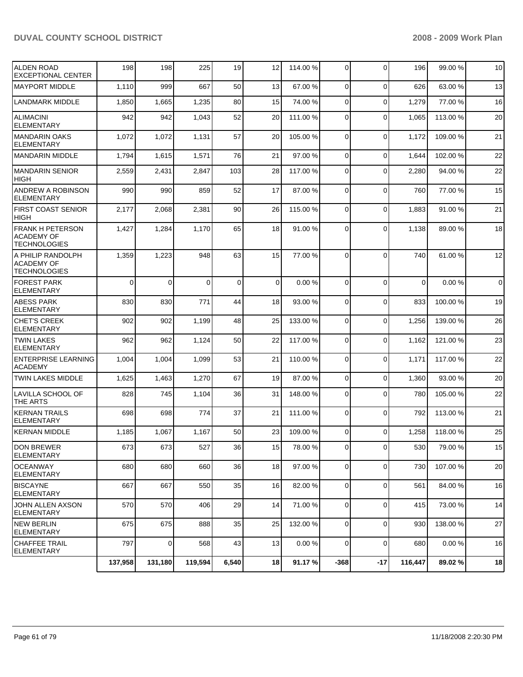| <b>ALDEN ROAD</b><br><b>EXCEPTIONAL CENTER</b>                      | 198      | 198      | 225      | 19          | 12 | 114.00 % | 0              | $\Omega$       | 196         | 99.00 %  | 10             |
|---------------------------------------------------------------------|----------|----------|----------|-------------|----|----------|----------------|----------------|-------------|----------|----------------|
| <b>MAYPORT MIDDLE</b>                                               | 1,110    | 999      | 667      | 50          | 13 | 67.00 %  | 0              | $\mathbf 0$    | 626         | 63.00 %  | 13             |
| <b>LANDMARK MIDDLE</b>                                              | 1,850    | 1,665    | 1,235    | 80          | 15 | 74.00 %  | 0              | 0              | 1,279       | 77.00 %  | 16             |
| <b>ALIMACINI</b><br><b>ELEMENTARY</b>                               | 942      | 942      | 1,043    | 52          | 20 | 111.00 % | $\mathbf 0$    | $\mathbf 0$    | 1,065       | 113.00 % | 20             |
| <b>MANDARIN OAKS</b><br><b>ELEMENTARY</b>                           | 1,072    | 1,072    | 1,131    | 57          | 20 | 105.00 % | $\mathbf 0$    | $\mathbf 0$    | 1,172       | 109.00 % | 21             |
| <b>MANDARIN MIDDLE</b>                                              | 1,794    | 1,615    | 1,571    | 76          | 21 | 97.00 %  | 0              | $\Omega$       | 1,644       | 102.00 % | 22             |
| MANDARIN SENIOR<br><b>HIGH</b>                                      | 2,559    | 2,431    | 2,847    | 103         | 28 | 117.00 % | 0              | $\Omega$       | 2,280       | 94.00 %  | 22             |
| ANDREW A ROBINSON<br><b>ELEMENTARY</b>                              | 990      | 990      | 859      | 52          | 17 | 87.00 %  | 0              | $\Omega$       | 760         | 77.00 %  | 15             |
| <b>FIRST COAST SENIOR</b><br><b>HIGH</b>                            | 2,177    | 2,068    | 2,381    | 90          | 26 | 115.00 % | $\Omega$       | $\mathbf 0$    | 1,883       | 91.00 %  | 21             |
| <b>FRANK H PETERSON</b><br><b>ACADEMY OF</b><br><b>TECHNOLOGIES</b> | 1,427    | 1,284    | 1,170    | 65          | 18 | 91.00 %  | $\Omega$       | $\Omega$       | 1,138       | 89.00 %  | 18             |
| A PHILIP RANDOLPH<br><b>ACADEMY OF</b><br><b>TECHNOLOGIES</b>       | 1,359    | 1,223    | 948      | 63          | 15 | 77.00 %  | $\Omega$       | $\Omega$       | 740         | 61.00%   | 12             |
| <b>FOREST PARK</b><br><b>ELEMENTARY</b>                             | $\Omega$ | $\Omega$ | $\Omega$ | $\mathbf 0$ | 0  | 0.00%    | $\Omega$       | $\Omega$       | $\mathbf 0$ | 0.00%    | $\overline{0}$ |
| <b>ABESS PARK</b><br><b>ELEMENTARY</b>                              | 830      | 830      | 771      | 44          | 18 | 93.00 %  | $\Omega$       | $\Omega$       | 833         | 100.00 % | 19             |
| CHET'S CREEK<br><b>ELEMENTARY</b>                                   | 902      | 902      | 1,199    | 48          | 25 | 133.00 % | $\Omega$       | $\Omega$       | 1,256       | 139.00 % | 26             |
| <b>TWIN LAKES</b><br><b>ELEMENTARY</b>                              | 962      | 962      | 1,124    | 50          | 22 | 117.00 % | $\Omega$       | $\mathbf 0$    | 1,162       | 121.00 % | 23             |
| <b>ENTERPRISE LEARNING</b><br><b>ACADEMY</b>                        | 1,004    | 1,004    | 1,099    | 53          | 21 | 110.00%  | $\Omega$       | $\Omega$       | 1,171       | 117.00 % | 22             |
| <b>TWIN LAKES MIDDLE</b>                                            | 1,625    | 1,463    | 1,270    | 67          | 19 | 87.00 %  | $\mathbf 0$    | 0              | 1,360       | 93.00 %  | 20             |
| <b>LAVILLA SCHOOL OF</b><br>THE ARTS                                | 828      | 745      | 1,104    | 36          | 31 | 148.00 % | $\Omega$       | $\Omega$       | 780         | 105.00 % | 22             |
| <b>KERNAN TRAILS</b><br><b>ELEMENTARY</b>                           | 698      | 698      | 774      | 37          | 21 | 111.00 % | $\Omega$       | $\Omega$       | 792         | 113.00 % | 21             |
| <b>KERNAN MIDDLE</b>                                                | 1,185    | 1,067    | 1,167    | 50          | 23 | 109.00 % | 0              | $\Omega$       | 1,258       | 118.00 % | 25             |
| <b>DON BREWER</b><br>ELEMENTARY                                     | 673      | 673      | 527      | 36          | 15 | 78.00 %  | $\overline{0}$ | $\overline{0}$ | 530         | 79.00 %  | 15             |
| <b>IOCEANWAY</b><br>ELEMENTARY                                      | 680      | 680      | 660      | 36          | 18 | 97.00 %  | $\Omega$       | $\Omega$       | 730         | 107.00 % | 20             |
| <b>BISCAYNE</b><br><b>ELEMENTARY</b>                                | 667      | 667      | 550      | 35          | 16 | 82.00 %  | $\overline{0}$ | 0              | 561         | 84.00 %  | 16             |
| JOHN ALLEN AXSON<br><b>ELEMENTARY</b>                               | 570      | 570      | 406      | 29          | 14 | 71.00 %  | $\mathbf 0$    | $\mathbf 0$    | 415         | 73.00 %  | 14             |
| <b>NEW BERLIN</b><br><b>ELEMENTARY</b>                              | 675      | 675      | 888      | 35          | 25 | 132.00 % | 0              | $\mathbf 0$    | 930         | 138.00 % | 27             |
| <b>CHAFFEE TRAIL</b><br><b>ELEMENTARY</b>                           | 797      | 0        | 568      | 43          | 13 | 0.00%    | 0              | $\mathbf 0$    | 680         | 0.00%    | 16             |
|                                                                     | 137,958  | 131,180  | 119,594  | 6,540       | 18 | 91.17 %  | $-368$         | $-17$          | 116,447     | 89.02 %  | 18             |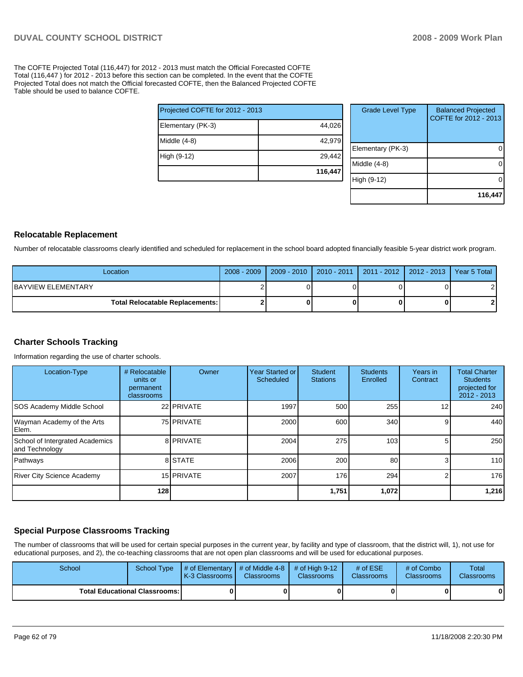The COFTE Projected Total (116,447) for 2012 - 2013 must match the Official Forecasted COFTE Total (116,447 ) for 2012 - 2013 before this section can be completed. In the event that the COFTE Projected Total does not match the Official forecasted COFTE, then the Balanced Projected COFTE Table should be used to balance COFTE.

|                                 | 116,447 |
|---------------------------------|---------|
| High (9-12)                     | 29,442  |
| Middle (4-8)                    | 42,979  |
| Elementary (PK-3)               | 44,026  |
| Projected COFTE for 2012 - 2013 |         |

| <b>Grade Level Type</b> | <b>Balanced Projected</b><br>COFTE for 2012 - 2013 |
|-------------------------|----------------------------------------------------|
| Elementary (PK-3)       |                                                    |
| Middle (4-8)            |                                                    |
| High (9-12)             |                                                    |
|                         | 116,447                                            |

#### **Relocatable Replacement**

Number of relocatable classrooms clearly identified and scheduled for replacement in the school board adopted financially feasible 5-year district work program.

| Location                                 | $2008 - 2009$ |  | │ 2009 - 2010 │ 2010 - 2011 │ 2011 - 2012 │ 2012 - 2013 │ Year 5 Total │ |  |
|------------------------------------------|---------------|--|--------------------------------------------------------------------------|--|
| <b>IBAYVIEW ELEMENTARY</b>               |               |  |                                                                          |  |
| <b>Total Relocatable Replacements: I</b> |               |  |                                                                          |  |

### **Charter Schools Tracking**

Information regarding the use of charter schools.

| Location-Type                                     | # Relocatable<br>units or<br>permanent<br>classrooms | Owner      | Year Started or<br>Scheduled | Student<br><b>Stations</b> | <b>Students</b><br>Enrolled | Years in<br>Contract | <b>Total Charter</b><br><b>Students</b><br>projected for<br>$2012 - 2013$ |
|---------------------------------------------------|------------------------------------------------------|------------|------------------------------|----------------------------|-----------------------------|----------------------|---------------------------------------------------------------------------|
| <b>SOS Academy Middle School</b>                  |                                                      | 22 PRIVATE | 1997                         | 500                        | 255                         | 12 <sub>1</sub>      | 240                                                                       |
| Wayman Academy of the Arts<br>Elem.               |                                                      | 75 PRIVATE | 2000                         | 600                        | 340                         | 9                    | 440                                                                       |
| School of Intergrated Academics<br>and Technology |                                                      | 8 PRIVATE  | 2004                         | 275                        | 103                         | 51                   | 250                                                                       |
| Pathways                                          |                                                      | 8 STATE    | 2006                         | 200                        | 80                          | $\overline{3}$       | 110                                                                       |
| <b>River City Science Academy</b>                 |                                                      | 15 PRIVATE | 2007                         | 176                        | 294                         | 2                    | 176                                                                       |
|                                                   | 128                                                  |            |                              | 1,751                      | 1,072                       |                      | 1,216                                                                     |

# **Special Purpose Classrooms Tracking**

The number of classrooms that will be used for certain special purposes in the current year, by facility and type of classroom, that the district will, 1), not use for educational purposes, and 2), the co-teaching classrooms that are not open plan classrooms and will be used for educational purposes.

| School                                 | School Type | $\parallel$ # of Elementary $\parallel$ # of Middle 4-8 $\parallel$ # of High 9-12<br>K-3 Classrooms I | <b>Classrooms</b> | <b>Classrooms</b> | # of $ESE$<br><b>Classrooms</b> | $#$ of Combo<br><b>Classrooms</b> | Total<br><b>Classrooms</b> |
|----------------------------------------|-------------|--------------------------------------------------------------------------------------------------------|-------------------|-------------------|---------------------------------|-----------------------------------|----------------------------|
| <b>Total Educational Classrooms: I</b> |             |                                                                                                        |                   |                   |                                 | 01                                | $\bf{0}$                   |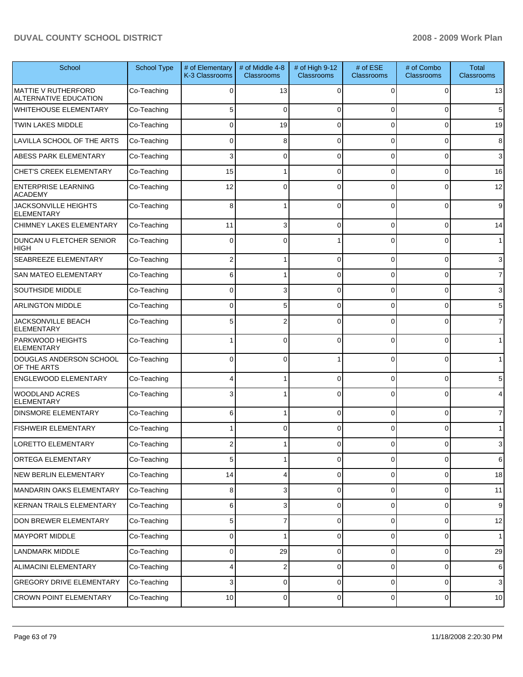| School                                                     | <b>School Type</b> | # of Elementary<br>K-3 Classrooms | # of Middle 4-8<br><b>Classrooms</b> | # of High 9-12<br><b>Classrooms</b> | # of ESE<br><b>Classrooms</b> | # of Combo<br><b>Classrooms</b> | <b>Total</b><br>Classrooms |
|------------------------------------------------------------|--------------------|-----------------------------------|--------------------------------------|-------------------------------------|-------------------------------|---------------------------------|----------------------------|
| <b>MATTIE V RUTHERFORD</b><br><b>ALTERNATIVE EDUCATION</b> | Co-Teaching        | $\Omega$                          | 13                                   | 0                                   | 0                             | 0                               | 13                         |
| <b>WHITEHOUSE ELEMENTARY</b>                               | Co-Teaching        | 5                                 | $\mathbf 0$                          | $\Omega$                            | $\Omega$                      | 0                               | 5                          |
| <b>TWIN LAKES MIDDLE</b>                                   | Co-Teaching        | 0                                 | 19                                   | $\Omega$                            | $\Omega$                      | $\mathbf 0$                     | 19                         |
| LAVILLA SCHOOL OF THE ARTS                                 | Co-Teaching        | 0                                 | 8                                    | $\Omega$                            | $\Omega$                      | 0                               | 8                          |
| ABESS PARK ELEMENTARY                                      | Co-Teaching        | 3                                 | $\mathbf 0$                          | $\Omega$                            | $\Omega$                      | $\mathbf 0$                     | 3                          |
| <b>CHET'S CREEK ELEMENTARY</b>                             | Co-Teaching        | 15                                | 1                                    | $\Omega$                            | $\Omega$                      | $\mathbf 0$                     | 16                         |
| <b>ENTERPRISE LEARNING</b><br><b>ACADEMY</b>               | Co-Teaching        | 12                                | $\mathbf 0$                          | $\Omega$                            | $\Omega$                      | 0                               | 12                         |
| <b>JACKSONVILLE HEIGHTS</b><br><b>ELEMENTARY</b>           | Co-Teaching        | 8                                 | 1                                    | $\Omega$                            | $\Omega$                      | 0                               | $\overline{9}$             |
| <b>CHIMNEY LAKES ELEMENTARY</b>                            | Co-Teaching        | 11                                | 3                                    | $\Omega$                            | $\Omega$                      | $\mathbf 0$                     | 14                         |
| DUNCAN U FLETCHER SENIOR<br><b>HIGH</b>                    | Co-Teaching        | 0                                 | $\Omega$                             |                                     | $\Omega$                      | $\Omega$                        | 1 <sup>1</sup>             |
| SEABREEZE ELEMENTARY                                       | Co-Teaching        | $\overline{2}$                    | 1                                    | $\Omega$                            | 0                             | $\mathbf 0$                     | 3                          |
| <b>SAN MATEO ELEMENTARY</b>                                | Co-Teaching        | 6                                 | 1                                    | $\Omega$                            | 0                             | 0                               | 7                          |
| <b>SOUTHSIDE MIDDLE</b>                                    | Co-Teaching        | 0                                 | 3                                    | $\Omega$                            | 0                             | 0                               | 3                          |
| <b>ARLINGTON MIDDLE</b>                                    | Co-Teaching        | 0                                 | 5                                    | $\Omega$                            | 0                             | 0                               | 5                          |
| JACKSONVILLE BEACH<br><b>ELEMENTARY</b>                    | Co-Teaching        | 5                                 | 2                                    |                                     | $\Omega$                      | $\Omega$                        | $\overline{7}$             |
| PARKWOOD HEIGHTS<br><b>ELEMENTARY</b>                      | Co-Teaching        |                                   | $\Omega$                             | $\Omega$                            | $\Omega$                      | $\Omega$                        | $\mathbf{1}$               |
| DOUGLAS ANDERSON SCHOOL<br>OF THE ARTS                     | Co-Teaching        | 0                                 | 0                                    |                                     | 0                             | 0                               | $\mathbf{1}$               |
| <b>ENGLEWOOD ELEMENTARY</b>                                | Co-Teaching        |                                   | 1                                    | $\Omega$                            | $\Omega$                      | $\mathbf 0$                     | 5                          |
| <b>WOODLAND ACRES</b><br><b>ELEMENTARY</b>                 | Co-Teaching        |                                   |                                      |                                     | $\Omega$                      | $\Omega$                        | 4                          |
| <b>DINSMORE ELEMENTARY</b>                                 | Co-Teaching        | 6                                 | 1                                    | $\Omega$                            | $\Omega$                      | $\mathbf 0$                     | $\overline{7}$             |
| <b>FISHWEIR ELEMENTARY</b>                                 | Co-Teaching        |                                   | $\mathbf 0$                          | $\mathbf 0$                         | $\Omega$                      | 0                               | $\mathbf{1}$               |
| LORETTO ELEMENTARY                                         | Co-Teaching        | ۷                                 |                                      | U                                   | υ                             | U.                              | 3                          |
| <b>ORTEGA ELEMENTARY</b>                                   | Co-Teaching        | 5                                 | 1                                    | 0                                   | $\mathbf 0$                   | $\overline{0}$                  | 6                          |
| NEW BERLIN ELEMENTARY                                      | Co-Teaching        | 14                                | 4                                    | $\mathbf 0$                         | $\mathbf 0$                   | $\mathbf 0$                     | 18                         |
| MANDARIN OAKS ELEMENTARY                                   | Co-Teaching        | 8                                 | 3                                    | 0                                   | 0                             | $\mathbf 0$                     | 11                         |
| <b>KERNAN TRAILS ELEMENTARY</b>                            | Co-Teaching        | 6                                 | 3                                    | $\mathbf 0$                         | $\mathbf 0$                   | $\mathbf 0$                     | $9\,$                      |
| DON BREWER ELEMENTARY                                      | Co-Teaching        | 5                                 | $\overline{7}$                       | 0                                   | $\mathbf 0$                   | $\mathbf 0$                     | 12                         |
| <b>MAYPORT MIDDLE</b>                                      | Co-Teaching        | 0                                 | 1                                    | $\mathbf 0$                         | $\mathbf 0$                   | $\mathbf 0$                     | 1                          |
| <b>LANDMARK MIDDLE</b>                                     | Co-Teaching        | 0                                 | 29                                   | 0                                   | 0                             | $\mathbf 0$                     | 29                         |
| ALIMACINI ELEMENTARY                                       | Co-Teaching        | 4                                 | $\overline{c}$                       | $\mathbf 0$                         | $\mathbf 0$                   | $\mathbf 0$                     | 6                          |
| <b>GREGORY DRIVE ELEMENTARY</b>                            | Co-Teaching        | 3                                 | 0                                    | $\mathbf 0$                         | 0                             | $\mathbf 0$                     | $\mathbf{3}$               |
| <b>CROWN POINT ELEMENTARY</b>                              | Co-Teaching        | $10$                              | $\mathbf 0$                          | 0                                   | 0                             | $\overline{0}$                  | $10$                       |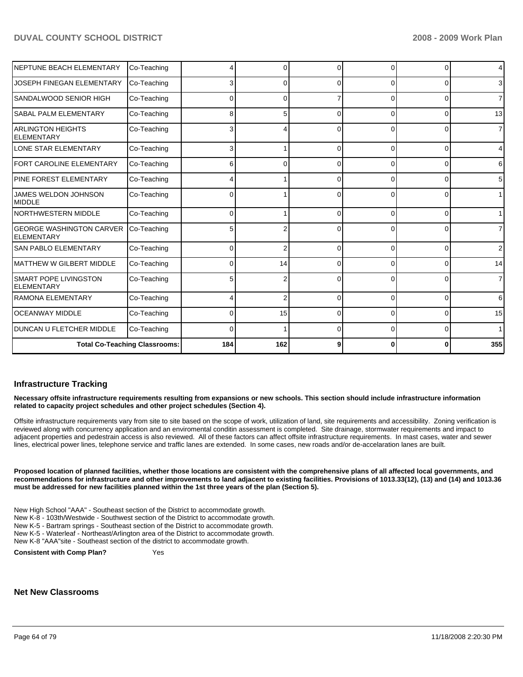| NEPTUNE BEACH ELEMENTARY                             | Co-Teaching                          |              | $\Omega$       | $\Omega$ | <sup>0</sup> | $\Omega$       | $\overline{4}$ |
|------------------------------------------------------|--------------------------------------|--------------|----------------|----------|--------------|----------------|----------------|
| <b>JOSEPH FINEGAN ELEMENTARY</b>                     | Co-Teaching                          |              | 0              | $\Omega$ |              | $\Omega$       | $\mathbf{3}$   |
| <b>SANDALWOOD SENIOR HIGH</b>                        | Co-Teaching                          | 0            | 0              |          | <sup>0</sup> | $\overline{0}$ | $\overline{7}$ |
| <b>SABAL PALM ELEMENTARY</b>                         | Co-Teaching                          | 8            | 5              | C        | <sup>0</sup> | 0              | 13             |
| IARLINGTON HEIGHTS<br><b>ELEMENTARY</b>              | Co-Teaching                          | 3            | 4              | ∩        | 0            | 0              | $\overline{7}$ |
| LONE STAR ELEMENTARY                                 | Co-Teaching                          | 3            |                | $\Omega$ | 0            | $\Omega$       | $\overline{4}$ |
| FORT CAROLINE ELEMENTARY                             | Co-Teaching                          | 6            | 0              | $\Omega$ | 0            | 0              | 6              |
| <b>PINE FOREST ELEMENTARY</b>                        | Co-Teaching                          |              |                | $\Omega$ | 0            | 0              | 5 <sup>1</sup> |
| <b>JAMES WELDON JOHNSON</b><br>MIDDLE                | Co-Teaching                          | 0            |                | $\Omega$ | 0            | 0              | 1 <sup>1</sup> |
| <b>NORTHWESTERN MIDDLE</b>                           | Co-Teaching                          | 0            |                | $\Omega$ | $\Omega$     | $\Omega$       | 1              |
| <b>GEORGE WASHINGTON CARVER</b><br><b>ELEMENTARY</b> | Co-Teaching                          | 5            | 2              | $\Omega$ | $\Omega$     | 0              | $\overline{7}$ |
| <b>SAN PABLO ELEMENTARY</b>                          | Co-Teaching                          | 0            | $\overline{2}$ | $\Omega$ | $\Omega$     | $\Omega$       | $\overline{2}$ |
| <b>MATTHEW W GILBERT MIDDLE</b>                      | Co-Teaching                          | 0            | 14             | $\Omega$ | $\Omega$     | $\Omega$       | 14             |
| <b>SMART POPE LIVINGSTON</b><br><b>ELEMENTARY</b>    | Co-Teaching                          | 5            | 2              | $\Omega$ | 0            | $\overline{0}$ | $\overline{7}$ |
| <b>RAMONA ELEMENTARY</b>                             | Co-Teaching                          |              | $\overline{2}$ | $\Omega$ | $\Omega$     | $\overline{0}$ | 6              |
| <b>OCEANWAY MIDDLE</b>                               | Co-Teaching                          | 0            | 15             | $\Omega$ | 0            | $\Omega$       | 15             |
| <b>DUNCAN U FLETCHER MIDDLE</b>                      | Co-Teaching                          | <sup>0</sup> |                | $\Omega$ | 0            | $\overline{0}$ | 1              |
|                                                      | <b>Total Co-Teaching Classrooms:</b> | 184          | 162            | 9        |              | $\bf{0}$       | 355            |

### **Infrastructure Tracking**

**Necessary offsite infrastructure requirements resulting from expansions or new schools. This section should include infrastructure information related to capacity project schedules and other project schedules (Section 4).** 

Offsite infrastructure requirements vary from site to site based on the scope of work, utilization of land, site requirements and accessibility. Zoning verification is reviewed along with concurrency application and an enviromental conditin assessment is completed. Site drainage, stormwater requirements and impact to adjacent properties and pedestrain access is also reviewed. All of these factors can affect offsite infrastructure requirements. In mast cases, water and sewer lines, electrical power lines, telephone service and traffic lanes are extended. In some cases, new roads and/or de-accelaration lanes are built.

**Proposed location of planned facilities, whether those locations are consistent with the comprehensive plans of all affected local governments, and recommendations for infrastructure and other improvements to land adjacent to existing facilities. Provisions of 1013.33(12), (13) and (14) and 1013.36 must be addressed for new facilities planned within the 1st three years of the plan (Section 5).** 

New High School "AAA" - Southeast section of the District to accommodate growth. New K-8 - 103th/Westwide - Southwest section of the District to accommodate growth. New K-5 - Bartram springs - Southeast section of the District to accommodate growth. New K-5 - Waterleaf - Northeast/Arlington area of the District to accommodate growth. New K-8 "AAA"site - Southeast section of the district to accommodate growth.

**Consistent with Comp Plan?** Yes

# **Net New Classrooms**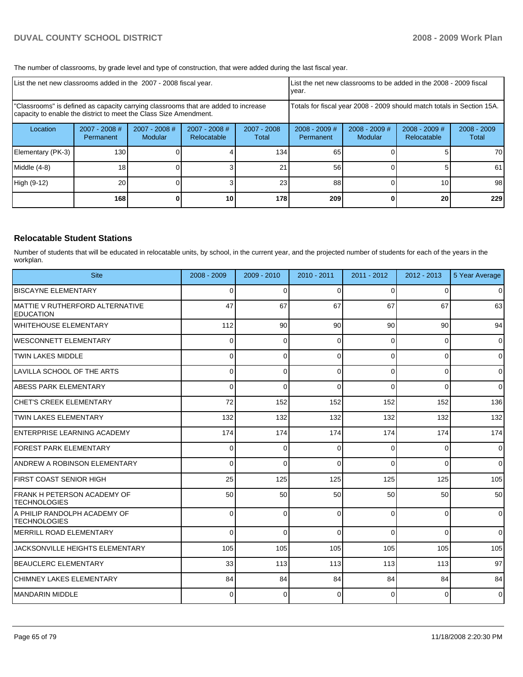The number of classrooms, by grade level and type of construction, that were added during the last fiscal year.

| List the net new classrooms added in the 2007 - 2008 fiscal year.                                                                                       |                            |                          |                                                                        | List the net new classrooms to be added in the 2008 - 2009 fiscal<br>year. |                              |                            |                                |                        |
|---------------------------------------------------------------------------------------------------------------------------------------------------------|----------------------------|--------------------------|------------------------------------------------------------------------|----------------------------------------------------------------------------|------------------------------|----------------------------|--------------------------------|------------------------|
| "Classrooms" is defined as capacity carrying classrooms that are added to increase<br>capacity to enable the district to meet the Class Size Amendment. |                            |                          | Totals for fiscal year 2008 - 2009 should match totals in Section 15A. |                                                                            |                              |                            |                                |                        |
| Location                                                                                                                                                | 2007 - 2008 #<br>Permanent | 2007 - 2008 #<br>Modular | $2007 - 2008$ #<br>Relocatable                                         | 2007 - 2008<br>Total                                                       | $2008 - 2009$ #<br>Permanent | $2008 - 2009$ #<br>Modular | $2008 - 2009$ #<br>Relocatable | $2008 - 2009$<br>Total |
| Elementary (PK-3)                                                                                                                                       | 130                        |                          |                                                                        | 134                                                                        | 65                           |                            |                                | 70                     |
| Middle (4-8)                                                                                                                                            | 18 <sub>1</sub>            |                          |                                                                        | 21                                                                         | 56                           |                            | 5.                             | 61                     |
| High (9-12)                                                                                                                                             | 20                         |                          |                                                                        | 23 <sub>1</sub>                                                            | 88                           |                            | 10                             | 98                     |
|                                                                                                                                                         | 168                        |                          | 10                                                                     | 178                                                                        | 209                          |                            | 20                             | 229                    |

### **Relocatable Student Stations**

Number of students that will be educated in relocatable units, by school, in the current year, and the projected number of students for each of the years in the workplan.

| <b>Site</b>                                           | $2008 - 2009$ | $2009 - 2010$ | $2010 - 2011$ | $2011 - 2012$ | $2012 - 2013$ | 5 Year Average  |
|-------------------------------------------------------|---------------|---------------|---------------|---------------|---------------|-----------------|
| <b>IBISCAYNE ELEMENTARY</b>                           | $\Omega$      | 0             | $\Omega$      | $\Omega$      | $\Omega$      | $\overline{0}$  |
| IMATTIE V RUTHERFORD ALTERNATIVE<br><b>IEDUCATION</b> | 47            | 67            | 67            | 67            | 67            | 63              |
| lwhitehouse elementary                                | 112           | 90            | 90            | 90            | 90            | 94              |
| IWESCONNETT ELEMENTARY                                | $\Omega$      | $\Omega$      | $\Omega$      | $\Omega$      | 0             | $\Omega$        |
| <b>ITWIN LAKES MIDDLE</b>                             | 0             | 0             | $\Omega$      | $\Omega$      | 0             | $\overline{0}$  |
| LAVILLA SCHOOL OF THE ARTS                            | 0             | 0             | $\Omega$      | $\Omega$      | $\Omega$      | $\overline{0}$  |
| ABESS PARK ELEMENTARY                                 | 0             | 0             | $\Omega$      | $\Omega$      | 0             | $\Omega$        |
| ICHET'S CREEK ELEMENTARY                              | 72            | 152           | 152           | 152           | 152           | 136             |
| <b>ITWIN LAKES ELEMENTARY</b>                         | 132           | 132           | 132           | 132           | 132           | 132             |
| ENTERPRISE LEARNING ACADEMY                           | 174           | 174           | 174           | 174           | 174           | 174             |
| FOREST PARK ELEMENTARY                                | $\Omega$      | 0             | $\Omega$      | $\Omega$      | 0             | $\overline{0}$  |
| ANDREW A ROBINSON ELEMENTARY                          | $\Omega$      | 0             | $\Omega$      | $\Omega$      | 0             | $\Omega$        |
| IFIRST COAST SENIOR HIGH                              | 25            | 125           | 125           | 125           | 125           | 105             |
| FRANK H PETERSON ACADEMY OF<br><b>ITECHNOLOGIES</b>   | 50            | 50            | 50            | 50            | 50            | 50 <sub>1</sub> |
| IA PHILIP RANDOLPH ACADEMY OF<br><b>TECHNOLOGIES</b>  | $\Omega$      | $\Omega$      | $\Omega$      | $\Omega$      | $\Omega$      | $\Omega$        |
| IMERRILL ROAD ELEMENTARY                              | $\Omega$      | $\Omega$      | $\Omega$      | $\Omega$      | $\Omega$      | $\Omega$        |
| JACKSONVILLE HEIGHTS ELEMENTARY                       | 105           | 105           | 105           | 105           | 105           | 105             |
| <b>BEAUCLERC ELEMENTARY</b>                           | 33            | 113           | 113           | 113           | 113           | 97              |
| ICHIMNEY LAKES ELEMENTARY                             | 84            | 84            | 84            | 84            | 84            | 84              |
| İMANDARIN MIDDLE                                      | 0             | 0             | $\Omega$      | $\Omega$      | 0             | $\Omega$        |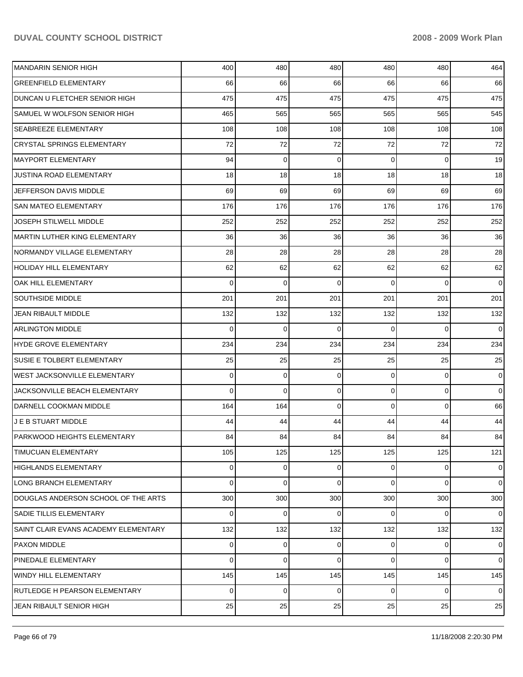| MANDARIN SENIOR HIGH                 | 400 | 480         | 480      | 480      | 480         | 464            |
|--------------------------------------|-----|-------------|----------|----------|-------------|----------------|
| <b>GREENFIELD ELEMENTARY</b>         | 66  | 66          | 66       | 66       | 66          | 66             |
| DUNCAN U FLETCHER SENIOR HIGH        | 475 | 475         | 475      | 475      | 475         | 475            |
| SAMUEL W WOLFSON SENIOR HIGH         | 465 | 565         | 565      | 565      | 565         | 545            |
| <b>SEABREEZE ELEMENTARY</b>          | 108 | 108         | 108      | 108      | 108         | 108            |
| <b>CRYSTAL SPRINGS ELEMENTARY</b>    | 72  | 72          | 72       | 72       | 72          | 72             |
| MAYPORT ELEMENTARY                   | 94  | 0           | 0        | $\Omega$ | 0           | 19             |
| JUSTINA ROAD ELEMENTARY              | 18  | 18          | 18       | 18       | 18          | 18             |
| JEFFERSON DAVIS MIDDLE               | 69  | 69          | 69       | 69       | 69          | 69             |
| <b>SAN MATEO ELEMENTARY</b>          | 176 | 176         | 176      | 176      | 176         | 176            |
| JOSEPH STILWELL MIDDLE               | 252 | 252         | 252      | 252      | 252         | 252            |
| IMARTIN LUTHER KING ELEMENTARY       | 36  | 36          | 36       | 36       | 36          | 36             |
| NORMANDY VILLAGE ELEMENTARY          | 28  | 28          | 28       | 28       | 28          | 28             |
| <b>HOLIDAY HILL ELEMENTARY</b>       | 62  | 62          | 62       | 62       | 62          | 62             |
| OAK HILL ELEMENTARY                  | 0   | 0           | 0        | $\Omega$ | $\Omega$    | $\overline{0}$ |
| <b>SOUTHSIDE MIDDLE</b>              | 201 | 201         | 201      | 201      | 201         | 201            |
| JEAN RIBAULT MIDDLE                  | 132 | 132         | 132      | 132      | 132         | 132            |
| <b>ARLINGTON MIDDLE</b>              | 0   | 0           | $\Omega$ | $\Omega$ | $\Omega$    | $\overline{0}$ |
| HYDE GROVE ELEMENTARY                | 234 | 234         | 234      | 234      | 234         | 234            |
| SUSIE E TOLBERT ELEMENTARY           | 25  | 25          | 25       | 25       | 25          | 25             |
| <b>WEST JACKSONVILLE ELEMENTARY</b>  | 0   | 0           | 0        | 0        | 0           | $\overline{0}$ |
| JACKSONVILLE BEACH ELEMENTARY        | 0   | $\mathbf 0$ | 0        | 0        | $\mathbf 0$ | $\overline{0}$ |
| DARNELL COOKMAN MIDDLE               | 164 | 164         | 0        | $\Omega$ | 0           | 66             |
| J E B STUART MIDDLE                  | 44  | 44          | 44       | 44       | 44          | 44             |
| PARKWOOD HEIGHTS ELEMENTARY          | 84  | 84          | 84       | 84       | 84          | 84             |
| <b>TIMUCUAN ELEMENTARY</b>           | 105 | 125         | 125      | 125      | 125         | 121            |
| HIGHLANDS ELEMENTARY                 | 0   | 0           | 0        | 0        | 0           | $\overline{0}$ |
| LONG BRANCH ELEMENTARY               | 0   | 0           | $\Omega$ | 0        | $\Omega$    | $\overline{0}$ |
| DOUGLAS ANDERSON SCHOOL OF THE ARTS  | 300 | 300         | 300      | 300      | 300         | 300            |
| SADIE TILLIS ELEMENTARY              | 0   | 0           | 0        | $\Omega$ | $\Omega$    | $\overline{0}$ |
| SAINT CLAIR EVANS ACADEMY ELEMENTARY | 132 | 132         | 132      | 132      | 132         | 132            |
| <b>PAXON MIDDLE</b>                  | 0   | 0           | 0        | $\Omega$ | 0           | $\overline{0}$ |
| <b>PINEDALE ELEMENTARY</b>           | 0   | 0           | 0        | 0        | $\Omega$    | $\overline{0}$ |
| <b>WINDY HILL ELEMENTARY</b>         | 145 | 145         | 145      | 145      | 145         | 145            |
| RUTLEDGE H PEARSON ELEMENTARY        | 0   | 0           | 0        | 0        | 0           | $\overline{0}$ |
| JEAN RIBAULT SENIOR HIGH             | 25  | 25          | 25       | 25       | 25          | 25             |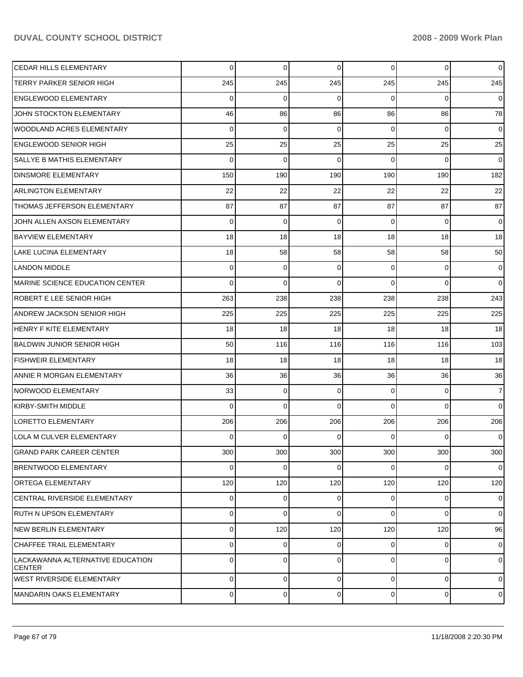| <b>CEDAR HILLS ELEMENTARY</b>                     | $\Omega$ | $\overline{0}$ | $\Omega$ | $\Omega$ | $\overline{0}$ | $\overline{0}$ |
|---------------------------------------------------|----------|----------------|----------|----------|----------------|----------------|
| <b>TERRY PARKER SENIOR HIGH</b>                   | 245      | 245            | 245      | 245      | 245            | 245            |
| ENGLEWOOD ELEMENTARY                              | $\Omega$ | $\Omega$       | $\Omega$ | $\Omega$ | $\Omega$       | $\overline{0}$ |
| JOHN STOCKTON ELEMENTARY                          | 46       | 86             | 86       | 86       | 86             | 78             |
| <b>WOODLAND ACRES ELEMENTARY</b>                  | $\Omega$ | $\Omega$       | $\Omega$ | $\Omega$ | $\Omega$       | $\overline{0}$ |
| <b>ENGLEWOOD SENIOR HIGH</b>                      | 25       | 25             | 25       | 25       | 25             | 25             |
| SALLYE B MATHIS ELEMENTARY                        | $\Omega$ | $\Omega$       | $\Omega$ | $\Omega$ | $\Omega$       | $\overline{0}$ |
| <b>DINSMORE ELEMENTARY</b>                        | 150      | 190            | 190      | 190      | 190            | 182            |
| <b>ARLINGTON ELEMENTARY</b>                       | 22       | 22             | 22       | 22       | 22             | 22             |
| THOMAS JEFFERSON ELEMENTARY                       | 87       | 87             | 87       | 87       | 87             | 87             |
| JOHN ALLEN AXSON ELEMENTARY                       | $\Omega$ | $\Omega$       | $\Omega$ | $\Omega$ | $\Omega$       | $\overline{0}$ |
| <b>BAYVIEW ELEMENTARY</b>                         | 18       | 18             | 18       | 18       | 18             | 18             |
| <b>LAKE LUCINA ELEMENTARY</b>                     | 18       | 58             | 58       | 58       | 58             | 50             |
| <b>LANDON MIDDLE</b>                              | $\Omega$ | $\overline{0}$ | $\Omega$ | $\Omega$ | $\overline{0}$ | $\overline{0}$ |
| MARINE SCIENCE EDUCATION CENTER                   | $\Omega$ | $\Omega$       | $\Omega$ | $\Omega$ | $\Omega$       | $\Omega$       |
| <b>ROBERT E LEE SENIOR HIGH</b>                   | 263      | 238            | 238      | 238      | 238            | 243            |
| <b>ANDREW JACKSON SENIOR HIGH</b>                 | 225      | 225            | 225      | 225      | 225            | 225            |
| HENRY F KITE ELEMENTARY                           | 18       | 18             | 18       | 18       | 18             | 18             |
| BALDWIN JUNIOR SENIOR HIGH                        | 50       | 116            | 116      | 116      | 116            | 103            |
| <b>FISHWEIR ELEMENTARY</b>                        | 18       | 18             | 18       | 18       | 18             | 18             |
| ANNIE R MORGAN ELEMENTARY                         | 36       | 36             | 36       | 36       | 36             | 36             |
| NORWOOD ELEMENTARY                                | 33       | $\overline{0}$ | $\Omega$ | $\Omega$ | $\overline{0}$ | $\overline{7}$ |
| KIRBY-SMITH MIDDLE                                | $\Omega$ | $\Omega$       | $\Omega$ | $\Omega$ | $\Omega$       | $\Omega$       |
| LORETTO ELEMENTARY                                | 206      | 206            | 206      | 206      | 206            | 206            |
| LOLA M CULVER ELEMENTARY                          | $\Omega$ | $\Omega$       | $\Omega$ | 0        | $\Omega$       | $\overline{0}$ |
| <b>GRAND PARK CAREER CENTER</b>                   | 300      | 300            | 300      | 300      | 300            | 300            |
| <b>BRENTWOOD ELEMENTARY</b>                       | $\Omega$ | $\overline{0}$ | 0        | $\Omega$ | $\overline{0}$ | $\overline{0}$ |
| <b>ORTEGA ELEMENTARY</b>                          | 120      | 120            | 120      | 120      | 120            | 120            |
| CENTRAL RIVERSIDE ELEMENTARY                      | $\Omega$ | $\overline{0}$ | 0        | $\Omega$ | $\overline{0}$ | $\overline{0}$ |
| IRUTH N UPSON ELEMENTARY                          | $\Omega$ | $\overline{0}$ | $\Omega$ | $\Omega$ | $\Omega$       | $\overline{0}$ |
| NEW BERLIN ELEMENTARY                             | $\Omega$ | 120            | 120      | 120      | 120            | 96             |
| <b>CHAFFEE TRAIL ELEMENTARY</b>                   | $\Omega$ | $\overline{0}$ | $\Omega$ | $\Omega$ | $\overline{0}$ | $\overline{0}$ |
| LACKAWANNA ALTERNATIVE EDUCATION<br><b>CENTER</b> | $\Omega$ | $\overline{0}$ | $\Omega$ | $\Omega$ | $\overline{0}$ | $\overline{0}$ |
| <b>WEST RIVERSIDE ELEMENTARY</b>                  | 0        | $\overline{0}$ | 0        | 0        | $\overline{0}$ | $\overline{0}$ |
| MANDARIN OAKS ELEMENTARY                          | 0        | $\overline{0}$ | 0        | 0        | $\overline{0}$ | $\overline{0}$ |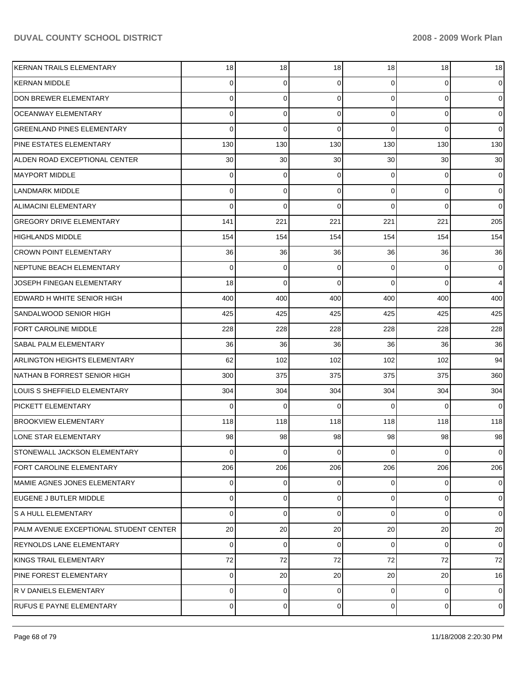| KERNAN TRAILS ELEMENTARY               | 18       | 18 <sup>1</sup> | 18       | 18             | 18          | 18             |
|----------------------------------------|----------|-----------------|----------|----------------|-------------|----------------|
| KERNAN MIDDLE                          | $\Omega$ | 0               | 0        | $\Omega$       | 0           | $\overline{0}$ |
| DON BREWER ELEMENTARY                  | $\Omega$ | $\mathbf 0$     | $\Omega$ | $\Omega$       | $\mathbf 0$ | $\overline{0}$ |
| <b>OCEANWAY ELEMENTARY</b>             | $\Omega$ | $\mathbf 0$     | $\Omega$ | $\Omega$       | $\mathbf 0$ | $\overline{0}$ |
| <b>GREENLAND PINES ELEMENTARY</b>      | $\Omega$ | $\Omega$        | $\Omega$ | $\Omega$       | $\Omega$    | $\overline{0}$ |
| PINE ESTATES ELEMENTARY                | 130      | 130             | 130      | 130            | 130         | 130            |
| ALDEN ROAD EXCEPTIONAL CENTER          | 30       | 30              | 30       | 30             | 30          | 30             |
| <b>MAYPORT MIDDLE</b>                  | $\Omega$ | $\mathbf 0$     | 0        | $\Omega$       | $\mathbf 0$ | $\overline{0}$ |
| <b>LANDMARK MIDDLE</b>                 | $\Omega$ | 0               | 0        | $\Omega$       | $\mathbf 0$ | $\overline{0}$ |
| <b>ALIMACINI ELEMENTARY</b>            | $\Omega$ | $\mathbf 0$     | $\Omega$ | $\Omega$       | $\Omega$    | $\overline{0}$ |
| <b>GREGORY DRIVE ELEMENTARY</b>        | 141      | 221             | 221      | 221            | 221         | 205            |
| <b>HIGHLANDS MIDDLE</b>                | 154      | 154             | 154      | 154            | 154         | 154            |
| <b>CROWN POINT ELEMENTARY</b>          | 36       | 36              | 36       | 36             | 36          | 36             |
| NEPTUNE BEACH ELEMENTARY               | $\Omega$ | $\mathbf 0$     | 0        | $\overline{0}$ | $\mathbf 0$ | $\overline{0}$ |
| JOSEPH FINEGAN ELEMENTARY              | 18       | $\Omega$        | $\Omega$ | 0              | $\Omega$    | $\overline{4}$ |
| EDWARD H WHITE SENIOR HIGH             | 400      | 400             | 400      | 400            | 400         | 400            |
| SANDALWOOD SENIOR HIGH                 | 425      | 425             | 425      | 425            | 425         | 425            |
| <b>FORT CAROLINE MIDDLE</b>            | 228      | 228             | 228      | 228            | 228         | 228            |
| <b>SABAL PALM ELEMENTARY</b>           | 36       | 36              | 36       | 36             | 36          | 36             |
| ARLINGTON HEIGHTS ELEMENTARY           | 62       | 102             | 102      | 102            | 102         | 94             |
| NATHAN B FORREST SENIOR HIGH           | 300      | 375             | 375      | 375            | 375         | 360            |
| LOUIS S SHEFFIELD ELEMENTARY           | 304      | 304             | 304      | 304            | 304         | 304            |
| <b>PICKETT ELEMENTARY</b>              | $\Omega$ | $\Omega$        | $\Omega$ | $\Omega$       | $\Omega$    | $\overline{0}$ |
| <b>BROOKVIEW ELEMENTARY</b>            | 118      | 118             | 118      | 118            | 118         | 118            |
| LONE STAR ELEMENTARY                   | 98       | 98              | 98       | 98             | 98          | 98             |
| STONEWALL JACKSON ELEMENTARY           | 0        | $\overline{0}$  | 0        | $\overline{0}$ | 0           | $\overline{0}$ |
| <b>FORT CAROLINE ELEMENTARY</b>        | 206      | 206             | 206      | 206            | 206         | 206            |
| MAMIE AGNES JONES ELEMENTARY           | 0        | $\overline{0}$  | 0        | $\overline{0}$ | 0           | $\overline{0}$ |
| EUGENE J BUTLER MIDDLE                 | $\Omega$ | $\mathbf 0$     | 0        | $\Omega$       | $\mathbf 0$ | $\overline{0}$ |
| S A HULL ELEMENTARY                    | $\Omega$ | $\mathbf 0$     | $\Omega$ | $\Omega$       | 0           | $\overline{0}$ |
| PALM AVENUE EXCEPTIONAL STUDENT CENTER | 20       | 20              | 20       | 20             | 20          | 20             |
| <b>REYNOLDS LANE ELEMENTARY</b>        | $\Omega$ | $\mathbf 0$     | 0        | $\Omega$       | $\mathbf 0$ | $\overline{0}$ |
| KINGS TRAIL ELEMENTARY                 | 72       | 72              | 72       | 72             | 72          | 72             |
| PINE FOREST ELEMENTARY                 | 0        | 20              | 20       | 20             | 20          | 16             |
| R V DANIELS ELEMENTARY                 | 0        | $\overline{0}$  | 0        | $\overline{0}$ | $\mathbf 0$ | $\overline{0}$ |
| <b>RUFUS E PAYNE ELEMENTARY</b>        | 0        | 0               | 0        | $\overline{0}$ | 0           | $\overline{0}$ |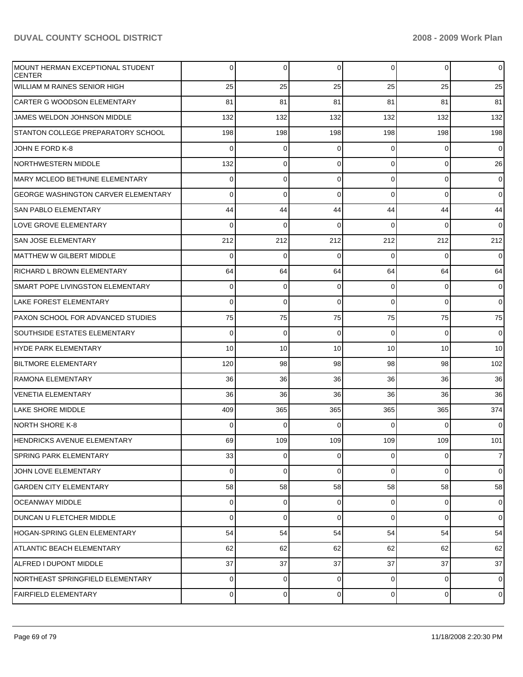| MOUNT HERMAN EXCEPTIONAL STUDENT<br><b>CENTER</b> | 0           | 0           | $\mathbf 0$ | 0        | $\overline{0}$  | $\overline{0}$ |
|---------------------------------------------------|-------------|-------------|-------------|----------|-----------------|----------------|
| <b>WILLIAM M RAINES SENIOR HIGH</b>               | 25          | 25          | 25          | 25       | 25              | 25             |
| <b>CARTER G WOODSON ELEMENTARY</b>                | 81          | 81          | 81          | 81       | 81              | 81             |
| JAMES WELDON JOHNSON MIDDLE                       | 132         | 132         | 132         | 132      | 132             | 132            |
| STANTON COLLEGE PREPARATORY SCHOOL                | 198         | 198         | 198         | 198      | 198             | 198            |
| JOHN E FORD K-8                                   | $\mathbf 0$ | 0           | $\mathbf 0$ | 0        | $\overline{0}$  | $\overline{0}$ |
| <b>NORTHWESTERN MIDDLE</b>                        | 132         | 0           | $\mathbf 0$ | 0        | $\overline{0}$  | 26             |
| <b>MARY MCLEOD BETHUNE ELEMENTARY</b>             | 0           | 0           | $\mathbf 0$ | $\Omega$ | $\overline{0}$  | $\overline{0}$ |
| <b>GEORGE WASHINGTON CARVER ELEMENTARY</b>        | 0           | $\mathbf 0$ | $\mathbf 0$ | $\Omega$ | $\overline{0}$  | $\overline{0}$ |
| <b>SAN PABLO ELEMENTARY</b>                       | 44          | 44          | 44          | 44       | 44              | 44             |
| LOVE GROVE ELEMENTARY                             | $\mathbf 0$ | $\mathbf 0$ | $\mathbf 0$ | $\Omega$ | $\mathbf 0$     | $\overline{0}$ |
| <b>SAN JOSE ELEMENTARY</b>                        | 212         | 212         | 212         | 212      | 212             | 212            |
| MATTHEW W GILBERT MIDDLE                          | $\mathbf 0$ | $\mathbf 0$ | $\mathbf 0$ | $\Omega$ | $\overline{0}$  | $\overline{0}$ |
| <b>RICHARD L BROWN ELEMENTARY</b>                 | 64          | 64          | 64          | 64       | 64              | 64             |
| SMART POPE LIVINGSTON ELEMENTARY                  | $\mathbf 0$ | $\mathbf 0$ | $\mathbf 0$ | 0        | $\overline{0}$  | $\overline{0}$ |
| LAKE FOREST ELEMENTARY                            | 0           | $\mathbf 0$ | $\Omega$    | $\Omega$ | $\Omega$        | $\overline{0}$ |
| PAXON SCHOOL FOR ADVANCED STUDIES                 | 75          | 75          | 75          | 75       | 75              | 75             |
| <b>SOUTHSIDE ESTATES ELEMENTARY</b>               | $\mathbf 0$ | $\mathbf 0$ | $\mathbf 0$ | $\Omega$ | $\overline{0}$  | $\overline{0}$ |
| HYDE PARK ELEMENTARY                              | 10          | 10          | 10          | 10       | 10 <sup>1</sup> | 10             |
| <b>BILTMORE ELEMENTARY</b>                        | 120         | 98          | 98          | 98       | 98              | 102            |
| RAMONA ELEMENTARY                                 | 36          | 36          | 36          | 36       | 36              | 36             |
| <b>VENETIA ELEMENTARY</b>                         | 36          | 36          | 36          | 36       | 36              | 36             |
| LAKE SHORE MIDDLE                                 | 409         | 365         | 365         | 365      | 365             | 374            |
| NORTH SHORE K-8                                   | 0           | $\Omega$    | $\Omega$    | $\Omega$ | $\Omega$        | $\overline{0}$ |
| IHENDRICKS AVENUE ELEMENTARY                      | 69          | 109         | 109         | 109      | 109             | 101            |
| <b>SPRING PARK ELEMENTARY</b>                     | 33          | 0           | $\Omega$    | 0        | $\overline{0}$  | $\overline{7}$ |
| JOHN LOVE ELEMENTARY                              | 0           | 0           | $\mathbf 0$ | 0        | $\overline{0}$  | $\overline{0}$ |
| <b>GARDEN CITY ELEMENTARY</b>                     | 58          | 58          | 58          | 58       | 58              | 58             |
| <b>OCEANWAY MIDDLE</b>                            | 0           | 0           | $\mathbf 0$ | 0        | $\overline{0}$  | $\overline{0}$ |
| DUNCAN U FLETCHER MIDDLE                          | $\mathbf 0$ | 0           | $\Omega$    | 0        | $\overline{0}$  | $\overline{0}$ |
| <b>HOGAN-SPRING GLEN ELEMENTARY</b>               | 54          | 54          | 54          | 54       | 54              | 54             |
| <b>ATLANTIC BEACH ELEMENTARY</b>                  | 62          | 62          | 62          | 62       | 62              | 62             |
| ALFRED I DUPONT MIDDLE                            | 37          | 37          | 37          | 37       | 37              | 37             |
| NORTHEAST SPRINGFIELD ELEMENTARY                  | 0           | 0           | 0           | 0        | $\overline{0}$  | $\overline{0}$ |
| <b>FAIRFIELD ELEMENTARY</b>                       | 0           | 0           | 0           | 0        | $\overline{0}$  | $\mathbf 0$    |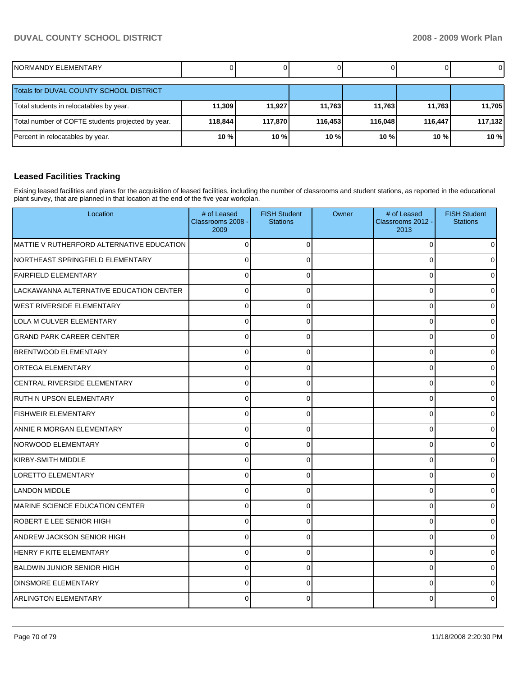| NORMANDY ELEMENTARY                               |         |         | ΟI      |         |         | 01      |
|---------------------------------------------------|---------|---------|---------|---------|---------|---------|
| <b>Totals for DUVAL COUNTY SCHOOL DISTRICT</b>    |         |         |         |         |         |         |
| Total students in relocatables by year.           | 11,309  | 11.927  | 11.763  | 11,763  | 11.763  | 11,705  |
| Total number of COFTE students projected by year. | 118,844 | 117,870 | 116,453 | 116.048 | 116.447 | 117,132 |
| Percent in relocatables by year.                  | 10 %    | 10 %    | 10 %    | 10 %    | 10 %    | 10 %    |

### **Leased Facilities Tracking**

Exising leased facilities and plans for the acquisition of leased facilities, including the number of classrooms and student stations, as reported in the educational plant survey, that are planned in that location at the end of the five year workplan.

| Location                                  | # of Leased<br>Classrooms 2008 -<br>2009 | <b>FISH Student</b><br><b>Stations</b> | Owner | # of Leased<br>Classrooms 2012 -<br>2013 | <b>FISH Student</b><br><b>Stations</b> |
|-------------------------------------------|------------------------------------------|----------------------------------------|-------|------------------------------------------|----------------------------------------|
| MATTIE V RUTHERFORD ALTERNATIVE EDUCATION | $\Omega$                                 | $\Omega$                               |       | 0                                        | <sup>0</sup>                           |
| NORTHEAST SPRINGFIELD ELEMENTARY          | $\Omega$                                 | $\Omega$                               |       | $\Omega$                                 | <sup>0</sup>                           |
| <b>FAIRFIELD ELEMENTARY</b>               | 0                                        | 0                                      |       | 0                                        | ი                                      |
| LACKAWANNA ALTERNATIVE EDUCATION CENTER   | 0                                        | 0                                      |       | $\mathbf 0$                              | ი                                      |
| <b>WEST RIVERSIDE ELEMENTARY</b>          | $\Omega$                                 | $\overline{0}$                         |       | $\mathbf 0$                              |                                        |
| LOLA M CULVER ELEMENTARY                  | $\Omega$                                 | $\Omega$                               |       | $\mathbf 0$                              |                                        |
| <b>GRAND PARK CAREER CENTER</b>           | C                                        | 0                                      |       | $\mathbf 0$                              |                                        |
| <b>BRENTWOOD ELEMENTARY</b>               | $\Omega$                                 | 0                                      |       | 0                                        |                                        |
| ORTEGA ELEMENTARY                         | $\Omega$                                 | 0                                      |       | 0                                        | <sup>0</sup>                           |
| CENTRAL RIVERSIDE ELEMENTARY              | $\Omega$                                 | $\mathbf 0$                            |       | $\mathbf 0$                              | 0                                      |
| RUTH N UPSON ELEMENTARY                   | $\mathbf 0$                              | $\mathbf 0$                            |       | $\mathbf 0$                              | ი                                      |
| <b>FISHWEIR ELEMENTARY</b>                | $\Omega$                                 | 0                                      |       | 0                                        |                                        |
| ANNIE R MORGAN ELEMENTARY                 | $\Omega$                                 | $\mathbf{0}$                           |       | $\mathbf 0$                              |                                        |
| NORWOOD ELEMENTARY                        | $\Omega$                                 | $\Omega$                               |       | 0                                        |                                        |
| <b>KIRBY-SMITH MIDDLE</b>                 | $\Omega$                                 | $\Omega$                               |       | $\Omega$                                 |                                        |
| <b>LORETTO ELEMENTARY</b>                 | $\Omega$                                 | 0                                      |       | 0                                        | <sup>0</sup>                           |
| <b>LANDON MIDDLE</b>                      | $\Omega$                                 | $\Omega$                               |       | $\mathbf 0$                              | <sup>0</sup>                           |
| <b>MARINE SCIENCE EDUCATION CENTER</b>    | 0                                        | 0                                      |       | $\mathbf 0$                              | 0                                      |
| ROBERT E LEE SENIOR HIGH                  | $\Omega$                                 | $\Omega$                               |       | $\mathbf 0$                              |                                        |
| <b>ANDREW JACKSON SENIOR HIGH</b>         | $\Omega$                                 | $\overline{0}$                         |       | $\mathbf 0$                              |                                        |
| <b>HENRY F KITE ELEMENTARY</b>            | $\Omega$                                 | 0                                      |       | $\mathbf{0}$                             |                                        |
| <b>BALDWIN JUNIOR SENIOR HIGH</b>         | C                                        | $\Omega$                               |       | 0                                        |                                        |
| <b>DINSMORE ELEMENTARY</b>                | $\Omega$                                 | 0                                      |       | $\Omega$                                 |                                        |
| <b>ARLINGTON ELEMENTARY</b>               |                                          | 0                                      |       | 0                                        |                                        |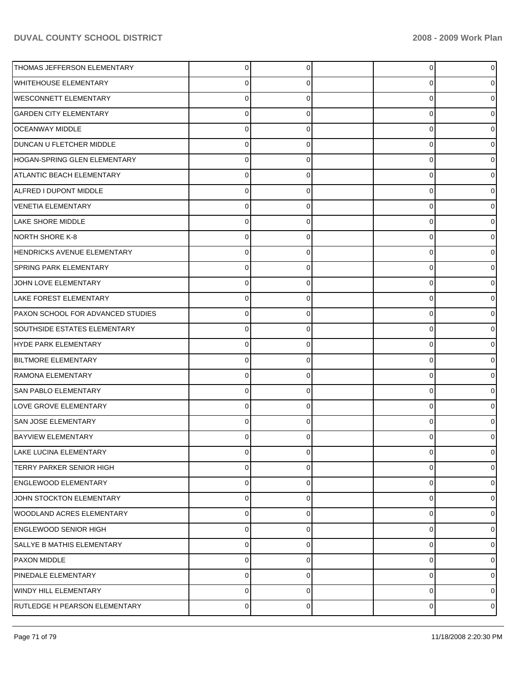| THOMAS JEFFERSON ELEMENTARY         | 0           | $\overline{0}$ | 0           |  |
|-------------------------------------|-------------|----------------|-------------|--|
| <b>WHITEHOUSE ELEMENTARY</b>        | 0           | 0              | 0           |  |
| <b>WESCONNETT ELEMENTARY</b>        | 0           | 0              | 0           |  |
| <b>GARDEN CITY ELEMENTARY</b>       | 0           | 0              | 0           |  |
| <b>OCEANWAY MIDDLE</b>              | 0           | 0              | 0           |  |
| DUNCAN U FLETCHER MIDDLE            | 0           | 0              | 0           |  |
| HOGAN-SPRING GLEN ELEMENTARY        | 0           | 0              | 0           |  |
| ATLANTIC BEACH ELEMENTARY           | 0           | 0              | 0           |  |
| ALFRED I DUPONT MIDDLE              | 0           | 0              | 0           |  |
| <b>VENETIA ELEMENTARY</b>           | 0           | 0              | 0           |  |
| <b>LAKE SHORE MIDDLE</b>            | 0           | 0              | 0           |  |
| NORTH SHORE K-8                     | 0           | 0              | 0           |  |
| HENDRICKS AVENUE ELEMENTARY         | 0           | 0              | 0           |  |
| <b>SPRING PARK ELEMENTARY</b>       | 0           | 0              | 0           |  |
| JOHN LOVE ELEMENTARY                | 0           | 0              | 0           |  |
| LAKE FOREST ELEMENTARY              | 0           | 0              | 0           |  |
| PAXON SCHOOL FOR ADVANCED STUDIES   | 0           | 0              | 0           |  |
| <b>SOUTHSIDE ESTATES ELEMENTARY</b> | 0           | 0              | 0           |  |
| HYDE PARK ELEMENTARY                | 0           | 0              | 0           |  |
| <b>BILTMORE ELEMENTARY</b>          | 0           | 0              | 0           |  |
| RAMONA ELEMENTARY                   | 0           | 0              | 0           |  |
| <b>SAN PABLO ELEMENTARY</b>         | 0           | 0              | 0           |  |
| LOVE GROVE ELEMENTARY               | 0           | 0              | 0           |  |
| <b>SAN JOSE ELEMENTARY</b>          | 0           | 0              | 0           |  |
| <b>BAYVIEW ELEMENTARY</b>           |             | O              | 0           |  |
| LAKE LUCINA ELEMENTARY              | 0           | 0              | 0           |  |
| <b>TERRY PARKER SENIOR HIGH</b>     | 0           | 0              | 0           |  |
| <b>ENGLEWOOD ELEMENTARY</b>         | 0           | 0              | 0           |  |
| JOHN STOCKTON ELEMENTARY            | 0           | 0              | $\mathbf 0$ |  |
| WOODLAND ACRES ELEMENTARY           | 0           | 0              | 0           |  |
| <b>ENGLEWOOD SENIOR HIGH</b>        | 0           | 0              | 0           |  |
| SALLYE B MATHIS ELEMENTARY          | 0           | 0              | 0           |  |
| PAXON MIDDLE                        | 0           | 0              | 0           |  |
| PINEDALE ELEMENTARY                 | 0           | 0              | 0           |  |
| <b>WINDY HILL ELEMENTARY</b>        | $\mathbf 0$ | 0              | 0           |  |
| RUTLEDGE H PEARSON ELEMENTARY       | 0           | 0              | 0           |  |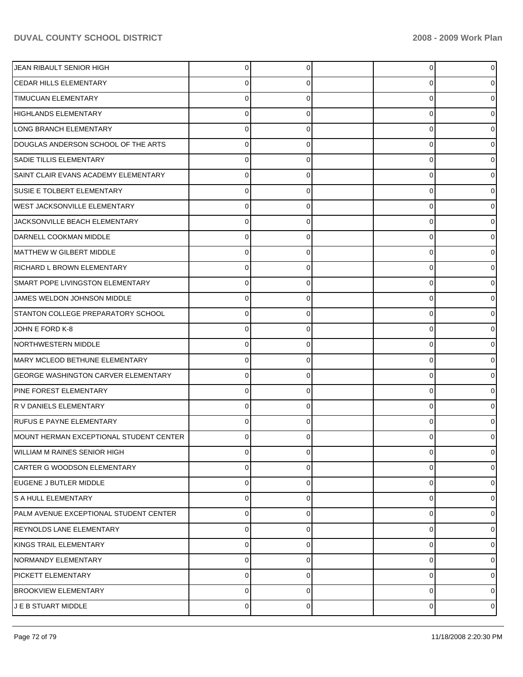| JEAN RIBAULT SENIOR HIGH                | 0 | 0 | $\overline{0}$ |   |
|-----------------------------------------|---|---|----------------|---|
| <b>CEDAR HILLS ELEMENTARY</b>           | 0 | O | 0              |   |
| <b>TIMUCUAN ELEMENTARY</b>              | 0 |   | 0              |   |
| <b>HIGHLANDS ELEMENTARY</b>             | 0 | 0 | 0              |   |
| LONG BRANCH ELEMENTARY                  | 0 |   | 0              |   |
| DOUGLAS ANDERSON SCHOOL OF THE ARTS     | 0 | O | 0              |   |
| SADIE TILLIS ELEMENTARY                 | 0 | O | 0              |   |
| SAINT CLAIR EVANS ACADEMY ELEMENTARY    | 0 | 0 | 0              |   |
| SUSIE E TOLBERT ELEMENTARY              | 0 | O | 0              |   |
| <b>WEST JACKSONVILLE ELEMENTARY</b>     | 0 | 0 | 0              |   |
| JACKSONVILLE BEACH ELEMENTARY           | O |   | 0              |   |
| DARNELL COOKMAN MIDDLE                  | 0 | 0 | 0              |   |
| MATTHEW W GILBERT MIDDLE                | 0 |   | 0              |   |
| <b>RICHARD L BROWN ELEMENTARY</b>       | 0 | 0 | 0              |   |
| SMART POPE LIVINGSTON ELEMENTARY        | 0 | O | 0              |   |
| JAMES WELDON JOHNSON MIDDLE             | 0 | 0 | 0              |   |
| STANTON COLLEGE PREPARATORY SCHOOL      | O |   | 0              |   |
| JOHN E FORD K-8                         | 0 | 0 | 0              |   |
| <b>NORTHWESTERN MIDDLE</b>              | 0 |   | 0              |   |
| MARY MCLEOD BETHUNE ELEMENTARY          | 0 | 0 | 0              |   |
| GEORGE WASHINGTON CARVER ELEMENTARY     | 0 | O | 0              |   |
| PINE FOREST ELEMENTARY                  | 0 | 0 | 0              |   |
| R V DANIELS ELEMENTARY                  | O |   | 0              |   |
| <b>RUFUS E PAYNE ELEMENTARY</b>         | 0 | O | 0              |   |
| MOUNT HERMAN EXCEPTIONAL STUDENT CENTER |   |   | 0              |   |
| <b>WILLIAM M RAINES SENIOR HIGH</b>     | 0 | 0 | 0              | 0 |
| CARTER G WOODSON ELEMENTARY             | 0 | 0 | 0              | 0 |
| EUGENE J BUTLER MIDDLE                  | 0 | 0 | 0              | 0 |
| S A HULL ELEMENTARY                     | 0 | 0 | 0              | 0 |
| PALM AVENUE EXCEPTIONAL STUDENT CENTER  | 0 | U | 0              | o |
| <b>REYNOLDS LANE ELEMENTARY</b>         | 0 | 0 | 0              | 0 |
| KINGS TRAIL ELEMENTARY                  | 0 | 0 | 0              | 0 |
| NORMANDY ELEMENTARY                     | 0 | 0 | 0              | 0 |
| <b>PICKETT ELEMENTARY</b>               | 0 | 0 | 0              | o |
| <b>BROOKVIEW ELEMENTARY</b>             | 0 | 0 | 0              | 0 |
| J E B STUART MIDDLE                     | 0 | 0 | 0              | 0 |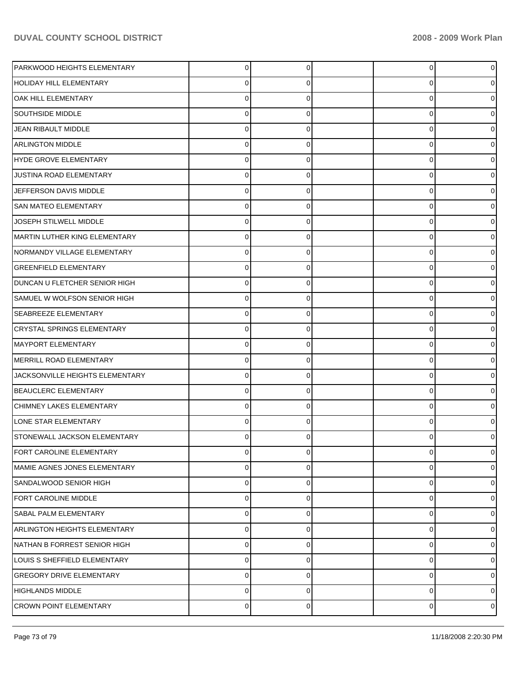| PARKWOOD HEIGHTS ELEMENTARY         | 0           | 0 | 0 |  |
|-------------------------------------|-------------|---|---|--|
| <b>HOLIDAY HILL ELEMENTARY</b>      | Ω           | 0 | 0 |  |
| OAK HILL ELEMENTARY                 | $\Omega$    | 0 | 0 |  |
| <b>SOUTHSIDE MIDDLE</b>             | $\Omega$    | 0 | 0 |  |
| JEAN RIBAULT MIDDLE                 | $\Omega$    | 0 | 0 |  |
| <b>ARLINGTON MIDDLE</b>             | $\Omega$    | 0 | 0 |  |
| HYDE GROVE ELEMENTARY               | $\Omega$    | 0 | 0 |  |
| JUSTINA ROAD ELEMENTARY             | $\Omega$    | 0 | 0 |  |
| JEFFERSON DAVIS MIDDLE              | $\Omega$    | 0 | 0 |  |
| SAN MATEO ELEMENTARY                | $\Omega$    | 0 | 0 |  |
| JOSEPH STILWELL MIDDLE              | $\Omega$    | 0 | 0 |  |
| MARTIN LUTHER KING ELEMENTARY       | $\Omega$    | 0 | 0 |  |
| NORMANDY VILLAGE ELEMENTARY         | $\Omega$    | 0 | 0 |  |
| <b>GREENFIELD ELEMENTARY</b>        | $\Omega$    | 0 | 0 |  |
| DUNCAN U FLETCHER SENIOR HIGH       | $\Omega$    | 0 | 0 |  |
| SAMUEL W WOLFSON SENIOR HIGH        | $\Omega$    | 0 | 0 |  |
| <b>SEABREEZE ELEMENTARY</b>         | 0           | 0 | 0 |  |
| <b>CRYSTAL SPRINGS ELEMENTARY</b>   | $\Omega$    | 0 | 0 |  |
| <b>MAYPORT ELEMENTARY</b>           | $\Omega$    | 0 | 0 |  |
| MERRILL ROAD ELEMENTARY             | $\Omega$    | 0 | 0 |  |
| JACKSONVILLE HEIGHTS ELEMENTARY     | 0           | 0 | 0 |  |
| <b>BEAUCLERC ELEMENTARY</b>         | $\Omega$    | 0 | 0 |  |
| CHIMNEY LAKES ELEMENTARY            | $\Omega$    | 0 | 0 |  |
| LONE STAR ELEMENTARY                | $\Omega$    | 0 | 0 |  |
| STONEWALL JACKSON ELEMENTARY        |             |   | 0 |  |
| FORT CAROLINE ELEMENTARY            | 0           | 0 | 0 |  |
| MAMIE AGNES JONES ELEMENTARY        | 0           | 0 | 0 |  |
| SANDALWOOD SENIOR HIGH              | $\Omega$    | 0 | 0 |  |
| <b>FORT CAROLINE MIDDLE</b>         | $\Omega$    | 0 | 0 |  |
| <b>SABAL PALM ELEMENTARY</b>        | $\Omega$    | 0 | 0 |  |
| <b>ARLINGTON HEIGHTS ELEMENTARY</b> | 0           | 0 | 0 |  |
| NATHAN B FORREST SENIOR HIGH        | $\Omega$    | 0 | 0 |  |
| LOUIS S SHEFFIELD ELEMENTARY        | 0           | 0 | 0 |  |
| <b>GREGORY DRIVE ELEMENTARY</b>     | $\Omega$    | 0 | 0 |  |
| <b>HIGHLANDS MIDDLE</b>             | 0           | 0 | 0 |  |
| <b>CROWN POINT ELEMENTARY</b>       | $\mathbf 0$ | 0 | 0 |  |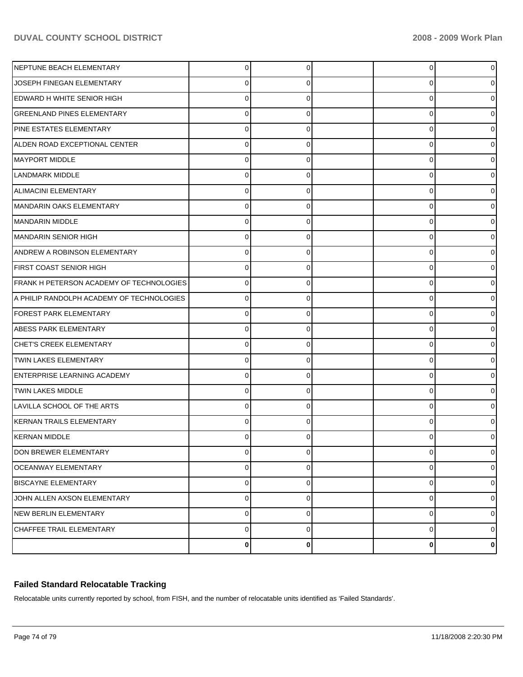| NEPTUNE BEACH ELEMENTARY                  | 0           | 0 | 0 |   |
|-------------------------------------------|-------------|---|---|---|
| JOSEPH FINEGAN ELEMENTARY                 | C           | 0 | 0 |   |
| <b>EDWARD H WHITE SENIOR HIGH</b>         | C           | 0 | 0 |   |
| <b>GREENLAND PINES ELEMENTARY</b>         | C           | 0 | 0 |   |
| <b>PINE ESTATES ELEMENTARY</b>            | C           | 0 | 0 |   |
| ALDEN ROAD EXCEPTIONAL CENTER             | C           | 0 | 0 |   |
| MAYPORT MIDDLE                            | C           | 0 | 0 |   |
| LANDMARK MIDDLE                           | C           | 0 | 0 |   |
| <b>ALIMACINI ELEMENTARY</b>               | C           | 0 | 0 |   |
| MANDARIN OAKS ELEMENTARY                  | C           | 0 | 0 |   |
| MANDARIN MIDDLE                           | C           | 0 | 0 |   |
| MANDARIN SENIOR HIGH                      | C           | 0 | 0 |   |
| <b>ANDREW A ROBINSON ELEMENTARY</b>       | C           | 0 | 0 |   |
| FIRST COAST SENIOR HIGH                   | C           | 0 | 0 |   |
| FRANK H PETERSON ACADEMY OF TECHNOLOGIES  | C           | 0 | 0 |   |
| A PHILIP RANDOLPH ACADEMY OF TECHNOLOGIES | C           | 0 | 0 |   |
| <b>FOREST PARK ELEMENTARY</b>             | C           | 0 | 0 |   |
| <b>ABESS PARK ELEMENTARY</b>              | C           | 0 | 0 |   |
| <b>CHET'S CREEK ELEMENTARY</b>            | C           | 0 | 0 |   |
| <b>TWIN LAKES ELEMENTARY</b>              | O           | 0 | 0 |   |
| <b>ENTERPRISE LEARNING ACADEMY</b>        | C           | 0 | 0 |   |
| TWIN LAKES MIDDLE                         | C           | 0 | 0 |   |
| LAVILLA SCHOOL OF THE ARTS                | C           | 0 | 0 |   |
| KERNAN TRAILS ELEMENTARY                  | C           | 0 | 0 |   |
| KERNAN MIDDLE                             |             |   | 0 |   |
| DON BREWER ELEMENTARY                     | 0           | 0 | 0 | 0 |
| <b>OCEANWAY ELEMENTARY</b>                | 0           | 0 | 0 | 0 |
| <b>BISCAYNE ELEMENTARY</b>                | $\mathbf 0$ | 0 | 0 | 0 |
| JOHN ALLEN AXSON ELEMENTARY               | $\mathbf 0$ | 0 | 0 | 0 |
| <b>NEW BERLIN ELEMENTARY</b>              | $\mathbf 0$ | 0 | 0 | 0 |
| CHAFFEE TRAIL ELEMENTARY                  | $\mathbf 0$ | 0 | 0 | 0 |
|                                           | 0           | 0 | 0 | 0 |

## **Failed Standard Relocatable Tracking**

Relocatable units currently reported by school, from FISH, and the number of relocatable units identified as 'Failed Standards'.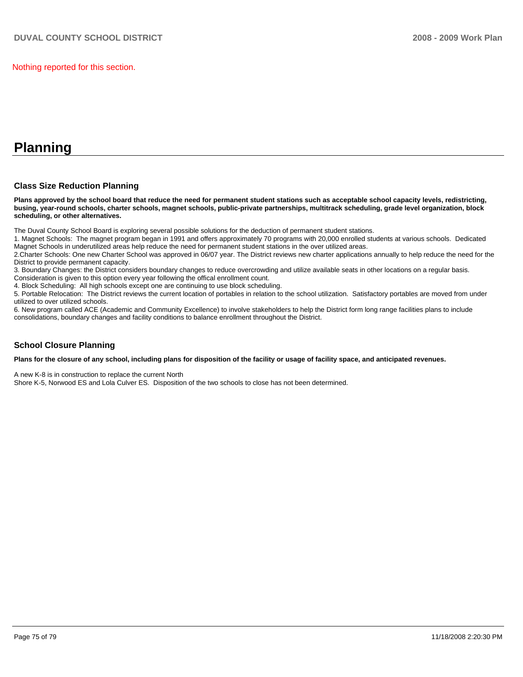#### Nothing reported for this section.

## **Planning**

## **Class Size Reduction Planning**

**Plans approved by the school board that reduce the need for permanent student stations such as acceptable school capacity levels, redistricting, busing, year-round schools, charter schools, magnet schools, public-private partnerships, multitrack scheduling, grade level organization, block scheduling, or other alternatives.** 

The Duval County School Board is exploring several possible solutions for the deduction of permanent student stations.

1. Magnet Schools: The magnet program began in 1991 and offers approximately 70 programs with 20,000 enrolled students at various schools. Dedicated Magnet Schools in underutilized areas help reduce the need for permanent student stations in the over utilized areas.

2.Charter Schools: One new Charter School was approved in 06/07 year. The District reviews new charter applications annually to help reduce the need for the District to provide permanent capacity.

3. Boundary Changes: the District considers boundary changes to reduce overcrowding and utilize available seats in other locations on a regular basis. Consideration is given to this option every year following the offical enrollment count.

4. Block Scheduling: All high schools except one are continuing to use block scheduling.

5. Portable Relocation: The District reviews the current location of portables in relation to the school utilization. Satisfactory portables are moved from under utilized to over utilized schools.

6. New program called ACE (Academic and Community Excellence) to involve stakeholders to help the District form long range facilities plans to include consolidations, boundary changes and facility conditions to balance enrollment throughout the District.

## **School Closure Planning**

**Plans for the closure of any school, including plans for disposition of the facility or usage of facility space, and anticipated revenues.** 

A new K-8 is in construction to replace the current North

Shore K-5, Norwood ES and Lola Culver ES. Disposition of the two schools to close has not been determined.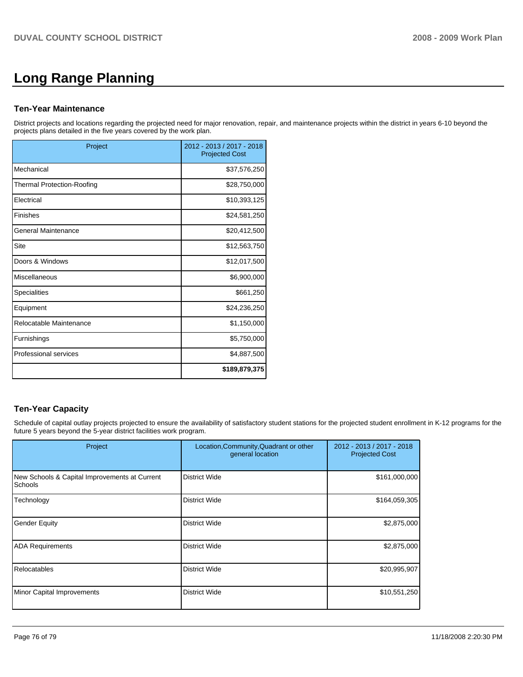# **Long Range Planning**

## **Ten-Year Maintenance**

District projects and locations regarding the projected need for major renovation, repair, and maintenance projects within the district in years 6-10 beyond the projects plans detailed in the five years covered by the work plan.

| Project                           | 2012 - 2013 / 2017 - 2018<br><b>Projected Cost</b> |
|-----------------------------------|----------------------------------------------------|
| Mechanical                        | \$37,576,250                                       |
| <b>Thermal Protection-Roofing</b> | \$28,750,000                                       |
| Electrical                        | \$10,393,125                                       |
| Finishes                          | \$24,581,250                                       |
| General Maintenance               | \$20,412,500                                       |
| Site                              | \$12,563,750                                       |
| Doors & Windows                   | \$12,017,500                                       |
| Miscellaneous                     | \$6,900,000                                        |
| <b>Specialities</b>               | \$661,250                                          |
| Equipment                         | \$24,236,250                                       |
| Relocatable Maintenance           | \$1,150,000                                        |
| Furnishings                       | \$5,750,000                                        |
| Professional services             | \$4,887,500                                        |
|                                   | \$189,879,375                                      |

## **Ten-Year Capacity**

Schedule of capital outlay projects projected to ensure the availability of satisfactory student stations for the projected student enrollment in K-12 programs for the future 5 years beyond the 5-year district facilities work program.

| Project                                                  | Location, Community, Quadrant or other<br>general location | 2012 - 2013 / 2017 - 2018<br><b>Projected Cost</b> |
|----------------------------------------------------------|------------------------------------------------------------|----------------------------------------------------|
| New Schools & Capital Improvements at Current<br>Schools | <b>District Wide</b>                                       | \$161,000,000                                      |
| Technology                                               | <b>District Wide</b>                                       | \$164,059,305                                      |
| <b>Gender Equity</b>                                     | <b>District Wide</b>                                       | \$2,875,000                                        |
| <b>ADA Requirements</b>                                  | <b>District Wide</b>                                       | \$2,875,000                                        |
| Relocatables                                             | <b>District Wide</b>                                       | \$20,995,907                                       |
| Minor Capital Improvements                               | <b>District Wide</b>                                       | \$10,551,250                                       |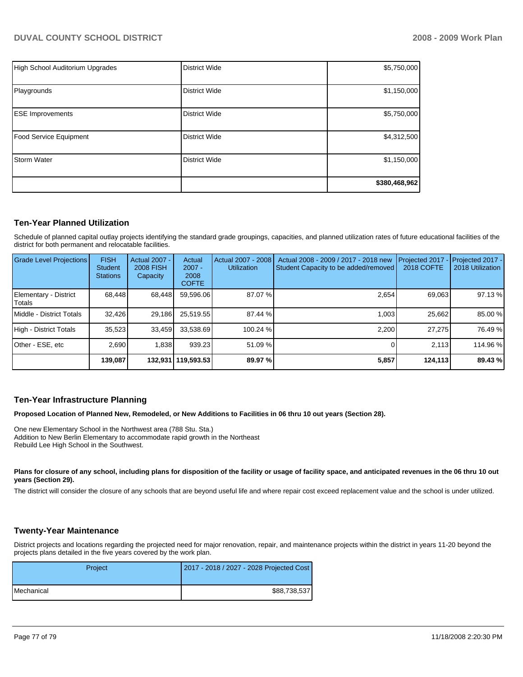| High School Auditorium Upgrades | <b>District Wide</b> | \$5,750,000   |
|---------------------------------|----------------------|---------------|
| Playgrounds                     | <b>District Wide</b> | \$1,150,000   |
| <b>ESE Improvements</b>         | <b>District Wide</b> | \$5,750,000   |
| Food Service Equipment          | <b>District Wide</b> | \$4,312,500   |
| <b>Storm Water</b>              | <b>District Wide</b> | \$1,150,000   |
|                                 |                      | \$380,468,962 |

## **Ten-Year Planned Utilization**

Schedule of planned capital outlay projects identifying the standard grade groupings, capacities, and planned utilization rates of future educational facilities of the district for both permanent and relocatable facilities.

| Grade Level Projections         | <b>FISH</b><br><b>Student</b><br><b>Stations</b> | Actual 2007 -<br><b>2008 FISH</b><br>Capacity | Actual<br>$2007 -$<br>2008<br><b>COFTE</b> | Actual 2007 - 2008<br><b>Utilization</b> | Actual 2008 - 2009 / 2017 - 2018 new<br>Student Capacity to be added/removed | Projected 2017<br>2018 COFTE | Projected 2017 -<br>2018 Utilization |
|---------------------------------|--------------------------------------------------|-----------------------------------------------|--------------------------------------------|------------------------------------------|------------------------------------------------------------------------------|------------------------------|--------------------------------------|
| Elementary - District<br>Totals | 68.448                                           | 68,448                                        | 59.596.06                                  | 87.07 %                                  | 2.654                                                                        | 69,063                       | 97.13 %                              |
| Middle - District Totals        | 32.426                                           | 29,186                                        | 25,519.55                                  | 87.44 %                                  | 1.003                                                                        | 25,662                       | 85.00 %                              |
| High - District Totals          | 35.523                                           | 33.459                                        | 33.538.69                                  | 100.24 %                                 | 2.200                                                                        | 27.275                       | 76.49 %                              |
| Other - ESE, etc                | 2.690                                            | 1.838                                         | 939.23                                     | 51.09 %                                  |                                                                              | 2.113                        | 114.96 %                             |
|                                 | 139.087                                          |                                               | 132,931   119,593.53                       | 89.97 %                                  | 5,857                                                                        | 124,113                      | 89.43 %                              |

## **Ten-Year Infrastructure Planning**

**Proposed Location of Planned New, Remodeled, or New Additions to Facilities in 06 thru 10 out years (Section 28).** 

One new Elementary School in the Northwest area (788 Stu. Sta.) Addition to New Berlin Elementary to accommodate rapid growth in the Northeast Rebuild Lee High School in the Southwest.

Plans for closure of any school, including plans for disposition of the facility or usage of facility space, and anticipated revenues in the 06 thru 10 out **years (Section 29).** 

The district will consider the closure of any schools that are beyond useful life and where repair cost exceed replacement value and the school is under utilized.

## **Twenty-Year Maintenance**

District projects and locations regarding the projected need for major renovation, repair, and maintenance projects within the district in years 11-20 beyond the projects plans detailed in the five years covered by the work plan.

| Project    | 2017 - 2018 / 2027 - 2028 Projected Cost |
|------------|------------------------------------------|
| Mechanical | \$88,738,537                             |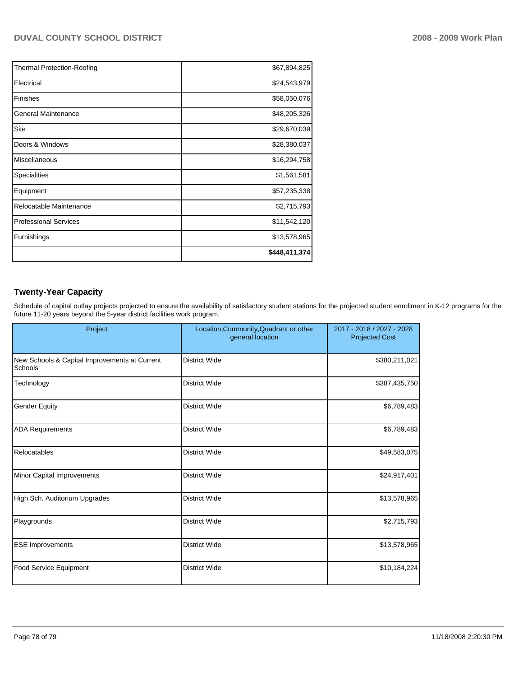| <b>Thermal Protection-Roofing</b> | \$67,894,825  |
|-----------------------------------|---------------|
| Electrical                        | \$24,543,979  |
| <b>Finishes</b>                   | \$58,050,076  |
| General Maintenance               | \$48,205,326  |
| Site                              | \$29,670,039  |
| Doors & Windows                   | \$28,380,037  |
| Miscellaneous                     | \$16,294,758  |
| Specialities                      | \$1,561,581   |
| Equipment                         | \$57,235,338  |
| Relocatable Maintenance           | \$2,715,793   |
| <b>Professional Services</b>      | \$11,542,120  |
| Furnishings                       | \$13,578,965  |
|                                   | \$448,411,374 |

## **Twenty-Year Capacity**

Schedule of capital outlay projects projected to ensure the availability of satisfactory student stations for the projected student enrollment in K-12 programs for the future 11-20 years beyond the 5-year district facilities work program.

| Project                                                  | Location, Community, Quadrant or other<br>general location | 2017 - 2018 / 2027 - 2028<br><b>Projected Cost</b> |
|----------------------------------------------------------|------------------------------------------------------------|----------------------------------------------------|
| New Schools & Capital Improvements at Current<br>Schools | <b>District Wide</b>                                       | \$380,211,021                                      |
| Technology                                               | <b>District Wide</b>                                       | \$387,435,750                                      |
| <b>Gender Equity</b>                                     | <b>District Wide</b>                                       | \$6,789,483                                        |
| <b>ADA Requirements</b>                                  | <b>District Wide</b>                                       | \$6,789,483                                        |
| Relocatables                                             | <b>District Wide</b>                                       | \$49,583,075                                       |
| Minor Capital Improvements                               | <b>District Wide</b>                                       | \$24,917,401                                       |
| High Sch. Auditorium Upgrades                            | <b>District Wide</b>                                       | \$13,578,965                                       |
| Playgrounds                                              | <b>District Wide</b>                                       | \$2,715,793                                        |
| <b>ESE Improvements</b>                                  | <b>District Wide</b>                                       | \$13,578,965                                       |
| Food Service Equipment                                   | <b>District Wide</b>                                       | \$10,184,224                                       |